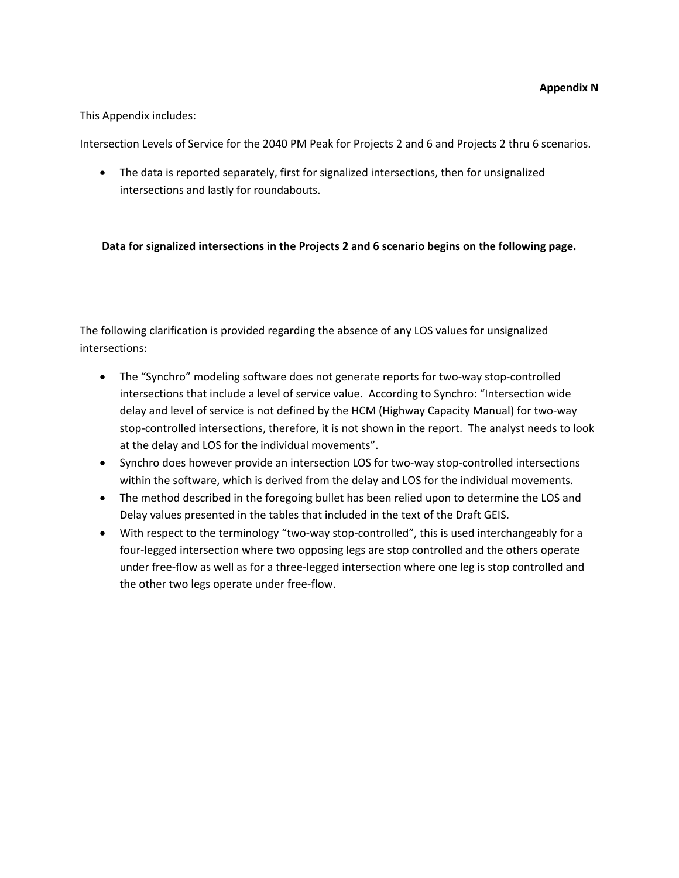#### This Appendix includes:

Intersection Levels of Service for the 2040 PM Peak for Projects 2 and 6 and Projects 2 thru 6 scenarios.

• The data is reported separately, first for signalized intersections, then for unsignalized intersections and lastly for roundabouts.

#### **Data for signalized intersections in the Projects 2 and 6 scenario begins on the following page.**

The following clarification is provided regarding the absence of any LOS values for unsignalized intersections:

- The "Synchro" modeling software does not generate reports for two-way stop-controlled intersections that include a level of service value. According to Synchro: "Intersection wide delay and level of service is not defined by the HCM (Highway Capacity Manual) for two‐way stop-controlled intersections, therefore, it is not shown in the report. The analyst needs to look at the delay and LOS for the individual movements".
- Synchro does however provide an intersection LOS for two-way stop-controlled intersections within the software, which is derived from the delay and LOS for the individual movements.
- The method described in the foregoing bullet has been relied upon to determine the LOS and Delay values presented in the tables that included in the text of the Draft GEIS.
- With respect to the terminology "two-way stop-controlled", this is used interchangeably for a four‐legged intersection where two opposing legs are stop controlled and the others operate under free‐flow as well as for a three‐legged intersection where one leg is stop controlled and the other two legs operate under free‐flow.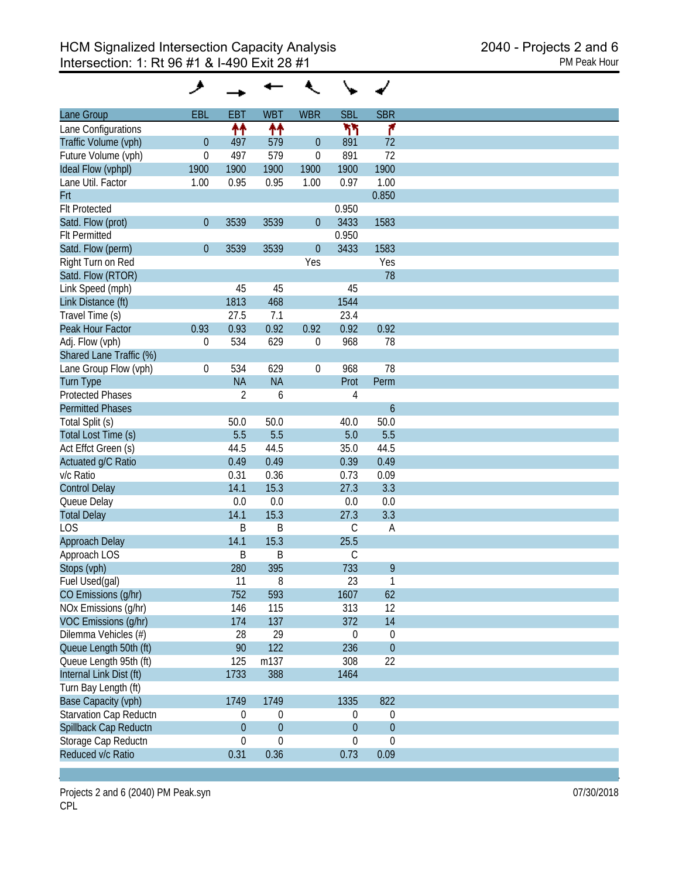|                         | ۸                |                  |                  |                  |                  |                  |
|-------------------------|------------------|------------------|------------------|------------------|------------------|------------------|
| Lane Group              | EBL              | <b>EBT</b>       | <b>WBT</b>       | <b>WBR</b>       | <b>SBL</b>       | <b>SBR</b>       |
| Lane Configurations     |                  | ↟↟               | ↟↟               |                  | ካካ               | ۴                |
| Traffic Volume (vph)    | $\boldsymbol{0}$ | 497              | 579              | $\boldsymbol{0}$ | 891              | 72               |
| Future Volume (vph)     | $\boldsymbol{0}$ | 497              | 579              | $\boldsymbol{0}$ | 891              | 72               |
| Ideal Flow (vphpl)      | 1900             | 1900             | 1900             | 1900             | 1900             | 1900             |
| Lane Util. Factor       | 1.00             | 0.95             | 0.95             | 1.00             | 0.97             | 1.00             |
| Frt                     |                  |                  |                  |                  |                  | 0.850            |
| <b>Flt Protected</b>    |                  |                  |                  |                  | 0.950            |                  |
| Satd. Flow (prot)       | $\boldsymbol{0}$ | 3539             | 3539             | $\theta$         | 3433             | 1583             |
| <b>Flt Permitted</b>    |                  |                  |                  |                  | 0.950            |                  |
| Satd. Flow (perm)       | $\boldsymbol{0}$ | 3539             | 3539             | $\boldsymbol{0}$ | 3433             | 1583             |
| Right Turn on Red       |                  |                  |                  | Yes              |                  | Yes              |
| Satd. Flow (RTOR)       |                  |                  |                  |                  |                  | 78               |
| Link Speed (mph)        |                  | 45               | 45               |                  | 45               |                  |
| Link Distance (ft)      |                  | 1813             | 468              |                  | 1544             |                  |
| Travel Time (s)         |                  | 27.5             | 7.1              |                  | 23.4             |                  |
| Peak Hour Factor        | 0.93             | 0.93             | 0.92             | 0.92             | 0.92             | 0.92             |
|                         |                  | 534              | 629              |                  | 968              | 78               |
| Adj. Flow (vph)         | 0                |                  |                  | 0                |                  |                  |
| Shared Lane Traffic (%) |                  |                  |                  |                  |                  |                  |
| Lane Group Flow (vph)   | $\boldsymbol{0}$ | 534              | 629              | $\boldsymbol{0}$ | 968              | 78               |
| <b>Turn Type</b>        |                  | <b>NA</b>        | <b>NA</b>        |                  | Prot             | Perm             |
| <b>Protected Phases</b> |                  | $\overline{2}$   | 6                |                  | 4                |                  |
| <b>Permitted Phases</b> |                  |                  |                  |                  |                  | $\boldsymbol{6}$ |
| Total Split (s)         |                  | 50.0             | 50.0             |                  | 40.0             | 50.0             |
| Total Lost Time (s)     |                  | 5.5              | 5.5              |                  | 5.0              | 5.5              |
| Act Effct Green (s)     |                  | 44.5             | 44.5             |                  | 35.0             | 44.5             |
| Actuated g/C Ratio      |                  | 0.49             | 0.49             |                  | 0.39             | 0.49             |
| v/c Ratio               |                  | 0.31             | 0.36             |                  | 0.73             | 0.09             |
| <b>Control Delay</b>    |                  | 14.1             | 15.3             |                  | 27.3             | 3.3              |
| Queue Delay             |                  | 0.0              | 0.0              |                  | 0.0              | 0.0              |
| <b>Total Delay</b>      |                  | 14.1             | 15.3             |                  | 27.3             | 3.3              |
| <b>LOS</b>              |                  | Β                | B                |                  | C                | A                |
| Approach Delay          |                  | 14.1             | 15.3             |                  | 25.5             |                  |
| Approach LOS            |                  | B                | B                |                  | C                |                  |
| Stops (vph)             |                  | 280              | 395              |                  | 733              | 9                |
| Fuel Used(gal)          |                  | 11               | 8                |                  | 23               | $\mathbf{1}$     |
| CO Emissions (g/hr)     |                  | 752              | 593              |                  | 1607             | 62               |
| NOx Emissions (g/hr)    |                  | 146              | 115              |                  | 313              | 12               |
| VOC Emissions (g/hr)    |                  | 174              | 137              |                  | 372              | 14               |
| Dilemma Vehicles (#)    |                  | 28               | 29               |                  | $\boldsymbol{0}$ | 0                |
| Queue Length 50th (ft)  |                  | 90               | 122              |                  | 236              | $\overline{0}$   |
| Queue Length 95th (ft)  |                  | 125              | m137             |                  | 308              | 22               |
| Internal Link Dist (ft) |                  | 1733             | 388              |                  | 1464             |                  |
| Turn Bay Length (ft)    |                  |                  |                  |                  |                  |                  |
| Base Capacity (vph)     |                  | 1749             | 1749             |                  | 1335             | 822              |
| Starvation Cap Reductn  |                  | $\overline{0}$   | $\boldsymbol{0}$ |                  | $\boldsymbol{0}$ | $\mathbf 0$      |
| Spillback Cap Reductn   |                  | $\boldsymbol{0}$ | $\boldsymbol{0}$ |                  | $\mathbf 0$      | $\mathbf{0}$     |
| Storage Cap Reductn     |                  | 0                | $\boldsymbol{0}$ |                  | $\boldsymbol{0}$ | $\boldsymbol{0}$ |
| Reduced v/c Ratio       |                  | 0.31             | 0.36             |                  | 0.73             | 0.09             |
|                         |                  |                  |                  |                  |                  |                  |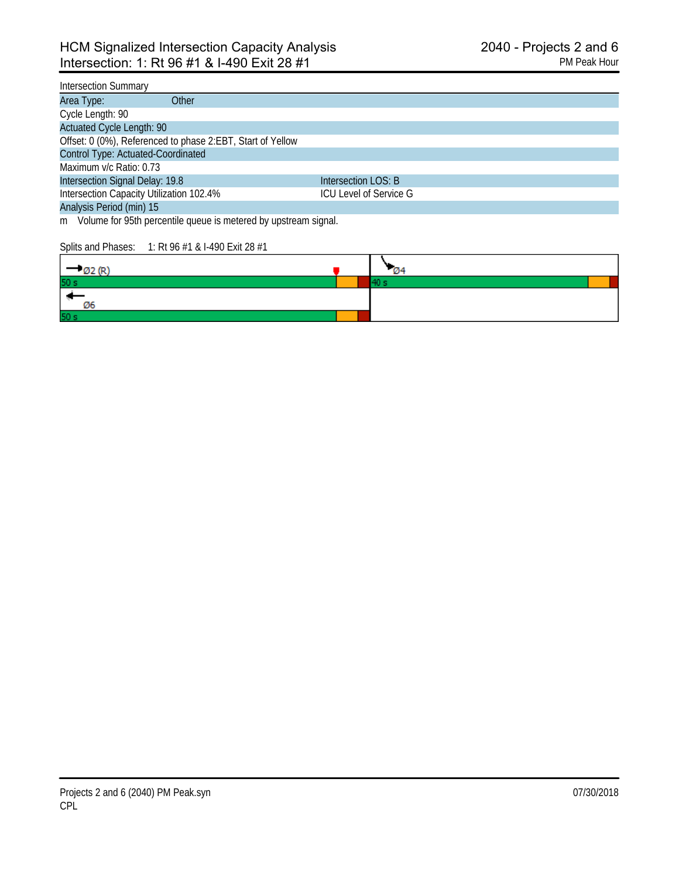### Intersection Summary

| Other<br>Area Type:                                        |                        |
|------------------------------------------------------------|------------------------|
| Cycle Length: 90                                           |                        |
| <b>Actuated Cycle Length: 90</b>                           |                        |
| Offset: 0 (0%), Referenced to phase 2:EBT, Start of Yellow |                        |
| Control Type: Actuated-Coordinated                         |                        |
| Maximum v/c Ratio: 0.73                                    |                        |
| Intersection Signal Delay: 19.8                            | Intersection LOS: B    |
| Intersection Capacity Utilization 102.4%                   | ICU Level of Service G |
| Analysis Period (min) 15                                   |                        |

m Volume for 95th percentile queue is metered by upstream signal.

#### Splits and Phases: 1: Rt 96 #1 & I-490 Exit 28 #1

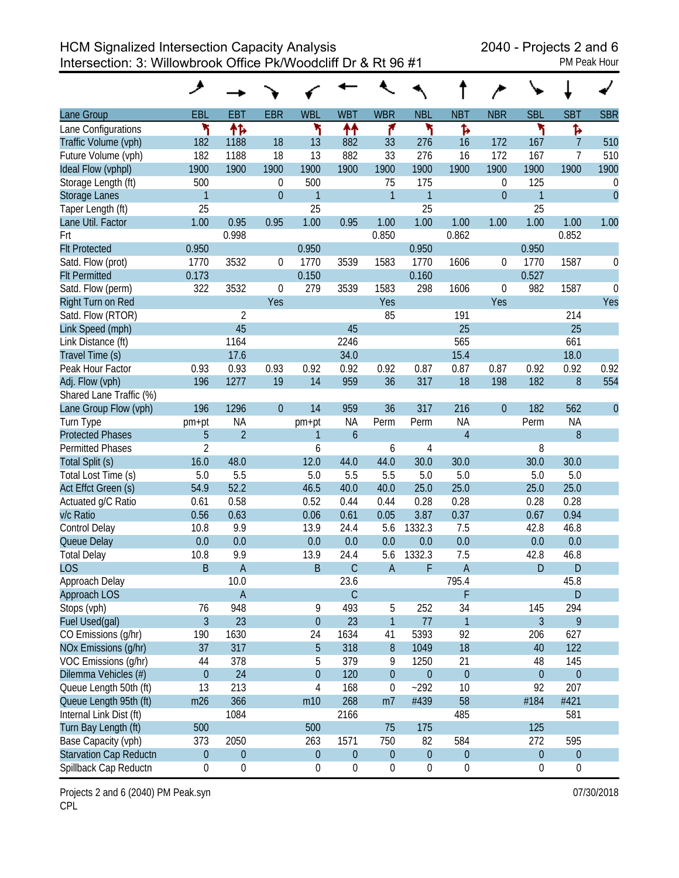HCM Signalized Intersection Capacity Analysis 2040 - Projects 2 and 6 Intersection: 3: Willowbrook Office Pk/Woodcliff Dr & Rt 96 #1 PM Peak Hour

| Lane Group                    | EBL              | <b>EBT</b>       | <b>EBR</b>     | <b>WBL</b>       | <b>WBT</b>       | <b>WBR</b>       | <b>NBL</b>       | <b>NBT</b>       | <b>NBR</b>       | <b>SBL</b>       | <b>SBT</b>       | <b>SBR</b>       |
|-------------------------------|------------------|------------------|----------------|------------------|------------------|------------------|------------------|------------------|------------------|------------------|------------------|------------------|
| Lane Configurations           | ۳                | 伟                |                | ۲                | ቶቶ               | ۴                | ۲                | Ъ                |                  | ۲                | Ъ                |                  |
| Traffic Volume (vph)          | 182              | 1188             | 18             | 13               | 882              | 33               | 276              | 16               | 172              | 167              | $\overline{7}$   | 510              |
| Future Volume (vph)           | 182              | 1188             | 18             | 13               | 882              | 33               | 276              | 16               | 172              | 167              | 7                | 510              |
| Ideal Flow (vphpl)            | 1900             | 1900             | 1900           | 1900             | 1900             | 1900             | 1900             | 1900             | 1900             | 1900             | 1900             | 1900             |
| Storage Length (ft)           | 500              |                  | $\mathbf 0$    | 500              |                  | 75               | 175              |                  | 0                | 125              |                  | $\boldsymbol{0}$ |
| <b>Storage Lanes</b>          | $\mathbf{1}$     |                  | $\overline{0}$ | $\mathbf{1}$     |                  | $\mathbf{1}$     | $\mathbf{1}$     |                  | $\boldsymbol{0}$ | $\mathbf{1}$     |                  | $\mathbf{0}$     |
| Taper Length (ft)             | 25               |                  |                | 25               |                  |                  | 25               |                  |                  | 25               |                  |                  |
| Lane Util. Factor             | 1.00             | 0.95             | 0.95           | 1.00             | 0.95             | 1.00             | 1.00             | 1.00             | 1.00             | 1.00             | 1.00             | 1.00             |
| Frt                           |                  | 0.998            |                |                  |                  | 0.850            |                  | 0.862            |                  |                  | 0.852            |                  |
| <b>Flt Protected</b>          | 0.950            |                  |                | 0.950            |                  |                  | 0.950            |                  |                  | 0.950            |                  |                  |
| Satd. Flow (prot)             | 1770             | 3532             | $\mathbf 0$    | 1770             | 3539             | 1583             | 1770             | 1606             | 0                | 1770             | 1587             | 0                |
| <b>Flt Permitted</b>          | 0.173            |                  |                | 0.150            |                  |                  | 0.160            |                  |                  | 0.527            |                  |                  |
| Satd. Flow (perm)             | 322              | 3532             | $\mathbf 0$    | 279              | 3539             | 1583             | 298              | 1606             | 0                | 982              | 1587             | $\mathbf 0$      |
| Right Turn on Red             |                  |                  | Yes            |                  |                  | Yes              |                  |                  | Yes              |                  |                  | Yes              |
| Satd. Flow (RTOR)             |                  | $\overline{2}$   |                |                  |                  | 85               |                  | 191              |                  |                  | 214              |                  |
| Link Speed (mph)              |                  | 45               |                |                  | 45               |                  |                  | 25               |                  |                  | 25               |                  |
| Link Distance (ft)            |                  | 1164             |                |                  | 2246             |                  |                  | 565              |                  |                  | 661              |                  |
| Travel Time (s)               |                  | 17.6             |                |                  | 34.0             |                  |                  | 15.4             |                  |                  | 18.0             |                  |
| Peak Hour Factor              | 0.93             | 0.93             | 0.93           | 0.92             | 0.92             | 0.92             | 0.87             | 0.87             | 0.87             | 0.92             | 0.92             | 0.92             |
| Adj. Flow (vph)               | 196              | 1277             | 19             | 14               | 959              | 36               | 317              | 18               | 198              | 182              | 8                | 554              |
| Shared Lane Traffic (%)       |                  |                  |                |                  |                  |                  |                  |                  |                  |                  |                  |                  |
| Lane Group Flow (vph)         | 196              | 1296             | $\overline{0}$ | 14               | 959              | 36               | 317              | 216              | $\theta$         | 182              | 562              | $\theta$         |
| Turn Type                     | pm+pt            | NA               |                | pm+pt            | <b>NA</b>        | Perm             | Perm             | <b>NA</b>        |                  | Perm             | <b>NA</b>        |                  |
| <b>Protected Phases</b>       | 5                | $\overline{2}$   |                | $\mathbf{1}$     | $\boldsymbol{6}$ |                  |                  | $\overline{4}$   |                  |                  | 8                |                  |
| <b>Permitted Phases</b>       | 2                |                  |                | 6                |                  | 6                | $\overline{4}$   |                  |                  | 8                |                  |                  |
| Total Split (s)               | 16.0             | 48.0             |                | 12.0             | 44.0             | 44.0             | 30.0             | 30.0             |                  | 30.0             | 30.0             |                  |
| Total Lost Time (s)           | 5.0              | 5.5              |                | 5.0              | 5.5              | 5.5              | 5.0              | 5.0              |                  | 5.0              | 5.0              |                  |
| Act Effct Green (s)           | 54.9             | 52.2             |                | 46.5             | 40.0             | 40.0             | 25.0             | 25.0             |                  | 25.0             | 25.0             |                  |
| Actuated g/C Ratio            | 0.61             | 0.58             |                | 0.52             | 0.44             | 0.44             | 0.28             | 0.28             |                  | 0.28             | 0.28             |                  |
| v/c Ratio                     | 0.56             | 0.63             |                | 0.06             | 0.61             | 0.05             | 3.87             | 0.37             |                  | 0.67             | 0.94             |                  |
| <b>Control Delay</b>          | 10.8             | 9.9              |                | 13.9             | 24.4             | 5.6              | 1332.3           | 7.5              |                  | 42.8             | 46.8             |                  |
| Queue Delay                   | 0.0              | 0.0              |                | 0.0              | 0.0              | 0.0              | 0.0              | 0.0              |                  | 0.0              | 0.0              |                  |
| <b>Total Delay</b>            | 10.8             | 9.9              |                | 13.9             | 24.4             | 5.6              | 1332.3           | 7.5              |                  | 42.8             | 46.8             |                  |
| <b>LOS</b>                    | B                | $\overline{A}$   |                | B                | $\mathsf C$      | $\overline{A}$   | F                | A                |                  | D                | D                |                  |
| Approach Delay                |                  | 10.0             |                |                  | 23.6             |                  |                  | 795.4            |                  |                  | 45.8             |                  |
| Approach LOS                  |                  | $\mathsf A$      |                |                  | $\mathsf C$      |                  |                  | F                |                  |                  | ${\sf D}$        |                  |
| Stops (vph)                   | 76               | 948              |                | 9                | 493              | 5                | 252              | 34               |                  | 145              | 294              |                  |
| Fuel Used(gal)                | $\overline{3}$   | 23               |                | $\boldsymbol{0}$ | 23               | $\mathbf{1}$     | 77               | $\mathbf{1}$     |                  | 3                | 9                |                  |
| CO Emissions (g/hr)           | 190              | 1630             |                | 24               | 1634             | 41               | 5393             | 92               |                  | 206              | 627              |                  |
| NOx Emissions (g/hr)          | 37               | 317              |                | 5                | 318              | $8\,$            | 1049             | 18               |                  | 40               | 122              |                  |
| VOC Emissions (g/hr)          | 44               | 378              |                | 5                | 379              | 9                | 1250             | 21               |                  | 48               | 145              |                  |
| Dilemma Vehicles (#)          | $\boldsymbol{0}$ | 24               |                | $\boldsymbol{0}$ | 120              | $\boldsymbol{0}$ | $\theta$         | $\boldsymbol{0}$ |                  | $\mathbf 0$      | $\mathbf 0$      |                  |
| Queue Length 50th (ft)        | 13               | 213              |                | $\overline{4}$   | 168              | $\boldsymbol{0}$ | $-292$           | 10               |                  | 92               | 207              |                  |
| Queue Length 95th (ft)        | m26              | 366              |                | m10              | 268              | m <sub>7</sub>   | #439             | 58               |                  | #184             | #421             |                  |
| Internal Link Dist (ft)       |                  | 1084             |                |                  | 2166             |                  |                  | 485              |                  |                  | 581              |                  |
| Turn Bay Length (ft)          | 500              |                  |                | 500              |                  | 75               | 175              |                  |                  | 125              |                  |                  |
| Base Capacity (vph)           | 373              | 2050             |                | 263              | 1571             | 750              | 82               | 584              |                  | 272              | 595              |                  |
| <b>Starvation Cap Reductn</b> | $\boldsymbol{0}$ | $\boldsymbol{0}$ |                | $\boldsymbol{0}$ | $\boldsymbol{0}$ | $\boldsymbol{0}$ | $\theta$         | $\boldsymbol{0}$ |                  | $\boldsymbol{0}$ | $\boldsymbol{0}$ |                  |
| Spillback Cap Reductn         | 0                | $\boldsymbol{0}$ |                | $\boldsymbol{0}$ | $\boldsymbol{0}$ | $\boldsymbol{0}$ | $\boldsymbol{0}$ | $\boldsymbol{0}$ |                  | 0                | $\boldsymbol{0}$ |                  |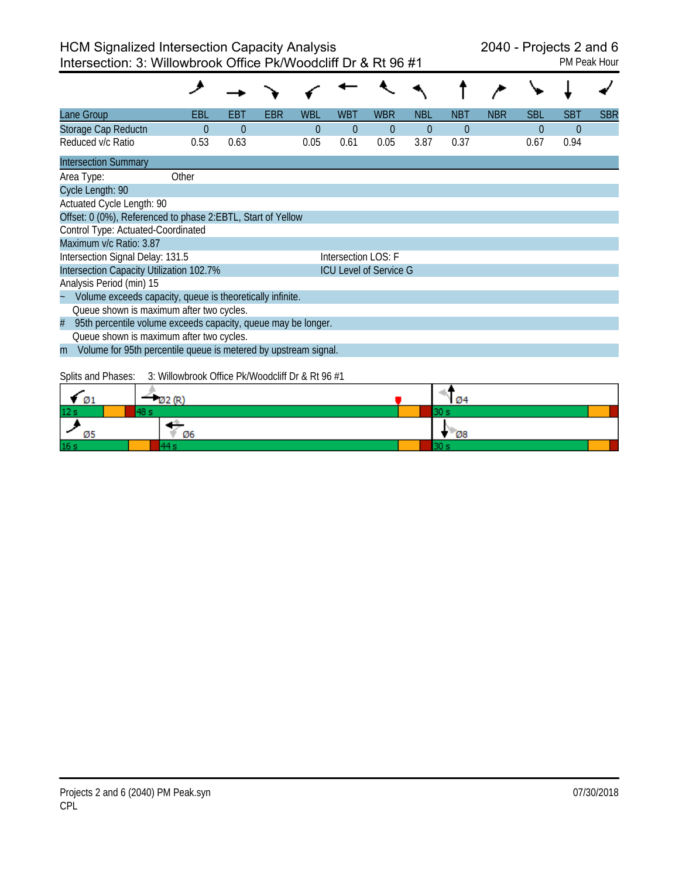| <b>PM Peak Hou</b> |  |  |
|--------------------|--|--|

| Lane Group                                                           | EBL                                                                       | EBT      | EBR | <b>WBL</b> | <b>WBT</b> | <b>WBR</b> | <b>NBL</b>     | <b>NBT</b> | <b>NBR</b> | <b>SBL</b>     | <b>SBT</b> | <b>SBR</b> |
|----------------------------------------------------------------------|---------------------------------------------------------------------------|----------|-----|------------|------------|------------|----------------|------------|------------|----------------|------------|------------|
| Storage Cap Reductn                                                  | $\Omega$                                                                  | $\Omega$ |     | $\theta$   | $\theta$   | $\theta$   | $\overline{0}$ | $\theta$   |            | $\overline{0}$ | $\Omega$   |            |
| Reduced v/c Ratio                                                    | 0.53                                                                      | 0.63     |     | 0.05       | 0.61       | 0.05       | 3.87           | 0.37       |            | 0.67           | 0.94       |            |
| <b>Intersection Summary</b>                                          |                                                                           |          |     |            |            |            |                |            |            |                |            |            |
| Area Type:                                                           | Other                                                                     |          |     |            |            |            |                |            |            |                |            |            |
| Cycle Length: 90                                                     |                                                                           |          |     |            |            |            |                |            |            |                |            |            |
| Actuated Cycle Length: 90                                            |                                                                           |          |     |            |            |            |                |            |            |                |            |            |
| Offset: 0 (0%), Referenced to phase 2:EBTL, Start of Yellow          |                                                                           |          |     |            |            |            |                |            |            |                |            |            |
| Control Type: Actuated-Coordinated                                   |                                                                           |          |     |            |            |            |                |            |            |                |            |            |
| Maximum v/c Ratio: 3.87                                              |                                                                           |          |     |            |            |            |                |            |            |                |            |            |
| Intersection Signal Delay: 131.5<br>Intersection LOS: F              |                                                                           |          |     |            |            |            |                |            |            |                |            |            |
|                                                                      | Intersection Capacity Utilization 102.7%<br><b>ICU Level of Service G</b> |          |     |            |            |            |                |            |            |                |            |            |
| Analysis Period (min) 15                                             |                                                                           |          |     |            |            |            |                |            |            |                |            |            |
| Volume exceeds capacity, queue is theoretically infinite.            |                                                                           |          |     |            |            |            |                |            |            |                |            |            |
| Queue shown is maximum after two cycles.                             |                                                                           |          |     |            |            |            |                |            |            |                |            |            |
| 95th percentile volume exceeds capacity, queue may be longer.<br>#   |                                                                           |          |     |            |            |            |                |            |            |                |            |            |
| Queue shown is maximum after two cycles.                             |                                                                           |          |     |            |            |            |                |            |            |                |            |            |
| Volume for 95th percentile queue is metered by upstream signal.<br>m |                                                                           |          |     |            |            |            |                |            |            |                |            |            |
|                                                                      |                                                                           |          |     |            |            |            |                |            |            |                |            |            |
| Splits and Phases:                                                   | 3: Willowbrook Office Pk/Woodcliff Dr & Rt 96 #1                          |          |     |            |            |            |                |            |            |                |            |            |
| $\sigma$ <sub>1</sub>                                                | Ø2 (R)                                                                    |          |     |            |            |            |                | 04         |            |                |            |            |
| 48 s                                                                 |                                                                           |          |     |            |            |            | 30             |            |            |                |            |            |
|                                                                      |                                                                           |          |     |            |            |            |                | 08         |            |                |            |            |

30 s

 $\overline{44s}$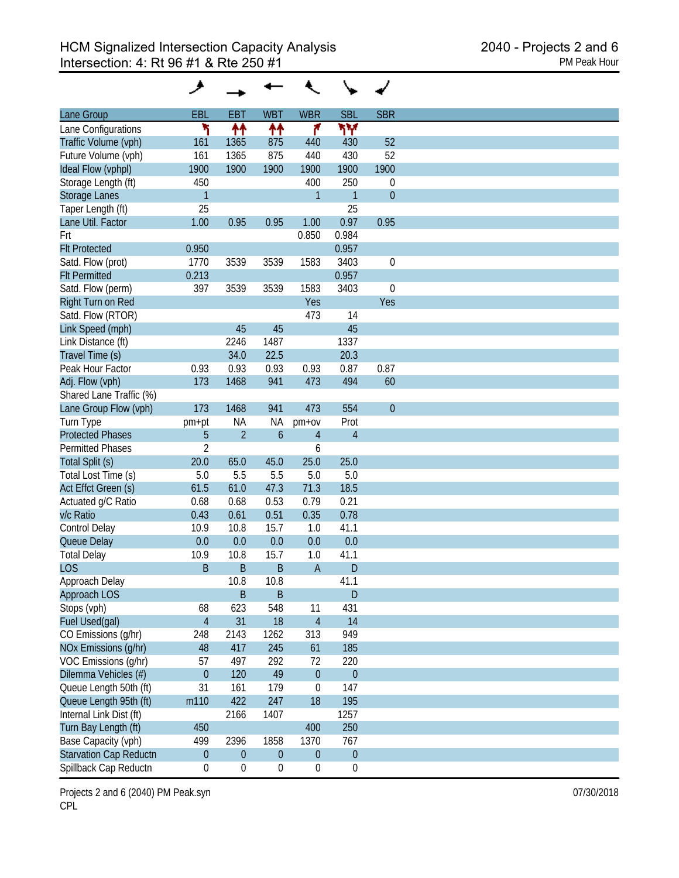| Lane Group                    | EBL              | <b>EBT</b>       | <b>WBT</b>          | <b>WBR</b>       | <b>SBL</b>       | <b>SBR</b>  |
|-------------------------------|------------------|------------------|---------------------|------------------|------------------|-------------|
| Lane Configurations           | ۲                | ↟↟               | ተተ                  | ۴                | ۳Υ               |             |
| Traffic Volume (vph)          | 161              | 1365             | 875                 | 440              | 430              | 52          |
| Future Volume (vph)           | 161              | 1365             | 875                 | 440              | 430              | 52          |
| Ideal Flow (vphpl)            | 1900             | 1900             | 1900                | 1900             | 1900             | 1900        |
|                               | 450              |                  |                     | 400              | 250              |             |
| Storage Length (ft)           |                  |                  |                     |                  |                  | $\mathbf 0$ |
| <b>Storage Lanes</b>          | $\mathbf{1}$     |                  |                     | 1                | $\mathbf{1}$     | $\theta$    |
| Taper Length (ft)             | 25               |                  |                     |                  | 25               |             |
| Lane Util. Factor             | 1.00             | 0.95             | 0.95                | 1.00             | 0.97             | 0.95        |
| Frt                           |                  |                  |                     | 0.850            | 0.984            |             |
| <b>Flt Protected</b>          | 0.950            |                  |                     |                  | 0.957            |             |
| Satd. Flow (prot)             | 1770             | 3539             | 3539                | 1583             | 3403             | $\mathbf 0$ |
| <b>Flt Permitted</b>          | 0.213            |                  |                     |                  | 0.957            |             |
| Satd. Flow (perm)             | 397              | 3539             | 3539                | 1583             | 3403             | $\mathbf 0$ |
| Right Turn on Red             |                  |                  |                     | Yes              |                  | Yes         |
| Satd. Flow (RTOR)             |                  |                  |                     | 473              | 14               |             |
| Link Speed (mph)              |                  | 45               | 45                  |                  | 45               |             |
| Link Distance (ft)            |                  | 2246             | 1487                |                  | 1337             |             |
| Travel Time (s)               |                  | 34.0             | 22.5                |                  | 20.3             |             |
| Peak Hour Factor              | 0.93             | 0.93             | 0.93                | 0.93             | 0.87             | 0.87        |
| Adj. Flow (vph)               | 173              | 1468             | 941                 | 473              | 494              | 60          |
|                               |                  |                  |                     |                  |                  |             |
| Shared Lane Traffic (%)       |                  |                  |                     |                  |                  |             |
| Lane Group Flow (vph)         | 173              | 1468             | 941                 | 473              | 554              | $\theta$    |
| Turn Type                     | pm+pt            | <b>NA</b>        | ΝA                  | $pm+ov$          | Prot             |             |
| <b>Protected Phases</b>       | 5                | $\overline{2}$   | $\ddot{\mathbf{6}}$ | $\overline{4}$   | $\overline{4}$   |             |
| <b>Permitted Phases</b>       | $\overline{2}$   |                  |                     | 6                |                  |             |
| Total Split (s)               | 20.0             | 65.0             | 45.0                | 25.0             | 25.0             |             |
| Total Lost Time (s)           | 5.0              | 5.5              | 5.5                 | 5.0              | 5.0              |             |
| Act Effct Green (s)           | 61.5             | 61.0             | 47.3                | 71.3             | 18.5             |             |
| Actuated g/C Ratio            | 0.68             | 0.68             | 0.53                | 0.79             | 0.21             |             |
| v/c Ratio                     | 0.43             | 0.61             | 0.51                | 0.35             | 0.78             |             |
| Control Delay                 | 10.9             | 10.8             | 15.7                | 1.0              | 41.1             |             |
| Queue Delay                   | 0.0              | 0.0              | 0.0                 | 0.0              | 0.0              |             |
| <b>Total Delay</b>            | 10.9             | 10.8             | 15.7                | 1.0              | 41.1             |             |
|                               |                  |                  |                     |                  |                  |             |
| <b>LOS</b>                    | B                | B                | B                   | A                | D                |             |
| Approach Delay                |                  | 10.8             | 10.8                |                  | 41.1             |             |
| Approach LOS                  |                  | $\mathsf B$      | $\sf B$             |                  | $\mathsf{D}$     |             |
| Stops (vph)                   | 68               | 623              | 548                 | 11               | 431              |             |
| Fuel Used(gal)                | $\overline{4}$   | 31               | 18                  | $\overline{4}$   | 14               |             |
| CO Emissions (g/hr)           | 248              | 2143             | 1262                | 313              | 949              |             |
| NOx Emissions (g/hr)          | 48               | 417              | 245                 | 61               | 185              |             |
| VOC Emissions (g/hr)          | 57               | 497              | 292                 | 72               | 220              |             |
| Dilemma Vehicles (#)          | $\theta$         | 120              | 49                  | $\boldsymbol{0}$ | $\boldsymbol{0}$ |             |
| Queue Length 50th (ft)        | 31               | 161              | 179                 | $\pmb{0}$        | 147              |             |
| Queue Length 95th (ft)        | m110             | 422              | 247                 | 18               | 195              |             |
| Internal Link Dist (ft)       |                  | 2166             | 1407                |                  | 1257             |             |
| Turn Bay Length (ft)          | 450              |                  |                     | 400              | 250              |             |
|                               |                  |                  |                     |                  |                  |             |
| Base Capacity (vph)           | 499              | 2396             | 1858                | 1370             | 767              |             |
| <b>Starvation Cap Reductn</b> | $\boldsymbol{0}$ | $\boldsymbol{0}$ | $\boldsymbol{0}$    | $\boldsymbol{0}$ | $\boldsymbol{0}$ |             |
| Spillback Cap Reductn         | $\boldsymbol{0}$ | $\boldsymbol{0}$ | $\boldsymbol{0}$    | $\boldsymbol{0}$ | $\boldsymbol{0}$ |             |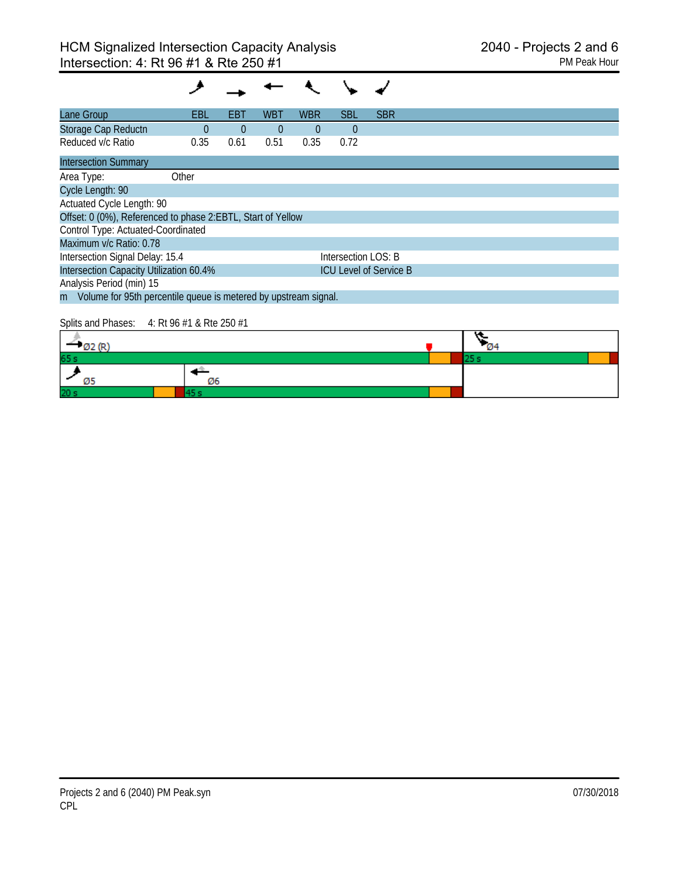| Lane Group                                                        | EBL      | EBT      | WBT      | <b>WBR</b> | <b>SBL</b>          | <b>SBR</b>                    |  |  |  |
|-------------------------------------------------------------------|----------|----------|----------|------------|---------------------|-------------------------------|--|--|--|
| Storage Cap Reductn                                               | $\Omega$ | $\theta$ | $\theta$ | $\Omega$   | $\theta$            |                               |  |  |  |
| Reduced v/c Ratio                                                 | 0.35     | 0.61     | 0.51     | 0.35       | 0.72                |                               |  |  |  |
| <b>Intersection Summary</b>                                       |          |          |          |            |                     |                               |  |  |  |
| Area Type:                                                        | Other    |          |          |            |                     |                               |  |  |  |
| Cycle Length: 90                                                  |          |          |          |            |                     |                               |  |  |  |
| Actuated Cycle Length: 90                                         |          |          |          |            |                     |                               |  |  |  |
| Offset: 0 (0%), Referenced to phase 2:EBTL, Start of Yellow       |          |          |          |            |                     |                               |  |  |  |
| Control Type: Actuated-Coordinated                                |          |          |          |            |                     |                               |  |  |  |
| Maximum v/c Ratio: 0.78                                           |          |          |          |            |                     |                               |  |  |  |
| Intersection Signal Delay: 15.4                                   |          |          |          |            | Intersection LOS: B |                               |  |  |  |
| Intersection Capacity Utilization 60.4%                           |          |          |          |            |                     | <b>ICU Level of Service B</b> |  |  |  |
| Analysis Period (min) 15                                          |          |          |          |            |                     |                               |  |  |  |
| m Volume for 95th percentile queue is metered by upstream signal. |          |          |          |            |                     |                               |  |  |  |
|                                                                   |          |          |          |            |                     |                               |  |  |  |

# Splits and Phases: 4: Rt 96 #1 & Rte 250 #1

|                 |    | . .<br><b>CAA</b> |  |
|-----------------|----|-------------------|--|
| 65 <sub>s</sub> |    |                   |  |
|                 | Ø6 |                   |  |
| 20 <sub>s</sub> |    |                   |  |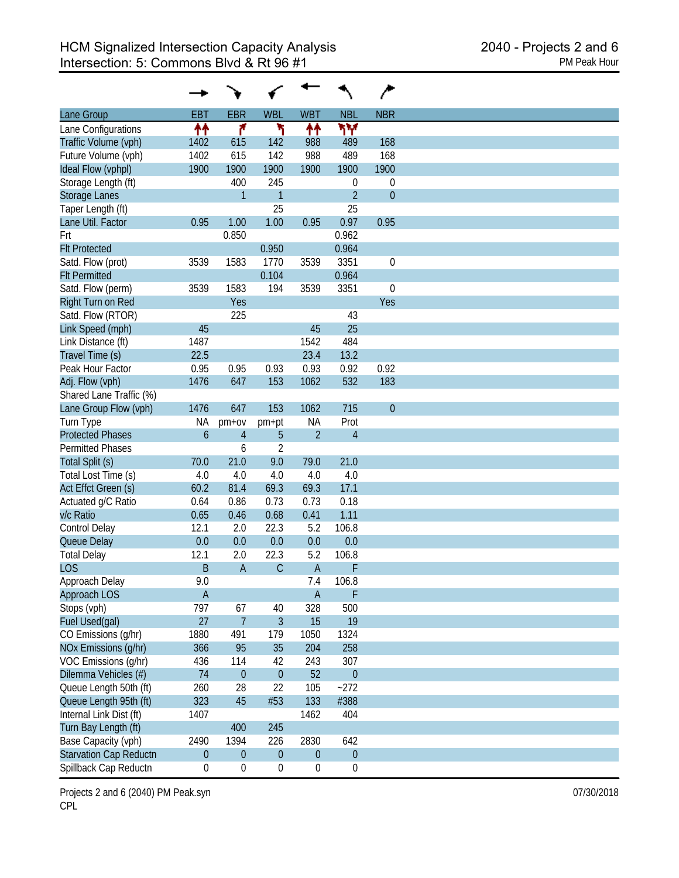|                               |                  |                  |                  |                  |                  | ∕            |
|-------------------------------|------------------|------------------|------------------|------------------|------------------|--------------|
| Lane Group                    | <b>EBT</b>       | <b>EBR</b>       | <b>WBL</b>       | <b>WBT</b>       | <b>NBL</b>       | <b>NBR</b>   |
| Lane Configurations           | ↟↟               | ۴                | ١                | 11               | ۳Υ               |              |
| Traffic Volume (vph)          | 1402             | 615              | 142              | 988              | 489              | 168          |
| Future Volume (vph)           | 1402             | 615              | 142              | 988              | 489              | 168          |
| Ideal Flow (vphpl)            | 1900             | 1900             | 1900             | 1900             | 1900             | 1900         |
| Storage Length (ft)           |                  | 400              | 245              |                  | 0                | 0            |
| <b>Storage Lanes</b>          |                  | $\mathbf{1}$     | $\mathbf{1}$     |                  | $\overline{2}$   | $\mathbf{0}$ |
| Taper Length (ft)             |                  |                  | 25               |                  | 25               |              |
| Lane Util. Factor             | 0.95             | 1.00             | 1.00             | 0.95             | 0.97             | 0.95         |
| Frt                           |                  | 0.850            |                  |                  | 0.962            |              |
| <b>Flt Protected</b>          |                  |                  | 0.950            |                  | 0.964            |              |
| Satd. Flow (prot)             | 3539             | 1583             | 1770             | 3539             | 3351             | $\mathbf 0$  |
| <b>Flt Permitted</b>          |                  |                  | 0.104            |                  | 0.964            |              |
| Satd. Flow (perm)             | 3539             | 1583             | 194              | 3539             | 3351             | $\mathbf 0$  |
| Right Turn on Red             |                  | Yes              |                  |                  |                  | Yes          |
|                               |                  |                  |                  |                  |                  |              |
| Satd. Flow (RTOR)             |                  | 225              |                  |                  | 43               |              |
| Link Speed (mph)              | 45               |                  |                  | 45               | 25               |              |
| Link Distance (ft)            | 1487             |                  |                  | 1542             | 484              |              |
| Travel Time (s)               | 22.5             |                  |                  | 23.4             | 13.2             |              |
| Peak Hour Factor              | 0.95             | 0.95             | 0.93             | 0.93             | 0.92             | 0.92         |
| Adj. Flow (vph)               | 1476             | 647              | 153              | 1062             | 532              | 183          |
| Shared Lane Traffic (%)       |                  |                  |                  |                  |                  |              |
| Lane Group Flow (vph)         | 1476             | 647              | 153              | 1062             | 715              | $\mathbf{0}$ |
| Turn Type                     | ΝA               | $pm+ov$          | pm+pt            | <b>NA</b>        | Prot             |              |
| <b>Protected Phases</b>       | $\mathfrak b$    | $\overline{4}$   | 5                | $\overline{2}$   | $\overline{4}$   |              |
| <b>Permitted Phases</b>       |                  | 6                | $\overline{2}$   |                  |                  |              |
| Total Split (s)               | 70.0             | 21.0             | 9.0              | 79.0             | 21.0             |              |
| Total Lost Time (s)           | 4.0              | 4.0              | 4.0              | 4.0              | 4.0              |              |
| Act Effct Green (s)           | 60.2             | 81.4             | 69.3             | 69.3             | 17.1             |              |
| Actuated g/C Ratio            | 0.64             | 0.86             | 0.73             | 0.73             | 0.18             |              |
| v/c Ratio                     | 0.65             | 0.46             | 0.68             | 0.41             | 1.11             |              |
| Control Delay                 | 12.1             | 2.0              | 22.3             | 5.2              | 106.8            |              |
| Queue Delay                   | 0.0              | 0.0              | 0.0              | 0.0              | 0.0              |              |
| <b>Total Delay</b>            | 12.1             | 2.0              | 22.3             | 5.2              | 106.8            |              |
| <b>LOS</b>                    | B                | $\overline{A}$   | $\mathsf{C}$     | $\overline{A}$   | F                |              |
| Approach Delay                | 9.0              |                  |                  | 7.4              | 106.8            |              |
| Approach LOS                  | $\overline{A}$   |                  |                  | $\mathsf A$      | $\mathsf F$      |              |
| Stops (vph)                   | 797              | 67               | 40               | 328              | 500              |              |
| Fuel Used(gal)                | 27               | $\overline{7}$   | 3                | 15               | 19               |              |
| CO Emissions (g/hr)           | 1880             | 491              | 179              | 1050             | 1324             |              |
| NOx Emissions (g/hr)          | 366              | 95               | 35               | 204              | 258              |              |
|                               |                  |                  |                  |                  |                  |              |
| VOC Emissions (g/hr)          | 436              | 114              | 42               | 243              | 307              |              |
| Dilemma Vehicles (#)          | 74               | $\mathbf{0}$     | $\mathbf{0}$     | 52               | $\mathbf 0$      |              |
| Queue Length 50th (ft)        | 260              | 28               | 22               | 105              | $-272$           |              |
| Queue Length 95th (ft)        | 323              | 45               | #53              | 133              | #388             |              |
| Internal Link Dist (ft)       | 1407             |                  |                  | 1462             | 404              |              |
| Turn Bay Length (ft)          |                  | 400              | 245              |                  |                  |              |
| Base Capacity (vph)           | 2490             | 1394             | 226              | 2830             | 642              |              |
| <b>Starvation Cap Reductn</b> | $\boldsymbol{0}$ | $\mathbf{0}$     | $\mathbf 0$      | $\boldsymbol{0}$ | $\boldsymbol{0}$ |              |
| Spillback Cap Reductn         | $\boldsymbol{0}$ | $\boldsymbol{0}$ | $\boldsymbol{0}$ | $\boldsymbol{0}$ | $\boldsymbol{0}$ |              |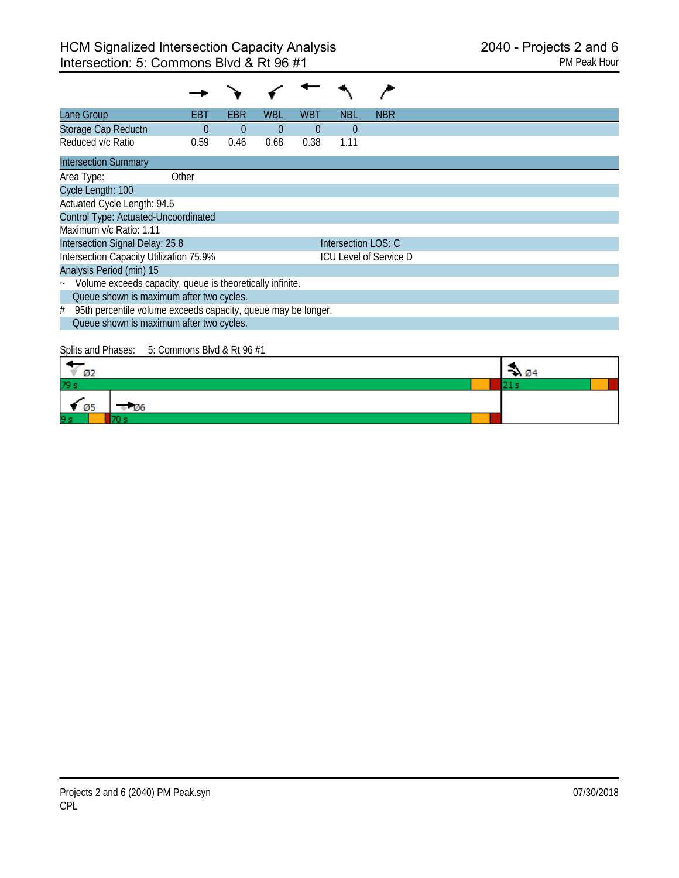| Lane Group                                                         | EBT      | EBR      | WBL      | WBT      | NBL                 | <b>NBR</b>                    |
|--------------------------------------------------------------------|----------|----------|----------|----------|---------------------|-------------------------------|
| Storage Cap Reductn                                                | $\Omega$ | $\Omega$ | $\theta$ | $\theta$ | $\Omega$            |                               |
| Reduced v/c Ratio                                                  | 0.59     | 0.46     | 0.68     | 0.38     | 1.11                |                               |
| <b>Intersection Summary</b>                                        |          |          |          |          |                     |                               |
| Area Type:                                                         | Other    |          |          |          |                     |                               |
| Cycle Length: 100                                                  |          |          |          |          |                     |                               |
| Actuated Cycle Length: 94.5                                        |          |          |          |          |                     |                               |
| Control Type: Actuated-Uncoordinated                               |          |          |          |          |                     |                               |
| Maximum v/c Ratio: 1.11                                            |          |          |          |          |                     |                               |
| Intersection Signal Delay: 25.8                                    |          |          |          |          | Intersection LOS: C |                               |
| Intersection Capacity Utilization 75.9%                            |          |          |          |          |                     | <b>ICU Level of Service D</b> |
| Analysis Period (min) 15                                           |          |          |          |          |                     |                               |
| ~ Volume exceeds capacity, queue is theoretically infinite.        |          |          |          |          |                     |                               |
| Queue shown is maximum after two cycles.                           |          |          |          |          |                     |                               |
| 95th percentile volume exceeds capacity, queue may be longer.<br># |          |          |          |          |                     |                               |
| Queue shown is maximum after two cycles.                           |          |          |          |          |                     |                               |

# Splits and Phases: 5: Commons Blvd & Rt 96 #1

| Ø2                  | - 04 |  |
|---------------------|------|--|
| 79 s                |      |  |
| $\sqrt{05}$<br>- Oo |      |  |
| 9s                  |      |  |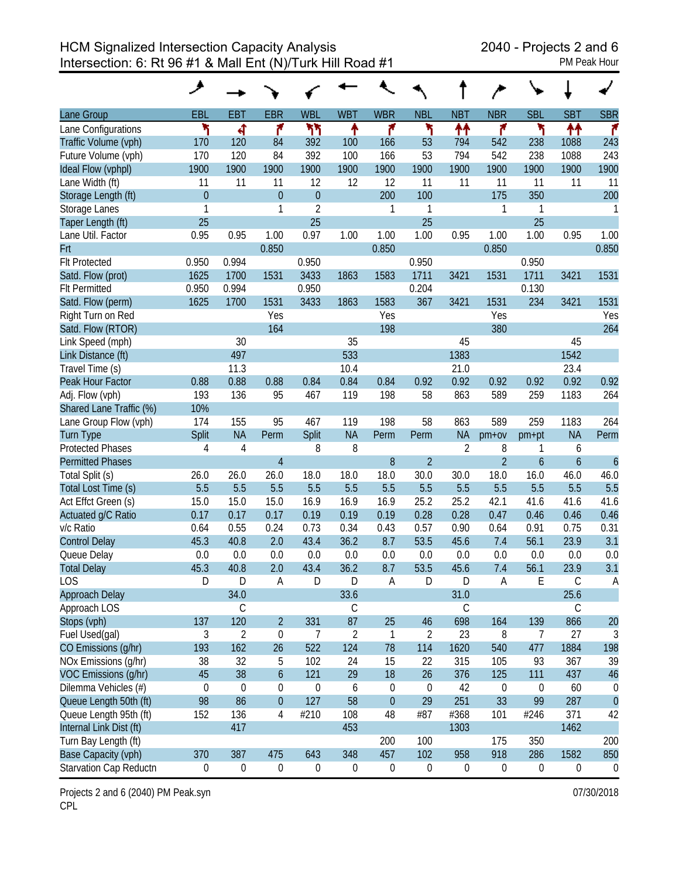HCM Signalized Intersection Capacity Analysis 2040 - Projects 2 and 6 Intersection: 6: Rt 96 #1 & Mall Ent (N)/Turk Hill Road #1

| Lane Group              | <b>EBL</b>       | <b>EBT</b>       | <b>EBR</b>       | <b>WBL</b>       | <b>WBT</b>       | <b>WBR</b>       | <b>NBL</b>       | <b>NBT</b>       | <b>NBR</b>     | <b>SBL</b> | <b>SBT</b>       | <b>SBR</b>       |
|-------------------------|------------------|------------------|------------------|------------------|------------------|------------------|------------------|------------------|----------------|------------|------------------|------------------|
| Lane Configurations     | ۲                | ৰ                | ۴                | ካካ               | ٠                | ۴                | ۲                | ₩                | ۴              | ۲          | ₩                | r                |
| Traffic Volume (vph)    | 170              | 120              | 84               | 392              | 100              | 166              | 53               | 794              | 542            | 238        | 1088             | 243              |
| Future Volume (vph)     | 170              | 120              | 84               | 392              | 100              | 166              | 53               | 794              | 542            | 238        | 1088             | 243              |
| Ideal Flow (vphpl)      | 1900             | 1900             | 1900             | 1900             | 1900             | 1900             | 1900             | 1900             | 1900           | 1900       | 1900             | 1900             |
| Lane Width (ft)         | 11               | 11               | 11               | 12               | 12               | 12               | 11               | 11               | 11             | 11         | 11               | 11               |
| Storage Length (ft)     | $\overline{0}$   |                  | $\overline{0}$   | $\overline{0}$   |                  | 200              | 100              |                  | 175            | 350        |                  | 200              |
| Storage Lanes           | 1                |                  | 1                | $\overline{2}$   |                  | 1                | 1                |                  | 1              | 1          |                  | 1                |
| Taper Length (ft)       | 25               |                  |                  | 25               |                  |                  | 25               |                  |                | 25         |                  |                  |
| Lane Util. Factor       | 0.95             | 0.95             | 1.00             | 0.97             | 1.00             | 1.00             | 1.00             | 0.95             | 1.00           | 1.00       | 0.95             | 1.00             |
| <b>Frt</b>              |                  |                  | 0.850            |                  |                  | 0.850            |                  |                  | 0.850          |            |                  | 0.850            |
| <b>Flt Protected</b>    | 0.950            | 0.994            |                  | 0.950            |                  |                  | 0.950            |                  |                | 0.950      |                  |                  |
| Satd. Flow (prot)       | 1625             | 1700             | 1531             | 3433             | 1863             | 1583             | 1711             | 3421             | 1531           | 1711       | 3421             | 1531             |
| <b>Flt Permitted</b>    | 0.950            | 0.994            |                  | 0.950            |                  |                  | 0.204            |                  |                | 0.130      |                  |                  |
| Satd. Flow (perm)       | 1625             | 1700             | 1531             | 3433             | 1863             | 1583             | 367              | 3421             | 1531           | 234        | 3421             | 1531             |
| Right Turn on Red       |                  |                  | Yes              |                  |                  | Yes              |                  |                  | Yes            |            |                  | Yes              |
| Satd. Flow (RTOR)       |                  |                  | 164              |                  |                  | 198              |                  |                  | 380            |            |                  | 264              |
| Link Speed (mph)        |                  | 30               |                  |                  | 35               |                  |                  | 45               |                |            | 45               |                  |
| Link Distance (ft)      |                  | 497              |                  |                  | 533              |                  |                  | 1383             |                |            | 1542             |                  |
| Travel Time (s)         |                  | 11.3             |                  |                  | 10.4             |                  |                  | 21.0             |                |            | 23.4             |                  |
| Peak Hour Factor        | 0.88             | 0.88             | 0.88             | 0.84             | 0.84             | 0.84             | 0.92             | 0.92             | 0.92           | 0.92       | 0.92             | 0.92             |
| Adj. Flow (vph)         | 193              | 136              | 95               | 467              | 119              | 198              | 58               | 863              | 589            | 259        | 1183             | 264              |
| Shared Lane Traffic (%) | 10%              |                  |                  |                  |                  |                  |                  |                  |                |            |                  |                  |
| Lane Group Flow (vph)   | 174              | 155              | 95               | 467              | 119              | 198              | 58               | 863              | 589            | 259        | 1183             | 264              |
| <b>Turn Type</b>        | Split            | <b>NA</b>        | Perm             | Split            | <b>NA</b>        | Perm             | Perm             | <b>NA</b>        | $pm+ov$        | $pm+pt$    | <b>NA</b>        | Perm             |
| <b>Protected Phases</b> | 4                | 4                |                  | 8                | 8                |                  |                  | $\overline{2}$   | 8              | 1          | 6                |                  |
| <b>Permitted Phases</b> |                  |                  | $\overline{4}$   |                  |                  | 8                | $\overline{2}$   |                  | $\overline{2}$ | 6          | $\boldsymbol{6}$ | $\boldsymbol{6}$ |
| Total Split (s)         | 26.0             | 26.0             | 26.0             | 18.0             | 18.0             | 18.0             | 30.0             | 30.0             | 18.0           | 16.0       | 46.0             | 46.0             |
| Total Lost Time (s)     | 5.5              | 5.5              | 5.5              | 5.5              | 5.5              | 5.5              | 5.5              | 5.5              | 5.5            | 5.5        | 5.5              | 5.5              |
| Act Effct Green (s)     | 15.0             | 15.0             | 15.0             | 16.9             | 16.9             | 16.9             | 25.2             | 25.2             | 42.1           | 41.6       | 41.6             | 41.6             |
| Actuated g/C Ratio      | 0.17             | 0.17             | 0.17             | 0.19             | 0.19             | 0.19             | 0.28             | 0.28             | 0.47           | 0.46       | 0.46             | 0.46             |
| v/c Ratio               | 0.64             | 0.55             | 0.24             | 0.73             | 0.34             | 0.43             | 0.57             | 0.90             | 0.64           | 0.91       | 0.75             | 0.31             |
| <b>Control Delay</b>    | 45.3             | 40.8             | 2.0              | 43.4             | 36.2             | 8.7              | 53.5             | 45.6             | 7.4            | 56.1       | 23.9             | 3.1              |
| Queue Delay             | 0.0              | 0.0              | 0.0              | 0.0              | 0.0              | 0.0              | 0.0              | 0.0              | 0.0            | 0.0        | 0.0              | 0.0              |
| <b>Total Delay</b>      | 45.3             | 40.8             | 2.0              | 43.4             | 36.2             | 8.7              | 53.5             | 45.6             | 7.4            | 56.1       | 23.9             | 3.1              |
| LOS                     | D                | D                | A                | D                | D                | A                | D                | D                | A              | E          | С                | Α                |
| Approach Delay          |                  | 34.0             |                  |                  | 33.6             |                  |                  | 31.0             |                |            | 25.6             |                  |
| Approach LOS            |                  | C                |                  |                  | C                |                  |                  | С                |                |            | С                |                  |
| Stops (vph)             | 137              | 120              | $\overline{2}$   | 331              | 87               | 25               | 46               | 698              | 164            | 139        | 866              | 20               |
| Fuel Used(gal)          | 3                | 2                | $\boldsymbol{0}$ | 7                | $\overline{2}$   | 1                | 2                | 23               | 8              | 7          | 27               | 3                |
| CO Emissions (g/hr)     | 193              | 162              | 26               | 522              | 124              | 78               | 114              | 1620             | 540            | 477        | 1884             | 198              |
| NOx Emissions (g/hr)    | 38               | 32               | 5                | 102              | 24               | 15               | 22               | 315              | 105            | 93         | 367              | 39               |
| VOC Emissions (g/hr)    | 45               | 38               | $\boldsymbol{6}$ | 121              | 29               | 18               | 26               | 376              | 125            | 111        | 437              | 46               |
| Dilemma Vehicles (#)    | $\boldsymbol{0}$ | $\boldsymbol{0}$ | 0                | 0                | 6                | $\boldsymbol{0}$ | $\boldsymbol{0}$ | 42               | 0              | 0          | 60               | 0                |
| Queue Length 50th (ft)  | 98               | 86               | $\boldsymbol{0}$ | 127              | 58               | $\mathbf{0}$     | 29               | 251              | 33             | 99         | 287              | $\overline{0}$   |
| Queue Length 95th (ft)  | 152              | 136              | 4                | #210             | 108              | 48               | #87              | #368             | 101            | #246       | 371              | 42               |
| Internal Link Dist (ft) |                  | 417              |                  |                  | 453              |                  |                  | 1303             |                |            | 1462             |                  |
| Turn Bay Length (ft)    |                  |                  |                  |                  |                  | 200              | 100              |                  | 175            | 350        |                  | 200              |
| Base Capacity (vph)     | 370              | 387              | 475              | 643              | 348              | 457              | 102              | 958              | 918            | 286        | 1582             | 850              |
| Starvation Cap Reductn  | $\boldsymbol{0}$ | $\boldsymbol{0}$ | $\boldsymbol{0}$ | $\boldsymbol{0}$ | $\boldsymbol{0}$ | $\boldsymbol{0}$ | $\boldsymbol{0}$ | $\boldsymbol{0}$ | 0              | 0          | 0                | $\boldsymbol{0}$ |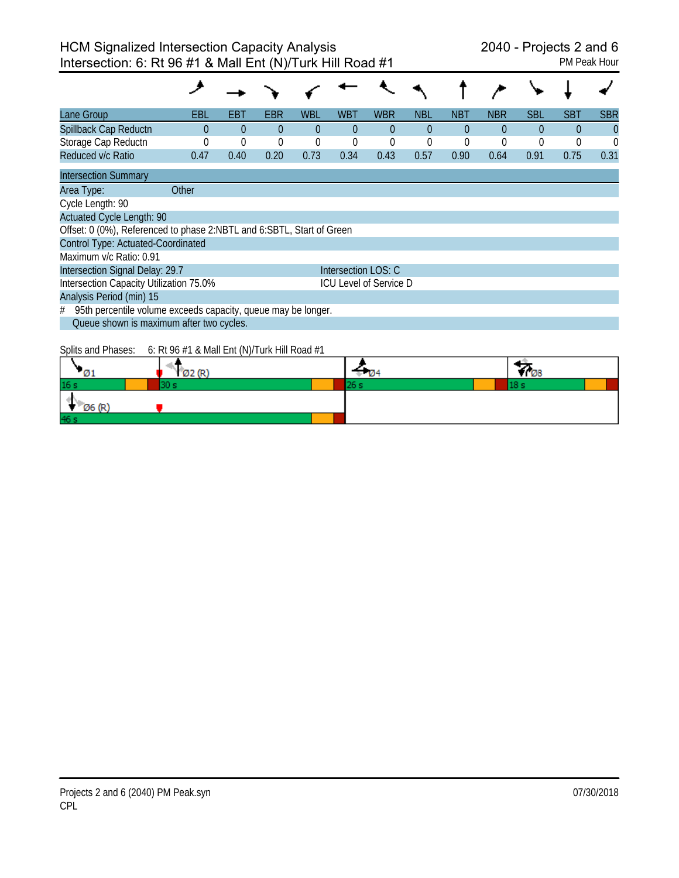| Lane Group                                                            | EBL   | EBT      | EBR      | <b>WBL</b> | WBT                 | <b>WBR</b>                    | <b>NBL</b>  | <b>NBT</b> | <b>NBR</b> | <b>SBL</b> | SBT            | <b>SBR</b> |
|-----------------------------------------------------------------------|-------|----------|----------|------------|---------------------|-------------------------------|-------------|------------|------------|------------|----------------|------------|
| Spillback Cap Reductn                                                 | 0     | $\Omega$ | $\theta$ | $\Omega$   | $\Omega$            | $\Omega$                      | $\Omega$    | $\Omega$   | $\theta$   | $\Omega$   | $\overline{0}$ | $\theta$   |
| Storage Cap Reductn                                                   |       | $\Omega$ | $\theta$ | $\theta$   | $\Omega$            | $\theta$                      | $\mathbf 0$ | $\Omega$   |            | $\theta$   | $\Omega$       | $\Omega$   |
| Reduced v/c Ratio                                                     | 0.47  | 0.40     | 0.20     | 0.73       | 0.34                | 0.43                          | 0.57        | 0.90       | 0.64       | 0.91       | 0.75           | 0.31       |
| <b>Intersection Summary</b>                                           |       |          |          |            |                     |                               |             |            |            |            |                |            |
| Area Type:                                                            | Other |          |          |            |                     |                               |             |            |            |            |                |            |
| Cycle Length: 90                                                      |       |          |          |            |                     |                               |             |            |            |            |                |            |
| <b>Actuated Cycle Length: 90</b>                                      |       |          |          |            |                     |                               |             |            |            |            |                |            |
| Offset: 0 (0%), Referenced to phase 2:NBTL and 6:SBTL, Start of Green |       |          |          |            |                     |                               |             |            |            |            |                |            |
| Control Type: Actuated-Coordinated                                    |       |          |          |            |                     |                               |             |            |            |            |                |            |
| Maximum v/c Ratio: 0.91                                               |       |          |          |            |                     |                               |             |            |            |            |                |            |
| Intersection Signal Delay: 29.7                                       |       |          |          |            | Intersection LOS: C |                               |             |            |            |            |                |            |
| Intersection Capacity Utilization 75.0%                               |       |          |          |            |                     | <b>ICU Level of Service D</b> |             |            |            |            |                |            |
| Analysis Period (min) 15                                              |       |          |          |            |                     |                               |             |            |            |            |                |            |
| 95th percentile volume exceeds capacity, queue may be longer.<br>#    |       |          |          |            |                     |                               |             |            |            |            |                |            |
| Queue shown is maximum after two cycles.                              |       |          |          |            |                     |                               |             |            |            |            |                |            |
|                                                                       |       |          |          |            |                     |                               |             |            |            |            |                |            |

Splits and Phases: 6: Rt 96 #1 & Mall Ent (N)/Turk Hill Road #1

| ுட              | Ø2 (R) |  | -08 |
|-----------------|--------|--|-----|
| 16 <sub>s</sub> |        |  |     |
| Ø6 (R'          |        |  |     |
| 46 s            |        |  |     |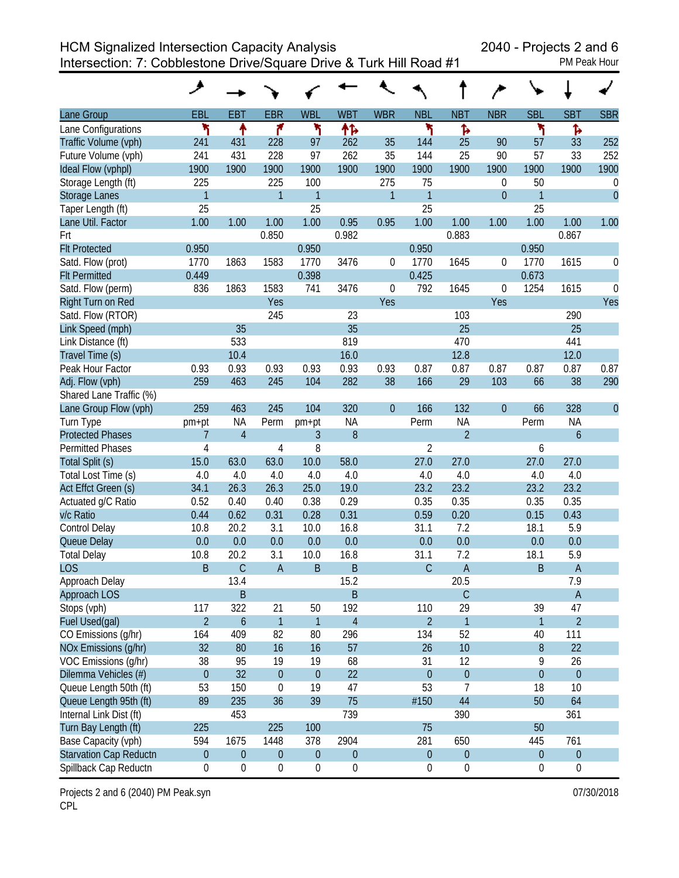HCM Signalized Intersection Capacity Analysis 2040 - Projects 2 and 6

Intersection: 7: Cobblestone Drive/Square Drive & Turk Hill Road #1 PM Peak Hour

|                               | عر               |                  |                  |                  |                  |                  |                  |                  |                |                  |                  |                  |
|-------------------------------|------------------|------------------|------------------|------------------|------------------|------------------|------------------|------------------|----------------|------------------|------------------|------------------|
| Lane Group                    | EBL              | <b>EBT</b>       | <b>EBR</b>       | <b>WBL</b>       | <b>WBT</b>       | <b>WBR</b>       | <b>NBL</b>       | <b>NBT</b>       | <b>NBR</b>     | <b>SBL</b>       | <b>SBT</b>       | <b>SBR</b>       |
| Lane Configurations           | ۲                | ↟                | ۴                | ۲                | ተኈ               |                  | ۲                | ħ                |                | ۳                | Ъ                |                  |
| Traffic Volume (vph)          | 241              | 431              | 228              | 97               | 262              | 35               | 144              | 25               | 90             | 57               | 33               | 252              |
| Future Volume (vph)           | 241              | 431              | 228              | 97               | 262              | 35               | 144              | 25               | 90             | 57               | 33               | 252              |
| Ideal Flow (vphpl)            | 1900             | 1900             | 1900             | 1900             | 1900             | 1900             | 1900             | 1900             | 1900           | 1900             | 1900             | 1900             |
| Storage Length (ft)           | 225              |                  | 225              | 100              |                  | 275              | 75               |                  | 0              | 50               |                  | $\boldsymbol{0}$ |
| Storage Lanes                 | 1                |                  | $\mathbf{1}$     | 1                |                  | 1                | $\mathbf{1}$     |                  | $\overline{0}$ | 1                |                  | $\mathbf{0}$     |
| Taper Length (ft)             | 25               |                  |                  | 25               |                  |                  | 25               |                  |                | 25               |                  |                  |
| Lane Util. Factor             | 1.00             | 1.00             | 1.00             | 1.00             | 0.95             | 0.95             | 1.00             | 1.00             | 1.00           | 1.00             | 1.00             | 1.00             |
| Frt                           |                  |                  | 0.850            |                  | 0.982            |                  |                  | 0.883            |                |                  | 0.867            |                  |
| <b>Flt Protected</b>          | 0.950            |                  |                  | 0.950            |                  |                  | 0.950            |                  |                | 0.950            |                  |                  |
| Satd. Flow (prot)             | 1770             | 1863             | 1583             | 1770             | 3476             | 0                | 1770             | 1645             | 0              | 1770             | 1615             | 0                |
| <b>Flt Permitted</b>          | 0.449            |                  |                  | 0.398            |                  |                  | 0.425            |                  |                | 0.673            |                  |                  |
| Satd. Flow (perm)             | 836              | 1863             | 1583             | 741              | 3476             | 0                | 792              | 1645             | 0              | 1254             | 1615             | $\mathbf 0$      |
| Right Turn on Red             |                  |                  | Yes              |                  |                  | Yes              |                  |                  | Yes            |                  |                  | Yes              |
| Satd. Flow (RTOR)             |                  |                  | 245              |                  | 23               |                  |                  | 103              |                |                  | 290              |                  |
| Link Speed (mph)              |                  | 35               |                  |                  | 35               |                  |                  | 25               |                |                  | 25               |                  |
| Link Distance (ft)            |                  | 533              |                  |                  | 819              |                  |                  | 470              |                |                  | 441              |                  |
| Travel Time (s)               |                  | 10.4             |                  |                  | 16.0             |                  |                  | 12.8             |                |                  | 12.0             |                  |
| Peak Hour Factor              | 0.93             | 0.93             | 0.93             | 0.93             | 0.93             | 0.93             | 0.87             | 0.87             | 0.87           | 0.87             | 0.87             | 0.87             |
| Adj. Flow (vph)               | 259              | 463              | 245              | 104              | 282              | 38               | 166              | 29               | 103            | 66               | 38               | 290              |
| Shared Lane Traffic (%)       |                  |                  |                  |                  |                  |                  |                  |                  |                |                  |                  |                  |
| Lane Group Flow (vph)         | 259              | 463              | 245              | 104              | 320              | $\boldsymbol{0}$ | 166              | 132              | $\overline{0}$ | 66               | 328              | $\theta$         |
| Turn Type                     | pm+pt            | <b>NA</b>        | Perm             | pm+pt            | <b>NA</b>        |                  | Perm             | <b>NA</b>        |                | Perm             | <b>NA</b>        |                  |
| <b>Protected Phases</b>       | 7                | $\overline{4}$   |                  | 3                | $\boldsymbol{8}$ |                  |                  | $\overline{2}$   |                |                  | $\boldsymbol{6}$ |                  |
| <b>Permitted Phases</b>       | 4                |                  | 4                | 8                |                  |                  | $\overline{2}$   |                  |                | 6                |                  |                  |
| Total Split (s)               | 15.0             | 63.0             | 63.0             | 10.0             | 58.0             |                  | 27.0             | 27.0             |                | 27.0             | 27.0             |                  |
| Total Lost Time (s)           | 4.0              | 4.0              | 4.0              | 4.0              | 4.0              |                  | 4.0              | 4.0              |                | 4.0              | 4.0              |                  |
| Act Effct Green (s)           | 34.1             | 26.3             | 26.3             | 25.0             | 19.0             |                  | 23.2             | 23.2             |                | 23.2             | 23.2             |                  |
| Actuated g/C Ratio            | 0.52             | 0.40             | 0.40             | 0.38             | 0.29             |                  | 0.35             | 0.35             |                | 0.35             | 0.35             |                  |
| v/c Ratio                     | 0.44             | 0.62             | 0.31             | 0.28             | 0.31             |                  | 0.59             | 0.20             |                | 0.15             | 0.43             |                  |
| Control Delay                 | 10.8             | 20.2             | 3.1              | 10.0             | 16.8             |                  | 31.1             | 7.2              |                | 18.1             | 5.9              |                  |
| Queue Delay                   | 0.0              | 0.0              | 0.0              | 0.0              | 0.0              |                  | 0.0              | 0.0              |                | 0.0              | 0.0              |                  |
| <b>Total Delay</b>            | 10.8             | 20.2             | 3.1              | 10.0             | 16.8             |                  | 31.1             | 7.2              |                | 18.1             | 5.9              |                  |
| <b>LOS</b>                    | B                | $\mathsf C$      | A                | $\mathsf B$      | B                |                  | $\mathsf C$      | $\overline{A}$   |                | B                | $\overline{A}$   |                  |
| Approach Delay                |                  | 13.4             |                  |                  | 15.2             |                  |                  | 20.5             |                |                  | 7.9              |                  |
| Approach LOS                  |                  | B                |                  |                  | $\sf B$          |                  |                  | $\mathsf C$      |                |                  | $\mathsf A$      |                  |
| Stops (vph)                   | 117              | 322              | 21               | 50               | 192              |                  | 110              | 29               |                | 39               | 47               |                  |
| Fuel Used(gal)                | $\overline{2}$   | $\boldsymbol{6}$ | $\mathbf{1}$     | 1                | $\overline{4}$   |                  | $\overline{2}$   | $\mathbf{1}$     |                | 1                | $\overline{2}$   |                  |
| CO Emissions (g/hr)           | 164              | 409              | 82               | 80               | 296              |                  | 134              | 52               |                | 40               | 111              |                  |
| NOx Emissions (g/hr)          | 32               | 80               | 16               | 16               | 57               |                  | 26               | 10               |                | $\, 8$           | 22               |                  |
| VOC Emissions (g/hr)          | 38               | 95               | 19               | 19               | 68               |                  | 31               | 12               |                | 9                | 26               |                  |
| Dilemma Vehicles (#)          | $\boldsymbol{0}$ | 32               | $\overline{0}$   | $\mathbf{0}$     | 22               |                  | $\boldsymbol{0}$ | $\boldsymbol{0}$ |                | $\boldsymbol{0}$ | $\boldsymbol{0}$ |                  |
| Queue Length 50th (ft)        | 53               | 150              | $\mathbf 0$      | 19               | 47               |                  | 53               | $\overline{7}$   |                | 18               | 10               |                  |
| Queue Length 95th (ft)        | 89               | 235              | 36               | 39               | 75               |                  | #150             | 44               |                | 50               | 64               |                  |
| Internal Link Dist (ft)       |                  | 453              |                  |                  | 739              |                  |                  | 390              |                |                  | 361              |                  |
| Turn Bay Length (ft)          | 225              |                  | 225              | 100              |                  |                  | 75               |                  |                | 50               |                  |                  |
| Base Capacity (vph)           | 594              | 1675             | 1448             | 378              | 2904             |                  | 281              | 650              |                | 445              | 761              |                  |
| <b>Starvation Cap Reductn</b> | $\boldsymbol{0}$ | $\boldsymbol{0}$ | $\mathbf 0$      | $\boldsymbol{0}$ | $\boldsymbol{0}$ |                  | $\mathbf 0$      | $\boldsymbol{0}$ |                | $\mathbf 0$      | $\boldsymbol{0}$ |                  |
| Spillback Cap Reductn         | 0                | $\boldsymbol{0}$ | $\boldsymbol{0}$ | $\boldsymbol{0}$ | $\boldsymbol{0}$ |                  | 0                | $\boldsymbol{0}$ |                | 0                | $\boldsymbol{0}$ |                  |

Projects 2 and 6 (2040) PM Peak.syn **Department 2008** 120 and 2018 07/30/2018 CPL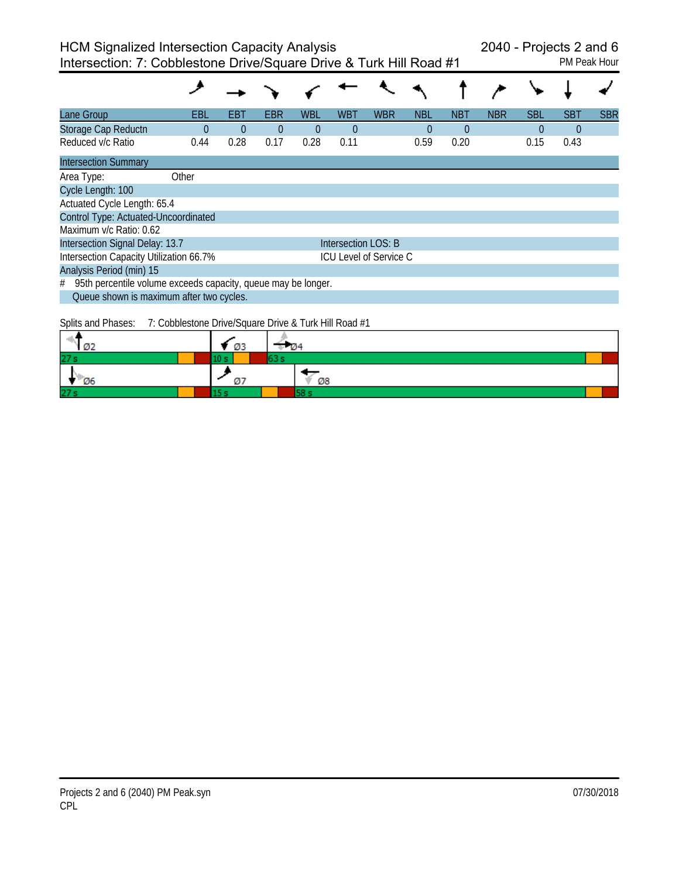| Lane Group                                                         | EBL   | EBT      | EBR            | <b>WBL</b> | <b>WBT</b>          | <b>WBR</b>                    | <b>NBL</b> | <b>NBT</b> | <b>NBR</b> | <b>SBL</b> | <b>SBT</b> | <b>SBR</b> |
|--------------------------------------------------------------------|-------|----------|----------------|------------|---------------------|-------------------------------|------------|------------|------------|------------|------------|------------|
| Storage Cap Reductn                                                | 0     | $\theta$ | $\overline{0}$ | $\Omega$   | $\theta$            |                               | $\theta$   | $\theta$   |            | $\theta$   | $\theta$   |            |
| Reduced v/c Ratio                                                  | 0.44  | 0.28     | 0.17           | 0.28       | 0.11                |                               | 0.59       | 0.20       |            | 0.15       | 0.43       |            |
| <b>Intersection Summary</b>                                        |       |          |                |            |                     |                               |            |            |            |            |            |            |
| Area Type:                                                         | Other |          |                |            |                     |                               |            |            |            |            |            |            |
| Cycle Length: 100                                                  |       |          |                |            |                     |                               |            |            |            |            |            |            |
| Actuated Cycle Length: 65.4                                        |       |          |                |            |                     |                               |            |            |            |            |            |            |
| Control Type: Actuated-Uncoordinated                               |       |          |                |            |                     |                               |            |            |            |            |            |            |
| Maximum v/c Ratio: 0.62                                            |       |          |                |            |                     |                               |            |            |            |            |            |            |
| Intersection Signal Delay: 13.7                                    |       |          |                |            | Intersection LOS: B |                               |            |            |            |            |            |            |
| Intersection Capacity Utilization 66.7%                            |       |          |                |            |                     | <b>ICU Level of Service C</b> |            |            |            |            |            |            |
| Analysis Period (min) 15                                           |       |          |                |            |                     |                               |            |            |            |            |            |            |
| 95th percentile volume exceeds capacity, queue may be longer.<br># |       |          |                |            |                     |                               |            |            |            |            |            |            |
| Queue shown is maximum after two cycles.                           |       |          |                |            |                     |                               |            |            |            |            |            |            |

Splits and Phases: 7: Cobblestone Drive/Square Drive & Turk Hill Road #1

|            | ØЗ |    |
|------------|----|----|
| 27s        |    |    |
| Ø6         |    | Ø8 |
| <b>275</b> |    |    |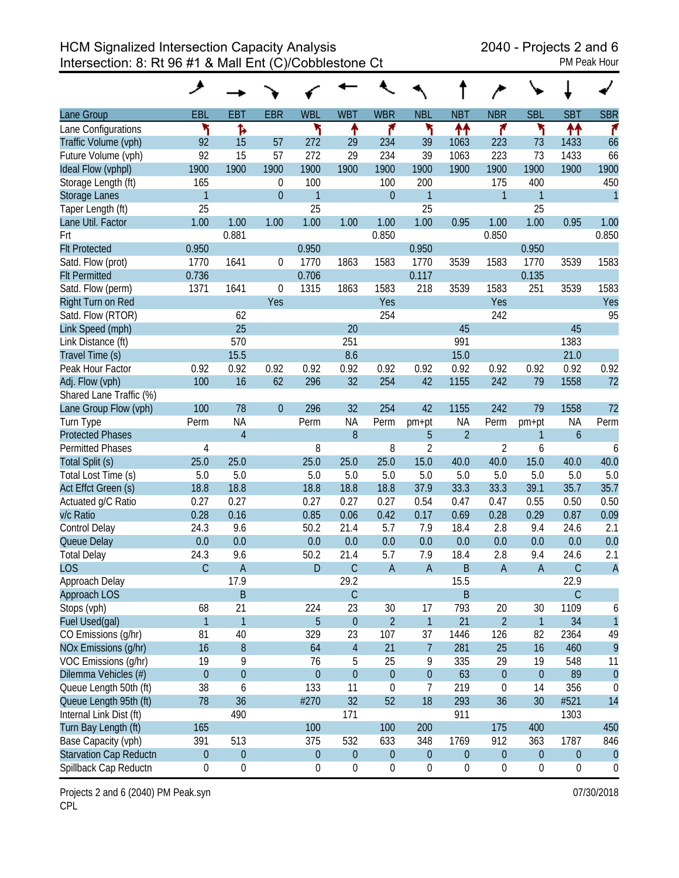|                               | ◢                |                  |             |                  |                  |                  |                  |                  |                  |                  |                  |                  |
|-------------------------------|------------------|------------------|-------------|------------------|------------------|------------------|------------------|------------------|------------------|------------------|------------------|------------------|
| Lane Group                    | EBL              | <b>EBT</b>       | <b>EBR</b>  | <b>WBL</b>       | <b>WBT</b>       | <b>WBR</b>       | <b>NBL</b>       | <b>NBT</b>       | <b>NBR</b>       | <b>SBL</b>       | <b>SBT</b>       | <b>SBR</b>       |
| Lane Configurations           | ۲                | Ъ                |             | ۲                | ↟                | ۴                | ۲                | ተተ               | ۴                | ۲                | ↟↟               | ۴                |
| Traffic Volume (vph)          | 92               | 15               | 57          | 272              | 29               | 234              | 39               | 1063             | 223              | 73               | 1433             | 66               |
| Future Volume (vph)           | 92               | 15               | 57          | 272              | 29               | 234              | 39               | 1063             | 223              | 73               | 1433             | 66               |
| Ideal Flow (vphpl)            | 1900             | 1900             | 1900        | 1900             | 1900             | 1900             | 1900             | 1900             | 1900             | 1900             | 1900             | 1900             |
| Storage Length (ft)           | 165              |                  | $\theta$    | 100              |                  | 100              | 200              |                  | 175              | 400              |                  | 450              |
| <b>Storage Lanes</b>          | $\mathbf{1}$     |                  | $\mathbf 0$ | $\mathbf{1}$     |                  | $\boldsymbol{0}$ | $\mathbf{1}$     |                  | $\mathbf{1}$     | 1                |                  | $\mathbf{1}$     |
| Taper Length (ft)             | 25               |                  |             | 25               |                  |                  | 25               |                  |                  | 25               |                  |                  |
| Lane Util. Factor             | 1.00             | 1.00             | 1.00        | 1.00             | 1.00             | 1.00             | 1.00             | 0.95             | 1.00             | 1.00             | 0.95             | 1.00             |
| Frt                           |                  | 0.881            |             |                  |                  | 0.850            |                  |                  | 0.850            |                  |                  | 0.850            |
| <b>Flt Protected</b>          | 0.950            |                  |             | 0.950            |                  |                  | 0.950            |                  |                  | 0.950            |                  |                  |
| Satd. Flow (prot)             | 1770             | 1641             | $\theta$    | 1770             | 1863             | 1583             | 1770             | 3539             | 1583             | 1770             | 3539             | 1583             |
| <b>Flt Permitted</b>          | 0.736            |                  |             | 0.706            |                  |                  | 0.117            |                  |                  | 0.135            |                  |                  |
| Satd. Flow (perm)             | 1371             | 1641             | $\theta$    | 1315             | 1863             | 1583             | 218              | 3539             | 1583             | 251              | 3539             | 1583             |
| Right Turn on Red             |                  |                  | Yes         |                  |                  | Yes              |                  |                  | Yes              |                  |                  | Yes              |
| Satd. Flow (RTOR)             |                  | 62               |             |                  |                  | 254              |                  |                  | 242              |                  |                  | 95               |
| Link Speed (mph)              |                  | 25               |             |                  | 20               |                  |                  | 45               |                  |                  | 45               |                  |
| Link Distance (ft)            |                  | 570              |             |                  | 251              |                  |                  | 991              |                  |                  | 1383             |                  |
| Travel Time (s)               |                  | 15.5             |             |                  | 8.6              |                  |                  | 15.0             |                  |                  | 21.0             |                  |
| Peak Hour Factor              | 0.92             | 0.92             | 0.92        | 0.92             | 0.92             | 0.92             | 0.92             | 0.92             | 0.92             | 0.92             | 0.92             | 0.92             |
| Adj. Flow (vph)               | 100              | 16               | 62          | 296              | 32               | 254              | 42               | 1155             | 242              | 79               | 1558             | 72               |
| Shared Lane Traffic (%)       |                  |                  |             |                  |                  |                  |                  |                  |                  |                  |                  |                  |
| Lane Group Flow (vph)         | 100              | 78               | $\theta$    | 296              | 32               | 254              | 42               | 1155             | 242              | 79               | 1558             | 72               |
| Turn Type                     | Perm             | <b>NA</b>        |             | Perm             | <b>NA</b>        | Perm             | pm+pt            | <b>NA</b>        | Perm             | pm+pt            | <b>NA</b>        | Perm             |
| <b>Protected Phases</b>       |                  | $\overline{4}$   |             |                  | 8                |                  | 5                | $\overline{2}$   |                  | 1                | $\boldsymbol{6}$ |                  |
| <b>Permitted Phases</b>       | 4                |                  |             | 8                |                  | 8                | $\overline{2}$   |                  | $\overline{2}$   | 6                |                  | 6                |
| Total Split (s)               | 25.0             | 25.0             |             | 25.0             | 25.0             | 25.0             | 15.0             | 40.0             | 40.0             | 15.0             | 40.0             | 40.0             |
| Total Lost Time (s)           | 5.0              | 5.0              |             | 5.0              | 5.0              | 5.0              | 5.0              | 5.0              | 5.0              | 5.0              | 5.0              | 5.0              |
| Act Effct Green (s)           | 18.8             | 18.8             |             | 18.8             | 18.8             | 18.8             | 37.9             | 33.3             | 33.3             | 39.1             | 35.7             | 35.7             |
| Actuated g/C Ratio            | 0.27             | 0.27             |             | 0.27             | 0.27             | 0.27             | 0.54             | 0.47             | 0.47             | 0.55             | 0.50             | 0.50             |
| v/c Ratio                     | 0.28             | 0.16             |             | 0.85             | 0.06             | 0.42             | 0.17             | 0.69             | 0.28             | 0.29             | 0.87             | 0.09             |
| <b>Control Delay</b>          | 24.3             | 9.6              |             | 50.2             | 21.4             | 5.7              | 7.9              | 18.4             | 2.8              | 9.4              | 24.6             | 2.1              |
| Queue Delay                   | 0.0              | 0.0              |             | 0.0              | 0.0              | 0.0              | 0.0              | 0.0              | 0.0              | 0.0              | 0.0              | 0.0              |
| <b>Total Delay</b>            | 24.3             | 9.6              |             | 50.2             | 21.4             | 5.7              | 7.9              | 18.4             | 2.8              | 9.4              | 24.6             | 2.1              |
| <b>LOS</b>                    | $\mathsf{C}$     | $\overline{A}$   |             | D                | $\mathsf C$      | $\mathsf{A}$     | $\overline{A}$   | B                | $\mathsf A$      | A                | $\mathsf C$      | $\overline{A}$   |
| Approach Delay                |                  | 17.9             |             |                  | 29.2             |                  |                  | 15.5             |                  |                  | 22.9             |                  |
| <b>Approach LOS</b>           |                  | $\sf B$          |             |                  | $\mathsf C$      |                  |                  | B                |                  |                  | $\mathsf C$      |                  |
| Stops (vph)                   | 68               | 21               |             | 224              | 23               | 30               | 17               | 793              | 20               | 30               | 1109             | 6                |
| Fuel Used(gal)                | $\mathbf{1}$     | $\mathbf{1}$     |             | 5                | $\theta$         | $\overline{2}$   | $\mathbf{1}$     | 21               | $\overline{2}$   | $\mathbf{1}$     | 34               | $\mathbf{1}$     |
| CO Emissions (g/hr)           | 81               | 40               |             | 329              | 23               | 107              | 37               | 1446             | 126              | 82               | 2364             | 49               |
| NOx Emissions (g/hr)          | 16               | $\, 8$           |             | 64               | $\overline{4}$   | 21               | $\overline{7}$   | 281              | 25               | 16               | 460              | 9                |
| VOC Emissions (g/hr)          | 19               | 9                |             | 76               | 5                | 25               | 9                | 335              | 29               | 19               | 548              | 11               |
| Dilemma Vehicles (#)          | $\boldsymbol{0}$ | $\pmb{0}$        |             | $\boldsymbol{0}$ | $\theta$         | $\boldsymbol{0}$ | $\boldsymbol{0}$ | 63               | $\theta$         | $\boldsymbol{0}$ | 89               | $\theta$         |
| Queue Length 50th (ft)        | 38               | 6                |             | 133              | 11               | $\boldsymbol{0}$ | 7                | 219              | $\mathbf 0$      | 14               | 356              | 0                |
| Queue Length 95th (ft)        | 78               | 36               |             | #270             | 32               | 52               | 18               | 293              | 36               | 30               | #521             | 14               |
| Internal Link Dist (ft)       |                  | 490              |             |                  | 171              |                  |                  | 911              |                  |                  | 1303             |                  |
| Turn Bay Length (ft)          | 165              |                  |             | 100              |                  | 100              | 200              |                  | 175              | 400              |                  | 450              |
| Base Capacity (vph)           | 391              | 513              |             | 375              | 532              | 633              | 348              | 1769             | 912              | 363              | 1787             | 846              |
| <b>Starvation Cap Reductn</b> | $\boldsymbol{0}$ | $\boldsymbol{0}$ |             | $\boldsymbol{0}$ | $\boldsymbol{0}$ | $\boldsymbol{0}$ | $\boldsymbol{0}$ | $\boldsymbol{0}$ | $\boldsymbol{0}$ | $\boldsymbol{0}$ | $\boldsymbol{0}$ | $\theta$         |
| Spillback Cap Reductn         | $\pmb{0}$        | $\boldsymbol{0}$ |             | 0                | $\boldsymbol{0}$ | 0                | 0                | $\boldsymbol{0}$ | 0                | $\boldsymbol{0}$ | $\boldsymbol{0}$ | $\boldsymbol{0}$ |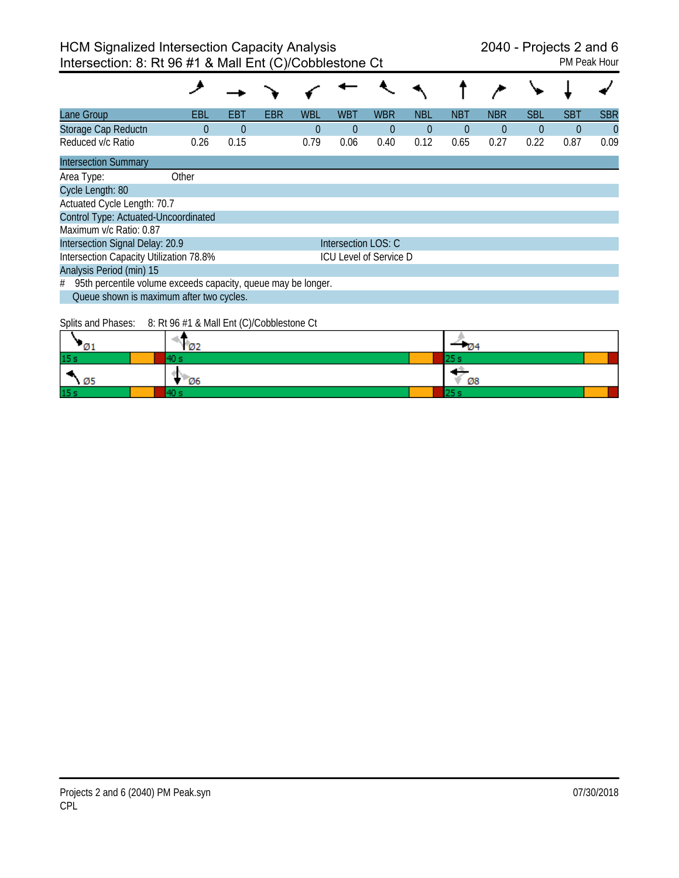| Lane Group                                                         | EBL      | EBT      | <b>EBR</b> | <b>WBL</b> | <b>WBT</b>          | <b>WBR</b>                    | <b>NBL</b>     | <b>NBT</b> | <b>NBR</b> | <b>SBL</b> | <b>SBT</b>     | <b>SBR</b>     |
|--------------------------------------------------------------------|----------|----------|------------|------------|---------------------|-------------------------------|----------------|------------|------------|------------|----------------|----------------|
| Storage Cap Reductn                                                | $\Omega$ | $\Omega$ |            | 0          | $\theta$            | $\theta$                      | $\overline{0}$ | $\theta$   | $\theta$   | $\theta$   | $\overline{0}$ | $\overline{0}$ |
| Reduced v/c Ratio                                                  | 0.26     | 0.15     |            | 0.79       | 0.06                | 0.40                          | 0.12           | 0.65       | 0.27       | 0.22       | 0.87           | 0.09           |
| <b>Intersection Summary</b>                                        |          |          |            |            |                     |                               |                |            |            |            |                |                |
| Area Type:                                                         | Other    |          |            |            |                     |                               |                |            |            |            |                |                |
| Cycle Length: 80                                                   |          |          |            |            |                     |                               |                |            |            |            |                |                |
| Actuated Cycle Length: 70.7                                        |          |          |            |            |                     |                               |                |            |            |            |                |                |
| Control Type: Actuated-Uncoordinated                               |          |          |            |            |                     |                               |                |            |            |            |                |                |
| Maximum v/c Ratio: 0.87                                            |          |          |            |            |                     |                               |                |            |            |            |                |                |
| Intersection Signal Delay: 20.9                                    |          |          |            |            | Intersection LOS: C |                               |                |            |            |            |                |                |
| Intersection Capacity Utilization 78.8%                            |          |          |            |            |                     | <b>ICU Level of Service D</b> |                |            |            |            |                |                |
| Analysis Period (min) 15                                           |          |          |            |            |                     |                               |                |            |            |            |                |                |
| 95th percentile volume exceeds capacity, queue may be longer.<br># |          |          |            |            |                     |                               |                |            |            |            |                |                |
| Queue shown is maximum after two cycles.                           |          |          |            |            |                     |                               |                |            |            |            |                |                |

Splits and Phases: 8: Rt 96 #1 & Mall Ent (C)/Cobblestone Ct

| נ@               | <b>Ø2</b> | - 124 |
|------------------|-----------|-------|
| 15 s             |           | د ب   |
| ×<br>$\sqrt{95}$ | <b>Ø6</b> | Ø8    |
| 15 <sub>s</sub>  |           |       |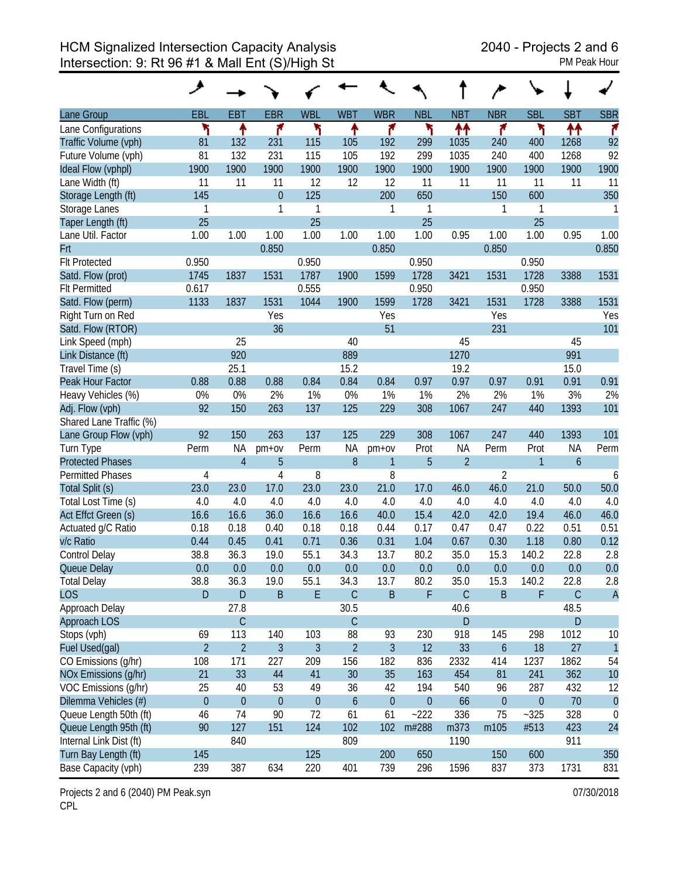|                         | ◢              |                |                  |                |                  |                  |                  |                |                  |              |                  |                  |
|-------------------------|----------------|----------------|------------------|----------------|------------------|------------------|------------------|----------------|------------------|--------------|------------------|------------------|
| Lane Group              | <b>EBL</b>     | <b>EBT</b>     | <b>EBR</b>       | <b>WBL</b>     | <b>WBT</b>       | <b>WBR</b>       | <b>NBL</b>       | <b>NBT</b>     | <b>NBR</b>       | <b>SBL</b>   | <b>SBT</b>       | <b>SBR</b>       |
| Lane Configurations     | ۲              | ↟              | ۴                | ۲              | ↟                | ۴                | ኻ                | ↟↟             | ۴                | ۲            | 11               | ۴                |
| Traffic Volume (vph)    | 81             | 132            | 231              | 115            | 105              | 192              | 299              | 1035           | 240              | 400          | 1268             | 92               |
| Future Volume (vph)     | 81             | 132            | 231              | 115            | 105              | 192              | 299              | 1035           | 240              | 400          | 1268             | 92               |
| Ideal Flow (vphpl)      | 1900           | 1900           | 1900             | 1900           | 1900             | 1900             | 1900             | 1900           | 1900             | 1900         | 1900             | 1900             |
| Lane Width (ft)         | 11             | 11             | 11               | 12             | 12               | 12               | 11               | 11             | 11               | 11           | 11               | 11               |
| Storage Length (ft)     | 145            |                | $\theta$         | 125            |                  | 200              | 650              |                | 150              | 600          |                  | 350              |
| Storage Lanes           | 1              |                | 1                | 1              |                  | 1                | 1                |                | 1                | 1            |                  | 1                |
| Taper Length (ft)       | 25             |                |                  | 25             |                  |                  | 25               |                |                  | 25           |                  |                  |
| Lane Util. Factor       | 1.00           | 1.00           | 1.00             | 1.00           | 1.00             | 1.00             | 1.00             | 0.95           | 1.00             | 1.00         | 0.95             | 1.00             |
| Frt                     |                |                | 0.850            |                |                  | 0.850            |                  |                | 0.850            |              |                  | 0.850            |
| <b>FIt Protected</b>    | 0.950          |                |                  | 0.950          |                  |                  | 0.950            |                |                  | 0.950        |                  |                  |
| Satd. Flow (prot)       | 1745           | 1837           | 1531             | 1787           | 1900             | 1599             | 1728             | 3421           | 1531             | 1728         | 3388             | 1531             |
| <b>FIt Permitted</b>    | 0.617          |                |                  | 0.555          |                  |                  | 0.950            |                |                  | 0.950        |                  |                  |
| Satd. Flow (perm)       | 1133           | 1837           | 1531             | 1044           | 1900             | 1599             | 1728             | 3421           | 1531             | 1728         | 3388             | 1531             |
| Right Turn on Red       |                |                | Yes              |                |                  | Yes              |                  |                | Yes              |              |                  | Yes              |
| Satd. Flow (RTOR)       |                |                | 36               |                |                  | 51               |                  |                | 231              |              |                  | 101              |
| Link Speed (mph)        |                | 25             |                  |                | 40               |                  |                  | 45             |                  |              | 45               |                  |
| Link Distance (ft)      |                | 920            |                  |                | 889              |                  |                  | 1270           |                  |              | 991              |                  |
| Travel Time (s)         |                | 25.1           |                  |                | 15.2             |                  |                  | 19.2           |                  |              | 15.0             |                  |
| Peak Hour Factor        | 0.88           | 0.88           | 0.88             | 0.84           | 0.84             | 0.84             | 0.97             | 0.97           | 0.97             | 0.91         | 0.91             | 0.91             |
| Heavy Vehicles (%)      | 0%             | 0%             | 2%               | 1%             | 0%               | 1%               | 1%               | 2%             | 2%               | 1%           | 3%               | 2%               |
| Adj. Flow (vph)         | 92             | 150            | 263              | 137            | 125              | 229              | 308              | 1067           | 247              | 440          | 1393             | 101              |
| Shared Lane Traffic (%) |                |                |                  |                |                  |                  |                  |                |                  |              |                  |                  |
| Lane Group Flow (vph)   | 92             | 150            | 263              | 137            | 125              | 229              | 308              | 1067           | 247              | 440          | 1393             | 101              |
| Turn Type               | Perm           | <b>NA</b>      | $pm+ov$          | Perm           | <b>NA</b>        | pm+ov            | Prot             | <b>NA</b>      | Perm             | Prot         | <b>NA</b>        | Perm             |
| <b>Protected Phases</b> |                | $\overline{4}$ | 5                |                | 8                | 1                | 5                | $\overline{2}$ |                  | $\mathbf{1}$ | $\boldsymbol{6}$ |                  |
| <b>Permitted Phases</b> | 4              |                | 4                | 8              |                  | 8                |                  |                | $\overline{2}$   |              |                  | 6                |
| Total Split (s)         | 23.0           | 23.0           | 17.0             | 23.0           | 23.0             | 21.0             | 17.0             | 46.0           | 46.0             | 21.0         | 50.0             | 50.0             |
| Total Lost Time (s)     | 4.0            | 4.0            | 4.0              | 4.0            | 4.0              | 4.0              | 4.0              | 4.0            | 4.0              | 4.0          | 4.0              | 4.0              |
| Act Effct Green (s)     | 16.6           | 16.6           | 36.0             | 16.6           | 16.6             | 40.0             | 15.4             | 42.0           | 42.0             | 19.4         | 46.0             | 46.0             |
| Actuated g/C Ratio      | 0.18           | 0.18           | 0.40             | 0.18           | 0.18             | 0.44             | 0.17             | 0.47           | 0.47             | 0.22         | 0.51             | 0.51             |
| v/c Ratio               | 0.44           | 0.45           | 0.41             | 0.71           | 0.36             | 0.31             | 1.04             | 0.67           | 0.30             | 1.18         | 0.80             | 0.12             |
| Control Delay           | 38.8           | 36.3           | 19.0             | 55.1           | 34.3             | 13.7             | 80.2             | 35.0           | 15.3             | 140.2        | 22.8             | 2.8              |
| Queue Delay             | 0.0            | 0.0            | 0.0              | 0.0            | 0.0              | 0.0              | 0.0              | 0.0            | 0.0              | 0.0          | 0.0              | 0.0              |
| <b>Total Delay</b>      | 38.8           | 36.3           | 19.0             | 55.1           | 34.3             | 13.7             | 80.2             | 35.0           | 15.3             | 140.2        | 22.8             | 2.8              |
| <b>LOS</b>              | $\mathsf{D}$   | $\mathsf D$    | $\mathsf B$      | $\mathsf E$    | $\mathsf C$      | $\sf B$          | F                | $\mathsf C$    | B                | F            | $\mathsf C$      | $\overline{A}$   |
| Approach Delay          |                | 27.8           |                  |                | 30.5             |                  |                  | 40.6           |                  |              | 48.5             |                  |
| Approach LOS            |                | $\mathsf C$    |                  |                | $\mathsf C$      |                  |                  | D              |                  |              | ${\sf D}$        |                  |
| Stops (vph)             | 69             | 113            | 140              | 103            | 88               | 93               | 230              | 918            | 145              | 298          | 1012             | 10               |
| Fuel Used(gal)          | $\overline{2}$ | $\overline{2}$ | $\mathfrak{Z}$   | $\overline{3}$ | $\overline{2}$   | $\overline{3}$   | 12               | 33             | $\boldsymbol{6}$ | 18           | 27               | $\mathbf{1}$     |
| CO Emissions (g/hr)     | 108            | 171            | 227              | 209            | 156              | 182              | 836              | 2332           | 414              | 1237         | 1862             | 54               |
| NOx Emissions (g/hr)    | 21             | 33             | 44               | 41             | 30               | 35               | 163              | 454            | 81               | 241          | 362              | 10               |
| VOC Emissions (g/hr)    | 25             | 40             | 53               | 49             | 36               | 42               | 194              | 540            | 96               | 287          | 432              | 12               |
| Dilemma Vehicles (#)    | $\theta$       | $\theta$       | $\boldsymbol{0}$ | $\theta$       | $\boldsymbol{6}$ | $\boldsymbol{0}$ | $\boldsymbol{0}$ | 66             | $\boldsymbol{0}$ | $\pmb{0}$    | 70               | $\theta$         |
| Queue Length 50th (ft)  | 46             | 74             | 90               | 72             | 61               | 61               | $-222$           | 336            | 75               | $-325$       | 328              | $\boldsymbol{0}$ |
| Queue Length 95th (ft)  | 90             | 127            | 151              | 124            | 102              | 102              | m#288            | m373           | m105             | #513         | 423              | 24               |
| Internal Link Dist (ft) |                | 840            |                  |                | 809              |                  |                  | 1190           |                  |              | 911              |                  |
| Turn Bay Length (ft)    | 145            |                |                  | 125            |                  | 200              | 650              |                | 150              | 600          |                  | 350              |
| Base Capacity (vph)     | 239            | 387            | 634              | 220            | 401              | 739              | 296              | 1596           | 837              | 373          | 1731             | 831              |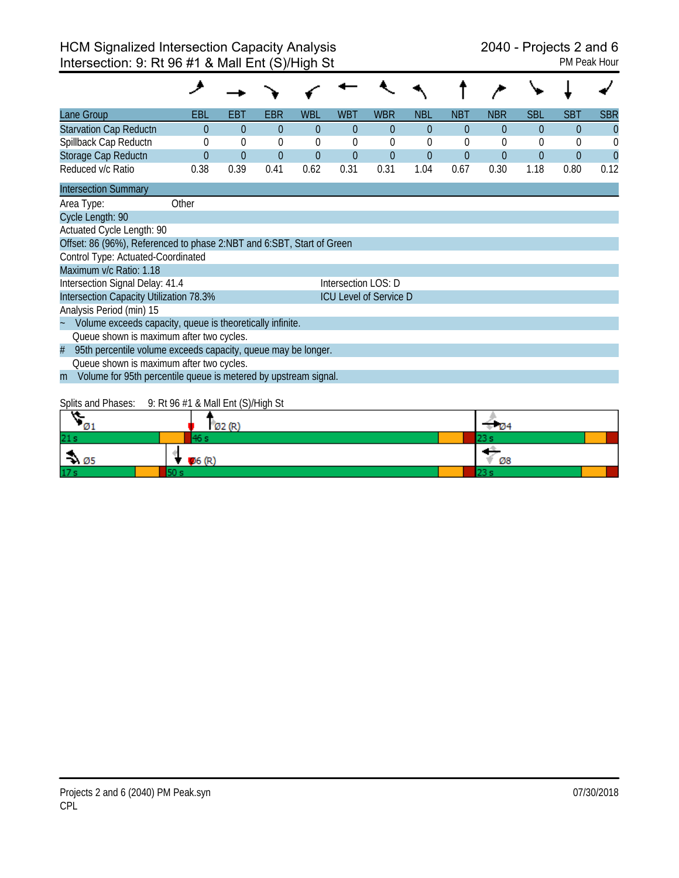| Lane Group                                                            | EBL                                                           | EBT         | EBR      | <b>WBL</b>     | WBT                 | <b>WBR</b>                    | <b>NBL</b>     | NBT            | <b>NBR</b> | <b>SBL</b>     | <b>SBT</b>     | <b>SBR</b> |
|-----------------------------------------------------------------------|---------------------------------------------------------------|-------------|----------|----------------|---------------------|-------------------------------|----------------|----------------|------------|----------------|----------------|------------|
| <b>Starvation Cap Reductn</b>                                         | $\Omega$                                                      | $\theta$    | $\theta$ | $\theta$       | $\theta$            | $\theta$                      | $\theta$       | $\theta$       | $\Omega$   | $\theta$       | $\theta$       | $\theta$   |
| Spillback Cap Reductn                                                 | $\theta$                                                      | $\mathbf 0$ | $\theta$ | 0              | $\theta$            | 0                             | $\Omega$       | $\theta$       | $\theta$   | $\overline{0}$ | $\theta$       | $\Omega$   |
| Storage Cap Reductn                                                   | $\overline{0}$                                                | $\theta$    | $\theta$ | $\overline{0}$ | $\overline{0}$      | $\overline{0}$                | $\overline{0}$ | $\overline{0}$ | $\Omega$   | $\overline{0}$ | $\overline{0}$ | $\Omega$   |
| Reduced v/c Ratio                                                     | 0.38                                                          | 0.39        | 0.41     | 0.62           | 0.31                | 0.31                          | 1.04           | 0.67           | 0.30       | 1.18           | 0.80           | 0.12       |
| <b>Intersection Summary</b>                                           |                                                               |             |          |                |                     |                               |                |                |            |                |                |            |
| Area Type:                                                            | Other                                                         |             |          |                |                     |                               |                |                |            |                |                |            |
| Cycle Length: 90                                                      |                                                               |             |          |                |                     |                               |                |                |            |                |                |            |
| Actuated Cycle Length: 90                                             |                                                               |             |          |                |                     |                               |                |                |            |                |                |            |
| Offset: 86 (96%), Referenced to phase 2:NBT and 6:SBT, Start of Green |                                                               |             |          |                |                     |                               |                |                |            |                |                |            |
| Control Type: Actuated-Coordinated                                    |                                                               |             |          |                |                     |                               |                |                |            |                |                |            |
| Maximum v/c Ratio: 1.18                                               |                                                               |             |          |                |                     |                               |                |                |            |                |                |            |
| Intersection Signal Delay: 41.4                                       |                                                               |             |          |                | Intersection LOS: D |                               |                |                |            |                |                |            |
| Intersection Capacity Utilization 78.3%                               |                                                               |             |          |                |                     | <b>ICU Level of Service D</b> |                |                |            |                |                |            |
| Analysis Period (min) 15                                              |                                                               |             |          |                |                     |                               |                |                |            |                |                |            |
| Volume exceeds capacity, queue is theoretically infinite.             |                                                               |             |          |                |                     |                               |                |                |            |                |                |            |
| Queue shown is maximum after two cycles.                              |                                                               |             |          |                |                     |                               |                |                |            |                |                |            |
| #                                                                     | 95th percentile volume exceeds capacity, queue may be longer. |             |          |                |                     |                               |                |                |            |                |                |            |
|                                                                       | Queue shown is maximum after two cycles.                      |             |          |                |                     |                               |                |                |            |                |                |            |
| Volume for 95th percentile queue is metered by upstream signal.<br>m  |                                                               |             |          |                |                     |                               |                |                |            |                |                |            |

# Splits and Phases: 9: Rt 96 #1 & Mall Ent (S)/High St

| - Ø1                        | O2(R) |  | TD4. |  |
|-----------------------------|-------|--|------|--|
| 21s                         |       |  |      |  |
| $\rightarrow \varnothing$ 5 | 06(R) |  | Ø8   |  |
| 17 <sub>s</sub>             |       |  |      |  |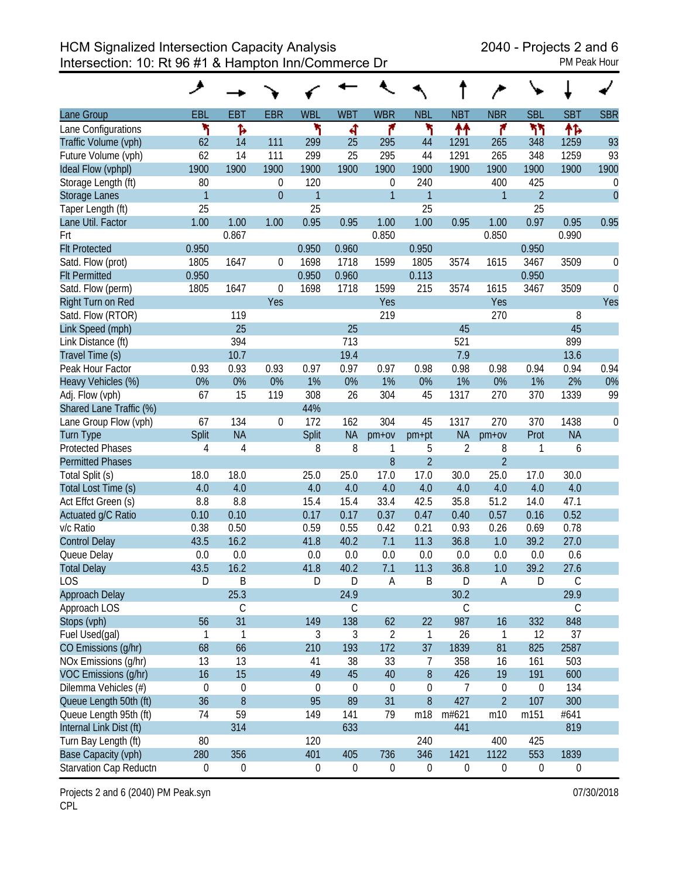HCM Signalized Intersection Capacity Analysis 2040 - Projects 2 and 6 Intersection: 10: Rt 96 #1 & Hampton Inn/Commerce Dr PM Peak Hour

|                         | مر               |                  |                  |                |                  |                  |                |                  |                  |                |             |              |
|-------------------------|------------------|------------------|------------------|----------------|------------------|------------------|----------------|------------------|------------------|----------------|-------------|--------------|
| Lane Group              | EBL              | <b>EBT</b>       | <b>EBR</b>       | <b>WBL</b>     | <b>WBT</b>       | <b>WBR</b>       | <b>NBL</b>     | <b>NBT</b>       | <b>NBR</b>       | <b>SBL</b>     | <b>SBT</b>  | <b>SBR</b>   |
| Lane Configurations     | ۲                | Ъ                |                  | ۲              | ची               | ۴                | ۲              | ↟↟               | ۴                | ካካ             | ተኈ          |              |
| Traffic Volume (vph)    | 62               | 14               | 111              | 299            | 25               | 295              | 44             | 1291             | 265              | 348            | 1259        | 93           |
| Future Volume (vph)     | 62               | 14               | 111              | 299            | 25               | 295              | 44             | 1291             | 265              | 348            | 1259        | 93           |
| Ideal Flow (vphpl)      | 1900             | 1900             | 1900             | 1900           | 1900             | 1900             | 1900           | 1900             | 1900             | 1900           | 1900        | 1900         |
| Storage Length (ft)     | 80               |                  | 0                | 120            |                  | $\boldsymbol{0}$ | 240            |                  | 400              | 425            |             | 0            |
| <b>Storage Lanes</b>    | $\mathbf{1}$     |                  | $\mathbf 0$      | 1              |                  | $\mathbf{1}$     | $\mathbf{1}$   |                  | 1                | $\overline{2}$ |             | $\mathbf{0}$ |
| Taper Length (ft)       | 25               |                  |                  | 25             |                  |                  | 25             |                  |                  | 25             |             |              |
| Lane Util. Factor       | 1.00             | 1.00             | 1.00             | 0.95           | 0.95             | 1.00             | 1.00           | 0.95             | 1.00             | 0.97           | 0.95        | 0.95         |
| Frt                     |                  | 0.867            |                  |                |                  | 0.850            |                |                  | 0.850            |                | 0.990       |              |
| <b>Flt Protected</b>    | 0.950            |                  |                  | 0.950          | 0.960            |                  | 0.950          |                  |                  | 0.950          |             |              |
| Satd. Flow (prot)       | 1805             | 1647             | 0                | 1698           | 1718             | 1599             | 1805           | 3574             | 1615             | 3467           | 3509        | 0            |
| <b>Flt Permitted</b>    | 0.950            |                  |                  | 0.950          | 0.960            |                  | 0.113          |                  |                  | 0.950          |             |              |
| Satd. Flow (perm)       | 1805             | 1647             | 0                | 1698           | 1718             | 1599             | 215            | 3574             | 1615             | 3467           | 3509        | $\theta$     |
| Right Turn on Red       |                  |                  | Yes              |                |                  | Yes              |                |                  | Yes              |                |             | Yes          |
| Satd. Flow (RTOR)       |                  | 119              |                  |                |                  | 219              |                |                  | 270              |                | 8           |              |
| Link Speed (mph)        |                  | 25               |                  |                | 25               |                  |                | 45               |                  |                | 45          |              |
| Link Distance (ft)      |                  | 394              |                  |                | 713              |                  |                | 521              |                  |                | 899         |              |
| Travel Time (s)         |                  | 10.7             |                  |                | 19.4             |                  |                | 7.9              |                  |                | 13.6        |              |
| Peak Hour Factor        | 0.93             | 0.93             | 0.93             | 0.97           | 0.97             | 0.97             | 0.98           | 0.98             | 0.98             | 0.94           | 0.94        | 0.94         |
| Heavy Vehicles (%)      | 0%               | 0%               | 0%               | 1%             | 0%               | 1%               | 0%             | 1%               | 0%               | 1%             | 2%          | 0%           |
| Adj. Flow (vph)         | 67               | 15               | 119              | 308            | 26               | 304              | 45             | 1317             | 270              | 370            | 1339        | 99           |
| Shared Lane Traffic (%) |                  |                  |                  | 44%            |                  |                  |                |                  |                  |                |             |              |
| Lane Group Flow (vph)   | 67               | 134              | $\boldsymbol{0}$ | 172            | 162              | 304              | 45             | 1317             | 270              | 370            | 1438        | 0            |
| <b>Turn Type</b>        | Split            | <b>NA</b>        |                  | Split          | <b>NA</b>        | $pm+ov$          | pm+pt          | <b>NA</b>        | $pm+ov$          | Prot           | <b>NA</b>   |              |
| <b>Protected Phases</b> | 4                | 4                |                  | 8              | 8                | 1                | 5              | $\overline{2}$   | 8                | 1              | 6           |              |
| <b>Permitted Phases</b> |                  |                  |                  |                |                  | 8                | $\overline{2}$ |                  | $\overline{2}$   |                |             |              |
| Total Split (s)         | 18.0             | 18.0             |                  | 25.0           | 25.0             | 17.0             | 17.0           | 30.0             | 25.0             | 17.0           | 30.0        |              |
| Total Lost Time (s)     | 4.0              | 4.0              |                  | 4.0            | 4.0              | 4.0              | 4.0            | 4.0              | 4.0              | 4.0            | 4.0         |              |
| Act Effct Green (s)     | 8.8              | 8.8              |                  | 15.4           | 15.4             | 33.4             | 42.5           | 35.8             | 51.2             | 14.0           | 47.1        |              |
| Actuated g/C Ratio      | 0.10             | 0.10             |                  | 0.17           | 0.17             | 0.37             | 0.47           | 0.40             | 0.57             | 0.16           | 0.52        |              |
| v/c Ratio               | 0.38             | 0.50             |                  | 0.59           | 0.55             | 0.42             | 0.21           | 0.93             | 0.26             | 0.69           | 0.78        |              |
| <b>Control Delay</b>    | 43.5             | 16.2             |                  | 41.8           | 40.2             | 7.1              | 11.3           | 36.8             | 1.0              | 39.2           | 27.0        |              |
| Queue Delay             | 0.0              | 0.0              |                  | 0.0            | 0.0              | 0.0              | 0.0            | 0.0              | 0.0              | 0.0            | 0.6         |              |
| <b>Total Delay</b>      | 43.5             | 16.2             |                  | 41.8           | 40.2             | 7.1              | 11.3           | 36.8             | 1.0              | 39.2           | 27.6        |              |
| <b>LOS</b>              | D                | B                |                  | D              | D                | A                | B              | D                | Α                | D              | C           |              |
| <b>Approach Delay</b>   |                  | 25.3             |                  |                | 24.9             |                  |                | 30.2             |                  |                | 29.9        |              |
| Approach LOS            |                  | $\mathsf C$      |                  |                | C                |                  |                | С                |                  |                | $\mathsf C$ |              |
| Stops (vph)             | 56               | 31               |                  | 149            | 138              | 62               | 22             | 987              | 16               | 332            | 848         |              |
| Fuel Used(gal)          | $\mathbf{1}$     | $\mathbf{1}$     |                  | 3              | 3                | $\overline{2}$   | 1              | 26               | $\mathbf{1}$     | 12             | 37          |              |
| CO Emissions (g/hr)     | 68               | 66               |                  | 210            | 193              | 172              | 37             | 1839             | 81               | 825            | 2587        |              |
| NOx Emissions (g/hr)    | 13               | 13               |                  | 41             | 38               | 33               | 7              | 358              | 16               | 161            | 503         |              |
| VOC Emissions (g/hr)    | 16               | 15               |                  | 49             | 45               | 40               | 8              | 426              | 19               | 191            | 600         |              |
| Dilemma Vehicles (#)    | $\mathbf 0$      | $\boldsymbol{0}$ |                  | $\overline{0}$ | $\mathbf 0$      | $\boldsymbol{0}$ | 0              | 7                | $\boldsymbol{0}$ | 0              | 134         |              |
| Queue Length 50th (ft)  | 36               | 8                |                  | 95             | 89               | 31               | 8              | 427              | $\overline{2}$   | 107            | 300         |              |
| Queue Length 95th (ft)  | 74               | 59               |                  | 149            | 141              | 79               | m18            | m#621            | m10              | m151           | #641        |              |
| Internal Link Dist (ft) |                  | 314              |                  |                | 633              |                  |                | 441              |                  |                | 819         |              |
| Turn Bay Length (ft)    | 80               |                  |                  | 120            |                  |                  | 240            |                  | 400              | 425            |             |              |
| Base Capacity (vph)     | 280              | 356              |                  | 401            | 405              | 736              | 346            | 1421             | 1122             | 553            | 1839        |              |
| Starvation Cap Reductn  | $\boldsymbol{0}$ | 0                |                  | 0              | $\boldsymbol{0}$ | 0                | 0              | $\boldsymbol{0}$ | $\boldsymbol{0}$ | 0              | 0           |              |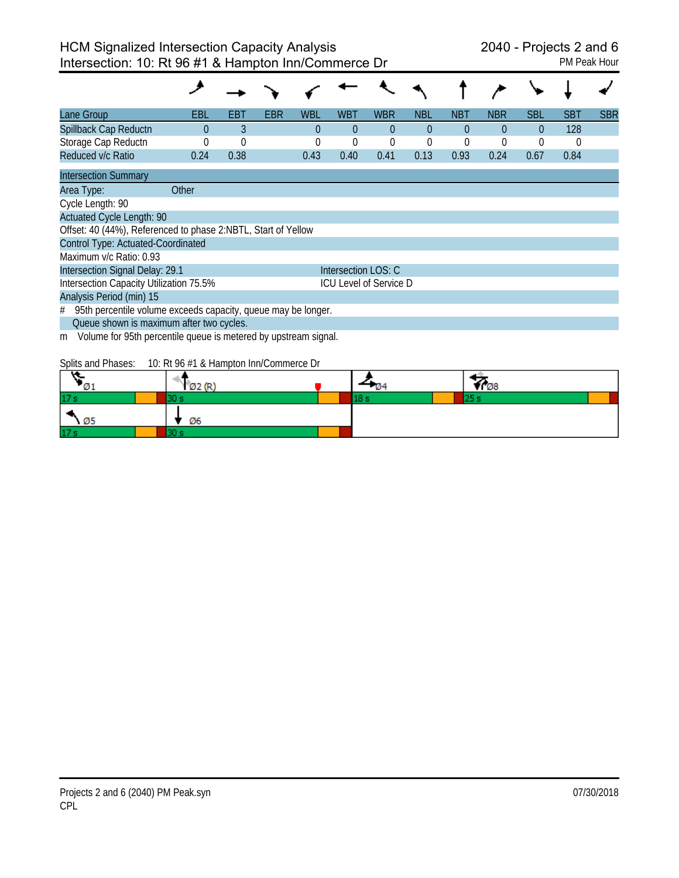| Lane Group                                                           | EBL      | EBT      | EBR | WBL      | <b>WBT</b>          | <b>WBR</b>                    | NBL      | <b>NBT</b> | <b>NBR</b> | <b>SBL</b> | <b>SBT</b> | <b>SBR</b> |
|----------------------------------------------------------------------|----------|----------|-----|----------|---------------------|-------------------------------|----------|------------|------------|------------|------------|------------|
| Spillback Cap Reductn                                                | $\theta$ | 3        |     | $\Omega$ | $\theta$            | $\theta$                      | $\theta$ | $\Omega$   | $\theta$   | $\Omega$   | 128        |            |
| Storage Cap Reductn                                                  |          | $\Omega$ |     | 0        | 0                   | $\mathbf 0$                   | 0        | 0          |            | 0          | 0          |            |
| Reduced v/c Ratio                                                    | 0.24     | 0.38     |     | 0.43     | 0.40                | 0.41                          | 0.13     | 0.93       | 0.24       | 0.67       | 0.84       |            |
| <b>Intersection Summary</b>                                          |          |          |     |          |                     |                               |          |            |            |            |            |            |
| Area Type:                                                           | Other    |          |     |          |                     |                               |          |            |            |            |            |            |
| Cycle Length: 90                                                     |          |          |     |          |                     |                               |          |            |            |            |            |            |
| <b>Actuated Cycle Length: 90</b>                                     |          |          |     |          |                     |                               |          |            |            |            |            |            |
| Offset: 40 (44%), Referenced to phase 2:NBTL, Start of Yellow        |          |          |     |          |                     |                               |          |            |            |            |            |            |
| Control Type: Actuated-Coordinated                                   |          |          |     |          |                     |                               |          |            |            |            |            |            |
| Maximum v/c Ratio: 0.93                                              |          |          |     |          |                     |                               |          |            |            |            |            |            |
| Intersection Signal Delay: 29.1                                      |          |          |     |          | Intersection LOS: C |                               |          |            |            |            |            |            |
| Intersection Capacity Utilization 75.5%                              |          |          |     |          |                     | <b>ICU Level of Service D</b> |          |            |            |            |            |            |
| Analysis Period (min) 15                                             |          |          |     |          |                     |                               |          |            |            |            |            |            |
| 95th percentile volume exceeds capacity, queue may be longer.<br>#   |          |          |     |          |                     |                               |          |            |            |            |            |            |
| Queue shown is maximum after two cycles.                             |          |          |     |          |                     |                               |          |            |            |            |            |            |
| Volume for 95th percentile queue is metered by upstream signal.<br>m |          |          |     |          |                     |                               |          |            |            |            |            |            |
|                                                                      |          |          |     |          |                     |                               |          |            |            |            |            |            |

Splits and Phases: 10: Rt 96 #1 & Hampton Inn/Commerce Dr

| .               | . . |  | ΨO |  |
|-----------------|-----|--|----|--|
| 17:             |     |  |    |  |
|                 | Ø6  |  |    |  |
| 17 <sub>3</sub> |     |  |    |  |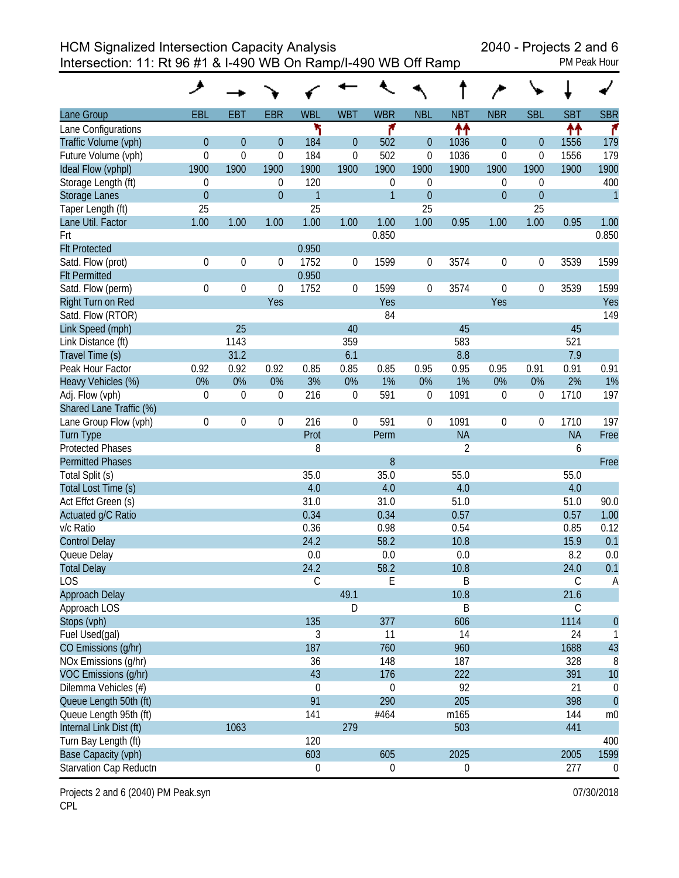HCM Signalized Intersection Capacity Analysis 2040 - Projects 2 and 6

Intersection: 11: Rt 96 #1 & I-490 WB On Ramp/I-490 WB Off Ramp

|  |  | $J$ cho z and     |  |
|--|--|-------------------|--|
|  |  | <b>PM Peak Ho</b> |  |

| Lane Group              | EBL              | <b>EBT</b>  | <b>EBR</b>       | <b>WBL</b>       | <b>WBT</b>     | <b>WBR</b>       | <b>NBL</b>       | <b>NBT</b>       | <b>NBR</b>       | <b>SBL</b>       | <b>SBT</b>  | <b>SBR</b>       |
|-------------------------|------------------|-------------|------------------|------------------|----------------|------------------|------------------|------------------|------------------|------------------|-------------|------------------|
| Lane Configurations     |                  |             |                  | ۲                |                | ۴                |                  | ₩                |                  |                  | ↟↟          | ۴                |
| Traffic Volume (vph)    | $\theta$         | $\theta$    | $\overline{0}$   | 184              | $\overline{0}$ | 502              | $\theta$         | 1036             | $\mathbf 0$      | 0                | 1556        | 179              |
| Future Volume (vph)     | $\mathbf 0$      | $\mathbf 0$ | $\mathbf 0$      | 184              | $\overline{0}$ | 502              | $\boldsymbol{0}$ | 1036             | 0                | $\overline{0}$   | 1556        | 179              |
| Ideal Flow (vphpl)      | 1900             | 1900        | 1900             | 1900             | 1900           | 1900             | 1900             | 1900             | 1900             | 1900             | 1900        | 1900             |
| Storage Length (ft)     | $\boldsymbol{0}$ |             | $\boldsymbol{0}$ | 120              |                | $\mathbf 0$      | $\overline{0}$   |                  | 0                | $\mathbf 0$      |             | 400              |
| <b>Storage Lanes</b>    | $\boldsymbol{0}$ |             | $\overline{0}$   | $\overline{1}$   |                | $\mathbf{1}$     | $\mathbf{0}$     |                  | $\theta$         | $\theta$         |             | $\mathbf{1}$     |
| Taper Length (ft)       | 25               |             |                  | 25               |                |                  | 25               |                  |                  | 25               |             |                  |
| Lane Util. Factor       | 1.00             | 1.00        | 1.00             | 1.00             | 1.00           | 1.00             | 1.00             | 0.95             | 1.00             | 1.00             | 0.95        | 1.00             |
| Frt                     |                  |             |                  |                  |                | 0.850            |                  |                  |                  |                  |             | 0.850            |
| <b>Flt Protected</b>    |                  |             |                  | 0.950            |                |                  |                  |                  |                  |                  |             |                  |
| Satd. Flow (prot)       | $\boldsymbol{0}$ | $\mathbf 0$ | 0                | 1752             | 0              | 1599             | 0                | 3574             | $\boldsymbol{0}$ | $\boldsymbol{0}$ | 3539        | 1599             |
| <b>Flt Permitted</b>    |                  |             |                  | 0.950            |                |                  |                  |                  |                  |                  |             |                  |
| Satd. Flow (perm)       | $\boldsymbol{0}$ | $\mathbf 0$ | 0                | 1752             | 0              | 1599             | 0                | 3574             | 0                | $\boldsymbol{0}$ | 3539        | 1599             |
| Right Turn on Red       |                  |             | Yes              |                  |                | Yes              |                  |                  | Yes              |                  |             | Yes              |
| Satd. Flow (RTOR)       |                  |             |                  |                  |                | 84               |                  |                  |                  |                  |             | 149              |
| Link Speed (mph)        |                  | 25          |                  |                  | 40             |                  |                  | 45               |                  |                  | 45          |                  |
| Link Distance (ft)      |                  | 1143        |                  |                  | 359            |                  |                  | 583              |                  |                  | 521         |                  |
| Travel Time (s)         |                  | 31.2        |                  |                  | 6.1            |                  |                  | 8.8              |                  |                  | 7.9         |                  |
| Peak Hour Factor        | 0.92             | 0.92        | 0.92             | 0.85             | 0.85           | 0.85             | 0.95             | 0.95             | 0.95             | 0.91             | 0.91        | 0.91             |
| Heavy Vehicles (%)      | 0%               | 0%          | 0%               | 3%               | 0%             | 1%               | 0%               | 1%               | 0%               | 0%               | 2%          | 1%               |
| Adj. Flow (vph)         | $\mathbf 0$      | $\mathbf 0$ | $\theta$         | 216              | $\overline{0}$ | 591              | $\boldsymbol{0}$ | 1091             | $\boldsymbol{0}$ | $\boldsymbol{0}$ | 1710        | 197              |
| Shared Lane Traffic (%) |                  |             |                  |                  |                |                  |                  |                  |                  |                  |             |                  |
| Lane Group Flow (vph)   | $\boldsymbol{0}$ | $\mathbf 0$ | 0                | 216              | 0              | 591              | 0                | 1091             | 0                | 0                | 1710        | 197              |
| <b>Turn Type</b>        |                  |             |                  | Prot             |                | Perm             |                  | <b>NA</b>        |                  |                  | <b>NA</b>   | Free             |
| <b>Protected Phases</b> |                  |             |                  | 8                |                |                  |                  | $\overline{2}$   |                  |                  | 6           |                  |
| <b>Permitted Phases</b> |                  |             |                  |                  |                | 8                |                  |                  |                  |                  |             | Free             |
| Total Split (s)         |                  |             |                  | 35.0             |                | 35.0             |                  | 55.0             |                  |                  | 55.0        |                  |
| Total Lost Time (s)     |                  |             |                  | 4.0              |                | 4.0              |                  | 4.0              |                  |                  | 4.0         |                  |
| Act Effct Green (s)     |                  |             |                  | 31.0             |                | 31.0             |                  | 51.0             |                  |                  | 51.0        | 90.0             |
| Actuated g/C Ratio      |                  |             |                  | 0.34             |                | 0.34             |                  | 0.57             |                  |                  | 0.57        | 1.00             |
| v/c Ratio               |                  |             |                  | 0.36             |                | 0.98             |                  | 0.54             |                  |                  | 0.85        | 0.12             |
| <b>Control Delay</b>    |                  |             |                  | 24.2             |                | 58.2             |                  | 10.8             |                  |                  | 15.9        | 0.1              |
| Queue Delay             |                  |             |                  | 0.0              |                | 0.0              |                  | 0.0              |                  |                  | 8.2         | 0.0              |
| <b>Total Delay</b>      |                  |             |                  | 24.2             |                | 58.2             |                  | 10.8             |                  |                  | 24.0        | 0.1              |
| <b>LOS</b>              |                  |             |                  | C                |                | Ε                |                  | В                |                  |                  | $\mathsf C$ | A                |
| Approach Delay          |                  |             |                  |                  | 49.1           |                  |                  | 10.8             |                  |                  | 21.6        |                  |
| Approach LOS            |                  |             |                  |                  | D              |                  |                  | B                |                  |                  | С           |                  |
| Stops (vph)             |                  |             |                  | 135              |                | 377              |                  | 606              |                  |                  | 1114        | $\boldsymbol{0}$ |
| Fuel Used(gal)          |                  |             |                  | 3                |                | 11               |                  | 14               |                  |                  | 24          | 1                |
| CO Emissions (g/hr)     |                  |             |                  | 187              |                | 760              |                  | 960              |                  |                  | 1688        | 43               |
| NOx Emissions (g/hr)    |                  |             |                  | 36               |                | 148              |                  | 187              |                  |                  | 328         | 8                |
| VOC Emissions (q/hr)    |                  |             |                  | 43               |                | 176              |                  | 222              |                  |                  | 391         | 10               |
| Dilemma Vehicles (#)    |                  |             |                  | $\boldsymbol{0}$ |                | $\mathbf 0$      |                  | 92               |                  |                  | 21          | $\boldsymbol{0}$ |
| Queue Length 50th (ft)  |                  |             |                  | 91               |                | 290              |                  | 205              |                  |                  | 398         | $\overline{0}$   |
| Queue Length 95th (ft)  |                  |             |                  | 141              |                | #464             |                  | m165             |                  |                  | 144         | m <sub>0</sub>   |
| Internal Link Dist (ft) |                  | 1063        |                  |                  | 279            |                  |                  | 503              |                  |                  | 441         |                  |
| Turn Bay Length (ft)    |                  |             |                  | 120              |                |                  |                  |                  |                  |                  |             | 400              |
| Base Capacity (vph)     |                  |             |                  | 603              |                | 605              |                  | 2025             |                  |                  | 2005        | 1599             |
| Starvation Cap Reductn  |                  |             |                  | $\boldsymbol{0}$ |                | $\boldsymbol{0}$ |                  | $\boldsymbol{0}$ |                  |                  | 277         | $\overline{0}$   |

Projects 2 and 6 (2040) PM Peak.syn **Department 2008** 120 and 2018 07/30/2018 CPL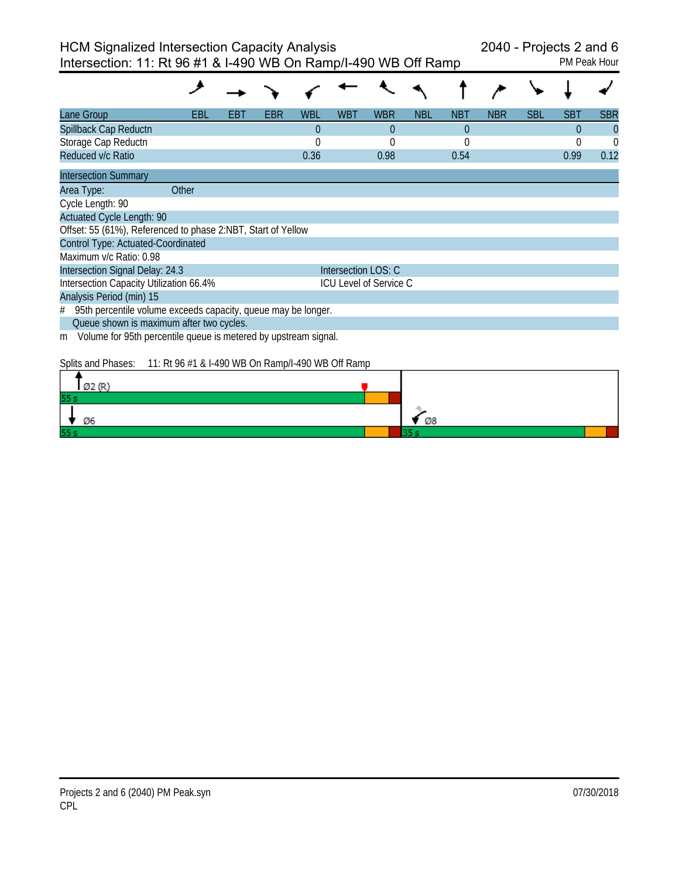| Lane Group                                                           | EBL   | EB I | EBR | WBL      | WBT                 | <b>WBR</b>                    | <b>NBL</b> | <b>NBT</b> | <b>NBR</b> | <b>SBL</b> | <b>SBT</b> | <b>SBR</b> |
|----------------------------------------------------------------------|-------|------|-----|----------|---------------------|-------------------------------|------------|------------|------------|------------|------------|------------|
| Spillback Cap Reductn                                                |       |      |     | $\theta$ |                     | $\theta$                      |            | $\theta$   |            |            | $\Omega$   | $\theta$   |
| Storage Cap Reductn                                                  |       |      |     | $\Omega$ |                     | 0                             |            | 0          |            |            | $\Omega$   | $\theta$   |
| Reduced v/c Ratio                                                    |       |      |     | 0.36     |                     | 0.98                          |            | 0.54       |            |            | 0.99       | 0.12       |
| <b>Intersection Summary</b>                                          |       |      |     |          |                     |                               |            |            |            |            |            |            |
| Area Type:                                                           | Other |      |     |          |                     |                               |            |            |            |            |            |            |
| Cycle Length: 90                                                     |       |      |     |          |                     |                               |            |            |            |            |            |            |
| <b>Actuated Cycle Length: 90</b>                                     |       |      |     |          |                     |                               |            |            |            |            |            |            |
| Offset: 55 (61%), Referenced to phase 2:NBT, Start of Yellow         |       |      |     |          |                     |                               |            |            |            |            |            |            |
| Control Type: Actuated-Coordinated                                   |       |      |     |          |                     |                               |            |            |            |            |            |            |
| Maximum v/c Ratio: 0.98                                              |       |      |     |          |                     |                               |            |            |            |            |            |            |
| Intersection Signal Delay: 24.3                                      |       |      |     |          | Intersection LOS: C |                               |            |            |            |            |            |            |
| Intersection Capacity Utilization 66.4%                              |       |      |     |          |                     | <b>ICU Level of Service C</b> |            |            |            |            |            |            |
| Analysis Period (min) 15                                             |       |      |     |          |                     |                               |            |            |            |            |            |            |
| 95th percentile volume exceeds capacity, queue may be longer.<br>#   |       |      |     |          |                     |                               |            |            |            |            |            |            |
| Queue shown is maximum after two cycles.                             |       |      |     |          |                     |                               |            |            |            |            |            |            |
| Volume for 95th percentile queue is metered by upstream signal.<br>m |       |      |     |          |                     |                               |            |            |            |            |            |            |

Splits and Phases: 11: Rt 96 #1 & I-490 WB On Ramp/I-490 WB Off Ramp

| can con- |    |
|----------|----|
| 55s      |    |
| Ø6       | Ø8 |
| 55s      |    |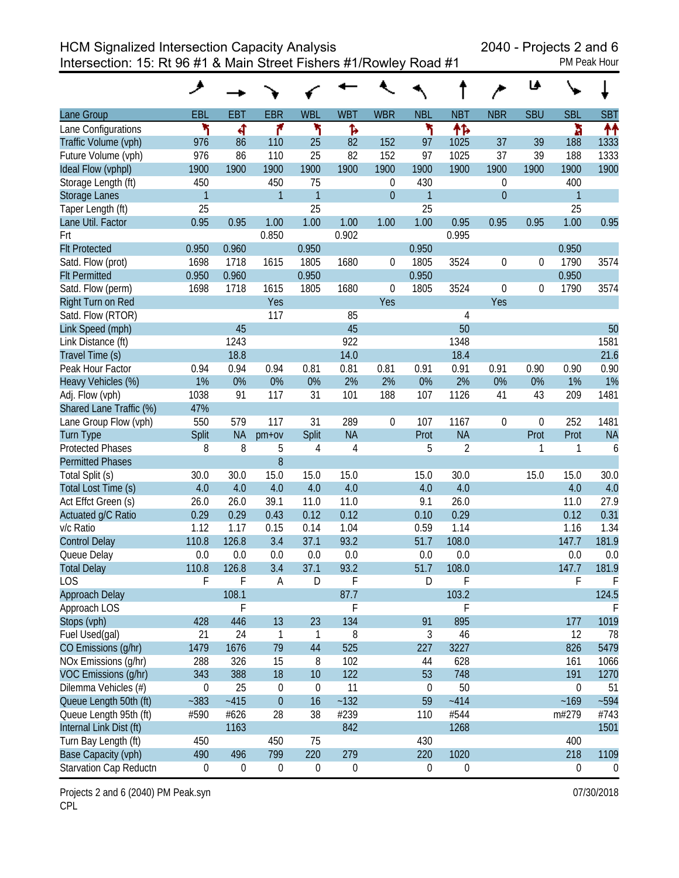Intersection: 15: Rt 96 #1 & Main Street Fishers #1/Rowley Road #1 PM Peak Hour

|                         | عر           |             |                  |                  |                  |                  |                  |                  |                  | ⊌                |            |                |
|-------------------------|--------------|-------------|------------------|------------------|------------------|------------------|------------------|------------------|------------------|------------------|------------|----------------|
| Lane Group              | EBL          | <b>EBT</b>  | <b>EBR</b>       | <b>WBL</b>       | <b>WBT</b>       | <b>WBR</b>       | <b>NBL</b>       | <b>NBT</b>       | <b>NBR</b>       | <b>SBU</b>       | <b>SBL</b> | <b>SBT</b>     |
| Lane Configurations     | ۲            | 4           | ۴                | ۲                | Ъ                |                  | ۲                | 怍                |                  |                  | ħ          | 个个             |
| Traffic Volume (vph)    | 976          | 86          | 110              | 25               | 82               | 152              | 97               | 1025             | 37               | 39               | 188        | 1333           |
| Future Volume (vph)     | 976          | 86          | 110              | 25               | 82               | 152              | 97               | 1025             | 37               | 39               | 188        | 1333           |
| Ideal Flow (vphpl)      | 1900         | 1900        | 1900             | 1900             | 1900             | 1900             | 1900             | 1900             | 1900             | 1900             | 1900       | 1900           |
| Storage Length (ft)     | 450          |             | 450              | 75               |                  | $\boldsymbol{0}$ | 430              |                  | $\boldsymbol{0}$ |                  | 400        |                |
| <b>Storage Lanes</b>    | $\mathbf{1}$ |             | $\mathbf{1}$     | $\mathbf{1}$     |                  | $\mathbf{0}$     | $\overline{1}$   |                  | $\overline{0}$   |                  | 1          |                |
| Taper Length (ft)       | 25           |             |                  | 25               |                  |                  | 25               |                  |                  |                  | 25         |                |
| Lane Util. Factor       | 0.95         | 0.95        | 1.00             | 1.00             | 1.00             | 1.00             | 1.00             | 0.95             | 0.95             | 0.95             | 1.00       | 0.95           |
| Frt                     |              |             | 0.850            |                  | 0.902            |                  |                  | 0.995            |                  |                  |            |                |
| <b>Flt Protected</b>    | 0.950        | 0.960       |                  | 0.950            |                  |                  | 0.950            |                  |                  |                  | 0.950      |                |
| Satd. Flow (prot)       | 1698         | 1718        | 1615             | 1805             | 1680             | 0                | 1805             | 3524             | $\boldsymbol{0}$ | 0                | 1790       | 3574           |
| <b>Flt Permitted</b>    | 0.950        | 0.960       |                  | 0.950            |                  |                  | 0.950            |                  |                  |                  | 0.950      |                |
| Satd. Flow (perm)       | 1698         | 1718        | 1615             | 1805             | 1680             | $\boldsymbol{0}$ | 1805             | 3524             | $\boldsymbol{0}$ | $\boldsymbol{0}$ | 1790       | 3574           |
| Right Turn on Red       |              |             | Yes              |                  |                  | Yes              |                  |                  | Yes              |                  |            |                |
| Satd. Flow (RTOR)       |              |             | 117              |                  | 85               |                  |                  | 4                |                  |                  |            |                |
| Link Speed (mph)        |              | 45          |                  |                  | 45               |                  |                  | 50               |                  |                  |            | 50             |
| Link Distance (ft)      |              | 1243        |                  |                  | 922              |                  |                  | 1348             |                  |                  |            | 1581           |
| Travel Time (s)         |              | 18.8        |                  |                  | 14.0             |                  |                  | 18.4             |                  |                  |            | 21.6           |
| Peak Hour Factor        | 0.94         | 0.94        | 0.94             | 0.81             | 0.81             | 0.81             | 0.91             | 0.91             | 0.91             | 0.90             | 0.90       | 0.90           |
| Heavy Vehicles (%)      | 1%           | 0%          | 0%               | 0%               | 2%               | 2%               | 0%               | 2%               | 0%               | 0%               | 1%         | 1%             |
| Adj. Flow (vph)         | 1038         | 91          | 117              | 31               | 101              | 188              | 107              | 1126             | 41               | 43               | 209        | 1481           |
| Shared Lane Traffic (%) | 47%          |             |                  |                  |                  |                  |                  |                  |                  |                  |            |                |
| Lane Group Flow (vph)   | 550          | 579         | 117              | 31               | 289              | $\boldsymbol{0}$ | 107              | 1167             | $\boldsymbol{0}$ | $\boldsymbol{0}$ | 252        | 1481           |
| <b>Turn Type</b>        | Split        | <b>NA</b>   | $pm+ov$          | Split            | <b>NA</b>        |                  | Prot             | <b>NA</b>        |                  | Prot             | Prot       | <b>NA</b>      |
| <b>Protected Phases</b> | 8            | 8           | 5                | 4                | 4                |                  | 5                | $\overline{2}$   |                  | 1                | 1          | 6              |
| <b>Permitted Phases</b> |              |             | 8                |                  |                  |                  |                  |                  |                  |                  |            |                |
| Total Split (s)         | 30.0         | 30.0        | 15.0             | 15.0             | 15.0             |                  | 15.0             | 30.0             |                  | 15.0             | 15.0       | 30.0           |
| Total Lost Time (s)     | 4.0          | 4.0         | 4.0              | 4.0              | 4.0              |                  | 4.0              | 4.0              |                  |                  | 4.0        | 4.0            |
| Act Effct Green (s)     | 26.0         | 26.0        | 39.1             | 11.0             | 11.0             |                  | 9.1              | 26.0             |                  |                  | 11.0       | 27.9           |
| Actuated g/C Ratio      | 0.29         | 0.29        | 0.43             | 0.12             | 0.12             |                  | 0.10             | 0.29             |                  |                  | 0.12       | 0.31           |
| v/c Ratio               | 1.12         | 1.17        | 0.15             | 0.14             | 1.04             |                  | 0.59             | 1.14             |                  |                  | 1.16       | 1.34           |
| <b>Control Delay</b>    | 110.8        | 126.8       | 3.4              | 37.1             | 93.2             |                  | 51.7             | 108.0            |                  |                  | 147.7      | 181.9          |
| Queue Delay             | 0.0          | 0.0         | 0.0              | 0.0              | 0.0              |                  | 0.0              | 0.0              |                  |                  | 0.0        | 0.0            |
| <b>Total Delay</b>      | 110.8        | 126.8       | 3.4              | 37.1             | 93.2             |                  | 51.7             | 108.0            |                  |                  | 147.7      | 181.9          |
| <b>LOS</b>              | F            | F           | A                | D                | F                |                  | D                | F                |                  |                  | F          | F              |
| <b>Approach Delay</b>   |              | 108.1       |                  |                  | 87.7             |                  |                  | 103.2            |                  |                  |            | 124.5          |
| Approach LOS            |              | F           |                  |                  | F                |                  |                  | F                |                  |                  |            | F              |
| Stops (vph)             | 428          | 446         | 13               | 23               | 134              |                  | 91               | 895              |                  |                  | 177        | 1019           |
| Fuel Used(gal)          | 21           | 24          | $\mathbf{1}$     | 1                | 8                |                  | 3                | 46               |                  |                  | 12         | 78             |
| CO Emissions (g/hr)     | 1479         | 1676        | 79               | 44               | 525              |                  | 227              | 3227             |                  |                  | 826        | 5479           |
| NOx Emissions (g/hr)    | 288          | 326         | 15               | 8                | 102              |                  | 44               | 628              |                  |                  | 161        | 1066           |
| VOC Emissions (g/hr)    | 343          | 388         | 18               | 10               | 122              |                  | 53               | 748              |                  |                  | 191        | 1270           |
| Dilemma Vehicles (#)    | $\mathbf 0$  | 25          | $\boldsymbol{0}$ | 0                | 11               |                  | $\boldsymbol{0}$ | 50               |                  |                  | $\pmb{0}$  | 51             |
| Queue Length 50th (ft)  | $-383$       | $-415$      | $\theta$         | 16               | $-132$           |                  | 59               | $-414$           |                  |                  | $-169$     | $-594$         |
| Queue Length 95th (ft)  | #590         | #626        | 28               | 38               | #239             |                  | 110              | #544             |                  |                  | m#279      | #743           |
| Internal Link Dist (ft) |              | 1163        |                  |                  | 842              |                  |                  | 1268             |                  |                  |            | 1501           |
| Turn Bay Length (ft)    | 450          |             | 450              | 75               |                  |                  | 430              |                  |                  |                  | 400        |                |
| Base Capacity (vph)     | 490          | 496         | 799              | 220              | 279              |                  | 220              | 1020             |                  |                  | 218        | 1109           |
| Starvation Cap Reductn  | $\mathbf 0$  | $\mathbf 0$ | $\mathbf 0$      | $\boldsymbol{0}$ | $\boldsymbol{0}$ |                  | $\boldsymbol{0}$ | $\boldsymbol{0}$ |                  |                  | $\pmb{0}$  | $\overline{0}$ |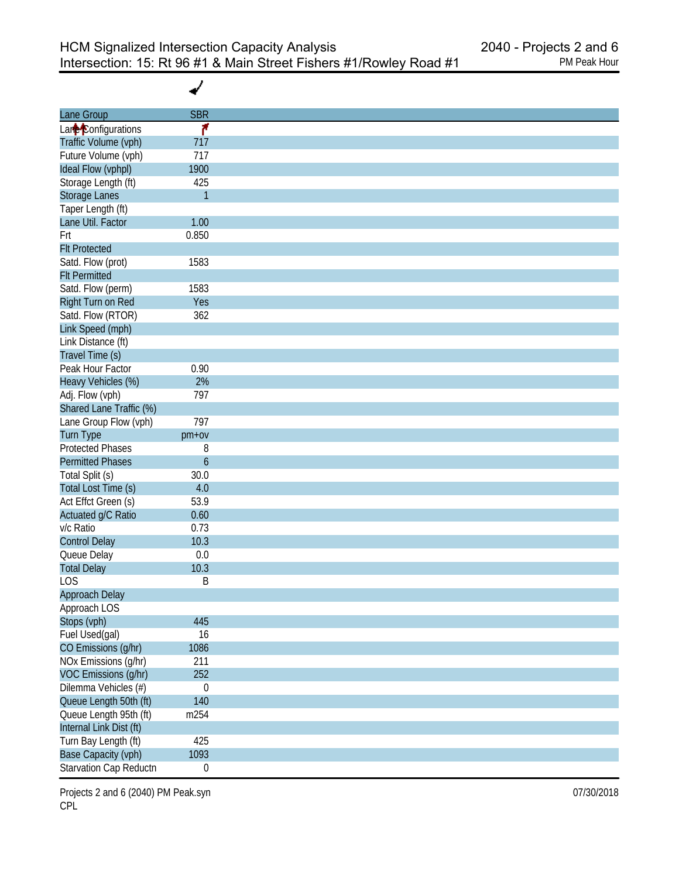✔

| Lane Group              | <b>SBR</b>       |
|-------------------------|------------------|
| Lane Configurations     | ۴                |
| Traffic Volume (vph)    | 717              |
| Future Volume (vph)     | 717              |
| Ideal Flow (vphpl)      | 1900             |
| Storage Length (ft)     | 425              |
| Storage Lanes           | $\mathbf{1}$     |
| Taper Length (ft)       |                  |
| Lane Util. Factor       | 1.00             |
| Frt                     | 0.850            |
| <b>Flt Protected</b>    |                  |
| Satd. Flow (prot)       | 1583             |
|                         |                  |
| <b>Flt Permitted</b>    |                  |
| Satd. Flow (perm)       | 1583             |
| Right Turn on Red       | Yes              |
| Satd. Flow (RTOR)       | 362              |
| Link Speed (mph)        |                  |
| Link Distance (ft)      |                  |
| Travel Time (s)         |                  |
| Peak Hour Factor        | 0.90             |
| Heavy Vehicles (%)      | 2%               |
| Adj. Flow (vph)         | 797              |
| Shared Lane Traffic (%) |                  |
| Lane Group Flow (vph)   | 797              |
| <b>Turn Type</b>        | pm+ov            |
| <b>Protected Phases</b> | 8                |
| <b>Permitted Phases</b> | $\boldsymbol{6}$ |
| Total Split (s)         | 30.0             |
| Total Lost Time (s)     | 4.0              |
| Act Effct Green (s)     | 53.9             |
| Actuated g/C Ratio      | 0.60             |
| v/c Ratio               | 0.73             |
| <b>Control Delay</b>    | 10.3             |
|                         | $0.0\,$          |
| Queue Delay             |                  |
| <b>Total Delay</b>      | 10.3             |
| <b>LOS</b>              | Β                |
| Approach Delay          |                  |
| Approach LOS            |                  |
| Stops (vph)             | 445              |
| Fuel Used(gal)          | 16               |
| CO Emissions (g/hr)     | 1086             |
| NOx Emissions (g/hr)    | 211              |
| VOC Emissions (g/hr)    | 252              |
| Dilemma Vehicles (#)    | $\boldsymbol{0}$ |
| Queue Length 50th (ft)  | 140              |
| Queue Length 95th (ft)  | m254             |
| Internal Link Dist (ft) |                  |
| Turn Bay Length (ft)    | 425              |
| Base Capacity (vph)     | 1093             |
| Starvation Cap Reductn  | $\boldsymbol{0}$ |
|                         |                  |

Projects 2 and 6 (2040) PM Peak.syn **Department 2008** 120 and 2018 07/30/2018 CPL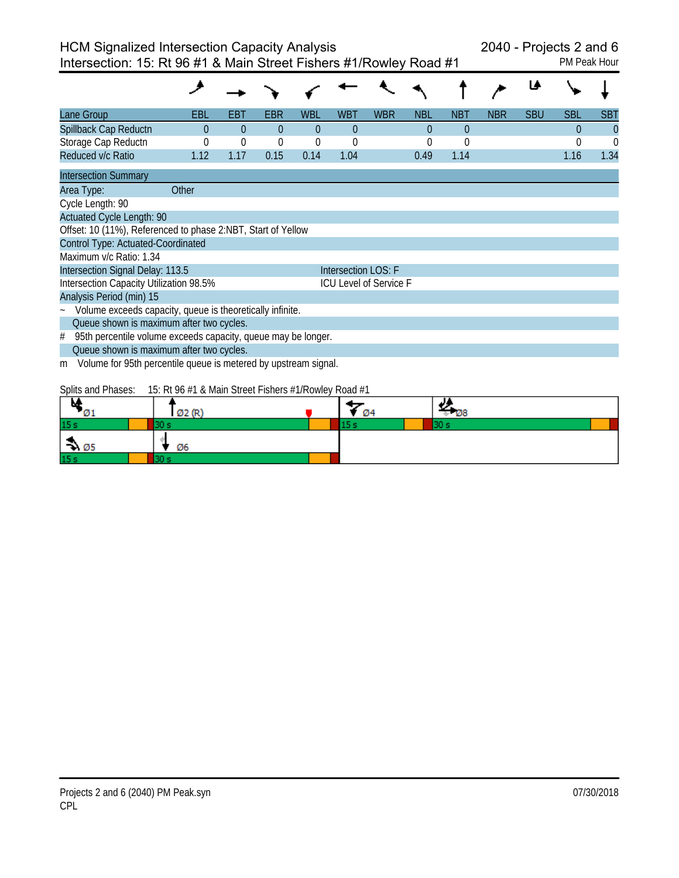Intersection: 15: Rt 96 #1 & Main Street Fishers #1/Rowley Road #1 PM Peak Hour

| Lane Group                                                                                                                                                          | EBL      | EBT         | EBR      | <b>WBL</b> | WBT                 | <b>WBR</b>                    | <b>NBL</b> | <b>NBT</b> | <b>NBR</b> | <b>SBU</b> | <b>SBL</b> | SBT      |
|---------------------------------------------------------------------------------------------------------------------------------------------------------------------|----------|-------------|----------|------------|---------------------|-------------------------------|------------|------------|------------|------------|------------|----------|
| Spillback Cap Reductn                                                                                                                                               | $\Omega$ | $\Omega$    | $\theta$ | $\Omega$   | $\theta$            |                               | $\theta$   | $\theta$   |            |            | $\theta$   | $\bf{0}$ |
| Storage Cap Reductn                                                                                                                                                 |          | $\mathbf 0$ | $\theta$ | $\theta$   | $\Omega$            |                               | 0          | $\theta$   |            |            | 0          | $\Omega$ |
| Reduced v/c Ratio                                                                                                                                                   | 1.12     | 1.17        | 0.15     | 0.14       | 1.04                |                               | 0.49       | 1.14       |            |            | 1.16       | 1.34     |
| <b>Intersection Summary</b>                                                                                                                                         |          |             |          |            |                     |                               |            |            |            |            |            |          |
| Area Type:                                                                                                                                                          | Other    |             |          |            |                     |                               |            |            |            |            |            |          |
| Cycle Length: 90                                                                                                                                                    |          |             |          |            |                     |                               |            |            |            |            |            |          |
| <b>Actuated Cycle Length: 90</b>                                                                                                                                    |          |             |          |            |                     |                               |            |            |            |            |            |          |
| Offset: 10 (11%), Referenced to phase 2:NBT, Start of Yellow                                                                                                        |          |             |          |            |                     |                               |            |            |            |            |            |          |
| Control Type: Actuated-Coordinated                                                                                                                                  |          |             |          |            |                     |                               |            |            |            |            |            |          |
| Maximum v/c Ratio: 1.34                                                                                                                                             |          |             |          |            |                     |                               |            |            |            |            |            |          |
| Intersection Signal Delay: 113.5                                                                                                                                    |          |             |          |            | Intersection LOS: F |                               |            |            |            |            |            |          |
| Intersection Capacity Utilization 98.5%                                                                                                                             |          |             |          |            |                     | <b>ICU Level of Service F</b> |            |            |            |            |            |          |
| Analysis Period (min) 15                                                                                                                                            |          |             |          |            |                     |                               |            |            |            |            |            |          |
| Volume exceeds capacity, queue is theoretically infinite.                                                                                                           |          |             |          |            |                     |                               |            |            |            |            |            |          |
| Queue shown is maximum after two cycles.                                                                                                                            |          |             |          |            |                     |                               |            |            |            |            |            |          |
| 95th percentile volume exceeds capacity, queue may be longer.<br>#                                                                                                  |          |             |          |            |                     |                               |            |            |            |            |            |          |
| Queue shown is maximum after two cycles.                                                                                                                            |          |             |          |            |                     |                               |            |            |            |            |            |          |
| Volume for 95th percentile queue is metered by upstream signal.<br>m                                                                                                |          |             |          |            |                     |                               |            |            |            |            |            |          |
| $C_{\alpha}$ the end $D_{\alpha}$ are $\alpha = 15$ of $D_{\alpha}$ (11.0 Meta $C_{\alpha}$ at $D_{\alpha}$ is $\alpha = 14$ $D_{\alpha}$ and $D_{\alpha}$ and $14$ |          |             |          |            |                     |                               |            |            |            |            |            |          |

Splits and Phases: 15: Rt 96 #1 & Main Street Fishers #1/Rowley Road #1

| м<br>$\mathcal{O}_1$ | Ø2 (R) | - 04 | IJ<br>- 08 |
|----------------------|--------|------|------------|
| 15 <sub>s</sub>      |        |      |            |
| $\rightarrow$ 05     | Ø6     |      |            |
| 15 <sub>s</sub>      |        |      |            |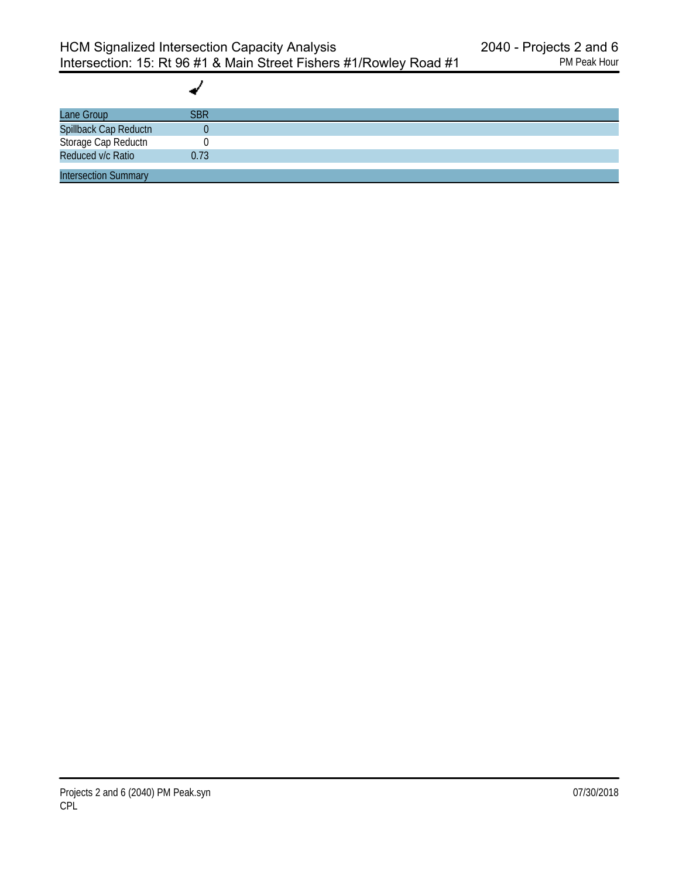| <b>SBR</b> |  |
|------------|--|
|            |  |
|            |  |
| 0.73       |  |
|            |  |
|            |  |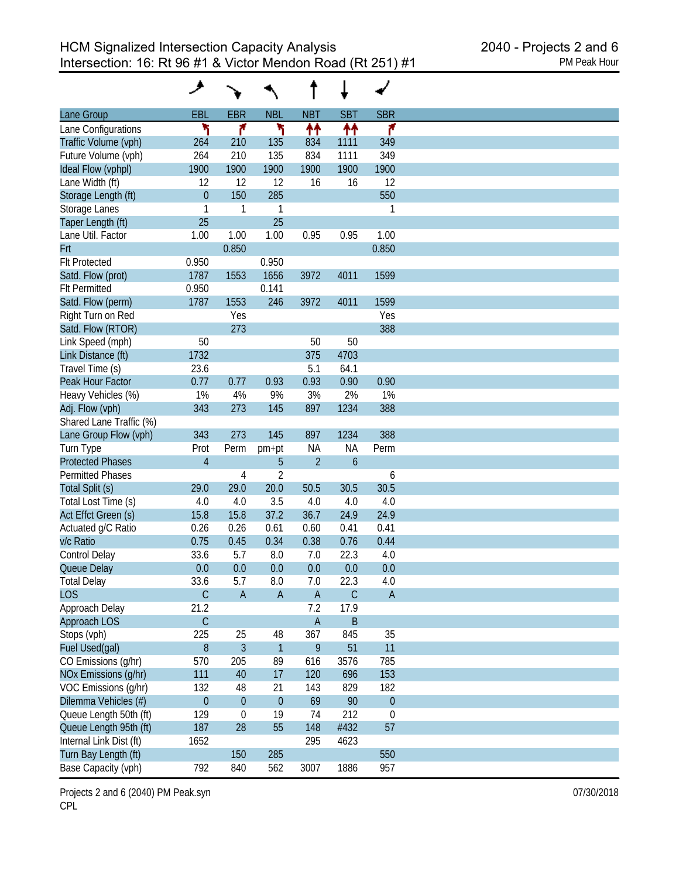|                         | فر               |                |                |                |                     |             |
|-------------------------|------------------|----------------|----------------|----------------|---------------------|-------------|
| Lane Group              | EBL              | <b>EBR</b>     | <b>NBL</b>     | <b>NBT</b>     | <b>SBT</b>          | <b>SBR</b>  |
| Lane Configurations     | ۲                | ۴              | ۲              | ↟↟             | ↟↟                  | ۴           |
| Traffic Volume (vph)    | 264              | 210            | 135            | 834            | 1111                | 349         |
| Future Volume (vph)     | 264              | 210            | 135            | 834            | 1111                | 349         |
| Ideal Flow (vphpl)      | 1900             | 1900           | 1900           | 1900           | 1900                | 1900        |
| Lane Width (ft)         | 12               | 12             | 12             | 16             | 16                  | 12          |
| Storage Length (ft)     | $\theta$         | 150            | 285            |                |                     | 550         |
| Storage Lanes           | 1                | 1              | 1              |                |                     | 1           |
| Taper Length (ft)       | 25               |                | 25             |                |                     |             |
| Lane Util. Factor       | 1.00             | 1.00           | 1.00           | 0.95           | 0.95                | 1.00        |
|                         |                  |                |                |                |                     |             |
| Frt                     |                  | 0.850          |                |                |                     | 0.850       |
| <b>Flt Protected</b>    | 0.950            |                | 0.950          |                |                     |             |
| Satd. Flow (prot)       | 1787             | 1553           | 1656           | 3972           | 4011                | 1599        |
| <b>Flt Permitted</b>    | 0.950            |                | 0.141          |                |                     |             |
| Satd. Flow (perm)       | 1787             | 1553           | 246            | 3972           | 4011                | 1599        |
| Right Turn on Red       |                  | Yes            |                |                |                     | Yes         |
| Satd. Flow (RTOR)       |                  | 273            |                |                |                     | 388         |
| Link Speed (mph)        | 50               |                |                | 50             | 50                  |             |
| Link Distance (ft)      | 1732             |                |                | 375            | 4703                |             |
| Travel Time (s)         | 23.6             |                |                | 5.1            | 64.1                |             |
| Peak Hour Factor        | 0.77             | 0.77           | 0.93           | 0.93           | 0.90                | 0.90        |
| Heavy Vehicles (%)      | 1%               | 4%             | 9%             | 3%             | 2%                  | 1%          |
| Adj. Flow (vph)         | 343              | 273            | 145            | 897            | 1234                | 388         |
| Shared Lane Traffic (%) |                  |                |                |                |                     |             |
| Lane Group Flow (vph)   | 343              | 273            | 145            | 897            | 1234                | 388         |
| Turn Type               | Prot             | Perm           | pm+pt          | <b>NA</b>      | <b>NA</b>           | Perm        |
| <b>Protected Phases</b> | $\overline{4}$   |                | 5              | $\overline{2}$ | $\ddot{\mathbf{6}}$ |             |
| <b>Permitted Phases</b> |                  | 4              | $\overline{2}$ |                |                     | 6           |
| Total Split (s)         | 29.0             | 29.0           | 20.0           | 50.5           | 30.5                | 30.5        |
| Total Lost Time (s)     | 4.0              | 4.0            | 3.5            | 4.0            | 4.0                 | 4.0         |
| Act Effct Green (s)     | 15.8             | 15.8           | 37.2           | 36.7           | 24.9                | 24.9        |
|                         |                  |                |                | 0.60           |                     |             |
| Actuated g/C Ratio      | 0.26             | 0.26           | 0.61           |                | 0.41                | 0.41        |
| v/c Ratio               | 0.75             | 0.45           | 0.34           | 0.38           | 0.76                | 0.44        |
| <b>Control Delay</b>    | 33.6             | 5.7            | 8.0            | 7.0            | 22.3                | 4.0         |
| Queue Delay             | 0.0              | 0.0            | 0.0            | 0.0            | 0.0                 | 0.0         |
| <b>Total Delay</b>      | 33.6             | 5.7            | 8.0            | 7.0            | 22.3                | 4.0         |
| <b>LOS</b>              | $\mathsf C$      | $\mathsf{A}$   | $\mathsf A$    | $\mathsf{A}$   | $\mathsf C$         | $\mathsf A$ |
| Approach Delay          | 21.2             |                |                | 7.2            | 17.9                |             |
| Approach LOS            | $\mathsf C$      |                |                | $\mathsf A$    | $\sf B$             |             |
| Stops (vph)             | 225              | 25             | 48             | 367            | 845                 | 35          |
| Fuel Used(gal)          | $\, 8$           | $\mathfrak{Z}$ | $\overline{1}$ | 9              | 51                  | 11          |
| CO Emissions (g/hr)     | 570              | 205            | 89             | 616            | 3576                | 785         |
| NOx Emissions (g/hr)    | 111              | 40             | 17             | 120            | 696                 | 153         |
| VOC Emissions (q/hr)    | 132              | 48             | 21             | 143            | 829                 | 182         |
| Dilemma Vehicles (#)    | $\boldsymbol{0}$ | $\theta$       | $\theta$       | 69             | 90                  | $\theta$    |
| Queue Length 50th (ft)  | 129              | $\mathbf 0$    | 19             | 74             | 212                 | $\mathbf 0$ |
| Queue Length 95th (ft)  | 187              | 28             | 55             | 148            | #432                | 57          |
| Internal Link Dist (ft) | 1652             |                |                | 295            | 4623                |             |
|                         |                  |                |                |                |                     |             |
| Turn Bay Length (ft)    |                  | 150            | 285            |                |                     | 550         |
| Base Capacity (vph)     | 792              | 840            | 562            | 3007           | 1886                | 957         |

Projects 2 and 6 (2040) PM Peak.syn **Department 2008** 120 and 2018 07/30/2018 CPL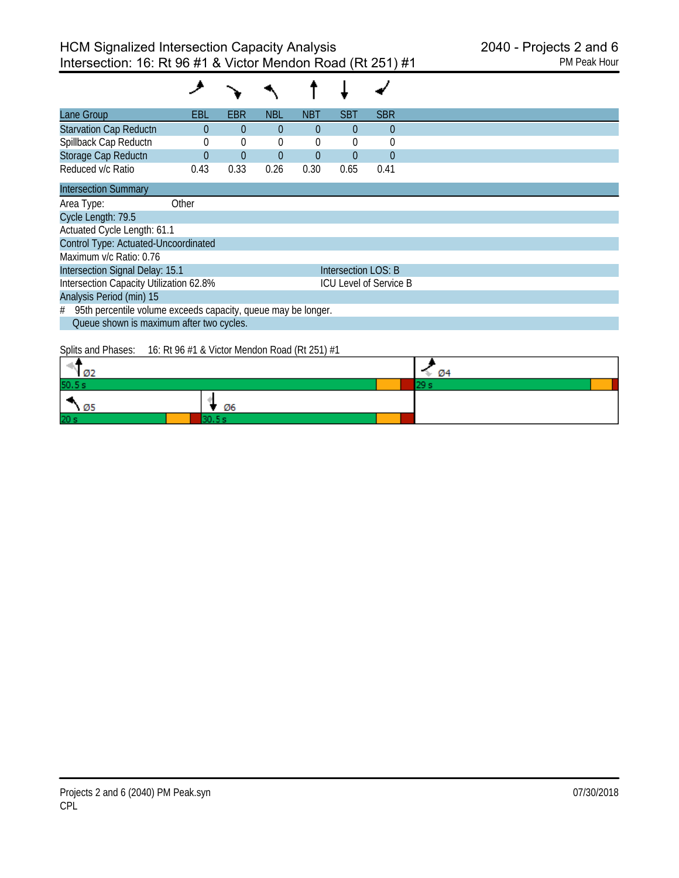| Lane Group                                                      | EBL      | EBR            | <b>NBL</b>     | <b>NBT</b>     | <b>SBT</b>          | <b>SBR</b>                    |
|-----------------------------------------------------------------|----------|----------------|----------------|----------------|---------------------|-------------------------------|
| <b>Starvation Cap Reductn</b>                                   | 0        | $\overline{0}$ | $\Omega$       | $\theta$       | $\overline{0}$      | $\theta$                      |
| Spillback Cap Reductn                                           | 0        | 0              | 0              | 0              | $\mathbf 0$         | $\mathbf 0$                   |
| Storage Cap Reductn                                             | $\Omega$ | $\overline{0}$ | $\overline{0}$ | $\overline{0}$ | $\overline{0}$      | $\overline{0}$                |
| Reduced v/c Ratio                                               | 0.43     | 0.33           | 0.26           | 0.30           | 0.65                | 0.41                          |
| <b>Intersection Summary</b>                                     |          |                |                |                |                     |                               |
| Area Type:                                                      | Other    |                |                |                |                     |                               |
| Cycle Length: 79.5                                              |          |                |                |                |                     |                               |
| Actuated Cycle Length: 61.1                                     |          |                |                |                |                     |                               |
| Control Type: Actuated-Uncoordinated                            |          |                |                |                |                     |                               |
| Maximum v/c Ratio: 0.76                                         |          |                |                |                |                     |                               |
| Intersection Signal Delay: 15.1                                 |          |                |                |                | Intersection LOS: B |                               |
| Intersection Capacity Utilization 62.8%                         |          |                |                |                |                     | <b>ICU Level of Service B</b> |
| Analysis Period (min) 15                                        |          |                |                |                |                     |                               |
| # 95th percentile volume exceeds capacity, queue may be longer. |          |                |                |                |                     |                               |
| Queue shown is maximum after two cycles.                        |          |                |                |                |                     |                               |

# Splits and Phases: 16: Rt 96 #1 & Victor Mendon Road (Rt 251) #1

| $\sqrt{2}$      |    | $\rightarrow$ 04 |  |
|-----------------|----|------------------|--|
| 50.5 s          |    |                  |  |
| $\sqrt{25}$     | Ø6 |                  |  |
| 20 <sub>s</sub> |    |                  |  |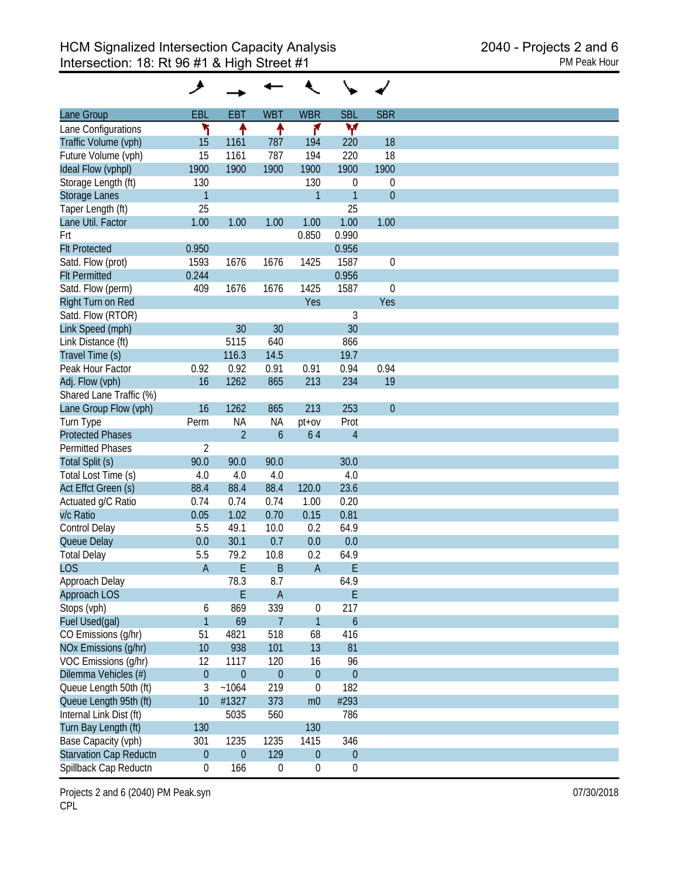| Lane Group                    | EBL              | <b>EBT</b>     | <b>WBT</b>       | <b>WBR</b>       | <b>SBL</b>       | <b>SBR</b>  |
|-------------------------------|------------------|----------------|------------------|------------------|------------------|-------------|
| Lane Configurations           | ۲                | ↟              | ↟                | ۴                | ۷                |             |
| Traffic Volume (vph)          | 15               | 1161           | 787              | 194              | 220              | 18          |
| Future Volume (vph)           | 15               | 1161           | 787              | 194              | 220              | 18          |
| Ideal Flow (vphpl)            | 1900             | 1900           | 1900             | 1900             | 1900             | 1900        |
| Storage Length (ft)           | 130              |                |                  | 130              | $\boldsymbol{0}$ | $\mathbf 0$ |
| <b>Storage Lanes</b>          | $\mathbf{1}$     |                |                  | $\mathbf{1}$     | $\mathbf{1}$     | $\theta$    |
|                               | 25               |                |                  |                  | 25               |             |
| Taper Length (ft)             |                  |                |                  |                  |                  |             |
| Lane Util. Factor             | 1.00             | 1.00           | 1.00             | 1.00             | 1.00             | 1.00        |
| Frt                           |                  |                |                  | 0.850            | 0.990            |             |
| <b>Flt Protected</b>          | 0.950            |                |                  |                  | 0.956            |             |
| Satd. Flow (prot)             | 1593             | 1676           | 1676             | 1425             | 1587             | $\mathbf 0$ |
| <b>Flt Permitted</b>          | 0.244            |                |                  |                  | 0.956            |             |
| Satd. Flow (perm)             | 409              | 1676           | 1676             | 1425             | 1587             | $\mathbf 0$ |
| Right Turn on Red             |                  |                |                  | Yes              |                  | Yes         |
| Satd. Flow (RTOR)             |                  |                |                  |                  | $\sqrt{3}$       |             |
| Link Speed (mph)              |                  | 30             | 30               |                  | 30               |             |
| Link Distance (ft)            |                  | 5115           | 640              |                  | 866              |             |
| Travel Time (s)               |                  | 116.3          | 14.5             |                  | 19.7             |             |
| Peak Hour Factor              | 0.92             | 0.92           | 0.91             | 0.91             | 0.94             | 0.94        |
| Adj. Flow (vph)               | 16               | 1262           | 865              | 213              | 234              | 19          |
| Shared Lane Traffic (%)       |                  |                |                  |                  |                  |             |
| Lane Group Flow (vph)         | 16               | 1262           | 865              | 213              | 253              | $\theta$    |
| Turn Type                     | Perm             | <b>NA</b>      | <b>NA</b>        | $pt+ov$          | Prot             |             |
| <b>Protected Phases</b>       |                  | $\overline{2}$ | $\mathfrak b$    | 64               | $\overline{4}$   |             |
| <b>Permitted Phases</b>       | $\overline{2}$   |                |                  |                  |                  |             |
| Total Split (s)               | 90.0             | 90.0           | 90.0             |                  | 30.0             |             |
| Total Lost Time (s)           | 4.0              | 4.0            | 4.0              |                  | 4.0              |             |
| Act Effct Green (s)           | 88.4             | 88.4           | 88.4             | 120.0            | 23.6             |             |
| Actuated g/C Ratio            | 0.74             | 0.74           | 0.74             | 1.00             | 0.20             |             |
| v/c Ratio                     | 0.05             | 1.02           | 0.70             | 0.15             | 0.81             |             |
| Control Delay                 | 5.5              | 49.1           | 10.0             | 0.2              | 64.9             |             |
|                               |                  |                |                  |                  |                  |             |
| Queue Delay                   | 0.0              | 30.1           | 0.7              | 0.0              | 0.0              |             |
| <b>Total Delay</b>            | 5.5              | 79.2           | 10.8             | 0.2              | 64.9             |             |
| <b>LOS</b>                    | $\overline{A}$   | E              | B                | A                | E                |             |
| Approach Delay                |                  | 78.3           | 8.7              |                  | 64.9             |             |
| Approach LOS                  |                  | $\mathsf E$    | $\overline{A}$   |                  | E                |             |
| Stops (vph)                   | 6                | 869            | 339              | $\pmb{0}$        | 217              |             |
| Fuel Used(gal)                | $\mathbf{1}$     | 69             | $\overline{7}$   | 1                | $\boldsymbol{6}$ |             |
| CO Emissions (g/hr)           | 51               | 4821           | 518              | 68               | 416              |             |
| NOx Emissions (g/hr)          | 10               | 938            | 101              | 13               | 81               |             |
| VOC Emissions (q/hr)          | 12               | 1117           | 120              | 16               | 96               |             |
| Dilemma Vehicles (#)          | $\boldsymbol{0}$ | $\theta$       | $\mathbf{0}$     | $\boldsymbol{0}$ | $\boldsymbol{0}$ |             |
| Queue Length 50th (ft)        | 3                | ~1064          | 219              | $\boldsymbol{0}$ | 182              |             |
| Queue Length 95th (ft)        | 10               | #1327          | 373              | m <sub>0</sub>   | #293             |             |
| Internal Link Dist (ft)       |                  | 5035           | 560              |                  | 786              |             |
| Turn Bay Length (ft)          | 130              |                |                  | 130              |                  |             |
| Base Capacity (vph)           | 301              | 1235           | 1235             | 1415             | 346              |             |
| <b>Starvation Cap Reductn</b> | $\boldsymbol{0}$ | $\mathbf{0}$   | 129              | $\boldsymbol{0}$ | $\boldsymbol{0}$ |             |
| Spillback Cap Reductn         | 0                | 166            | $\boldsymbol{0}$ | $\boldsymbol{0}$ | $\boldsymbol{0}$ |             |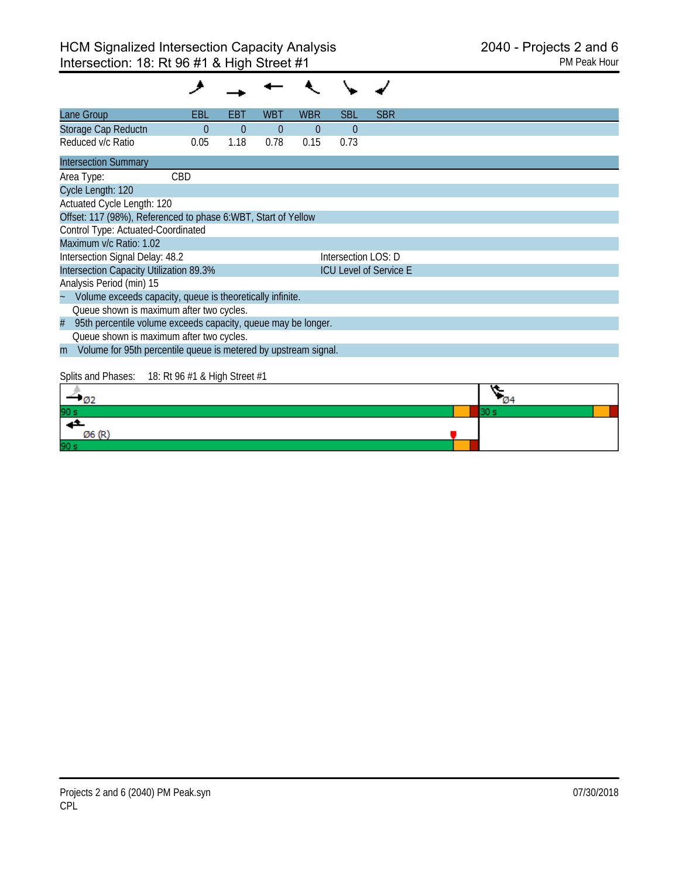| Lane Group                                                           | EBL      | EBI      | <b>WBT</b> | <b>WBR</b> | <b>SBL</b>          | <b>SBR</b>                    |      |  |
|----------------------------------------------------------------------|----------|----------|------------|------------|---------------------|-------------------------------|------|--|
| Storage Cap Reductn                                                  | $\theta$ | $\theta$ | $\theta$   | $\theta$   | $\Omega$            |                               |      |  |
| Reduced v/c Ratio                                                    | 0.05     | 1.18     | 0.78       | 0.15       | 0.73                |                               |      |  |
| <b>Intersection Summary</b>                                          |          |          |            |            |                     |                               |      |  |
| Area Type:                                                           | CBD      |          |            |            |                     |                               |      |  |
| Cycle Length: 120                                                    |          |          |            |            |                     |                               |      |  |
| Actuated Cycle Length: 120                                           |          |          |            |            |                     |                               |      |  |
| Offset: 117 (98%), Referenced to phase 6: WBT, Start of Yellow       |          |          |            |            |                     |                               |      |  |
| Control Type: Actuated-Coordinated                                   |          |          |            |            |                     |                               |      |  |
| Maximum v/c Ratio: 1.02                                              |          |          |            |            |                     |                               |      |  |
| Intersection Signal Delay: 48.2                                      |          |          |            |            | Intersection LOS: D |                               |      |  |
| Intersection Capacity Utilization 89.3%                              |          |          |            |            |                     | <b>ICU Level of Service E</b> |      |  |
| Analysis Period (min) 15                                             |          |          |            |            |                     |                               |      |  |
| Volume exceeds capacity, queue is theoretically infinite.            |          |          |            |            |                     |                               |      |  |
| Queue shown is maximum after two cycles.                             |          |          |            |            |                     |                               |      |  |
| 95th percentile volume exceeds capacity, queue may be longer.<br>#   |          |          |            |            |                     |                               |      |  |
| Queue shown is maximum after two cycles.                             |          |          |            |            |                     |                               |      |  |
| Volume for 95th percentile queue is metered by upstream signal.<br>m |          |          |            |            |                     |                               |      |  |
|                                                                      |          |          |            |            |                     |                               |      |  |
| Splits and Phases: 18: Rt 96 #1 & High Street #1                     |          |          |            |            |                     |                               |      |  |
| $-02$                                                                |          |          |            |            |                     |                               |      |  |
|                                                                      |          |          |            |            |                     |                               | 30 s |  |
|                                                                      |          |          |            |            |                     |                               |      |  |

Ø6 (R)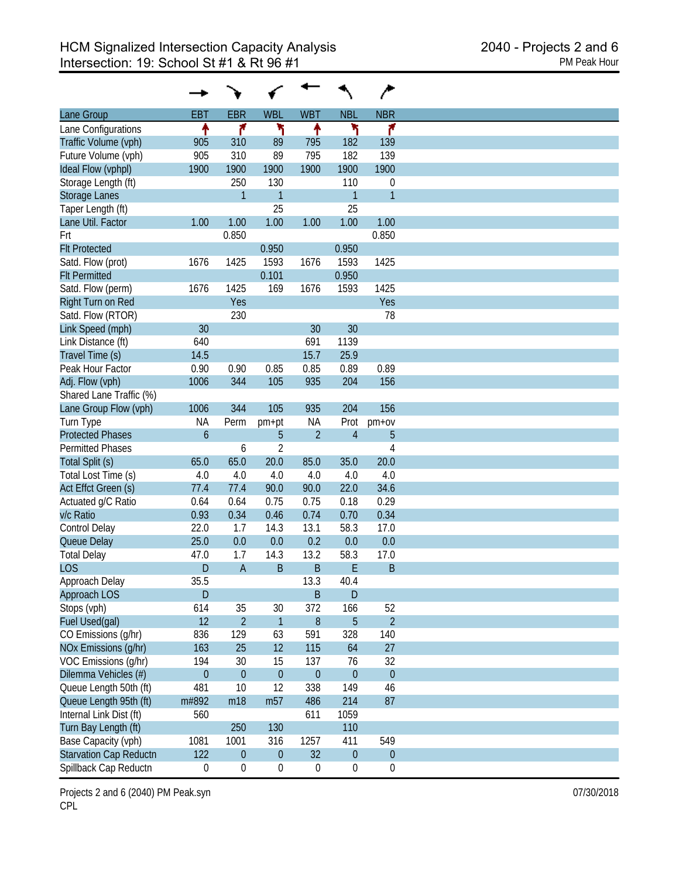| <b>WBL</b><br><b>WBT</b><br><b>NBL</b><br><b>NBR</b><br><b>EBT</b><br><b>EBR</b><br>Lane Group<br>۴<br>١<br>۲<br>۴<br>↟<br>↟<br>Lane Configurations<br>Traffic Volume (vph)<br>905<br>310<br>89<br>182<br>139<br>795<br>905<br>89<br>182<br>Future Volume (vph)<br>310<br>795<br>139<br>1900<br>Ideal Flow (vphpl)<br>1900<br>1900<br>1900<br>1900<br>1900<br>250<br>130<br>Storage Length (ft)<br>110<br>$\boldsymbol{0}$<br>$\overline{1}$<br>$\overline{1}$<br>$\mathbf{1}$<br>Storage Lanes<br>$\mathbf{1}$<br>25<br>25<br>Taper Length (ft)<br>Lane Util. Factor<br>1.00<br>1.00<br>1.00<br>1.00<br>1.00<br>1.00<br>0.850<br>0.850<br>Frt<br><b>Flt Protected</b><br>0.950<br>0.950<br>1425<br>1425<br>Satd. Flow (prot)<br>1676<br>1593<br>1676<br>1593<br><b>Flt Permitted</b><br>0.101<br>0.950<br>1425<br>169<br>1593<br>1425<br>Satd. Flow (perm)<br>1676<br>1676<br>Right Turn on Red<br>Yes<br>Yes<br>230<br>Satd. Flow (RTOR)<br>78<br>Link Speed (mph)<br>30<br>30<br>30<br>691<br>1139<br>Link Distance (ft)<br>640<br>Travel Time (s)<br>15.7<br>25.9<br>14.5<br>0.89<br>Peak Hour Factor<br>0.90<br>0.90<br>0.85<br>0.85<br>0.89<br>1006<br>105<br>204<br>Adj. Flow (vph)<br>344<br>935<br>156<br>Shared Lane Traffic (%)<br>105<br>204<br>156<br>Lane Group Flow (vph)<br>1006<br>344<br>935<br>Turn Type<br><b>NA</b><br>Perm<br><b>NA</b><br>Prot<br>$pm+ov$<br>pm+pt<br>$\ddot{\mathbf{6}}$<br>$\overline{2}$<br>$\overline{4}$<br><b>Protected Phases</b><br>5<br>5<br>$\overline{2}$<br>$\overline{4}$<br><b>Permitted Phases</b><br>6<br>65.0<br>20.0<br>Total Split (s)<br>65.0<br>85.0<br>35.0<br>20.0<br>4.0<br>Total Lost Time (s)<br>4.0<br>4.0<br>4.0<br>4.0<br>4.0<br>77.4<br>77.4<br>90.0<br>34.6<br>Act Effct Green (s)<br>90.0<br>22.0<br>0.75<br>0.18<br>0.29<br>Actuated g/C Ratio<br>0.64<br>0.64<br>0.75<br>v/c Ratio<br>0.46<br>0.34<br>0.93<br>0.34<br>0.74<br>0.70<br>14.3<br>58.3<br>Control Delay<br>22.0<br>1.7<br>13.1<br>17.0<br>25.0<br>0.0<br>0.2<br>0.0<br>Queue Delay<br>0.0<br>0.0<br>14.3<br>58.3<br><b>Total Delay</b><br>47.0<br>1.7<br>13.2<br>17.0<br>$\mathsf B$<br><b>LOS</b><br>D<br>B<br>E<br>B<br>$\overline{A}$<br>35.5<br>13.3<br>Approach Delay<br>40.4<br>D<br>B<br>$\mathsf{D}$<br>Approach LOS<br>52<br>Stops (vph)<br>614<br>35<br>30<br>372<br>166<br>12<br>$\overline{2}$<br>$\mathbf{1}$<br>5<br>$\overline{2}$<br>Fuel Used(gal)<br>8<br>328<br>CO Emissions (g/hr)<br>836<br>129<br>63<br>591<br>140<br>163<br>12<br>NOx Emissions (g/hr)<br>25<br>115<br>64<br>27<br>VOC Emissions (q/hr)<br>194<br>15<br>137<br>76<br>32<br>30<br>Dilemma Vehicles (#)<br>$\theta$<br>$\mathbf{0}$<br>$\theta$<br>$\mathbf{0}$<br>$\theta$<br>$\theta$<br>12<br>149<br>Queue Length 50th (ft)<br>481<br>10<br>338<br>46<br>m57<br>Queue Length 95th (ft)<br>m#892<br>m18<br>214<br>87<br>486 |
|---------------------------------------------------------------------------------------------------------------------------------------------------------------------------------------------------------------------------------------------------------------------------------------------------------------------------------------------------------------------------------------------------------------------------------------------------------------------------------------------------------------------------------------------------------------------------------------------------------------------------------------------------------------------------------------------------------------------------------------------------------------------------------------------------------------------------------------------------------------------------------------------------------------------------------------------------------------------------------------------------------------------------------------------------------------------------------------------------------------------------------------------------------------------------------------------------------------------------------------------------------------------------------------------------------------------------------------------------------------------------------------------------------------------------------------------------------------------------------------------------------------------------------------------------------------------------------------------------------------------------------------------------------------------------------------------------------------------------------------------------------------------------------------------------------------------------------------------------------------------------------------------------------------------------------------------------------------------------------------------------------------------------------------------------------------------------------------------------------------------------------------------------------------------------------------------------------------------------------------------------------------------------------------------------------------------------------------------------------------------------------------------------------------------------------------------------------------------------------------------------------------------------------------------------------------------------------------------------------------------------------------------------------------------------------------------------------------------------------------------------------------------------------------------------------------------------------------------------------|
|                                                                                                                                                                                                                                                                                                                                                                                                                                                                                                                                                                                                                                                                                                                                                                                                                                                                                                                                                                                                                                                                                                                                                                                                                                                                                                                                                                                                                                                                                                                                                                                                                                                                                                                                                                                                                                                                                                                                                                                                                                                                                                                                                                                                                                                                                                                                                                                                                                                                                                                                                                                                                                                                                                                                                                                                                                                         |
|                                                                                                                                                                                                                                                                                                                                                                                                                                                                                                                                                                                                                                                                                                                                                                                                                                                                                                                                                                                                                                                                                                                                                                                                                                                                                                                                                                                                                                                                                                                                                                                                                                                                                                                                                                                                                                                                                                                                                                                                                                                                                                                                                                                                                                                                                                                                                                                                                                                                                                                                                                                                                                                                                                                                                                                                                                                         |
|                                                                                                                                                                                                                                                                                                                                                                                                                                                                                                                                                                                                                                                                                                                                                                                                                                                                                                                                                                                                                                                                                                                                                                                                                                                                                                                                                                                                                                                                                                                                                                                                                                                                                                                                                                                                                                                                                                                                                                                                                                                                                                                                                                                                                                                                                                                                                                                                                                                                                                                                                                                                                                                                                                                                                                                                                                                         |
|                                                                                                                                                                                                                                                                                                                                                                                                                                                                                                                                                                                                                                                                                                                                                                                                                                                                                                                                                                                                                                                                                                                                                                                                                                                                                                                                                                                                                                                                                                                                                                                                                                                                                                                                                                                                                                                                                                                                                                                                                                                                                                                                                                                                                                                                                                                                                                                                                                                                                                                                                                                                                                                                                                                                                                                                                                                         |
|                                                                                                                                                                                                                                                                                                                                                                                                                                                                                                                                                                                                                                                                                                                                                                                                                                                                                                                                                                                                                                                                                                                                                                                                                                                                                                                                                                                                                                                                                                                                                                                                                                                                                                                                                                                                                                                                                                                                                                                                                                                                                                                                                                                                                                                                                                                                                                                                                                                                                                                                                                                                                                                                                                                                                                                                                                                         |
|                                                                                                                                                                                                                                                                                                                                                                                                                                                                                                                                                                                                                                                                                                                                                                                                                                                                                                                                                                                                                                                                                                                                                                                                                                                                                                                                                                                                                                                                                                                                                                                                                                                                                                                                                                                                                                                                                                                                                                                                                                                                                                                                                                                                                                                                                                                                                                                                                                                                                                                                                                                                                                                                                                                                                                                                                                                         |
|                                                                                                                                                                                                                                                                                                                                                                                                                                                                                                                                                                                                                                                                                                                                                                                                                                                                                                                                                                                                                                                                                                                                                                                                                                                                                                                                                                                                                                                                                                                                                                                                                                                                                                                                                                                                                                                                                                                                                                                                                                                                                                                                                                                                                                                                                                                                                                                                                                                                                                                                                                                                                                                                                                                                                                                                                                                         |
|                                                                                                                                                                                                                                                                                                                                                                                                                                                                                                                                                                                                                                                                                                                                                                                                                                                                                                                                                                                                                                                                                                                                                                                                                                                                                                                                                                                                                                                                                                                                                                                                                                                                                                                                                                                                                                                                                                                                                                                                                                                                                                                                                                                                                                                                                                                                                                                                                                                                                                                                                                                                                                                                                                                                                                                                                                                         |
|                                                                                                                                                                                                                                                                                                                                                                                                                                                                                                                                                                                                                                                                                                                                                                                                                                                                                                                                                                                                                                                                                                                                                                                                                                                                                                                                                                                                                                                                                                                                                                                                                                                                                                                                                                                                                                                                                                                                                                                                                                                                                                                                                                                                                                                                                                                                                                                                                                                                                                                                                                                                                                                                                                                                                                                                                                                         |
|                                                                                                                                                                                                                                                                                                                                                                                                                                                                                                                                                                                                                                                                                                                                                                                                                                                                                                                                                                                                                                                                                                                                                                                                                                                                                                                                                                                                                                                                                                                                                                                                                                                                                                                                                                                                                                                                                                                                                                                                                                                                                                                                                                                                                                                                                                                                                                                                                                                                                                                                                                                                                                                                                                                                                                                                                                                         |
|                                                                                                                                                                                                                                                                                                                                                                                                                                                                                                                                                                                                                                                                                                                                                                                                                                                                                                                                                                                                                                                                                                                                                                                                                                                                                                                                                                                                                                                                                                                                                                                                                                                                                                                                                                                                                                                                                                                                                                                                                                                                                                                                                                                                                                                                                                                                                                                                                                                                                                                                                                                                                                                                                                                                                                                                                                                         |
|                                                                                                                                                                                                                                                                                                                                                                                                                                                                                                                                                                                                                                                                                                                                                                                                                                                                                                                                                                                                                                                                                                                                                                                                                                                                                                                                                                                                                                                                                                                                                                                                                                                                                                                                                                                                                                                                                                                                                                                                                                                                                                                                                                                                                                                                                                                                                                                                                                                                                                                                                                                                                                                                                                                                                                                                                                                         |
|                                                                                                                                                                                                                                                                                                                                                                                                                                                                                                                                                                                                                                                                                                                                                                                                                                                                                                                                                                                                                                                                                                                                                                                                                                                                                                                                                                                                                                                                                                                                                                                                                                                                                                                                                                                                                                                                                                                                                                                                                                                                                                                                                                                                                                                                                                                                                                                                                                                                                                                                                                                                                                                                                                                                                                                                                                                         |
|                                                                                                                                                                                                                                                                                                                                                                                                                                                                                                                                                                                                                                                                                                                                                                                                                                                                                                                                                                                                                                                                                                                                                                                                                                                                                                                                                                                                                                                                                                                                                                                                                                                                                                                                                                                                                                                                                                                                                                                                                                                                                                                                                                                                                                                                                                                                                                                                                                                                                                                                                                                                                                                                                                                                                                                                                                                         |
|                                                                                                                                                                                                                                                                                                                                                                                                                                                                                                                                                                                                                                                                                                                                                                                                                                                                                                                                                                                                                                                                                                                                                                                                                                                                                                                                                                                                                                                                                                                                                                                                                                                                                                                                                                                                                                                                                                                                                                                                                                                                                                                                                                                                                                                                                                                                                                                                                                                                                                                                                                                                                                                                                                                                                                                                                                                         |
|                                                                                                                                                                                                                                                                                                                                                                                                                                                                                                                                                                                                                                                                                                                                                                                                                                                                                                                                                                                                                                                                                                                                                                                                                                                                                                                                                                                                                                                                                                                                                                                                                                                                                                                                                                                                                                                                                                                                                                                                                                                                                                                                                                                                                                                                                                                                                                                                                                                                                                                                                                                                                                                                                                                                                                                                                                                         |
|                                                                                                                                                                                                                                                                                                                                                                                                                                                                                                                                                                                                                                                                                                                                                                                                                                                                                                                                                                                                                                                                                                                                                                                                                                                                                                                                                                                                                                                                                                                                                                                                                                                                                                                                                                                                                                                                                                                                                                                                                                                                                                                                                                                                                                                                                                                                                                                                                                                                                                                                                                                                                                                                                                                                                                                                                                                         |
|                                                                                                                                                                                                                                                                                                                                                                                                                                                                                                                                                                                                                                                                                                                                                                                                                                                                                                                                                                                                                                                                                                                                                                                                                                                                                                                                                                                                                                                                                                                                                                                                                                                                                                                                                                                                                                                                                                                                                                                                                                                                                                                                                                                                                                                                                                                                                                                                                                                                                                                                                                                                                                                                                                                                                                                                                                                         |
|                                                                                                                                                                                                                                                                                                                                                                                                                                                                                                                                                                                                                                                                                                                                                                                                                                                                                                                                                                                                                                                                                                                                                                                                                                                                                                                                                                                                                                                                                                                                                                                                                                                                                                                                                                                                                                                                                                                                                                                                                                                                                                                                                                                                                                                                                                                                                                                                                                                                                                                                                                                                                                                                                                                                                                                                                                                         |
|                                                                                                                                                                                                                                                                                                                                                                                                                                                                                                                                                                                                                                                                                                                                                                                                                                                                                                                                                                                                                                                                                                                                                                                                                                                                                                                                                                                                                                                                                                                                                                                                                                                                                                                                                                                                                                                                                                                                                                                                                                                                                                                                                                                                                                                                                                                                                                                                                                                                                                                                                                                                                                                                                                                                                                                                                                                         |
|                                                                                                                                                                                                                                                                                                                                                                                                                                                                                                                                                                                                                                                                                                                                                                                                                                                                                                                                                                                                                                                                                                                                                                                                                                                                                                                                                                                                                                                                                                                                                                                                                                                                                                                                                                                                                                                                                                                                                                                                                                                                                                                                                                                                                                                                                                                                                                                                                                                                                                                                                                                                                                                                                                                                                                                                                                                         |
|                                                                                                                                                                                                                                                                                                                                                                                                                                                                                                                                                                                                                                                                                                                                                                                                                                                                                                                                                                                                                                                                                                                                                                                                                                                                                                                                                                                                                                                                                                                                                                                                                                                                                                                                                                                                                                                                                                                                                                                                                                                                                                                                                                                                                                                                                                                                                                                                                                                                                                                                                                                                                                                                                                                                                                                                                                                         |
|                                                                                                                                                                                                                                                                                                                                                                                                                                                                                                                                                                                                                                                                                                                                                                                                                                                                                                                                                                                                                                                                                                                                                                                                                                                                                                                                                                                                                                                                                                                                                                                                                                                                                                                                                                                                                                                                                                                                                                                                                                                                                                                                                                                                                                                                                                                                                                                                                                                                                                                                                                                                                                                                                                                                                                                                                                                         |
|                                                                                                                                                                                                                                                                                                                                                                                                                                                                                                                                                                                                                                                                                                                                                                                                                                                                                                                                                                                                                                                                                                                                                                                                                                                                                                                                                                                                                                                                                                                                                                                                                                                                                                                                                                                                                                                                                                                                                                                                                                                                                                                                                                                                                                                                                                                                                                                                                                                                                                                                                                                                                                                                                                                                                                                                                                                         |
|                                                                                                                                                                                                                                                                                                                                                                                                                                                                                                                                                                                                                                                                                                                                                                                                                                                                                                                                                                                                                                                                                                                                                                                                                                                                                                                                                                                                                                                                                                                                                                                                                                                                                                                                                                                                                                                                                                                                                                                                                                                                                                                                                                                                                                                                                                                                                                                                                                                                                                                                                                                                                                                                                                                                                                                                                                                         |
|                                                                                                                                                                                                                                                                                                                                                                                                                                                                                                                                                                                                                                                                                                                                                                                                                                                                                                                                                                                                                                                                                                                                                                                                                                                                                                                                                                                                                                                                                                                                                                                                                                                                                                                                                                                                                                                                                                                                                                                                                                                                                                                                                                                                                                                                                                                                                                                                                                                                                                                                                                                                                                                                                                                                                                                                                                                         |
|                                                                                                                                                                                                                                                                                                                                                                                                                                                                                                                                                                                                                                                                                                                                                                                                                                                                                                                                                                                                                                                                                                                                                                                                                                                                                                                                                                                                                                                                                                                                                                                                                                                                                                                                                                                                                                                                                                                                                                                                                                                                                                                                                                                                                                                                                                                                                                                                                                                                                                                                                                                                                                                                                                                                                                                                                                                         |
|                                                                                                                                                                                                                                                                                                                                                                                                                                                                                                                                                                                                                                                                                                                                                                                                                                                                                                                                                                                                                                                                                                                                                                                                                                                                                                                                                                                                                                                                                                                                                                                                                                                                                                                                                                                                                                                                                                                                                                                                                                                                                                                                                                                                                                                                                                                                                                                                                                                                                                                                                                                                                                                                                                                                                                                                                                                         |
|                                                                                                                                                                                                                                                                                                                                                                                                                                                                                                                                                                                                                                                                                                                                                                                                                                                                                                                                                                                                                                                                                                                                                                                                                                                                                                                                                                                                                                                                                                                                                                                                                                                                                                                                                                                                                                                                                                                                                                                                                                                                                                                                                                                                                                                                                                                                                                                                                                                                                                                                                                                                                                                                                                                                                                                                                                                         |
|                                                                                                                                                                                                                                                                                                                                                                                                                                                                                                                                                                                                                                                                                                                                                                                                                                                                                                                                                                                                                                                                                                                                                                                                                                                                                                                                                                                                                                                                                                                                                                                                                                                                                                                                                                                                                                                                                                                                                                                                                                                                                                                                                                                                                                                                                                                                                                                                                                                                                                                                                                                                                                                                                                                                                                                                                                                         |
|                                                                                                                                                                                                                                                                                                                                                                                                                                                                                                                                                                                                                                                                                                                                                                                                                                                                                                                                                                                                                                                                                                                                                                                                                                                                                                                                                                                                                                                                                                                                                                                                                                                                                                                                                                                                                                                                                                                                                                                                                                                                                                                                                                                                                                                                                                                                                                                                                                                                                                                                                                                                                                                                                                                                                                                                                                                         |
|                                                                                                                                                                                                                                                                                                                                                                                                                                                                                                                                                                                                                                                                                                                                                                                                                                                                                                                                                                                                                                                                                                                                                                                                                                                                                                                                                                                                                                                                                                                                                                                                                                                                                                                                                                                                                                                                                                                                                                                                                                                                                                                                                                                                                                                                                                                                                                                                                                                                                                                                                                                                                                                                                                                                                                                                                                                         |
|                                                                                                                                                                                                                                                                                                                                                                                                                                                                                                                                                                                                                                                                                                                                                                                                                                                                                                                                                                                                                                                                                                                                                                                                                                                                                                                                                                                                                                                                                                                                                                                                                                                                                                                                                                                                                                                                                                                                                                                                                                                                                                                                                                                                                                                                                                                                                                                                                                                                                                                                                                                                                                                                                                                                                                                                                                                         |
|                                                                                                                                                                                                                                                                                                                                                                                                                                                                                                                                                                                                                                                                                                                                                                                                                                                                                                                                                                                                                                                                                                                                                                                                                                                                                                                                                                                                                                                                                                                                                                                                                                                                                                                                                                                                                                                                                                                                                                                                                                                                                                                                                                                                                                                                                                                                                                                                                                                                                                                                                                                                                                                                                                                                                                                                                                                         |
|                                                                                                                                                                                                                                                                                                                                                                                                                                                                                                                                                                                                                                                                                                                                                                                                                                                                                                                                                                                                                                                                                                                                                                                                                                                                                                                                                                                                                                                                                                                                                                                                                                                                                                                                                                                                                                                                                                                                                                                                                                                                                                                                                                                                                                                                                                                                                                                                                                                                                                                                                                                                                                                                                                                                                                                                                                                         |
|                                                                                                                                                                                                                                                                                                                                                                                                                                                                                                                                                                                                                                                                                                                                                                                                                                                                                                                                                                                                                                                                                                                                                                                                                                                                                                                                                                                                                                                                                                                                                                                                                                                                                                                                                                                                                                                                                                                                                                                                                                                                                                                                                                                                                                                                                                                                                                                                                                                                                                                                                                                                                                                                                                                                                                                                                                                         |
|                                                                                                                                                                                                                                                                                                                                                                                                                                                                                                                                                                                                                                                                                                                                                                                                                                                                                                                                                                                                                                                                                                                                                                                                                                                                                                                                                                                                                                                                                                                                                                                                                                                                                                                                                                                                                                                                                                                                                                                                                                                                                                                                                                                                                                                                                                                                                                                                                                                                                                                                                                                                                                                                                                                                                                                                                                                         |
|                                                                                                                                                                                                                                                                                                                                                                                                                                                                                                                                                                                                                                                                                                                                                                                                                                                                                                                                                                                                                                                                                                                                                                                                                                                                                                                                                                                                                                                                                                                                                                                                                                                                                                                                                                                                                                                                                                                                                                                                                                                                                                                                                                                                                                                                                                                                                                                                                                                                                                                                                                                                                                                                                                                                                                                                                                                         |
|                                                                                                                                                                                                                                                                                                                                                                                                                                                                                                                                                                                                                                                                                                                                                                                                                                                                                                                                                                                                                                                                                                                                                                                                                                                                                                                                                                                                                                                                                                                                                                                                                                                                                                                                                                                                                                                                                                                                                                                                                                                                                                                                                                                                                                                                                                                                                                                                                                                                                                                                                                                                                                                                                                                                                                                                                                                         |
|                                                                                                                                                                                                                                                                                                                                                                                                                                                                                                                                                                                                                                                                                                                                                                                                                                                                                                                                                                                                                                                                                                                                                                                                                                                                                                                                                                                                                                                                                                                                                                                                                                                                                                                                                                                                                                                                                                                                                                                                                                                                                                                                                                                                                                                                                                                                                                                                                                                                                                                                                                                                                                                                                                                                                                                                                                                         |
|                                                                                                                                                                                                                                                                                                                                                                                                                                                                                                                                                                                                                                                                                                                                                                                                                                                                                                                                                                                                                                                                                                                                                                                                                                                                                                                                                                                                                                                                                                                                                                                                                                                                                                                                                                                                                                                                                                                                                                                                                                                                                                                                                                                                                                                                                                                                                                                                                                                                                                                                                                                                                                                                                                                                                                                                                                                         |
|                                                                                                                                                                                                                                                                                                                                                                                                                                                                                                                                                                                                                                                                                                                                                                                                                                                                                                                                                                                                                                                                                                                                                                                                                                                                                                                                                                                                                                                                                                                                                                                                                                                                                                                                                                                                                                                                                                                                                                                                                                                                                                                                                                                                                                                                                                                                                                                                                                                                                                                                                                                                                                                                                                                                                                                                                                                         |
|                                                                                                                                                                                                                                                                                                                                                                                                                                                                                                                                                                                                                                                                                                                                                                                                                                                                                                                                                                                                                                                                                                                                                                                                                                                                                                                                                                                                                                                                                                                                                                                                                                                                                                                                                                                                                                                                                                                                                                                                                                                                                                                                                                                                                                                                                                                                                                                                                                                                                                                                                                                                                                                                                                                                                                                                                                                         |
|                                                                                                                                                                                                                                                                                                                                                                                                                                                                                                                                                                                                                                                                                                                                                                                                                                                                                                                                                                                                                                                                                                                                                                                                                                                                                                                                                                                                                                                                                                                                                                                                                                                                                                                                                                                                                                                                                                                                                                                                                                                                                                                                                                                                                                                                                                                                                                                                                                                                                                                                                                                                                                                                                                                                                                                                                                                         |
|                                                                                                                                                                                                                                                                                                                                                                                                                                                                                                                                                                                                                                                                                                                                                                                                                                                                                                                                                                                                                                                                                                                                                                                                                                                                                                                                                                                                                                                                                                                                                                                                                                                                                                                                                                                                                                                                                                                                                                                                                                                                                                                                                                                                                                                                                                                                                                                                                                                                                                                                                                                                                                                                                                                                                                                                                                                         |
|                                                                                                                                                                                                                                                                                                                                                                                                                                                                                                                                                                                                                                                                                                                                                                                                                                                                                                                                                                                                                                                                                                                                                                                                                                                                                                                                                                                                                                                                                                                                                                                                                                                                                                                                                                                                                                                                                                                                                                                                                                                                                                                                                                                                                                                                                                                                                                                                                                                                                                                                                                                                                                                                                                                                                                                                                                                         |
|                                                                                                                                                                                                                                                                                                                                                                                                                                                                                                                                                                                                                                                                                                                                                                                                                                                                                                                                                                                                                                                                                                                                                                                                                                                                                                                                                                                                                                                                                                                                                                                                                                                                                                                                                                                                                                                                                                                                                                                                                                                                                                                                                                                                                                                                                                                                                                                                                                                                                                                                                                                                                                                                                                                                                                                                                                                         |
| Internal Link Dist (ft)<br>560<br>611<br>1059                                                                                                                                                                                                                                                                                                                                                                                                                                                                                                                                                                                                                                                                                                                                                                                                                                                                                                                                                                                                                                                                                                                                                                                                                                                                                                                                                                                                                                                                                                                                                                                                                                                                                                                                                                                                                                                                                                                                                                                                                                                                                                                                                                                                                                                                                                                                                                                                                                                                                                                                                                                                                                                                                                                                                                                                           |
| Turn Bay Length (ft)<br>250<br>130<br>110                                                                                                                                                                                                                                                                                                                                                                                                                                                                                                                                                                                                                                                                                                                                                                                                                                                                                                                                                                                                                                                                                                                                                                                                                                                                                                                                                                                                                                                                                                                                                                                                                                                                                                                                                                                                                                                                                                                                                                                                                                                                                                                                                                                                                                                                                                                                                                                                                                                                                                                                                                                                                                                                                                                                                                                                               |
| Base Capacity (vph)<br>549<br>1081<br>1001<br>316<br>1257<br>411                                                                                                                                                                                                                                                                                                                                                                                                                                                                                                                                                                                                                                                                                                                                                                                                                                                                                                                                                                                                                                                                                                                                                                                                                                                                                                                                                                                                                                                                                                                                                                                                                                                                                                                                                                                                                                                                                                                                                                                                                                                                                                                                                                                                                                                                                                                                                                                                                                                                                                                                                                                                                                                                                                                                                                                        |
| <b>Starvation Cap Reductn</b><br>122<br>$\boldsymbol{0}$<br>$\boldsymbol{0}$<br>32<br>$\boldsymbol{0}$<br>$\boldsymbol{0}$                                                                                                                                                                                                                                                                                                                                                                                                                                                                                                                                                                                                                                                                                                                                                                                                                                                                                                                                                                                                                                                                                                                                                                                                                                                                                                                                                                                                                                                                                                                                                                                                                                                                                                                                                                                                                                                                                                                                                                                                                                                                                                                                                                                                                                                                                                                                                                                                                                                                                                                                                                                                                                                                                                                              |
| Spillback Cap Reductn<br>$\boldsymbol{0}$<br>$\boldsymbol{0}$<br>$\boldsymbol{0}$<br>$\boldsymbol{0}$<br>0<br>$\boldsymbol{0}$                                                                                                                                                                                                                                                                                                                                                                                                                                                                                                                                                                                                                                                                                                                                                                                                                                                                                                                                                                                                                                                                                                                                                                                                                                                                                                                                                                                                                                                                                                                                                                                                                                                                                                                                                                                                                                                                                                                                                                                                                                                                                                                                                                                                                                                                                                                                                                                                                                                                                                                                                                                                                                                                                                                          |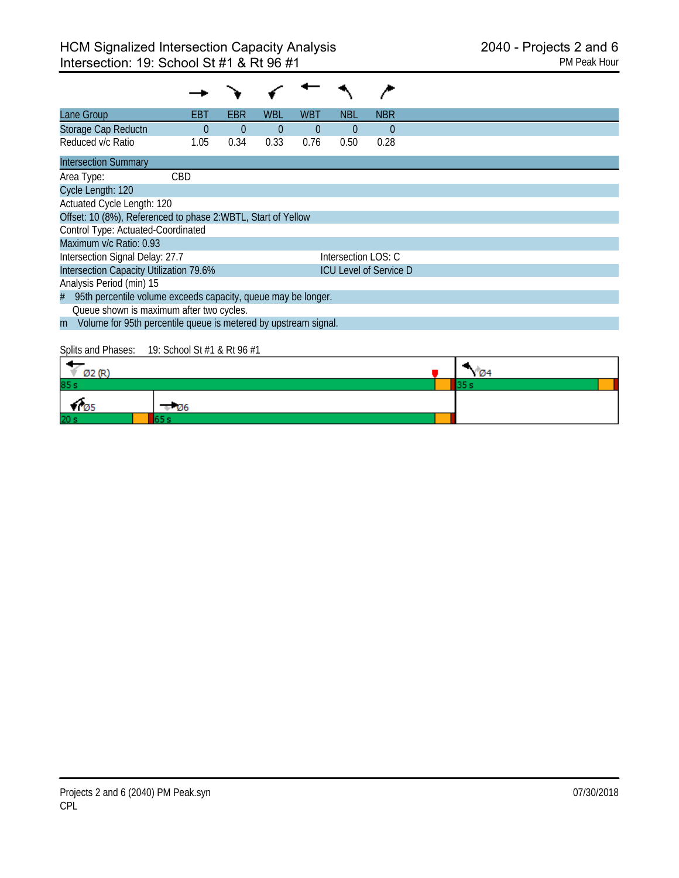| Lane Group                                                           | EBT            | <b>EBR</b>     | <b>WBL</b>     | <b>WBT</b>     | <b>NBL</b>          | <b>NBR</b>                    |
|----------------------------------------------------------------------|----------------|----------------|----------------|----------------|---------------------|-------------------------------|
| Storage Cap Reductn                                                  | $\overline{0}$ | $\overline{0}$ | $\overline{0}$ | $\overline{0}$ | $\overline{0}$      | $\Omega$                      |
| Reduced v/c Ratio                                                    | 1.05           | 0.34           | 0.33           | 0.76           | 0.50                | 0.28                          |
| <b>Intersection Summary</b>                                          |                |                |                |                |                     |                               |
| Area Type:                                                           | CBD            |                |                |                |                     |                               |
| Cycle Length: 120                                                    |                |                |                |                |                     |                               |
| Actuated Cycle Length: 120                                           |                |                |                |                |                     |                               |
| Offset: 10 (8%), Referenced to phase 2:WBTL, Start of Yellow         |                |                |                |                |                     |                               |
| Control Type: Actuated-Coordinated                                   |                |                |                |                |                     |                               |
| Maximum v/c Ratio: 0.93                                              |                |                |                |                |                     |                               |
| Intersection Signal Delay: 27.7                                      |                |                |                |                | Intersection LOS: C |                               |
| Intersection Capacity Utilization 79.6%                              |                |                |                |                |                     | <b>ICU Level of Service D</b> |
| Analysis Period (min) 15                                             |                |                |                |                |                     |                               |
| 95th percentile volume exceeds capacity, queue may be longer.<br>#   |                |                |                |                |                     |                               |
| Queue shown is maximum after two cycles.                             |                |                |                |                |                     |                               |
| Volume for 95th percentile queue is metered by upstream signal.<br>m |                |                |                |                |                     |                               |
|                                                                      |                |                |                |                |                     |                               |

Splits and Phases: 19: School St #1 & Rt 96 #1

| cars. And<br>× c |             | <b>73.44</b> |  |
|------------------|-------------|--------------|--|
| 85s              |             |              |  |
| כש ד             | <b>1</b> 26 |              |  |
| 20 <sub>3</sub>  |             |              |  |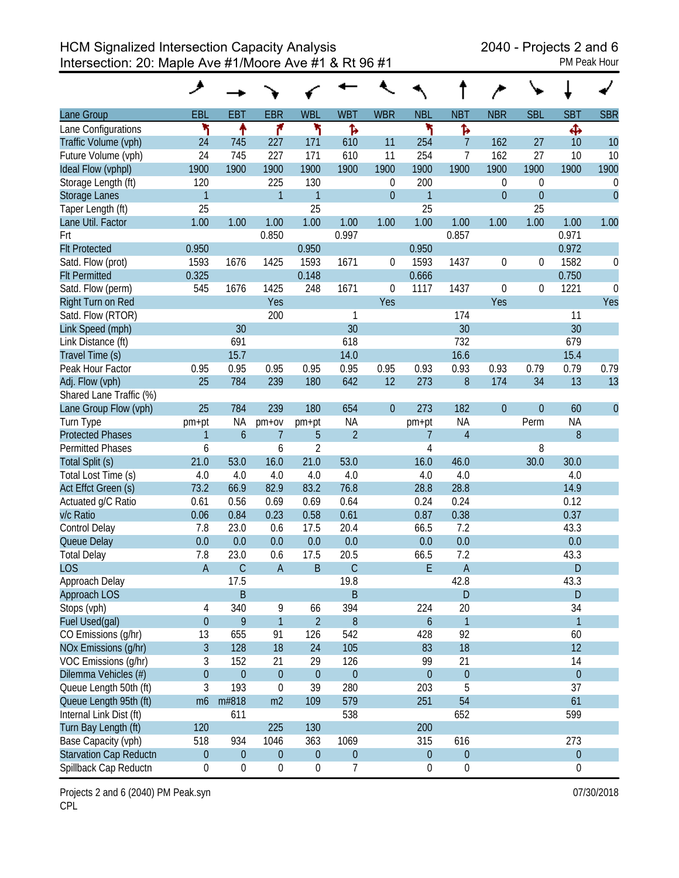|                               | ۶                |                  |                  |                  |                  |              |                  |                  |                |                  |                  |                  |
|-------------------------------|------------------|------------------|------------------|------------------|------------------|--------------|------------------|------------------|----------------|------------------|------------------|------------------|
| Lane Group                    | <b>EBL</b>       | <b>EBT</b>       | <b>EBR</b>       | <b>WBL</b>       | <b>WBT</b>       | <b>WBR</b>   | <b>NBL</b>       | <b>NBT</b>       | <b>NBR</b>     | <b>SBL</b>       | <b>SBT</b>       | <b>SBR</b>       |
| Lane Configurations           | ۲                | ↟                | ۴                | ۲                | ħ                |              | ۲                | Ъ                |                |                  | Ф                |                  |
| Traffic Volume (vph)          | 24               | 745              | 227              | 171              | 610              | 11           | 254              | $\overline{7}$   | 162            | 27               | 10               | 10               |
| Future Volume (vph)           | 24               | 745              | 227              | 171              | 610              | 11           | 254              | $\overline{7}$   | 162            | 27               | 10               | 10               |
| Ideal Flow (vphpl)            | 1900             | 1900             | 1900             | 1900             | 1900             | 1900         | 1900             | 1900             | 1900           | 1900             | 1900             | 1900             |
| Storage Length (ft)           | 120              |                  | 225              | 130              |                  | 0            | 200              |                  | 0              | $\boldsymbol{0}$ |                  | $\boldsymbol{0}$ |
| <b>Storage Lanes</b>          | $\mathbf{1}$     |                  | $\mathbf{1}$     | $\mathbf{1}$     |                  | $\mathbf{0}$ | $\mathbf{1}$     |                  | $\overline{0}$ | $\overline{0}$   |                  | $\theta$         |
| Taper Length (ft)             | 25               |                  |                  | 25               |                  |              | 25               |                  |                | 25               |                  |                  |
| Lane Util. Factor             | 1.00             | 1.00             | 1.00             | 1.00             | 1.00             | 1.00         | 1.00             | 1.00             | 1.00           | 1.00             | 1.00             | 1.00             |
| Frt                           |                  |                  | 0.850            |                  | 0.997            |              |                  | 0.857            |                |                  | 0.971            |                  |
| <b>Flt Protected</b>          | 0.950            |                  |                  | 0.950            |                  |              | 0.950            |                  |                |                  | 0.972            |                  |
| Satd. Flow (prot)             | 1593             | 1676             | 1425             | 1593             | 1671             | $\theta$     | 1593             | 1437             | 0              | 0                | 1582             | 0                |
| <b>Flt Permitted</b>          | 0.325            |                  |                  | 0.148            |                  |              | 0.666            |                  |                |                  | 0.750            |                  |
| Satd. Flow (perm)             | 545              | 1676             | 1425             | 248              | 1671             | $\mathbf 0$  | 1117             | 1437             | 0              | 0                | 1221             | $\mathbf 0$      |
| Right Turn on Red             |                  |                  | Yes              |                  |                  | Yes          |                  |                  | Yes            |                  |                  | Yes              |
| Satd. Flow (RTOR)             |                  |                  | 200              |                  | 1                |              |                  | 174              |                |                  | 11               |                  |
| Link Speed (mph)              |                  | 30               |                  |                  | 30               |              |                  | 30               |                |                  | 30               |                  |
| Link Distance (ft)            |                  | 691              |                  |                  | 618              |              |                  | 732              |                |                  | 679              |                  |
| Travel Time (s)               |                  | 15.7             |                  |                  | 14.0             |              |                  | 16.6             |                |                  | 15.4             |                  |
| Peak Hour Factor              | 0.95             | 0.95             | 0.95             | 0.95             | 0.95             | 0.95         | 0.93             | 0.93             | 0.93           | 0.79             | 0.79             | 0.79             |
| Adj. Flow (vph)               | 25               | 784              | 239              | 180              | 642              | 12           | 273              | $\boldsymbol{8}$ | 174            | 34               | 13               | 13               |
| Shared Lane Traffic (%)       |                  |                  |                  |                  |                  |              |                  |                  |                |                  |                  |                  |
| Lane Group Flow (vph)         | 25               | 784              | 239              | 180              | 654              | $\mathbf{0}$ | 273              | 182              | $\mathbf{0}$   | $\overline{0}$   | 60               | $\theta$         |
| Turn Type                     | pm+pt            | <b>NA</b>        | $pm+ov$          | pm+pt            | <b>NA</b>        |              | pm+pt            | <b>NA</b>        |                | Perm             | <b>NA</b>        |                  |
| <b>Protected Phases</b>       | $\mathbf{1}$     | $\mathfrak b$    | $\overline{7}$   | 5                | $\overline{2}$   |              | 7                | $\overline{4}$   |                |                  | 8                |                  |
| <b>Permitted Phases</b>       | 6                |                  | 6                | $\overline{2}$   |                  |              | $\overline{4}$   |                  |                | 8                |                  |                  |
| Total Split (s)               | 21.0             | 53.0             | 16.0             | 21.0             | 53.0             |              | 16.0             | 46.0             |                | 30.0             | 30.0             |                  |
| Total Lost Time (s)           | 4.0              | 4.0              | 4.0              | 4.0              | 4.0              |              | 4.0              | 4.0              |                |                  | 4.0              |                  |
| Act Effct Green (s)           | 73.2             | 66.9             | 82.9             | 83.2             | 76.8             |              | 28.8             | 28.8             |                |                  | 14.9             |                  |
| Actuated g/C Ratio            | 0.61             | 0.56             | 0.69             | 0.69             | 0.64             |              | 0.24             | 0.24             |                |                  | 0.12             |                  |
| v/c Ratio                     | 0.06             | 0.84             | 0.23             | 0.58             | 0.61             |              | 0.87             | 0.38             |                |                  | 0.37             |                  |
| Control Delay                 | 7.8              | 23.0             | 0.6              | 17.5             | 20.4             |              | 66.5             | 7.2              |                |                  | 43.3             |                  |
| Queue Delay                   | 0.0              | 0.0              | 0.0              | 0.0              | 0.0              |              | 0.0              | 0.0              |                |                  | 0.0              |                  |
| <b>Total Delay</b>            | 7.8              | 23.0             | 0.6              | 17.5             | 20.5             |              | 66.5             | 7.2              |                |                  | 43.3             |                  |
| <b>LOS</b>                    | $\overline{A}$   | $\mathsf C$      | $\overline{A}$   | B                | $\mathsf{C}$     |              | E                | $\overline{A}$   |                |                  | D                |                  |
| Approach Delay                |                  | 17.5             |                  |                  | 19.8             |              |                  | 42.8             |                |                  | 43.3             |                  |
| Approach LOS                  |                  | $\mathsf B$      |                  |                  | $\mathsf B$      |              |                  | D                |                |                  | D                |                  |
| Stops (vph)                   | 4                | 340              | 9                | 66               | 394              |              | 224              | 20               |                |                  | 34               |                  |
| Fuel Used(gal)                | $\overline{0}$   | 9                | $\overline{1}$   | $\overline{2}$   | $8\,$            |              | $\boldsymbol{6}$ | $\mathbf{1}$     |                |                  | $\mathbf{1}$     |                  |
| CO Emissions (g/hr)           | 13               | 655              | 91               | 126              | 542              |              | 428              | 92               |                |                  | 60               |                  |
| NOx Emissions (g/hr)          | $\mathfrak{Z}$   | 128              | 18               | 24               | 105              |              | 83               | 18               |                |                  | 12               |                  |
| VOC Emissions (g/hr)          | 3                | 152              | 21               | 29               | 126              |              | 99               | 21               |                |                  | 14               |                  |
| Dilemma Vehicles (#)          | $\mathbf 0$      | $\mathbf{0}$     | $\theta$         | $\boldsymbol{0}$ | $\boldsymbol{0}$ |              | $\boldsymbol{0}$ | $\boldsymbol{0}$ |                |                  | $\overline{0}$   |                  |
| Queue Length 50th (ft)        | 3                | 193              | $\mathbf{0}$     | 39               | 280              |              | 203              | 5                |                |                  | 37               |                  |
| Queue Length 95th (ft)        | m <sub>6</sub>   | m#818            | m2               | 109              | 579              |              | 251              | 54               |                |                  | 61               |                  |
| Internal Link Dist (ft)       |                  | 611              |                  |                  | 538              |              |                  | 652              |                |                  | 599              |                  |
| Turn Bay Length (ft)          | 120              |                  | 225              | 130              |                  |              | 200              |                  |                |                  |                  |                  |
| Base Capacity (vph)           | 518              | 934              | 1046             | 363              | 1069             |              | 315              | 616              |                |                  | 273              |                  |
| <b>Starvation Cap Reductn</b> | $\boldsymbol{0}$ | $\boldsymbol{0}$ | $\boldsymbol{0}$ | $\boldsymbol{0}$ | $\boldsymbol{0}$ |              | $\boldsymbol{0}$ | $\boldsymbol{0}$ |                |                  | $\boldsymbol{0}$ |                  |
| Spillback Cap Reductn         | 0                | $\boldsymbol{0}$ | $\boldsymbol{0}$ | $\boldsymbol{0}$ | $\overline{7}$   |              | 0                | $\boldsymbol{0}$ |                |                  | 0                |                  |

Projects 2 and 6 (2040) PM Peak.syn **Department Control** 2 and 6 (2040) PM Peak.syn CPL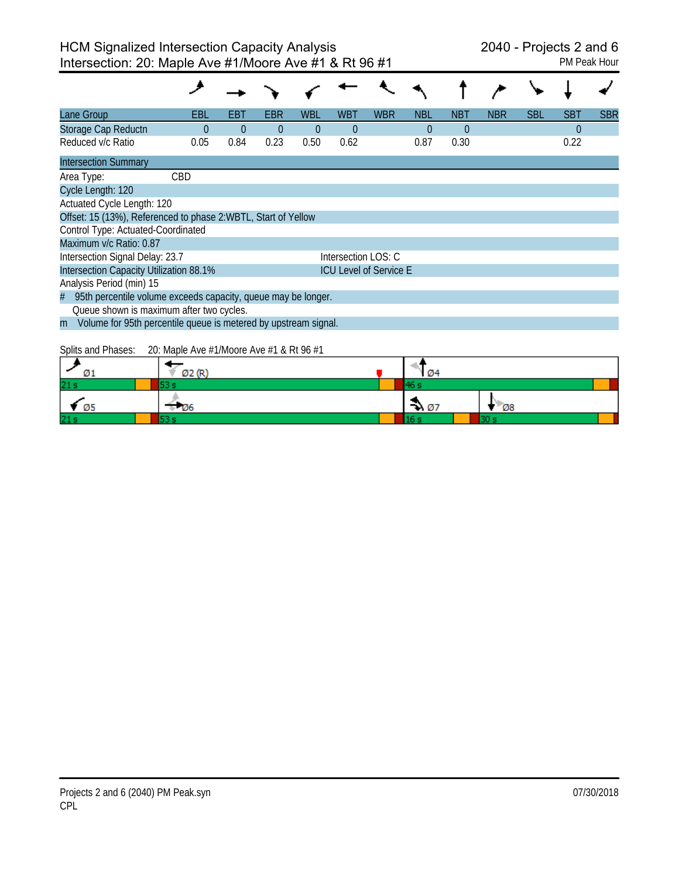| Lane Group                                                           | EBL        | EBT      | EBR      | WBL  | <b>WBT</b>          | <b>WBR</b>                    | <b>NBL</b> | <b>NBT</b> | <b>NBR</b> | <b>SBL</b> | <b>SBT</b> | <b>SBR</b> |
|----------------------------------------------------------------------|------------|----------|----------|------|---------------------|-------------------------------|------------|------------|------------|------------|------------|------------|
| Storage Cap Reductn                                                  | $\Omega$   | $\Omega$ | $\theta$ | 0    | $\theta$            |                               | $\Omega$   | $\Omega$   |            |            | $\theta$   |            |
| Reduced v/c Ratio                                                    | 0.05       | 0.84     | 0.23     | 0.50 | 0.62                |                               | 0.87       | 0.30       |            |            | 0.22       |            |
| <b>Intersection Summary</b>                                          |            |          |          |      |                     |                               |            |            |            |            |            |            |
| Area Type:                                                           | <b>CBD</b> |          |          |      |                     |                               |            |            |            |            |            |            |
| Cycle Length: 120                                                    |            |          |          |      |                     |                               |            |            |            |            |            |            |
| Actuated Cycle Length: 120                                           |            |          |          |      |                     |                               |            |            |            |            |            |            |
| Offset: 15 (13%), Referenced to phase 2:WBTL, Start of Yellow        |            |          |          |      |                     |                               |            |            |            |            |            |            |
| Control Type: Actuated-Coordinated                                   |            |          |          |      |                     |                               |            |            |            |            |            |            |
| Maximum v/c Ratio: 0.87                                              |            |          |          |      |                     |                               |            |            |            |            |            |            |
| Intersection Signal Delay: 23.7                                      |            |          |          |      | Intersection LOS: C |                               |            |            |            |            |            |            |
| Intersection Capacity Utilization 88.1%                              |            |          |          |      |                     | <b>ICU Level of Service E</b> |            |            |            |            |            |            |
| Analysis Period (min) 15                                             |            |          |          |      |                     |                               |            |            |            |            |            |            |
| 95th percentile volume exceeds capacity, queue may be longer.<br>#   |            |          |          |      |                     |                               |            |            |            |            |            |            |
| Queue shown is maximum after two cycles.                             |            |          |          |      |                     |                               |            |            |            |            |            |            |
| Volume for 95th percentile queue is metered by upstream signal.<br>m |            |          |          |      |                     |                               |            |            |            |            |            |            |
| $\sim$ $\cdots$                                                      |            |          |          |      |                     |                               |            |            |            |            |            |            |

Splits and Phases: 20: Maple Ave #1/Moore Ave #1 & Rt 96 #1

| Ø1              | Ø2 (R) | Ø4               |             |  |
|-----------------|--------|------------------|-------------|--|
| 21s             |        |                  |             |  |
| Ø5              | - 126  | $\rightarrow 07$ | $\sqrt{28}$ |  |
| 21 <sub>s</sub> |        |                  |             |  |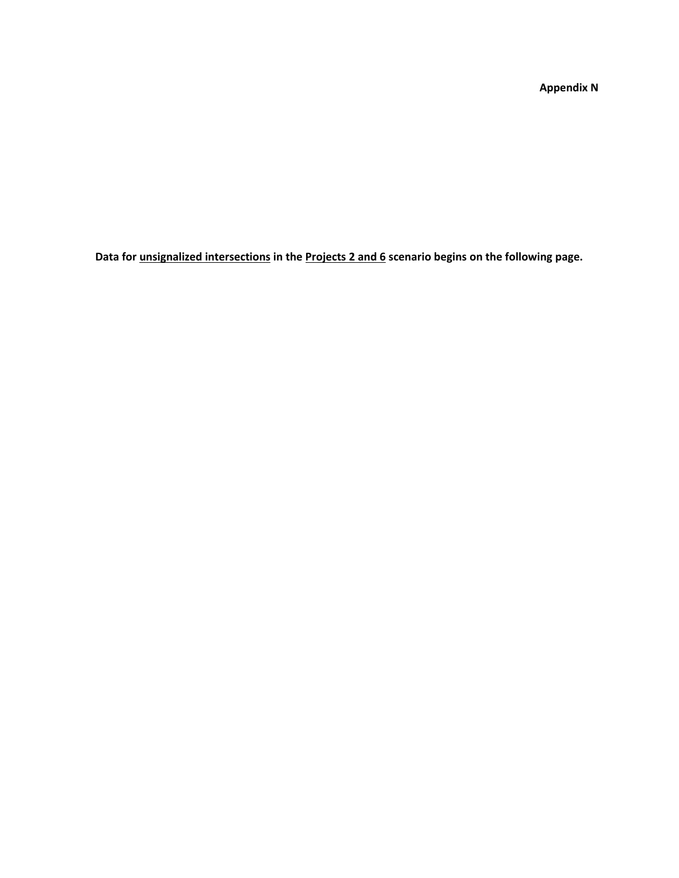**Appendix N**

**Data for unsignalized intersections in the Projects 2 and 6 scenario begins on the following page.**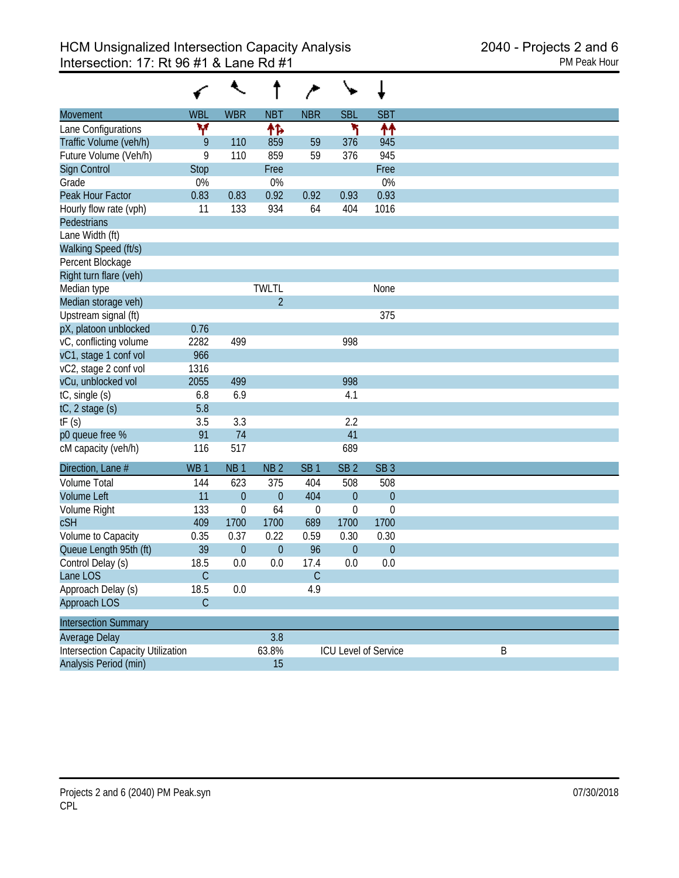| Movement                                 | <b>WBL</b>      | <b>WBR</b>       | <b>NBT</b>      | <b>NBR</b>       | <b>SBL</b>      | <b>SBT</b>           |   |
|------------------------------------------|-----------------|------------------|-----------------|------------------|-----------------|----------------------|---|
| Lane Configurations                      | v               |                  | ተኈ              |                  | ۲               | ↟↟                   |   |
| Traffic Volume (veh/h)                   | 9               | 110              | 859             | 59               | 376             | 945                  |   |
| Future Volume (Veh/h)                    | 9               | 110              | 859             | 59               | 376             | 945                  |   |
| Sign Control                             | <b>Stop</b>     |                  | Free            |                  |                 | Free                 |   |
| Grade                                    | 0%              |                  | 0%              |                  |                 | 0%                   |   |
| Peak Hour Factor                         | 0.83            | 0.83             | 0.92            | 0.92             | 0.93            | 0.93                 |   |
| Hourly flow rate (vph)                   | 11              | 133              | 934             | 64               | 404             | 1016                 |   |
| Pedestrians                              |                 |                  |                 |                  |                 |                      |   |
| Lane Width (ft)                          |                 |                  |                 |                  |                 |                      |   |
| Walking Speed (ft/s)                     |                 |                  |                 |                  |                 |                      |   |
| Percent Blockage                         |                 |                  |                 |                  |                 |                      |   |
| Right turn flare (veh)                   |                 |                  |                 |                  |                 |                      |   |
| Median type                              |                 |                  | <b>TWLTL</b>    |                  |                 | None                 |   |
| Median storage veh)                      |                 |                  | $\overline{2}$  |                  |                 |                      |   |
| Upstream signal (ft)                     |                 |                  |                 |                  |                 | 375                  |   |
| pX, platoon unblocked                    | 0.76            |                  |                 |                  |                 |                      |   |
| vC, conflicting volume                   | 2282            | 499              |                 |                  | 998             |                      |   |
| vC1, stage 1 conf vol                    | 966             |                  |                 |                  |                 |                      |   |
| vC2, stage 2 conf vol                    | 1316            |                  |                 |                  |                 |                      |   |
| vCu, unblocked vol                       | 2055            | 499              |                 |                  | 998             |                      |   |
| tC, single (s)                           | 6.8             | 6.9              |                 |                  | 4.1             |                      |   |
| tC, 2 stage (s)                          | 5.8             |                  |                 |                  |                 |                      |   |
| tF(s)                                    | 3.5             | 3.3              |                 |                  | 2.2             |                      |   |
| p0 queue free %                          | 91              | 74               |                 |                  | 41              |                      |   |
| cM capacity (veh/h)                      | 116             | 517              |                 |                  | 689             |                      |   |
| Direction, Lane #                        | WB <sub>1</sub> | NB <sub>1</sub>  | NB <sub>2</sub> | SB <sub>1</sub>  | SB <sub>2</sub> | SB <sub>3</sub>      |   |
| <b>Volume Total</b>                      | 144             | 623              | 375             | 404              | 508             | 508                  |   |
| <b>Volume Left</b>                       | 11              | $\overline{0}$   | $\theta$        | 404              | $\theta$        | $\overline{0}$       |   |
| Volume Right                             | 133             | $\mathbf 0$      | 64              | $\boldsymbol{0}$ | $\mathbf 0$     | $\mathbf 0$          |   |
| <b>cSH</b>                               | 409             | 1700             | 1700            | 689              | 1700            | 1700                 |   |
| Volume to Capacity                       | 0.35            | 0.37             | 0.22            | 0.59             | 0.30            | 0.30                 |   |
| Queue Length 95th (ft)                   | 39              | $\boldsymbol{0}$ | $\overline{0}$  | 96               | $\overline{0}$  | $\mathbf{0}$         |   |
| Control Delay (s)                        | 18.5            | 0.0              | 0.0             | 17.4             | 0.0             | 0.0                  |   |
| Lane LOS                                 | C               |                  |                 | C                |                 |                      |   |
| Approach Delay (s)                       | 18.5            | 0.0              |                 | 4.9              |                 |                      |   |
| Approach LOS                             | $\mathsf C$     |                  |                 |                  |                 |                      |   |
| <b>Intersection Summary</b>              |                 |                  |                 |                  |                 |                      |   |
| Average Delay                            |                 |                  | 3.8             |                  |                 |                      |   |
| <b>Intersection Capacity Utilization</b> |                 |                  | 63.8%           |                  |                 | ICU Level of Service |   |
| Analysis Period (min)                    |                 |                  | 15              |                  |                 |                      | B |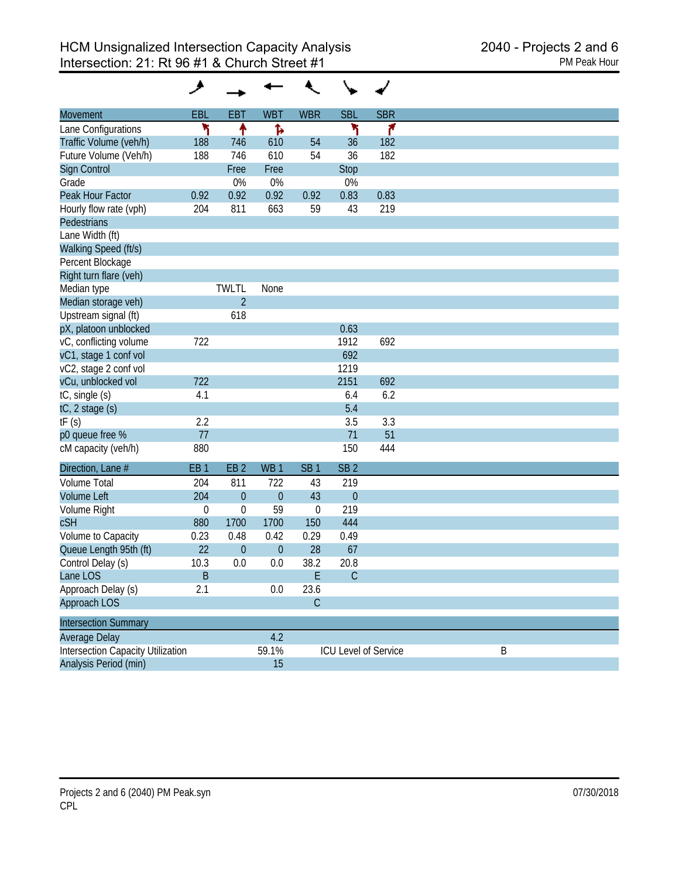| <b>Movement</b>                          | EBL              | <b>EBT</b>      | <b>WBT</b>      | <b>WBR</b>       | <b>SBL</b>      | <b>SBR</b>           |   |
|------------------------------------------|------------------|-----------------|-----------------|------------------|-----------------|----------------------|---|
| Lane Configurations                      | ۲                | ↟               | Ъ               |                  | ۲               | ۴                    |   |
| Traffic Volume (veh/h)                   | 188              | 746             | 610             | 54               | 36              | 182                  |   |
| Future Volume (Veh/h)                    | 188              | 746             | 610             | 54               | 36              | 182                  |   |
| Sign Control                             |                  | Free            | Free            |                  | Stop            |                      |   |
| Grade                                    |                  | 0%              | 0%              |                  | 0%              |                      |   |
| Peak Hour Factor                         | 0.92             | 0.92            | 0.92            | 0.92             | 0.83            | 0.83                 |   |
| Hourly flow rate (vph)                   | 204              | 811             | 663             | 59               | 43              | 219                  |   |
| Pedestrians                              |                  |                 |                 |                  |                 |                      |   |
| Lane Width (ft)                          |                  |                 |                 |                  |                 |                      |   |
| Walking Speed (ft/s)                     |                  |                 |                 |                  |                 |                      |   |
| Percent Blockage                         |                  |                 |                 |                  |                 |                      |   |
| Right turn flare (veh)                   |                  |                 |                 |                  |                 |                      |   |
| Median type                              |                  | <b>TWLTL</b>    | None            |                  |                 |                      |   |
| Median storage veh)                      |                  | $\overline{2}$  |                 |                  |                 |                      |   |
| Upstream signal (ft)                     |                  | 618             |                 |                  |                 |                      |   |
| pX, platoon unblocked                    |                  |                 |                 |                  | 0.63            |                      |   |
| vC, conflicting volume                   | 722              |                 |                 |                  | 1912            | 692                  |   |
| vC1, stage 1 conf vol                    |                  |                 |                 |                  | 692             |                      |   |
| vC2, stage 2 conf vol                    |                  |                 |                 |                  | 1219            |                      |   |
| vCu, unblocked vol                       | 722              |                 |                 |                  | 2151            | 692                  |   |
| tC, single (s)                           | 4.1              |                 |                 |                  | 6.4             | 6.2                  |   |
| tC, 2 stage (s)                          |                  |                 |                 |                  | 5.4             |                      |   |
| tF(s)                                    | 2.2              |                 |                 |                  | 3.5             | 3.3                  |   |
| p0 queue free %                          | 77               |                 |                 |                  | 71              | 51                   |   |
| cM capacity (veh/h)                      | 880              |                 |                 |                  | 150             | 444                  |   |
| Direction, Lane #                        | EB <sub>1</sub>  | EB <sub>2</sub> | WB <sub>1</sub> | SB <sub>1</sub>  | SB <sub>2</sub> |                      |   |
| <b>Volume Total</b>                      | 204              | 811             | 722             | 43               | 219             |                      |   |
| <b>Volume Left</b>                       | 204              | $\overline{0}$  | $\overline{0}$  | 43               | $\theta$        |                      |   |
| Volume Right                             | $\boldsymbol{0}$ | $\mathbf 0$     | 59              | $\boldsymbol{0}$ | 219             |                      |   |
| <b>cSH</b>                               | 880              | 1700            | 1700            | 150              | 444             |                      |   |
| Volume to Capacity                       | 0.23             | 0.48            | 0.42            | 0.29             | 0.49            |                      |   |
| Queue Length 95th (ft)                   | 22               | $\overline{0}$  | $\theta$        | 28               | 67              |                      |   |
| Control Delay (s)                        | 10.3             | 0.0             | 0.0             | 38.2             | 20.8            |                      |   |
| Lane LOS                                 | Β                |                 |                 | Ł                | C               |                      |   |
| Approach Delay (s)                       | 2.1              |                 | 0.0             | 23.6             |                 |                      |   |
| Approach LOS                             |                  |                 |                 | $\mathsf C$      |                 |                      |   |
| <b>Intersection Summary</b>              |                  |                 |                 |                  |                 |                      |   |
| Average Delay                            |                  |                 | 4.2             |                  |                 |                      |   |
| <b>Intersection Capacity Utilization</b> |                  |                 | 59.1%           |                  |                 | ICU Level of Service |   |
| Analysis Period (min)                    |                  |                 | 15              |                  |                 |                      | B |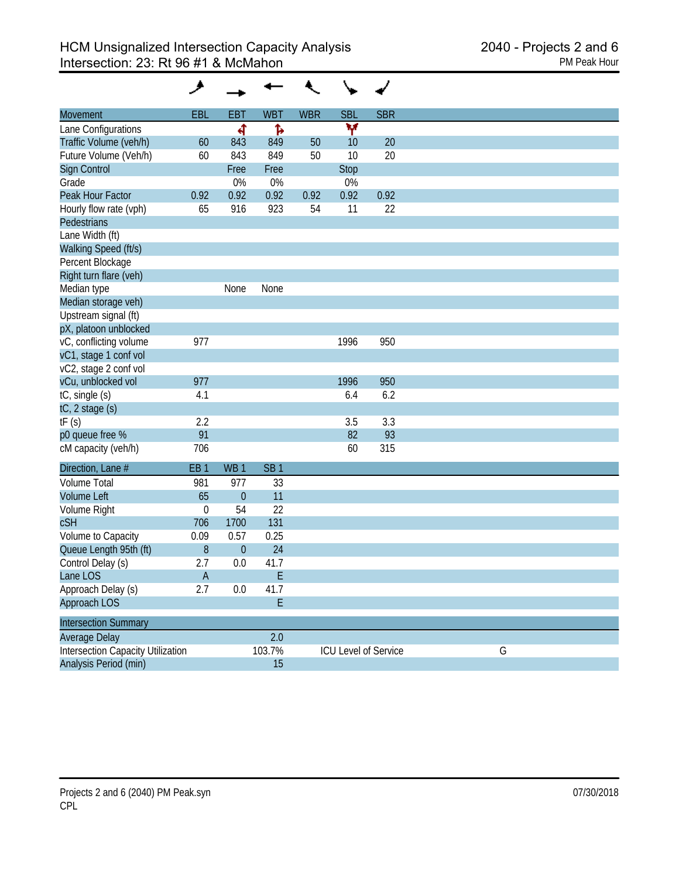| <b>Movement</b>                          | <b>EBL</b>      | <b>EBT</b>      | <b>WBT</b>      | <b>WBR</b> | <b>SBL</b>  | <b>SBR</b>           |   |  |
|------------------------------------------|-----------------|-----------------|-----------------|------------|-------------|----------------------|---|--|
| Lane Configurations                      |                 | ৰ               | Ъ               |            | Y           |                      |   |  |
| Traffic Volume (veh/h)                   | 60              | 843             | 849             | 50         | 10          | 20                   |   |  |
| Future Volume (Veh/h)                    | 60              | 843             | 849             | 50         | 10          | 20                   |   |  |
| Sign Control                             |                 | Free            | Free            |            | <b>Stop</b> |                      |   |  |
| Grade                                    |                 | 0%              | 0%              |            | 0%          |                      |   |  |
| Peak Hour Factor                         | 0.92            | 0.92            | 0.92            | 0.92       | 0.92        | 0.92                 |   |  |
| Hourly flow rate (vph)                   | 65              | 916             | 923             | 54         | 11          | 22                   |   |  |
| Pedestrians                              |                 |                 |                 |            |             |                      |   |  |
| Lane Width (ft)                          |                 |                 |                 |            |             |                      |   |  |
| Walking Speed (ft/s)                     |                 |                 |                 |            |             |                      |   |  |
| Percent Blockage                         |                 |                 |                 |            |             |                      |   |  |
| Right turn flare (veh)                   |                 |                 |                 |            |             |                      |   |  |
| Median type                              |                 | None            | None            |            |             |                      |   |  |
| Median storage veh)                      |                 |                 |                 |            |             |                      |   |  |
| Upstream signal (ft)                     |                 |                 |                 |            |             |                      |   |  |
| pX, platoon unblocked                    |                 |                 |                 |            |             |                      |   |  |
| vC, conflicting volume                   | 977             |                 |                 |            | 1996        | 950                  |   |  |
| vC1, stage 1 conf vol                    |                 |                 |                 |            |             |                      |   |  |
| vC2, stage 2 conf vol                    |                 |                 |                 |            |             |                      |   |  |
| vCu, unblocked vol                       | 977             |                 |                 |            | 1996        | 950                  |   |  |
| tC, single (s)                           | 4.1             |                 |                 |            | 6.4         | 6.2                  |   |  |
| tC, 2 stage (s)                          |                 |                 |                 |            |             |                      |   |  |
| tF(s)                                    | 2.2             |                 |                 |            | 3.5         | 3.3                  |   |  |
| p0 queue free %                          | 91              |                 |                 |            | 82          | 93                   |   |  |
| cM capacity (veh/h)                      | 706             |                 |                 |            | 60          | 315                  |   |  |
| Direction, Lane #                        | EB <sub>1</sub> | WB <sub>1</sub> | SB <sub>1</sub> |            |             |                      |   |  |
| <b>Volume Total</b>                      | 981             | 977             | 33              |            |             |                      |   |  |
| <b>Volume Left</b>                       | 65              | $\theta$        | 11              |            |             |                      |   |  |
| Volume Right                             | $\mathbf 0$     | 54              | 22              |            |             |                      |   |  |
| <b>cSH</b>                               | 706             | 1700            | 131             |            |             |                      |   |  |
| Volume to Capacity                       | 0.09            | 0.57            | 0.25            |            |             |                      |   |  |
| Queue Length 95th (ft)                   | 8               | $\mathbf{0}$    | 24              |            |             |                      |   |  |
| Control Delay (s)                        | 2.7             | 0.0             | 41.7            |            |             |                      |   |  |
| Lane LOS                                 | A               |                 | E               |            |             |                      |   |  |
| Approach Delay (s)                       | 2.7             | 0.0             | 41.7            |            |             |                      |   |  |
| Approach LOS                             |                 |                 | E               |            |             |                      |   |  |
| <b>Intersection Summary</b>              |                 |                 |                 |            |             |                      |   |  |
| <b>Average Delay</b>                     |                 |                 | 2.0             |            |             |                      |   |  |
| <b>Intersection Capacity Utilization</b> |                 |                 | 103.7%          |            |             | ICU Level of Service | G |  |
| Analysis Period (min)                    |                 |                 | 15              |            |             |                      |   |  |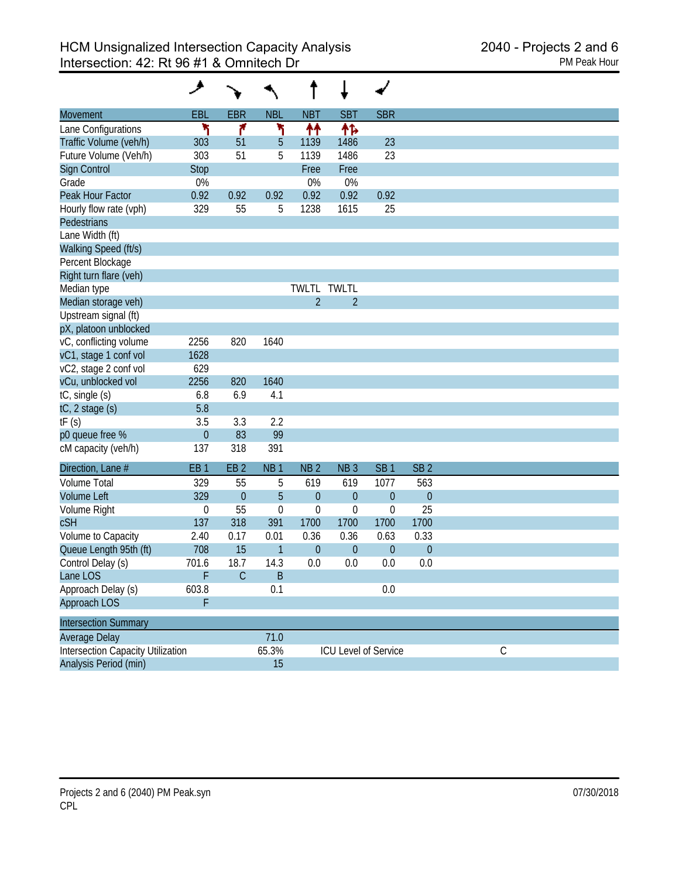|                                          | و                |                 |                  |                  |                             |                 |                 |             |  |  |
|------------------------------------------|------------------|-----------------|------------------|------------------|-----------------------------|-----------------|-----------------|-------------|--|--|
| Movement                                 | <b>EBL</b>       | <b>EBR</b>      | <b>NBL</b>       | <b>NBT</b>       | <b>SBT</b>                  | <b>SBR</b>      |                 |             |  |  |
| Lane Configurations                      | ٦                | ۴               | ٦                | ተተ               | ቶኈ                          |                 |                 |             |  |  |
| Traffic Volume (veh/h)                   | 303              | 51              | 5                | 1139             | 1486                        | 23              |                 |             |  |  |
| Future Volume (Veh/h)                    | 303              | 51              | 5                | 1139             | 1486                        | 23              |                 |             |  |  |
| Sign Control                             | <b>Stop</b>      |                 |                  | Free             | Free                        |                 |                 |             |  |  |
| Grade                                    | 0%               |                 |                  | 0%               | 0%                          |                 |                 |             |  |  |
| Peak Hour Factor                         | 0.92             | 0.92            | 0.92             | 0.92             | 0.92                        | 0.92            |                 |             |  |  |
| Hourly flow rate (vph)                   | 329              | 55              | 5                | 1238             | 1615                        | 25              |                 |             |  |  |
| Pedestrians                              |                  |                 |                  |                  |                             |                 |                 |             |  |  |
| Lane Width (ft)                          |                  |                 |                  |                  |                             |                 |                 |             |  |  |
| Walking Speed (ft/s)                     |                  |                 |                  |                  |                             |                 |                 |             |  |  |
| Percent Blockage                         |                  |                 |                  |                  |                             |                 |                 |             |  |  |
| Right turn flare (veh)                   |                  |                 |                  |                  |                             |                 |                 |             |  |  |
| Median type                              |                  |                 |                  | <b>TWLTL</b>     | <b>TWLTL</b>                |                 |                 |             |  |  |
| Median storage veh)                      |                  |                 |                  | $\overline{2}$   | $\overline{2}$              |                 |                 |             |  |  |
| Upstream signal (ft)                     |                  |                 |                  |                  |                             |                 |                 |             |  |  |
| pX, platoon unblocked                    |                  |                 |                  |                  |                             |                 |                 |             |  |  |
| vC, conflicting volume                   | 2256             | 820             | 1640             |                  |                             |                 |                 |             |  |  |
| vC1, stage 1 conf vol                    | 1628             |                 |                  |                  |                             |                 |                 |             |  |  |
| vC2, stage 2 conf vol                    | 629              |                 |                  |                  |                             |                 |                 |             |  |  |
| vCu, unblocked vol                       | 2256             | 820             | 1640             |                  |                             |                 |                 |             |  |  |
| tC, single (s)                           | 6.8              | 6.9             | 4.1              |                  |                             |                 |                 |             |  |  |
| tC, 2 stage (s)                          | 5.8              |                 |                  |                  |                             |                 |                 |             |  |  |
| tF(s)                                    | 3.5              | 3.3             | 2.2              |                  |                             |                 |                 |             |  |  |
| p0 queue free %                          | $\boldsymbol{0}$ | 83              | 99               |                  |                             |                 |                 |             |  |  |
| cM capacity (veh/h)                      | 137              | 318             | 391              |                  |                             |                 |                 |             |  |  |
| Direction, Lane #                        | EB <sub>1</sub>  | EB <sub>2</sub> | NB <sub>1</sub>  | NB <sub>2</sub>  | NB <sub>3</sub>             | SB <sub>1</sub> | SB <sub>2</sub> |             |  |  |
| <b>Volume Total</b>                      | 329              | 55              | 5                | 619              | 619                         | 1077            | 563             |             |  |  |
| <b>Volume Left</b>                       | 329              | $\overline{0}$  | 5                | $\mathbf{0}$     | $\overline{0}$              | $\theta$        | $\theta$        |             |  |  |
| Volume Right                             | $\boldsymbol{0}$ | 55              | $\boldsymbol{0}$ | $\boldsymbol{0}$ | 0                           | $\mathbf 0$     | 25              |             |  |  |
| <b>cSH</b>                               | 137              | 318             | 391              | 1700             | 1700                        | 1700            | 1700            |             |  |  |
| Volume to Capacity                       | 2.40             | 0.17            | 0.01             | 0.36             | 0.36                        | 0.63            | 0.33            |             |  |  |
| Queue Length 95th (ft)                   | 708              | 15              | $\mathbf{1}$     | $\overline{0}$   | $\overline{0}$              | $\overline{0}$  | $\theta$        |             |  |  |
| Control Delay (s)                        | 701.6            | 18.7            | 14.3             | 0.0              | 0.0                         | 0.0             | 0.0             |             |  |  |
| Lane LOS                                 | F                | C               | Β                |                  |                             |                 |                 |             |  |  |
| Approach Delay (s)                       | 603.8            |                 | 0.1              |                  |                             | 0.0             |                 |             |  |  |
| Approach LOS                             | F                |                 |                  |                  |                             |                 |                 |             |  |  |
| <b>Intersection Summary</b>              |                  |                 |                  |                  |                             |                 |                 |             |  |  |
| Average Delay                            |                  |                 | 71.0             |                  |                             |                 |                 |             |  |  |
| <b>Intersection Capacity Utilization</b> |                  |                 | 65.3%            |                  | <b>ICU Level of Service</b> |                 |                 | $\mathsf C$ |  |  |
| Analysis Period (min)                    |                  |                 | 15               |                  |                             |                 |                 |             |  |  |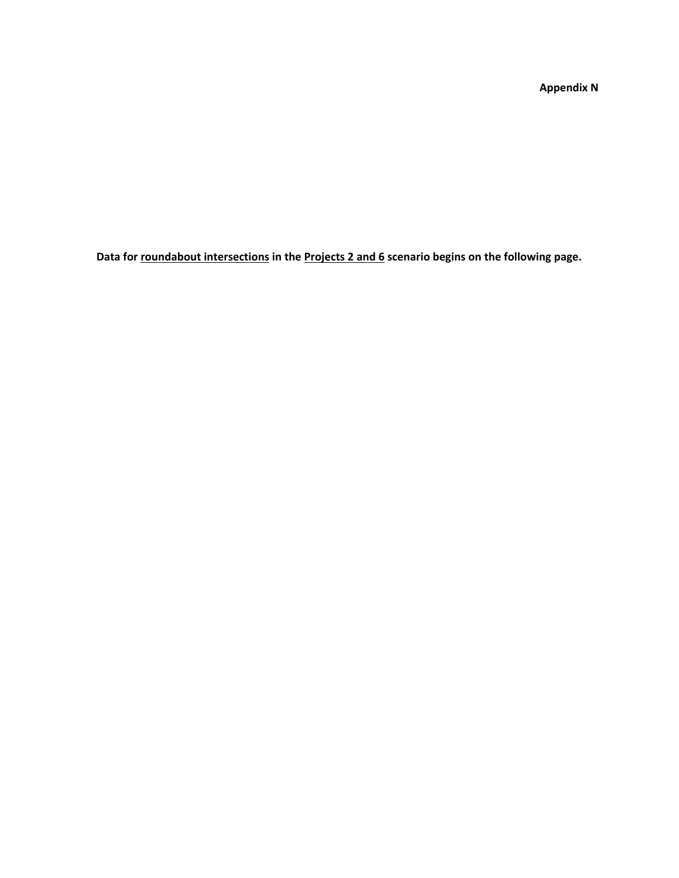**Appendix N**

**Data for roundabout intersections in the Projects 2 and 6 scenario begins on the following page.**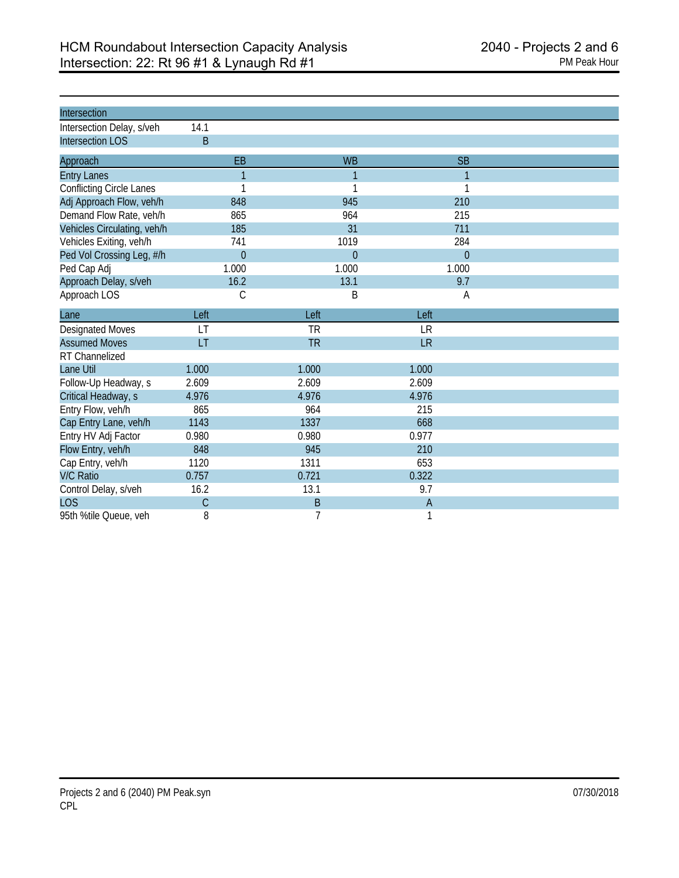| Intersection                    |                |           |              |  |
|---------------------------------|----------------|-----------|--------------|--|
| Intersection Delay, s/veh       | 14.1           |           |              |  |
| <b>Intersection LOS</b>         | B              |           |              |  |
| Approach                        | EB             | <b>WB</b> | <b>SB</b>    |  |
| <b>Entry Lanes</b>              | $\overline{1}$ | 1         | $\mathbf{1}$ |  |
| <b>Conflicting Circle Lanes</b> | 1              |           |              |  |
| Adj Approach Flow, veh/h        | 848            | 945       | 210          |  |
| Demand Flow Rate, veh/h         | 865            | 964       | 215          |  |
| Vehicles Circulating, veh/h     | 185            | 31        | 711          |  |
| Vehicles Exiting, veh/h         | 741            | 1019      | 284          |  |
| Ped Vol Crossing Leg, #/h       | $\theta$       | $\Omega$  | $\Omega$     |  |
| Ped Cap Adj                     | 1.000          | 1.000     | 1.000        |  |
| Approach Delay, s/veh           | 16.2           | 13.1      | 9.7          |  |
| Approach LOS                    | C              | B         | A            |  |
| Lane                            | Left           | Left      | Left         |  |
| <b>Designated Moves</b>         | LT             | <b>TR</b> | <b>LR</b>    |  |
| <b>Assumed Moves</b>            | LT             | <b>TR</b> | <b>LR</b>    |  |
| <b>RT</b> Channelized           |                |           |              |  |
| Lane Util                       | 1.000          | 1.000     | 1.000        |  |
| Follow-Up Headway, s            | 2.609          | 2.609     | 2.609        |  |
| Critical Headway, s             | 4.976          | 4.976     | 4.976        |  |
| Entry Flow, veh/h               | 865            | 964       | 215          |  |
| Cap Entry Lane, veh/h           | 1143           | 1337      | 668          |  |
| Entry HV Adj Factor             | 0.980          | 0.980     | 0.977        |  |
| Flow Entry, veh/h               | 848            | 945       | 210          |  |
| Cap Entry, veh/h                | 1120           | 1311      | 653          |  |
| <b>V/C Ratio</b>                | 0.757          | 0.721     | 0.322        |  |
| Control Delay, s/veh            | 16.2           | 13.1      | 9.7          |  |
| <b>LOS</b>                      | $\mathcal{C}$  | B         | A            |  |
| 95th %tile Queue, veh           | 8              | 7         | 1            |  |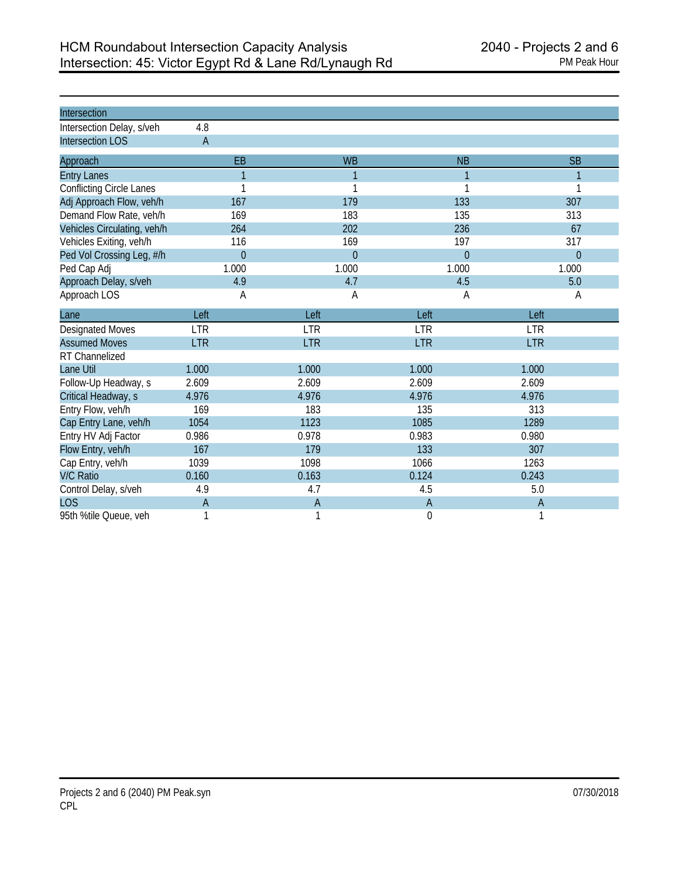| Intersection                    |                |                |                |                |
|---------------------------------|----------------|----------------|----------------|----------------|
| Intersection Delay, s/veh       | 4.8            |                |                |                |
| <b>Intersection LOS</b>         | $\overline{A}$ |                |                |                |
| Approach                        | EB             | <b>WB</b>      | <b>NB</b>      | <b>SB</b>      |
| <b>Entry Lanes</b>              | 1              | 1              | 1              | 1              |
| <b>Conflicting Circle Lanes</b> | 1              | 1              | 1              |                |
| Adj Approach Flow, veh/h        | 167            | 179            | 133            | 307            |
| Demand Flow Rate, veh/h         | 169            | 183            | 135            | 313            |
| Vehicles Circulating, veh/h     | 264            | 202            | 236            | 67             |
| Vehicles Exiting, veh/h         | 116            | 169            | 197            | 317            |
| Ped Vol Crossing Leg, #/h       | $\overline{0}$ | $\overline{0}$ | $\overline{0}$ | $\theta$       |
| Ped Cap Adj                     | 1.000          | 1.000          | 1.000          | 1.000          |
| Approach Delay, s/veh           | 4.9            | 4.7            | 4.5            | 5.0            |
| Approach LOS                    | Α              | А              | Α              | Α              |
| Lane                            | Left           | Left           | Left           | Left           |
| <b>Designated Moves</b>         | <b>LTR</b>     | <b>LTR</b>     | <b>LTR</b>     | <b>LTR</b>     |
| <b>Assumed Moves</b>            | <b>LTR</b>     | <b>LTR</b>     | <b>LTR</b>     | <b>LTR</b>     |
| RT Channelized                  |                |                |                |                |
| Lane Util                       | 1.000          | 1.000          | 1.000          | 1.000          |
| Follow-Up Headway, s            | 2.609          | 2.609          | 2.609          | 2.609          |
| Critical Headway, s             | 4.976          | 4.976          | 4.976          | 4.976          |
| Entry Flow, veh/h               | 169            | 183            | 135            | 313            |
| Cap Entry Lane, veh/h           | 1054           | 1123           | 1085           | 1289           |
| Entry HV Adj Factor             | 0.986          | 0.978          | 0.983          | 0.980          |
| Flow Entry, veh/h               | 167            | 179            | 133            | 307            |
| Cap Entry, veh/h                | 1039           | 1098           | 1066           | 1263           |
| <b>V/C Ratio</b>                | 0.160          | 0.163          | 0.124          | 0.243          |
| Control Delay, s/veh            | 4.9            | 4.7            | 4.5            | 5.0            |
| <b>LOS</b>                      | $\overline{A}$ | $\overline{A}$ | $\overline{A}$ | $\overline{A}$ |
| 95th %tile Queue, veh           |                | 1              | 0              |                |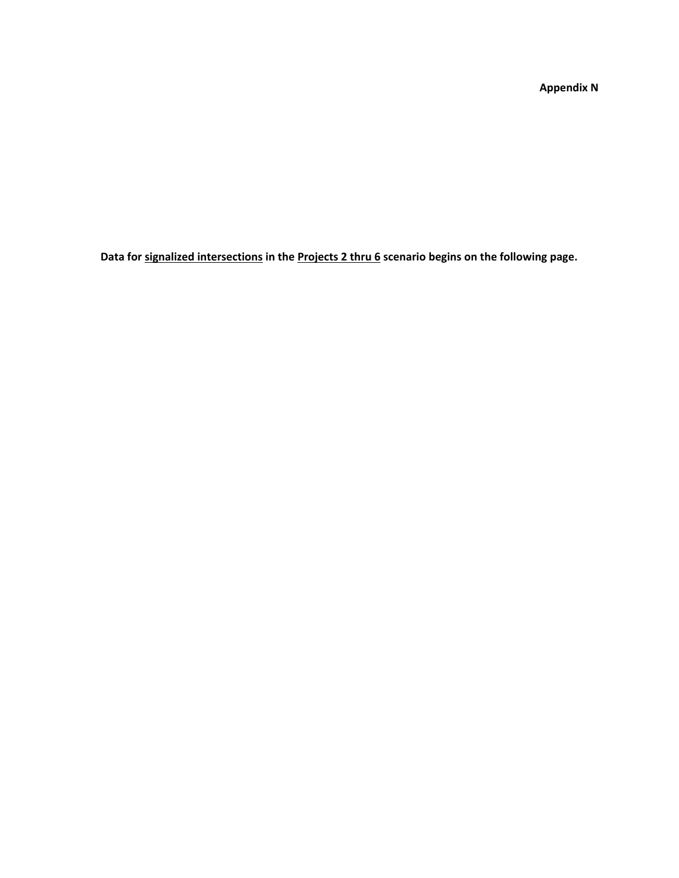**Appendix N**

**Data for signalized intersections in the Projects 2 thru 6 scenario begins on the following page.**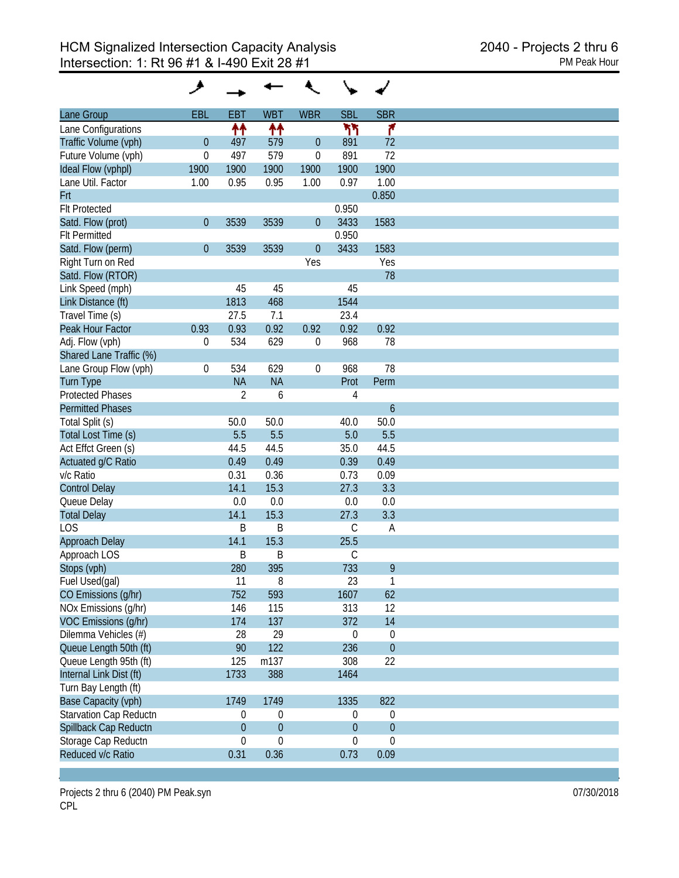| Lane Group              | <b>EBL</b>       | <b>EBT</b>       | <b>WBT</b>       | <b>WBR</b>       | <b>SBL</b>       | <b>SBR</b>       |
|-------------------------|------------------|------------------|------------------|------------------|------------------|------------------|
| Lane Configurations     |                  | ↟↟               | 11               |                  | ካነ               | ۴                |
| Traffic Volume (vph)    | $\boldsymbol{0}$ | 497              | 579              | $\theta$         | 891              | 72               |
| Future Volume (vph)     | $\boldsymbol{0}$ | 497              | 579              | $\mathbf 0$      | 891              | 72               |
| Ideal Flow (vphpl)      | 1900             | 1900             | 1900             | 1900             | 1900             | 1900             |
| Lane Util. Factor       | 1.00             | 0.95             | 0.95             | 1.00             | 0.97             | 1.00             |
| Frt                     |                  |                  |                  |                  |                  | 0.850            |
| <b>Flt Protected</b>    |                  |                  |                  |                  | 0.950            |                  |
| Satd. Flow (prot)       | $\boldsymbol{0}$ | 3539             | 3539             | $\theta$         | 3433             | 1583             |
| <b>Flt Permitted</b>    |                  |                  |                  |                  | 0.950            |                  |
| Satd. Flow (perm)       | $\boldsymbol{0}$ | 3539             | 3539             | $\theta$         | 3433             | 1583             |
|                         |                  |                  |                  | Yes              |                  | Yes              |
| Right Turn on Red       |                  |                  |                  |                  |                  | 78               |
| Satd. Flow (RTOR)       |                  |                  |                  |                  |                  |                  |
| Link Speed (mph)        |                  | 45               | 45               |                  | 45               |                  |
| Link Distance (ft)      |                  | 1813             | 468              |                  | 1544             |                  |
| Travel Time (s)         |                  | 27.5             | 7.1              |                  | 23.4             |                  |
| Peak Hour Factor        | 0.93             | 0.93             | 0.92             | 0.92             | 0.92             | 0.92             |
| Adj. Flow (vph)         | 0                | 534              | 629              | 0                | 968              | 78               |
| Shared Lane Traffic (%) |                  |                  |                  |                  |                  |                  |
| Lane Group Flow (vph)   | $\boldsymbol{0}$ | 534              | 629              | $\boldsymbol{0}$ | 968              | 78               |
| <b>Turn Type</b>        |                  | <b>NA</b>        | <b>NA</b>        |                  | Prot             | Perm             |
| <b>Protected Phases</b> |                  | $\overline{2}$   | 6                |                  | 4                |                  |
| <b>Permitted Phases</b> |                  |                  |                  |                  |                  | $\boldsymbol{6}$ |
| Total Split (s)         |                  | 50.0             | 50.0             |                  | 40.0             | 50.0             |
| Total Lost Time (s)     |                  | 5.5              | 5.5              |                  | 5.0              | 5.5              |
| Act Effct Green (s)     |                  | 44.5             | 44.5             |                  | 35.0             | 44.5             |
| Actuated g/C Ratio      |                  | 0.49             | 0.49             |                  | 0.39             | 0.49             |
| v/c Ratio               |                  | 0.31             | 0.36             |                  | 0.73             | 0.09             |
| <b>Control Delay</b>    |                  | 14.1             | 15.3             |                  | 27.3             | 3.3              |
| Queue Delay             |                  | 0.0              | 0.0              |                  | 0.0              | 0.0              |
| <b>Total Delay</b>      |                  | 14.1             | 15.3             |                  | 27.3             | 3.3              |
| <b>LOS</b>              |                  | B                | B                |                  | $\mathsf C$      | A                |
| Approach Delay          |                  | 14.1             | 15.3             |                  | 25.5             |                  |
| Approach LOS            |                  | B                | B                |                  | C                |                  |
| Stops (vph)             |                  | 280              | 395              |                  | 733              | 9                |
| Fuel Used(gal)          |                  | 11               | 8                |                  | 23               | 1                |
| CO Emissions (g/hr)     |                  | 752              | 593              |                  | 1607             | 62               |
| NOx Emissions (g/hr)    |                  |                  | 115              |                  |                  | 12               |
|                         |                  | 146              |                  |                  | 313              |                  |
| VOC Emissions (q/hr)    |                  | 174              | 137              |                  | 372              | 14               |
| Dilemma Vehicles (#)    |                  | 28               | 29               |                  | $\boldsymbol{0}$ | $\boldsymbol{0}$ |
| Queue Length 50th (ft)  |                  | 90               | 122              |                  | 236              | $\boldsymbol{0}$ |
| Queue Length 95th (ft)  |                  | 125              | m137             |                  | 308              | 22               |
| Internal Link Dist (ft) |                  | 1733             | 388              |                  | 1464             |                  |
| Turn Bay Length (ft)    |                  |                  |                  |                  |                  |                  |
| Base Capacity (vph)     |                  | 1749             | 1749             |                  | 1335             | 822              |
| Starvation Cap Reductn  |                  | 0                | $\boldsymbol{0}$ |                  | $\boldsymbol{0}$ | $\boldsymbol{0}$ |
| Spillback Cap Reductn   |                  | $\boldsymbol{0}$ | $\mathbf 0$      |                  | $\theta$         | $\boldsymbol{0}$ |
| Storage Cap Reductn     |                  | 0                | 0                |                  | $\boldsymbol{0}$ | $\mathbf 0$      |
| Reduced v/c Ratio       |                  | 0.31             | 0.36             |                  | 0.73             | 0.09             |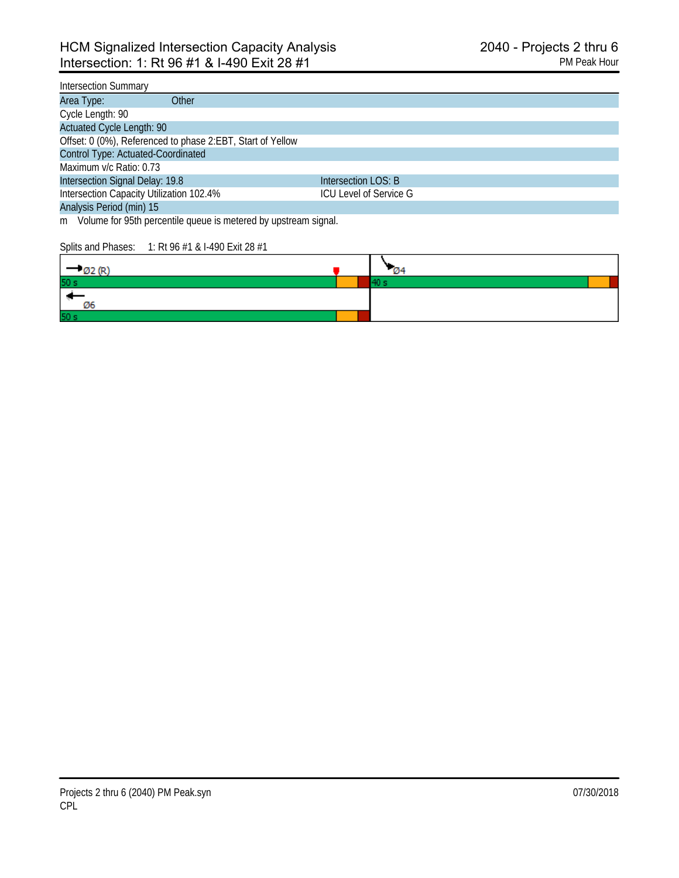#### Intersection Summary

| Other<br>Area Type:                                        |                        |  |
|------------------------------------------------------------|------------------------|--|
| Cycle Length: 90                                           |                        |  |
| <b>Actuated Cycle Length: 90</b>                           |                        |  |
| Offset: 0 (0%), Referenced to phase 2:EBT, Start of Yellow |                        |  |
| Control Type: Actuated-Coordinated                         |                        |  |
| Maximum v/c Ratio: 0.73                                    |                        |  |
| Intersection Signal Delay: 19.8                            | Intersection LOS: B    |  |
| Intersection Capacity Utilization 102.4%                   | ICU Level of Service G |  |
| Analysis Period (min) 15                                   |                        |  |

m Volume for 95th percentile queue is metered by upstream signal.

#### Splits and Phases: 1: Rt 96 #1 & I-490 Exit 28 #1

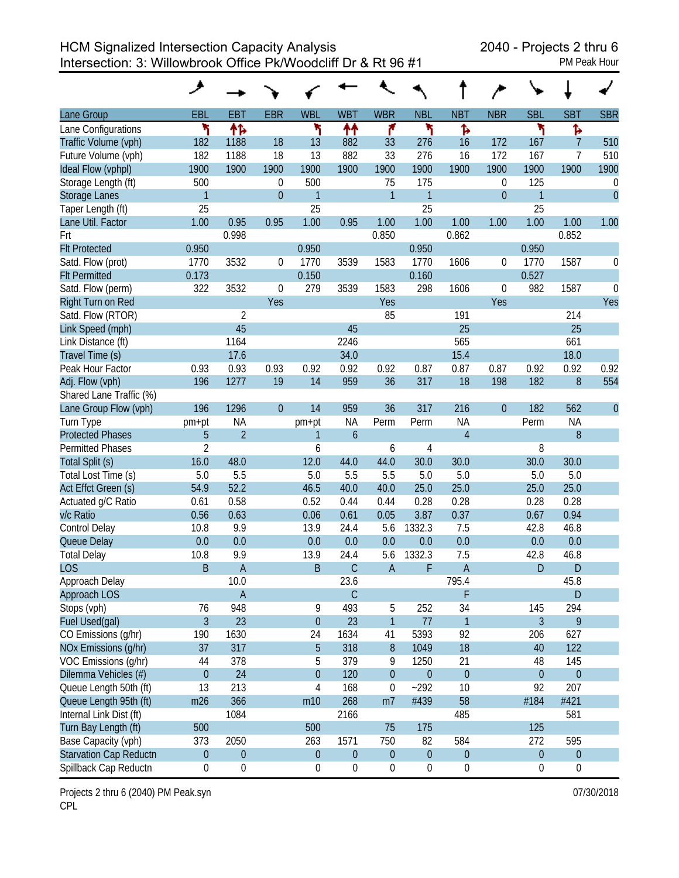HCM Signalized Intersection Capacity Analysis 2040 - Projects 2 thru 6 Intersection: 3: Willowbrook Office Pk/Woodcliff Dr & Rt 96 #1 PM Peak Hour

|                               | ◢                |                  |                |                  |                  |                  |                  |                  |                  |                  |                  |             |
|-------------------------------|------------------|------------------|----------------|------------------|------------------|------------------|------------------|------------------|------------------|------------------|------------------|-------------|
| Lane Group                    | <b>EBL</b>       | <b>EBT</b>       | <b>EBR</b>     | <b>WBL</b>       | <b>WBT</b>       | <b>WBR</b>       | <b>NBL</b>       | <b>NBT</b>       | <b>NBR</b>       | <b>SBL</b>       | <b>SBT</b>       | <b>SBR</b>  |
| Lane Configurations           | ۲                | 怍                |                | ۲                | ↟↟               | ۴                | ۲                | ħ                |                  | ۲                | Ъ                |             |
| Traffic Volume (vph)          | 182              | 1188             | 18             | 13               | 882              | 33               | 276              | 16               | 172              | 167              | $\overline{7}$   | 510         |
| Future Volume (vph)           | 182              | 1188             | 18             | 13               | 882              | 33               | 276              | 16               | 172              | 167              | 7                | 510         |
| Ideal Flow (vphpl)            | 1900             | 1900             | 1900           | 1900             | 1900             | 1900             | 1900             | 1900             | 1900             | 1900             | 1900             | 1900        |
| Storage Length (ft)           | 500              |                  | 0              | 500              |                  | 75               | 175              |                  | $\theta$         | 125              |                  | 0           |
| <b>Storage Lanes</b>          | $\mathbf{1}$     |                  | $\overline{0}$ | 1                |                  | $\mathbf{1}$     | $\mathbf{1}$     |                  | $\boldsymbol{0}$ | $\mathbf{1}$     |                  | $\theta$    |
| Taper Length (ft)             | 25               |                  |                | 25               |                  |                  | 25               |                  |                  | 25               |                  |             |
| Lane Util. Factor             | 1.00             | 0.95             | 0.95           | 1.00             | 0.95             | 1.00             | 1.00             | 1.00             | 1.00             | 1.00             | 1.00             | 1.00        |
| Frt                           |                  | 0.998            |                |                  |                  | 0.850            |                  | 0.862            |                  |                  | 0.852            |             |
| <b>Flt Protected</b>          | 0.950            |                  |                | 0.950            |                  |                  | 0.950            |                  |                  | 0.950            |                  |             |
| Satd. Flow (prot)             | 1770             | 3532             | 0              | 1770             | 3539             | 1583             | 1770             | 1606             | 0                | 1770             | 1587             | 0           |
| <b>Flt Permitted</b>          | 0.173            |                  |                | 0.150            |                  |                  | 0.160            |                  |                  | 0.527            |                  |             |
| Satd. Flow (perm)             | 322              | 3532             | 0              | 279              | 3539             | 1583             | 298              | 1606             | 0                | 982              | 1587             | $\mathbf 0$ |
| Right Turn on Red             |                  |                  | Yes            |                  |                  | Yes              |                  |                  | Yes              |                  |                  | Yes         |
| Satd. Flow (RTOR)             |                  | $\overline{2}$   |                |                  |                  | 85               |                  | 191              |                  |                  | 214              |             |
| Link Speed (mph)              |                  | 45               |                |                  | 45               |                  |                  | 25               |                  |                  | 25               |             |
| Link Distance (ft)            |                  | 1164             |                |                  | 2246             |                  |                  | 565              |                  |                  | 661              |             |
| Travel Time (s)               |                  | 17.6             |                |                  | 34.0             |                  |                  | 15.4             |                  |                  | 18.0             |             |
| Peak Hour Factor              | 0.93             | 0.93             | 0.93           | 0.92             | 0.92             | 0.92             | 0.87             | 0.87             | 0.87             | 0.92             | 0.92             | 0.92        |
| Adj. Flow (vph)               | 196              | 1277             | 19             | 14               | 959              | 36               | 317              | 18               | 198              | 182              | 8                | 554         |
| Shared Lane Traffic (%)       |                  |                  |                |                  |                  |                  |                  |                  |                  |                  |                  |             |
| Lane Group Flow (vph)         | 196              | 1296             | $\overline{0}$ | 14               | 959              | 36               | 317              | 216              | $\theta$         | 182              | 562              | $\theta$    |
| Turn Type                     | pm+pt            | <b>NA</b>        |                | pm+pt            | <b>NA</b>        | Perm             | Perm             | <b>NA</b>        |                  | Perm             | <b>NA</b>        |             |
| <b>Protected Phases</b>       | $\overline{5}$   | $\overline{2}$   |                | 1                | $\mathfrak b$    |                  |                  | $\overline{4}$   |                  |                  | 8                |             |
| <b>Permitted Phases</b>       | $\overline{2}$   |                  |                | 6                |                  | 6                | $\overline{4}$   |                  |                  | 8                |                  |             |
| Total Split (s)               | 16.0             | 48.0             |                | 12.0             | 44.0             | 44.0             | 30.0             | 30.0             |                  | 30.0             | 30.0             |             |
| Total Lost Time (s)           | 5.0              | 5.5              |                | 5.0              | 5.5              | 5.5              | 5.0              | 5.0              |                  | 5.0              | 5.0              |             |
| Act Effct Green (s)           | 54.9             | 52.2             |                | 46.5             | 40.0             | 40.0             | 25.0             | 25.0             |                  | 25.0             | 25.0             |             |
| Actuated g/C Ratio            | 0.61             | 0.58             |                | 0.52             | 0.44             | 0.44             | 0.28             | 0.28             |                  | 0.28             | 0.28             |             |
| v/c Ratio                     | 0.56             | 0.63             |                | 0.06             | 0.61             | 0.05             | 3.87             | 0.37             |                  | 0.67             | 0.94             |             |
| Control Delay                 | 10.8             | 9.9              |                | 13.9             | 24.4             | 5.6              | 1332.3           | 7.5              |                  | 42.8             | 46.8             |             |
| Queue Delay                   | 0.0              | 0.0              |                | 0.0              | 0.0              | 0.0              | 0.0              | 0.0              |                  | 0.0              | 0.0              |             |
| <b>Total Delay</b>            | 10.8             | 9.9              |                | 13.9             | 24.4             | 5.6              | 1332.3           | 7.5              |                  | 42.8             | 46.8             |             |
| <b>LOS</b>                    | B                | $\overline{A}$   |                | $\sf B$          | $\mathsf C$      | $\overline{A}$   | F                | A                |                  | D                | $\mathsf D$      |             |
| Approach Delay                |                  | 10.0             |                |                  | 23.6             |                  |                  | 795.4            |                  |                  | 45.8             |             |
| Approach LOS                  |                  | $\overline{A}$   |                |                  | $\mathsf C$      |                  |                  | F                |                  |                  | D                |             |
| Stops (vph)                   | 76               | 948              |                | 9                | 493              | 5                | 252              | 34               |                  | 145              | 294              |             |
| Fuel Used(gal)                | $\mathfrak{Z}$   | 23               |                | $\boldsymbol{0}$ | 23               | $\mathbf{1}$     | 77               | $\mathbf{1}$     |                  | $\overline{3}$   | 9                |             |
| CO Emissions (g/hr)           | 190              | 1630             |                | 24               | 1634             | 41               | 5393             | 92               |                  | 206              | 627              |             |
| NOx Emissions (g/hr)          | 37               | 317              |                | 5                | 318              | $8\,$            | 1049             | 18               |                  | 40               | 122              |             |
| VOC Emissions (g/hr)          | 44               | 378              |                | 5                | 379              | 9                | 1250             | 21               |                  | 48               | 145              |             |
| Dilemma Vehicles (#)          | $\boldsymbol{0}$ | 24               |                | $\boldsymbol{0}$ | 120              | $\boldsymbol{0}$ | $\boldsymbol{0}$ | $\boldsymbol{0}$ |                  | $\boldsymbol{0}$ | $\boldsymbol{0}$ |             |
| Queue Length 50th (ft)        | 13               | 213              |                | $\overline{4}$   | 168              | $\boldsymbol{0}$ | $-292$           | 10               |                  | 92               | 207              |             |
| Queue Length 95th (ft)        | m26              | 366              |                | m10              | 268              | m <sub>7</sub>   | #439             | 58               |                  | #184             | #421             |             |
| Internal Link Dist (ft)       |                  | 1084             |                |                  | 2166             |                  |                  | 485              |                  |                  | 581              |             |
| Turn Bay Length (ft)          | 500              |                  |                | 500              |                  | 75               | 175              |                  |                  | 125              |                  |             |
| Base Capacity (vph)           | 373              | 2050             |                | 263              | 1571             | 750              | 82               | 584              |                  | 272              | 595              |             |
| <b>Starvation Cap Reductn</b> | $\boldsymbol{0}$ | $\boldsymbol{0}$ |                | $\boldsymbol{0}$ | $\boldsymbol{0}$ | $\boldsymbol{0}$ | $\boldsymbol{0}$ | $\boldsymbol{0}$ |                  | $\boldsymbol{0}$ | $\boldsymbol{0}$ |             |
| Spillback Cap Reductn         | 0                | 0                |                | $\boldsymbol{0}$ | $\boldsymbol{0}$ | $\boldsymbol{0}$ | $\boldsymbol{0}$ | $\boldsymbol{0}$ |                  | 0                | 0                |             |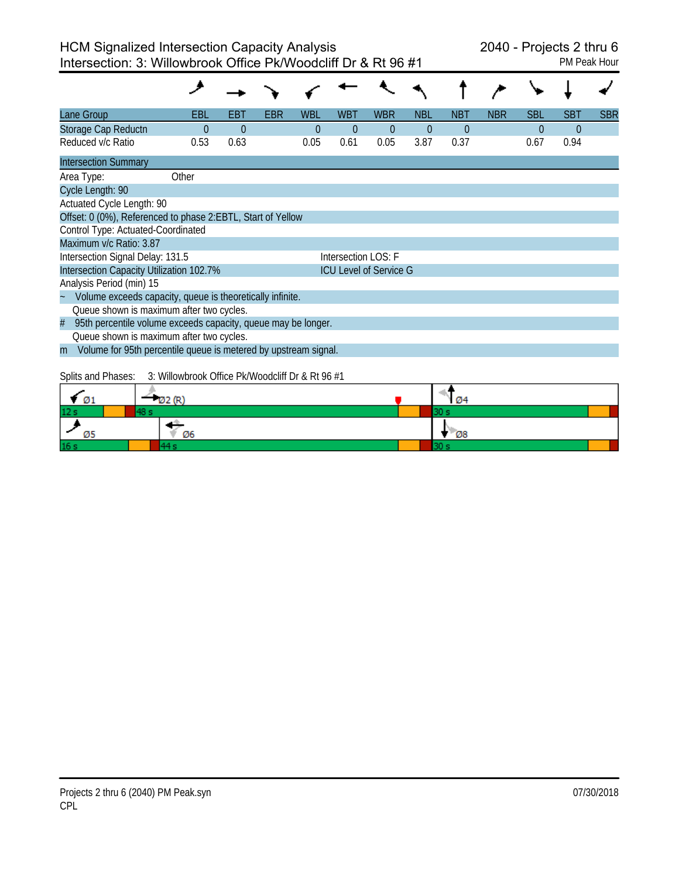| Lane Group                                                           | EBL                                              | EBT      | EBR | WBL      | WBT                 | <b>WBR</b>                    | <b>NBL</b> | NBT      | <b>NBR</b> | SBL      | <b>SBT</b> | <b>SBR</b> |
|----------------------------------------------------------------------|--------------------------------------------------|----------|-----|----------|---------------------|-------------------------------|------------|----------|------------|----------|------------|------------|
| Storage Cap Reductn                                                  | $\theta$                                         | $\Omega$ |     | $\theta$ | $\theta$            | $\theta$                      | $\Omega$   | $\Omega$ |            | $\theta$ | 0          |            |
| Reduced v/c Ratio                                                    | 0.53                                             | 0.63     |     | 0.05     | 0.61                | 0.05                          | 3.87       | 0.37     |            | 0.67     | 0.94       |            |
| <b>Intersection Summary</b>                                          |                                                  |          |     |          |                     |                               |            |          |            |          |            |            |
| Area Type:                                                           | Other                                            |          |     |          |                     |                               |            |          |            |          |            |            |
| Cycle Length: 90                                                     |                                                  |          |     |          |                     |                               |            |          |            |          |            |            |
| Actuated Cycle Length: 90                                            |                                                  |          |     |          |                     |                               |            |          |            |          |            |            |
| Offset: 0 (0%), Referenced to phase 2:EBTL, Start of Yellow          |                                                  |          |     |          |                     |                               |            |          |            |          |            |            |
| Control Type: Actuated-Coordinated                                   |                                                  |          |     |          |                     |                               |            |          |            |          |            |            |
| Maximum v/c Ratio: 3.87                                              |                                                  |          |     |          |                     |                               |            |          |            |          |            |            |
| Intersection Signal Delay: 131.5                                     |                                                  |          |     |          | Intersection LOS: F |                               |            |          |            |          |            |            |
| Intersection Capacity Utilization 102.7%                             |                                                  |          |     |          |                     | <b>ICU Level of Service G</b> |            |          |            |          |            |            |
| Analysis Period (min) 15                                             |                                                  |          |     |          |                     |                               |            |          |            |          |            |            |
| Volume exceeds capacity, queue is theoretically infinite.            |                                                  |          |     |          |                     |                               |            |          |            |          |            |            |
| Queue shown is maximum after two cycles.                             |                                                  |          |     |          |                     |                               |            |          |            |          |            |            |
| 95th percentile volume exceeds capacity, queue may be longer.<br>#   |                                                  |          |     |          |                     |                               |            |          |            |          |            |            |
| Queue shown is maximum after two cycles.                             |                                                  |          |     |          |                     |                               |            |          |            |          |            |            |
| Volume for 95th percentile queue is metered by upstream signal.<br>m |                                                  |          |     |          |                     |                               |            |          |            |          |            |            |
|                                                                      |                                                  |          |     |          |                     |                               |            |          |            |          |            |            |
| Splits and Phases:                                                   | 3: Willowbrook Office Pk/Woodcliff Dr & Rt 96 #1 |          |     |          |                     |                               |            |          |            |          |            |            |
|                                                                      | 122 (R)                                          |          |     |          |                     |                               |            |          |            |          |            |            |
|                                                                      |                                                  |          |     |          |                     |                               |            |          |            |          |            |            |

| Ø1              |    | <b>Ø4</b> |  |
|-----------------|----|-----------|--|
| 12 <sub>s</sub> |    |           |  |
| ້               | Ø6 | <b>Ø8</b> |  |
| 16 <sub>s</sub> |    |           |  |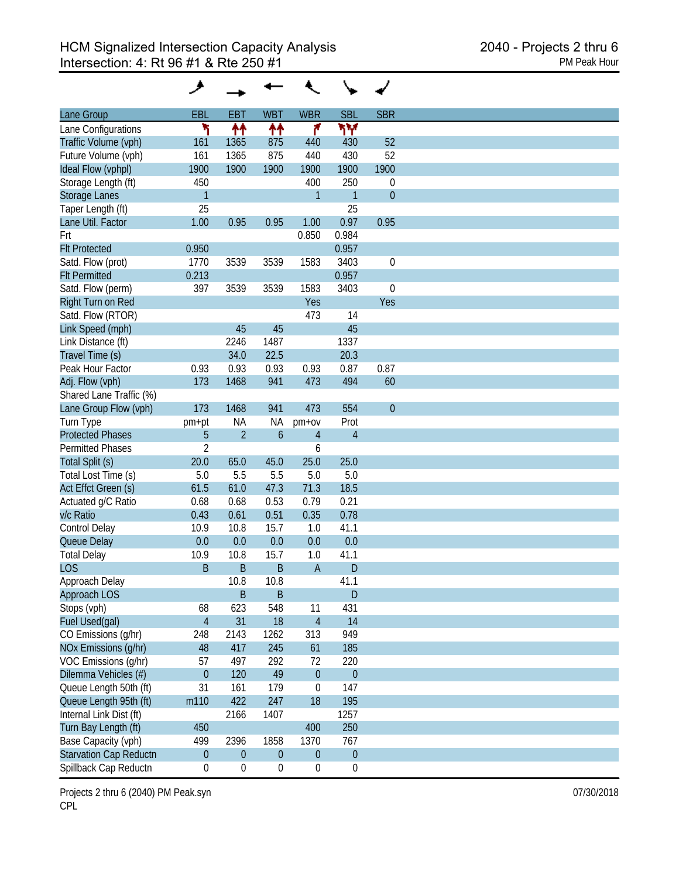| Lane Group                    | <b>EBL</b>       | <b>EBT</b>       | <b>WBT</b>          | <b>WBR</b>       | <b>SBL</b>       | <b>SBR</b>       |
|-------------------------------|------------------|------------------|---------------------|------------------|------------------|------------------|
| Lane Configurations           | ۲                |                  |                     | ۴                | ۳Υ               |                  |
| Traffic Volume (vph)          | 161              | ↟↟<br>1365       | 11<br>875           | 440              | 430              | 52               |
| Future Volume (vph)           | 161              | 1365             | 875                 | 440              | 430              | 52               |
|                               |                  |                  | 1900                |                  |                  | 1900             |
| Ideal Flow (vphpl)            | 1900             | 1900             |                     | 1900             | 1900             |                  |
| Storage Length (ft)           | 450              |                  |                     | 400              | 250              | $\mathbf 0$      |
| <b>Storage Lanes</b>          | $\mathbf{1}$     |                  |                     | 1                | $\mathbf{1}$     | $\mathbf{0}$     |
| Taper Length (ft)             | 25               |                  |                     |                  | 25               |                  |
| Lane Util. Factor             | 1.00             | 0.95             | 0.95                | 1.00             | 0.97             | 0.95             |
| Frt                           |                  |                  |                     | 0.850            | 0.984            |                  |
| <b>Flt Protected</b>          | 0.950            |                  |                     |                  | 0.957            |                  |
| Satd. Flow (prot)             | 1770             | 3539             | 3539                | 1583             | 3403             | $\boldsymbol{0}$ |
| <b>Flt Permitted</b>          | 0.213            |                  |                     |                  | 0.957            |                  |
| Satd. Flow (perm)             | 397              | 3539             | 3539                | 1583             | 3403             | $\boldsymbol{0}$ |
| Right Turn on Red             |                  |                  |                     | Yes              |                  | Yes              |
| Satd. Flow (RTOR)             |                  |                  |                     | 473              | 14               |                  |
| Link Speed (mph)              |                  | 45               | 45                  |                  | 45               |                  |
| Link Distance (ft)            |                  | 2246             | 1487                |                  | 1337             |                  |
| Travel Time (s)               |                  | 34.0             | 22.5                |                  | 20.3             |                  |
|                               |                  |                  |                     |                  |                  |                  |
| Peak Hour Factor              | 0.93             | 0.93             | 0.93                | 0.93             | 0.87             | 0.87             |
| Adj. Flow (vph)               | 173              | 1468             | 941                 | 473              | 494              | 60               |
| Shared Lane Traffic (%)       |                  |                  |                     |                  |                  |                  |
| Lane Group Flow (vph)         | 173              | 1468             | 941                 | 473              | 554              | $\mathbf{0}$     |
| Turn Type                     | pm+pt            | NA               | ΝA                  | $pm+ov$          | Prot             |                  |
| <b>Protected Phases</b>       | 5                | $\overline{2}$   | $\ddot{\mathbf{6}}$ | $\overline{4}$   | $\overline{4}$   |                  |
| <b>Permitted Phases</b>       | $\overline{2}$   |                  |                     | 6                |                  |                  |
| Total Split (s)               | 20.0             | 65.0             | 45.0                | 25.0             | 25.0             |                  |
| Total Lost Time (s)           | 5.0              | 5.5              | 5.5                 | 5.0              | 5.0              |                  |
| Act Effct Green (s)           | 61.5             | 61.0             | 47.3                | 71.3             | 18.5             |                  |
| Actuated g/C Ratio            | 0.68             | 0.68             | 0.53                | 0.79             | 0.21             |                  |
| v/c Ratio                     | 0.43             | 0.61             | 0.51                | 0.35             | 0.78             |                  |
|                               |                  | 10.8             | 15.7                | 1.0              | 41.1             |                  |
| Control Delay                 | 10.9             |                  |                     |                  |                  |                  |
| Queue Delay                   | 0.0              | 0.0              | 0.0                 | 0.0              | 0.0              |                  |
| <b>Total Delay</b>            | 10.9             | 10.8             | 15.7                | 1.0              | 41.1             |                  |
| <b>LOS</b>                    | B                | B                | B                   | $\overline{A}$   | D                |                  |
| Approach Delay                |                  | 10.8             | 10.8                |                  | 41.1             |                  |
| Approach LOS                  |                  | $\sf B$          | $\mathsf B$         |                  | $\mathsf{D}$     |                  |
| Stops (vph)                   | 68               | 623              | 548                 | 11               | 431              |                  |
| Fuel Used(gal)                | $\overline{4}$   | 31               | 18                  | $\overline{4}$   | 14               |                  |
| CO Emissions (g/hr)           | 248              | 2143             | 1262                | 313              | 949              |                  |
| NOx Emissions (g/hr)          | 48               | 417              | 245                 | 61               | 185              |                  |
| VOC Emissions (g/hr)          | 57               | 497              | 292                 | 72               | 220              |                  |
| Dilemma Vehicles (#)          | $\theta$         | 120              | 49                  | $\theta$         | $\boldsymbol{0}$ |                  |
| Queue Length 50th (ft)        | 31               | 161              | 179                 | $\mathbf 0$      | 147              |                  |
|                               |                  |                  |                     |                  |                  |                  |
| Queue Length 95th (ft)        | m110             | 422              | 247                 | 18               | 195              |                  |
| Internal Link Dist (ft)       |                  | 2166             | 1407                |                  | 1257             |                  |
| Turn Bay Length (ft)          | 450              |                  |                     | 400              | 250              |                  |
| Base Capacity (vph)           | 499              | 2396             | 1858                | 1370             | 767              |                  |
| <b>Starvation Cap Reductn</b> | $\boldsymbol{0}$ | $\boldsymbol{0}$ | $\boldsymbol{0}$    | $\boldsymbol{0}$ | $\boldsymbol{0}$ |                  |
| Spillback Cap Reductn         | 0                | 0                | 0                   | $\mathbf 0$      | $\boldsymbol{0}$ |                  |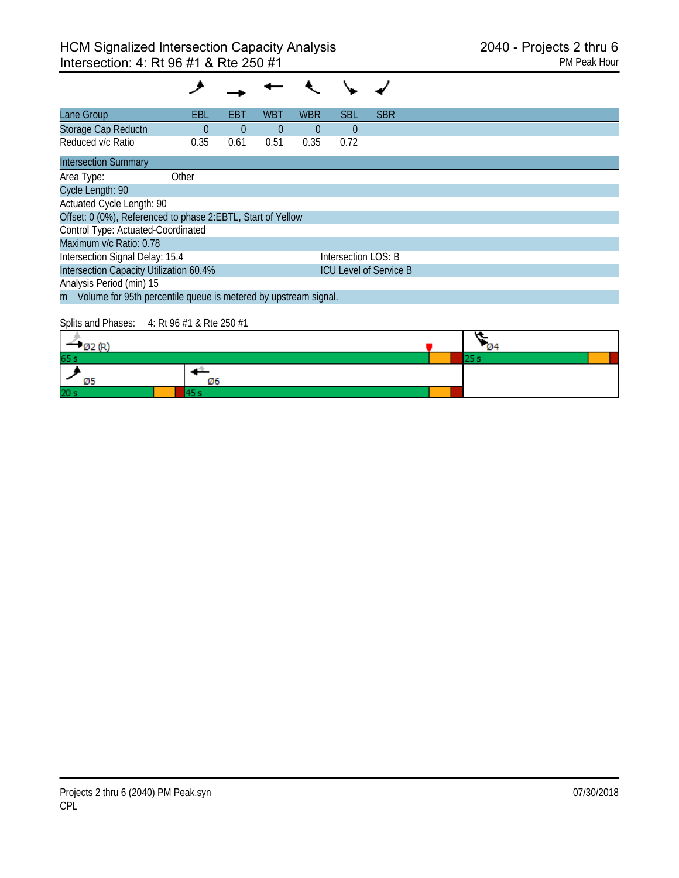| Lane Group                                                  | EBL                                                               | EBT            | <b>WBT</b>     | <b>WBR</b> | <b>SBL</b>          | <b>SBR</b>                    |  |  |  |  |  |
|-------------------------------------------------------------|-------------------------------------------------------------------|----------------|----------------|------------|---------------------|-------------------------------|--|--|--|--|--|
| Storage Cap Reductn                                         | $\theta$                                                          | $\overline{0}$ | $\overline{0}$ | $\theta$   | $\theta$            |                               |  |  |  |  |  |
| Reduced v/c Ratio                                           | 0.35                                                              | 0.61           | 0.51           | 0.35       | 0.72                |                               |  |  |  |  |  |
| <b>Intersection Summary</b>                                 |                                                                   |                |                |            |                     |                               |  |  |  |  |  |
| Area Type:                                                  | Other                                                             |                |                |            |                     |                               |  |  |  |  |  |
| Cycle Length: 90                                            |                                                                   |                |                |            |                     |                               |  |  |  |  |  |
| Actuated Cycle Length: 90                                   |                                                                   |                |                |            |                     |                               |  |  |  |  |  |
| Offset: 0 (0%), Referenced to phase 2:EBTL, Start of Yellow |                                                                   |                |                |            |                     |                               |  |  |  |  |  |
| Control Type: Actuated-Coordinated                          |                                                                   |                |                |            |                     |                               |  |  |  |  |  |
| Maximum v/c Ratio: 0.78                                     |                                                                   |                |                |            |                     |                               |  |  |  |  |  |
| Intersection Signal Delay: 15.4                             |                                                                   |                |                |            | Intersection LOS: B |                               |  |  |  |  |  |
| Intersection Capacity Utilization 60.4%                     |                                                                   |                |                |            |                     | <b>ICU Level of Service B</b> |  |  |  |  |  |
| Analysis Period (min) 15                                    |                                                                   |                |                |            |                     |                               |  |  |  |  |  |
|                                                             | m Volume for 95th percentile queue is metered by upstream signal. |                |                |            |                     |                               |  |  |  |  |  |
|                                                             |                                                                   |                |                |            |                     |                               |  |  |  |  |  |

### Splits and Phases: 4: Rt 96 #1 & Rte 250 #1

| 65 s            |    |  |  |
|-----------------|----|--|--|
|                 | Ø6 |  |  |
| 20 <sub>s</sub> |    |  |  |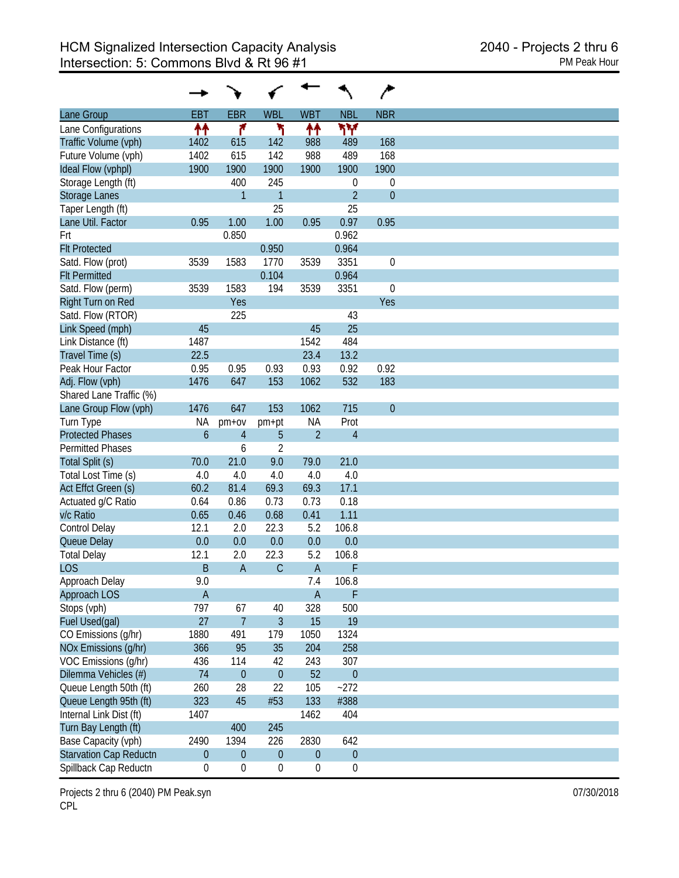|                               |                  |                  |                  |                  |                  | ∕              |
|-------------------------------|------------------|------------------|------------------|------------------|------------------|----------------|
| Lane Group                    | <b>EBT</b>       | <b>EBR</b>       | <b>WBL</b>       | <b>WBT</b>       | <b>NBL</b>       | <b>NBR</b>     |
| Lane Configurations           | ↟↟               | ۴                | ١                | 11               | ۳Υ               |                |
| Traffic Volume (vph)          | 1402             | 615              | 142              | 988              | 489              | 168            |
| Future Volume (vph)           | 1402             | 615              | 142              | 988              | 489              | 168            |
| Ideal Flow (vphpl)            | 1900             | 1900             | 1900             | 1900             | 1900             | 1900           |
| Storage Length (ft)           |                  | 400              | 245              |                  | 0                | 0              |
| <b>Storage Lanes</b>          |                  | $\mathbf{1}$     | $\mathbf{1}$     |                  | $\overline{2}$   | $\overline{0}$ |
| Taper Length (ft)             |                  |                  | 25               |                  | 25               |                |
| Lane Util. Factor             | 0.95             | 1.00             | 1.00             | 0.95             | 0.97             | 0.95           |
| Frt                           |                  | 0.850            |                  |                  | 0.962            |                |
| <b>Flt Protected</b>          |                  |                  | 0.950            |                  | 0.964            |                |
| Satd. Flow (prot)             | 3539             | 1583             | 1770             | 3539             | 3351             | $\mathbf 0$    |
| <b>Flt Permitted</b>          |                  |                  | 0.104            |                  | 0.964            |                |
| Satd. Flow (perm)             | 3539             | 1583             | 194              | 3539             | 3351             | $\mathbf 0$    |
| Right Turn on Red             |                  | Yes              |                  |                  |                  | Yes            |
|                               |                  |                  |                  |                  |                  |                |
| Satd. Flow (RTOR)             |                  | 225              |                  |                  | 43               |                |
| Link Speed (mph)              | 45               |                  |                  | 45               | 25               |                |
| Link Distance (ft)            | 1487             |                  |                  | 1542             | 484              |                |
| Travel Time (s)               | 22.5             |                  |                  | 23.4             | 13.2             |                |
| Peak Hour Factor              | 0.95             | 0.95             | 0.93             | 0.93             | 0.92             | 0.92           |
| Adj. Flow (vph)               | 1476             | 647              | 153              | 1062             | 532              | 183            |
| Shared Lane Traffic (%)       |                  |                  |                  |                  |                  |                |
| Lane Group Flow (vph)         | 1476             | 647              | 153              | 1062             | 715              | $\overline{0}$ |
| Turn Type                     | ΝA               | $pm+ov$          | pm+pt            | <b>NA</b>        | Prot             |                |
| <b>Protected Phases</b>       | $\mathfrak b$    | $\overline{4}$   | 5                | $\overline{2}$   | $\overline{4}$   |                |
| <b>Permitted Phases</b>       |                  | 6                | $\overline{2}$   |                  |                  |                |
| Total Split (s)               | 70.0             | 21.0             | 9.0              | 79.0             | 21.0             |                |
| Total Lost Time (s)           | 4.0              | 4.0              | 4.0              | 4.0              | 4.0              |                |
| Act Effct Green (s)           | 60.2             | 81.4             | 69.3             | 69.3             | 17.1             |                |
| Actuated g/C Ratio            | 0.64             | 0.86             | 0.73             | 0.73             | 0.18             |                |
| v/c Ratio                     | 0.65             | 0.46             | 0.68             | 0.41             | 1.11             |                |
| Control Delay                 | 12.1             | 2.0              | 22.3             | 5.2              | 106.8            |                |
| Queue Delay                   | 0.0              | 0.0              | 0.0              | 0.0              | 0.0              |                |
| <b>Total Delay</b>            | 12.1             | 2.0              | 22.3             | 5.2              | 106.8            |                |
| <b>LOS</b>                    | B                | $\overline{A}$   | $\mathsf{C}$     | $\overline{A}$   | F                |                |
| Approach Delay                | 9.0              |                  |                  | 7.4              | 106.8            |                |
| Approach LOS                  | $\overline{A}$   |                  |                  | $\mathsf A$      | $\mathsf F$      |                |
| Stops (vph)                   | 797              | 67               | 40               | 328              | 500              |                |
| Fuel Used(gal)                | 27               | $\overline{7}$   | 3                | 15               | 19               |                |
| CO Emissions (g/hr)           | 1880             | 491              | 179              | 1050             | 1324             |                |
| NOx Emissions (g/hr)          | 366              | 95               | 35               | 204              | 258              |                |
|                               |                  |                  |                  |                  |                  |                |
| VOC Emissions (g/hr)          | 436              | 114              | 42               | 243              | 307              |                |
| Dilemma Vehicles (#)          | 74               | $\mathbf{0}$     | $\mathbf{0}$     | 52               | $\mathbf 0$      |                |
| Queue Length 50th (ft)        | 260              | 28               | 22               | 105              | $-272$           |                |
| Queue Length 95th (ft)        | 323              | 45               | #53              | 133              | #388             |                |
| Internal Link Dist (ft)       | 1407             |                  |                  | 1462             | 404              |                |
| Turn Bay Length (ft)          |                  | 400              | 245              |                  |                  |                |
| Base Capacity (vph)           | 2490             | 1394             | 226              | 2830             | 642              |                |
| <b>Starvation Cap Reductn</b> | $\boldsymbol{0}$ | $\mathbf{0}$     | $\mathbf 0$      | $\boldsymbol{0}$ | $\boldsymbol{0}$ |                |
| Spillback Cap Reductn         | $\boldsymbol{0}$ | $\boldsymbol{0}$ | $\boldsymbol{0}$ | $\boldsymbol{0}$ | $\boldsymbol{0}$ |                |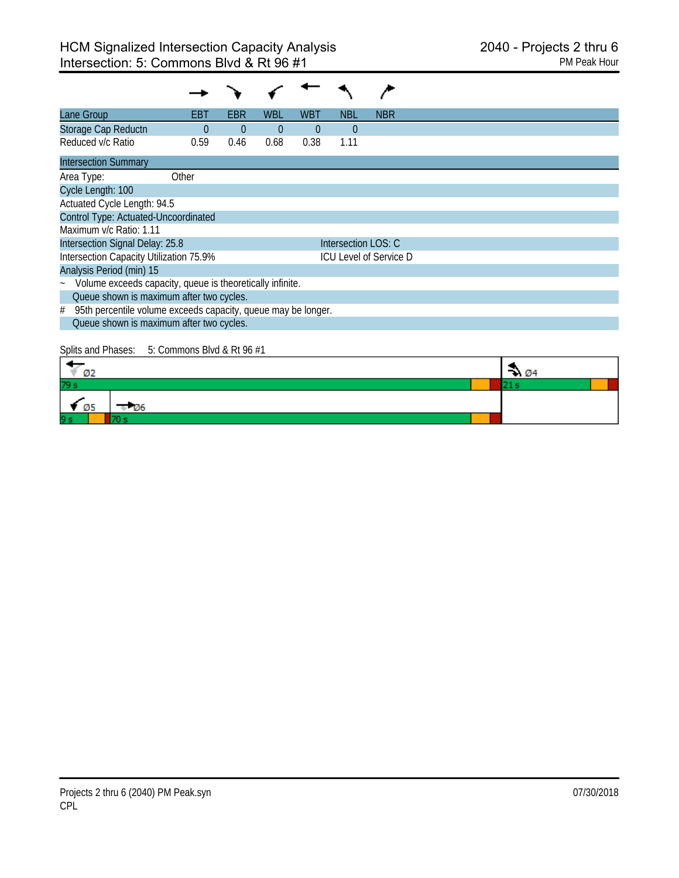| Lane Group                                                         | EBT      | EBR      | WBL      | WBT      | NBL                 | <b>NBR</b>                    |  |  |  |  |
|--------------------------------------------------------------------|----------|----------|----------|----------|---------------------|-------------------------------|--|--|--|--|
| Storage Cap Reductn                                                | $\Omega$ | $\Omega$ | $\theta$ | $\theta$ | $\Omega$            |                               |  |  |  |  |
| Reduced v/c Ratio                                                  | 0.59     | 0.46     | 0.68     | 0.38     | 1.11                |                               |  |  |  |  |
| <b>Intersection Summary</b>                                        |          |          |          |          |                     |                               |  |  |  |  |
| Area Type:                                                         | Other    |          |          |          |                     |                               |  |  |  |  |
| Cycle Length: 100                                                  |          |          |          |          |                     |                               |  |  |  |  |
| Actuated Cycle Length: 94.5                                        |          |          |          |          |                     |                               |  |  |  |  |
| Control Type: Actuated-Uncoordinated                               |          |          |          |          |                     |                               |  |  |  |  |
| Maximum v/c Ratio: 1.11                                            |          |          |          |          |                     |                               |  |  |  |  |
| Intersection Signal Delay: 25.8                                    |          |          |          |          | Intersection LOS: C |                               |  |  |  |  |
| Intersection Capacity Utilization 75.9%                            |          |          |          |          |                     | <b>ICU Level of Service D</b> |  |  |  |  |
| Analysis Period (min) 15                                           |          |          |          |          |                     |                               |  |  |  |  |
| ~ Volume exceeds capacity, queue is theoretically infinite.        |          |          |          |          |                     |                               |  |  |  |  |
| Queue shown is maximum after two cycles.                           |          |          |          |          |                     |                               |  |  |  |  |
| 95th percentile volume exceeds capacity, queue may be longer.<br># |          |          |          |          |                     |                               |  |  |  |  |
| Queue shown is maximum after two cycles.                           |          |          |          |          |                     |                               |  |  |  |  |

# Splits and Phases: 5: Commons Blvd & Rt 96 #1

| Ø2                         | $\rightarrow 04$ |  |
|----------------------------|------------------|--|
| 79 s                       |                  |  |
| $\blacksquare$ 05<br>$-06$ |                  |  |
| 9s                         |                  |  |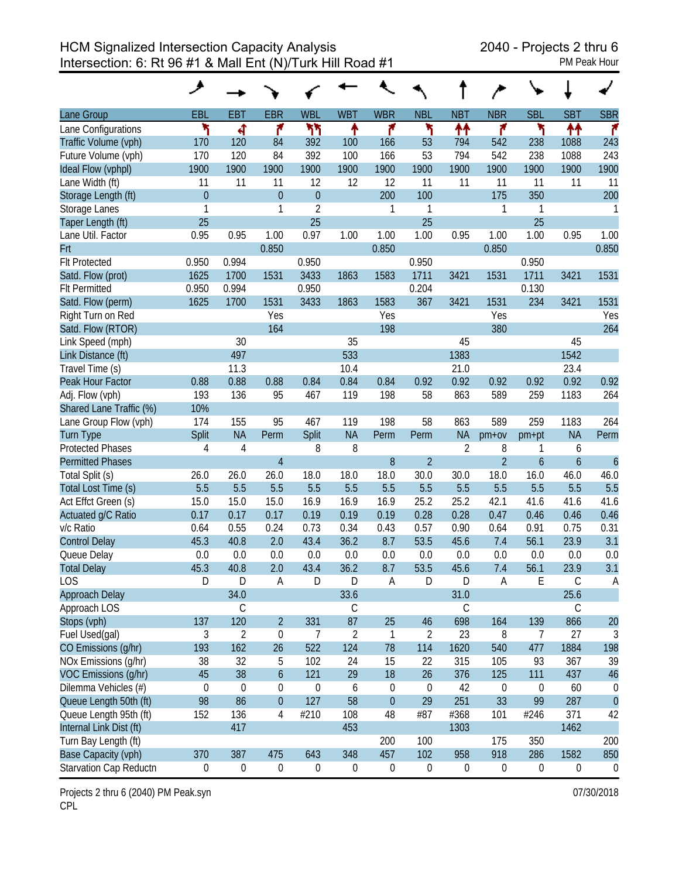HCM Signalized Intersection Capacity Analysis 2040 - Projects 2 thru 6 Intersection: 6: Rt 96 #1 & Mall Ent (N)/Turk Hill Road #1

| Lane Group                                     | EBL                    | <b>EBT</b>        | <b>EBR</b>       | <b>WBL</b>       | <b>WBT</b>       | <b>WBR</b>       | <b>NBL</b>             | <b>NBT</b>       | <b>NBR</b>             | <b>SBL</b>       | <b>SBT</b>     | <b>SBR</b>          |
|------------------------------------------------|------------------------|-------------------|------------------|------------------|------------------|------------------|------------------------|------------------|------------------------|------------------|----------------|---------------------|
| Lane Configurations                            | ۲                      | ची                | ۴                | ካካ               | ↟                | ۴                | ۲                      | ₩                | ۴                      | ۲                | 11             | ۴                   |
| Traffic Volume (vph)                           | 170                    | 120               | 84               | 392              | 100              | 166              | 53                     | 794              | 542                    | 238              | 1088           | 243                 |
| Future Volume (vph)                            | 170                    | 120               | 84               | 392              | 100              | 166              | 53                     | 794              | 542                    | 238              | 1088           | 243                 |
| Ideal Flow (vphpl)                             | 1900                   | 1900              | 1900             | 1900             | 1900             | 1900             | 1900                   | 1900             | 1900                   | 1900             | 1900           | 1900                |
| Lane Width (ft)                                | 11                     | 11                | 11               | 12               | 12               | 12               | 11                     | 11               | 11                     | 11               | 11             | 11                  |
| Storage Length (ft)                            | $\overline{0}$         |                   | $\overline{0}$   | $\overline{0}$   |                  | 200              | 100                    |                  | 175                    | 350              |                | 200                 |
| Storage Lanes                                  | 1                      |                   | 1                | $\overline{2}$   |                  | 1                | 1                      |                  | 1                      | 1                |                | 1                   |
| Taper Length (ft)                              | 25                     |                   |                  | 25               |                  |                  | 25                     |                  |                        | 25               |                |                     |
| Lane Util. Factor                              | 0.95                   | 0.95              | 1.00             | 0.97             | 1.00             | 1.00             | 1.00                   | 0.95             | 1.00                   | 1.00             | 0.95           | 1.00                |
| Frt                                            |                        |                   | 0.850            |                  |                  | 0.850            |                        |                  | 0.850                  |                  |                | 0.850               |
| <b>Flt Protected</b>                           | 0.950                  | 0.994             |                  | 0.950            |                  |                  | 0.950                  |                  |                        | 0.950            |                |                     |
| Satd. Flow (prot)                              | 1625                   | 1700              | 1531             | 3433             | 1863             | 1583             | 1711                   | 3421             | 1531                   | 1711             | 3421           | 1531                |
| <b>Flt Permitted</b>                           | 0.950                  | 0.994             |                  | 0.950            |                  |                  | 0.204                  |                  |                        | 0.130            |                |                     |
| Satd. Flow (perm)                              | 1625                   | 1700              | 1531             | 3433             | 1863             | 1583             | 367                    | 3421             | 1531                   | 234              | 3421           | 1531                |
| Right Turn on Red                              |                        |                   | Yes              |                  |                  | Yes              |                        |                  | Yes                    |                  |                | Yes                 |
| Satd. Flow (RTOR)                              |                        |                   | 164              |                  |                  | 198              |                        |                  | 380                    |                  |                | 264                 |
| Link Speed (mph)                               |                        | 30                |                  |                  | 35               |                  |                        | 45               |                        |                  | 45             |                     |
| Link Distance (ft)                             |                        | 497               |                  |                  | 533              |                  |                        | 1383             |                        |                  | 1542           |                     |
| Travel Time (s)                                |                        | 11.3              |                  |                  | 10.4             |                  |                        | 21.0             |                        |                  | 23.4           |                     |
| Peak Hour Factor                               | 0.88                   | 0.88              | 0.88             | 0.84             | 0.84             | 0.84             | 0.92                   | 0.92             | 0.92                   | 0.92             | 0.92           | 0.92                |
| Adj. Flow (vph)                                | 193                    | 136               | 95               | 467              | 119              | 198              | 58                     | 863              | 589                    | 259              | 1183           | 264                 |
| Shared Lane Traffic (%)                        | 10%                    |                   |                  |                  |                  |                  |                        |                  |                        |                  |                |                     |
| Lane Group Flow (vph)                          | 174                    | 155               | 95               | 467              | 119              | 198              | 58                     | 863              | 589                    | 259              | 1183           | 264                 |
| <b>Turn Type</b>                               | Split                  | <b>NA</b>         | Perm             | Split            | <b>NA</b>        | Perm             | Perm                   | <b>NA</b>        | $pm+ov$                | pm+pt            | <b>NA</b>      | Perm                |
| <b>Protected Phases</b>                        | 4                      | $\overline{4}$    |                  | 8                | 8                |                  |                        | $\overline{2}$   | 8                      | 1                | 6              |                     |
| <b>Permitted Phases</b>                        |                        |                   | $\overline{4}$   |                  |                  | 8                | $\overline{2}$         |                  | $\overline{2}$         | $\overline{6}$   | $\overline{6}$ | $\ddot{\mathbf{6}}$ |
| Total Split (s)                                | 26.0                   | 26.0              | 26.0             | 18.0             | 18.0             | 18.0             | 30.0                   | 30.0             | 18.0                   | 16.0             | 46.0           | 46.0                |
| Total Lost Time (s)                            | 5.5                    | 5.5               | 5.5              | 5.5              | 5.5              | 5.5              | 5.5                    | 5.5              | 5.5                    | 5.5              | 5.5            | 5.5                 |
| Act Effct Green (s)                            | 15.0                   | 15.0              | 15.0             | 16.9             | 16.9             | 16.9             | 25.2                   | 25.2             | 42.1                   | 41.6             | 41.6           | 41.6                |
| Actuated g/C Ratio                             | 0.17                   | 0.17              | 0.17             | 0.19             | 0.19             | 0.19             | 0.28                   | 0.28             | 0.47                   | 0.46             | 0.46           | 0.46                |
| v/c Ratio                                      | 0.64                   | 0.55              | 0.24             | 0.73             | 0.34             | 0.43             | 0.57                   | 0.90             | 0.64                   | 0.91             | 0.75           | 0.31                |
| <b>Control Delay</b>                           | 45.3                   | 40.8              | 2.0              | 43.4             | 36.2             | 8.7              | 53.5                   | 45.6             | 7.4                    | 56.1             | 23.9           | 3.1                 |
| Queue Delay                                    | 0.0                    | 0.0               | 0.0              | 0.0              | 0.0              | 0.0              | 0.0                    | 0.0              | 0.0                    | 0.0              | 0.0            | 0.0                 |
| <b>Total Delay</b>                             | 45.3                   | 40.8              | 2.0              | 43.4             | 36.2             | 8.7              | 53.5                   | 45.6             | 7.4                    | 56.1             | 23.9           | 3.1                 |
| <b>LOS</b>                                     | D                      | D                 | A                | D                | D                | A                | D.                     | D                | A                      | E                | С              | A                   |
| Approach Delay                                 |                        | 34.0              |                  |                  | 33.6             |                  |                        | 31.0             |                        |                  | 25.6           |                     |
| Approach LOS                                   |                        | $\mathsf C$       |                  |                  | $\mathcal{C}$    |                  |                        | $\mathsf C$      |                        |                  | $\mathsf C$    |                     |
| Stops (vph)                                    | 137                    | 120               | $\overline{2}$   | 331              | 87               | 25               | 46                     | 698              | 164                    | 139              | 866            | 20                  |
| Fuel Used(gal)                                 | 3                      | $\overline{2}$    | $\mathbf{0}$     | $\overline{7}$   | $\overline{2}$   | 1                | $\overline{2}$         | 23               | 8                      | 7                | 27             | 3                   |
| CO Emissions (g/hr)                            | 193                    | 162               | 26               | 522              | 124              | 78               | 114                    | 1620             | 540                    | 477              | 1884           | 198                 |
| NOx Emissions (q/hr)                           | 38<br>45               | 32                | 5                | 102              | 24               | 15               | 22                     | 315              | 105                    | 93               | 367            | 39                  |
| VOC Emissions (q/hr)                           |                        | 38                | $\mathfrak b$    | 121              | 29               | 18               | 26                     | 376              | 125                    | 111              | 437            | 46                  |
| Dilemma Vehicles (#)<br>Queue Length 50th (ft) | $\boldsymbol{0}$<br>98 | $\mathbf 0$<br>86 | $\boldsymbol{0}$ | $\boldsymbol{0}$ | 6<br>58          | $\boldsymbol{0}$ | $\boldsymbol{0}$<br>29 | 42               | $\boldsymbol{0}$<br>33 | 0                | 60             | 0                   |
|                                                |                        |                   | $\boldsymbol{0}$ | 127              |                  | $\mathbf{0}$     |                        | 251              |                        | 99               | 287            | $\theta$            |
| Queue Length 95th (ft)                         | 152                    | 136               | 4                | #210             | 108              | 48               | #87                    | #368             | 101                    | #246             | 371            | 42                  |
| Internal Link Dist (ft)                        |                        | 417               |                  |                  | 453              | 200              | 100                    | 1303             | 175                    | 350              | 1462           | 200                 |
| Turn Bay Length (ft)                           | 370                    | 387               | 475              | 643              | 348              | 457              | 102                    | 958              | 918                    | 286              | 1582           | 850                 |
| Base Capacity (vph)                            |                        |                   |                  |                  |                  |                  |                        |                  |                        |                  |                |                     |
| Starvation Cap Reductn                         | $\boldsymbol{0}$       | $\mathbf 0$       | $\boldsymbol{0}$ | $\boldsymbol{0}$ | $\boldsymbol{0}$ | $\boldsymbol{0}$ | $\boldsymbol{0}$       | $\boldsymbol{0}$ | 0                      | $\boldsymbol{0}$ | 0              | 0                   |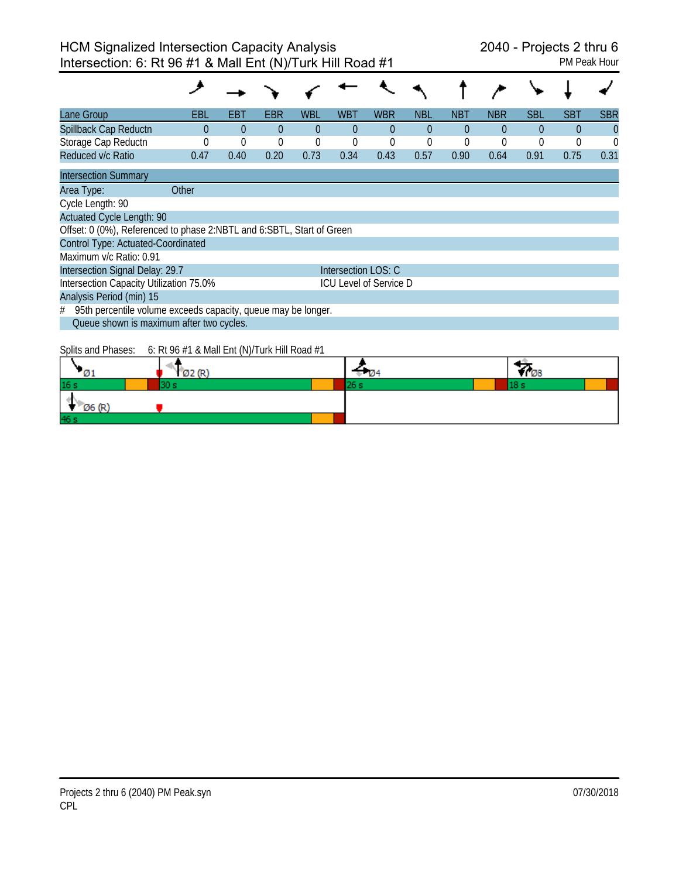| Lane Group                                                            | EBL      | EBT      | EBR      | <b>WBL</b> | WBT                 | <b>WBR</b>                    | <b>NBL</b> | <b>NBT</b>     | <b>NBR</b> | <b>SBL</b> | <b>SBT</b> | <b>SBR</b> |
|-----------------------------------------------------------------------|----------|----------|----------|------------|---------------------|-------------------------------|------------|----------------|------------|------------|------------|------------|
| Spillback Cap Reductn                                                 | 0        | $\Omega$ | $\Omega$ | $\Omega$   | 0                   | $\Omega$                      | $\Omega$   | $\Omega$       | $\Omega$   | $\Omega$   | $\Omega$   | $\Omega$   |
| Storage Cap Reductn                                                   | $\Omega$ | $\Omega$ | $\Omega$ | 0          | 0                   | 0                             | 0          | $\overline{0}$ | 0          | 0          | $\Omega$   | $\theta$   |
| Reduced v/c Ratio                                                     | 0.47     | 0.40     | 0.20     | 0.73       | 0.34                | 0.43                          | 0.57       | 0.90           | 0.64       | 0.91       | 0.75       | 0.31       |
| <b>Intersection Summary</b>                                           |          |          |          |            |                     |                               |            |                |            |            |            |            |
| Area Type:                                                            | Other    |          |          |            |                     |                               |            |                |            |            |            |            |
| Cycle Length: 90                                                      |          |          |          |            |                     |                               |            |                |            |            |            |            |
| <b>Actuated Cycle Length: 90</b>                                      |          |          |          |            |                     |                               |            |                |            |            |            |            |
| Offset: 0 (0%), Referenced to phase 2:NBTL and 6:SBTL, Start of Green |          |          |          |            |                     |                               |            |                |            |            |            |            |
| Control Type: Actuated-Coordinated                                    |          |          |          |            |                     |                               |            |                |            |            |            |            |
| Maximum v/c Ratio: 0.91                                               |          |          |          |            |                     |                               |            |                |            |            |            |            |
| Intersection Signal Delay: 29.7                                       |          |          |          |            | Intersection LOS: C |                               |            |                |            |            |            |            |
| Intersection Capacity Utilization 75.0%                               |          |          |          |            |                     | <b>ICU Level of Service D</b> |            |                |            |            |            |            |
| Analysis Period (min) 15                                              |          |          |          |            |                     |                               |            |                |            |            |            |            |
| 95th percentile volume exceeds capacity, queue may be longer.<br>#    |          |          |          |            |                     |                               |            |                |            |            |            |            |
| Queue shown is maximum after two cycles.                              |          |          |          |            |                     |                               |            |                |            |            |            |            |
|                                                                       |          |          |          |            |                     |                               |            |                |            |            |            |            |

Splits and Phases: 6: Rt 96 #1 & Mall Ent (N)/Turk Hill Road #1

|                 | (02)(R)<br>$\mathbf{v}$ |  | Y 708 |
|-----------------|-------------------------|--|-------|
| 16 <sub>s</sub> |                         |  |       |
| Ø6 (R'          |                         |  |       |
| 46s             |                         |  |       |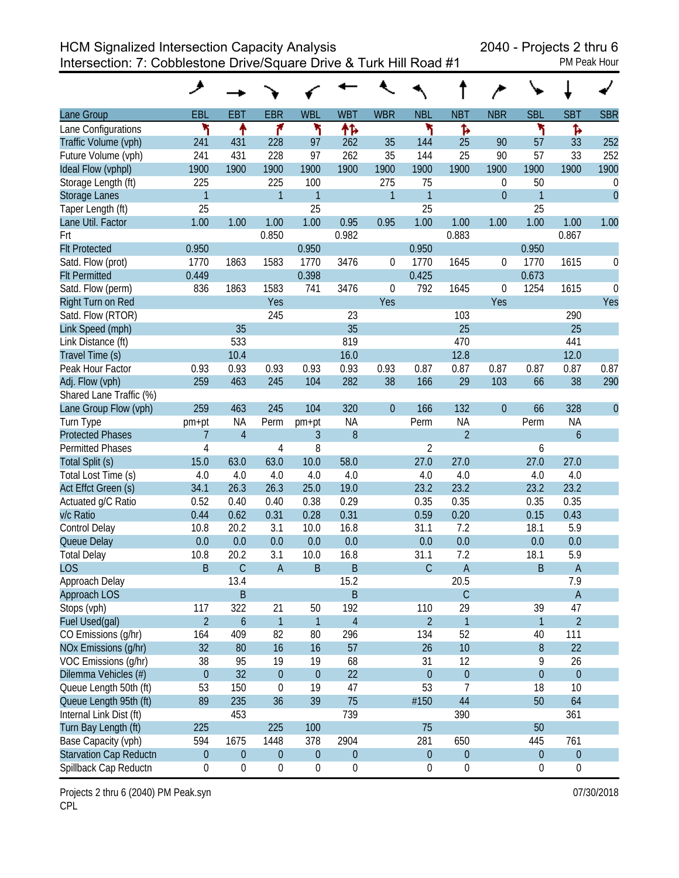HCM Signalized Intersection Capacity Analysis 2040 - Projects 2 thru 6

Intersection: 7: Cobblestone Drive/Square Drive & Turk Hill Road #1 PM Peak Hour

|                               | ۶                |                  |                  |                  |                  |                  |                  |                  |                  |                  |                  |                  |
|-------------------------------|------------------|------------------|------------------|------------------|------------------|------------------|------------------|------------------|------------------|------------------|------------------|------------------|
| Lane Group                    | <b>EBL</b>       | <b>EBT</b>       | <b>EBR</b>       | <b>WBL</b>       | <b>WBT</b>       | <b>WBR</b>       | <b>NBL</b>       | <b>NBT</b>       | <b>NBR</b>       | <b>SBL</b>       | <b>SBT</b>       | <b>SBR</b>       |
| Lane Configurations           | ۲                | ↟                | ۴                | ኻ                | ተኈ               |                  | ۲                | Ъ                |                  | ۲                | Ъ                |                  |
| Traffic Volume (vph)          | 241              | 431              | 228              | 97               | 262              | 35               | 144              | 25               | 90               | 57               | 33               | 252              |
| Future Volume (vph)           | 241              | 431              | 228              | 97               | 262              | 35               | 144              | 25               | 90               | 57               | 33               | 252              |
| Ideal Flow (vphpl)            | 1900             | 1900             | 1900             | 1900             | 1900             | 1900             | 1900             | 1900             | 1900             | 1900             | 1900             | 1900             |
| Storage Length (ft)           | 225              |                  | 225              | 100              |                  | 275              | 75               |                  | 0                | 50               |                  | $\mathbf 0$      |
| <b>Storage Lanes</b>          | $\mathbf{1}$     |                  | $\overline{1}$   | $\mathbf{1}$     |                  | $\mathbf{1}$     | $\mathbf{1}$     |                  | $\overline{0}$   | $\overline{1}$   |                  | $\overline{0}$   |
| Taper Length (ft)             | 25               |                  |                  | 25               |                  |                  | 25               |                  |                  | 25               |                  |                  |
| Lane Util. Factor             | 1.00             | 1.00             | 1.00             | 1.00             | 0.95             | 0.95             | 1.00             | 1.00             | 1.00             | 1.00             | 1.00             | 1.00             |
| Frt                           |                  |                  | 0.850            |                  | 0.982            |                  |                  | 0.883            |                  |                  | 0.867            |                  |
| <b>Flt Protected</b>          | 0.950            |                  |                  | 0.950            |                  |                  | 0.950            |                  |                  | 0.950            |                  |                  |
| Satd. Flow (prot)             | 1770             | 1863             | 1583             | 1770             | 3476             | 0                | 1770             | 1645             | 0                | 1770             | 1615             | $\boldsymbol{0}$ |
| <b>Flt Permitted</b>          | 0.449            |                  |                  | 0.398            |                  |                  | 0.425            |                  |                  | 0.673            |                  |                  |
| Satd. Flow (perm)             | 836              | 1863             | 1583             | 741              | 3476             | $\mathbf 0$      | 792              | 1645             | 0                | 1254             | 1615             | $\mathbf 0$      |
| Right Turn on Red             |                  |                  | Yes              |                  |                  | Yes              |                  |                  | Yes              |                  |                  | Yes              |
| Satd. Flow (RTOR)             |                  |                  | 245              |                  | 23               |                  |                  | 103              |                  |                  | 290              |                  |
| Link Speed (mph)              |                  | 35               |                  |                  | 35               |                  |                  | 25               |                  |                  | 25               |                  |
| Link Distance (ft)            |                  | 533              |                  |                  | 819              |                  |                  | 470              |                  |                  | 441              |                  |
| Travel Time (s)               |                  | 10.4             |                  |                  | 16.0             |                  |                  | 12.8             |                  |                  | 12.0             |                  |
| Peak Hour Factor              | 0.93             | 0.93             | 0.93             | 0.93             | 0.93             | 0.93             | 0.87             | 0.87             | 0.87             | 0.87             | 0.87             | 0.87             |
| Adj. Flow (vph)               | 259              | 463              | 245              | 104              | 282              | 38               | 166              | 29               | 103              | 66               | 38               | 290              |
| Shared Lane Traffic (%)       |                  |                  |                  |                  |                  |                  |                  |                  |                  |                  |                  |                  |
| Lane Group Flow (vph)         | 259              | 463              | 245              | 104              | 320              | $\boldsymbol{0}$ | 166              | 132              | $\boldsymbol{0}$ | 66               | 328              | $\overline{0}$   |
| Turn Type                     | pm+pt            | <b>NA</b>        | Perm             | pm+pt            | <b>NA</b>        |                  | Perm             | <b>NA</b>        |                  | Perm             | <b>NA</b>        |                  |
| <b>Protected Phases</b>       | 7                | $\overline{4}$   |                  | 3                | 8                |                  |                  | $\overline{2}$   |                  |                  | $\boldsymbol{6}$ |                  |
| <b>Permitted Phases</b>       | 4                |                  | 4                | 8                |                  |                  | $\overline{2}$   |                  |                  | 6                |                  |                  |
| Total Split (s)               | 15.0             | 63.0             | 63.0             | 10.0             | 58.0             |                  | 27.0             | 27.0             |                  | 27.0             | 27.0             |                  |
| Total Lost Time (s)           | 4.0              | 4.0              | 4.0              | 4.0              | 4.0              |                  | 4.0              | 4.0              |                  | 4.0              | 4.0              |                  |
| Act Effct Green (s)           | 34.1             | 26.3             | 26.3             | 25.0             | 19.0             |                  | 23.2             | 23.2             |                  | 23.2             | 23.2             |                  |
| Actuated g/C Ratio            | 0.52             | 0.40             | 0.40             | 0.38             | 0.29             |                  | 0.35             | 0.35             |                  | 0.35             | 0.35             |                  |
| v/c Ratio                     | 0.44             | 0.62             | 0.31             | 0.28             | 0.31             |                  | 0.59             | 0.20             |                  | 0.15             | 0.43             |                  |
| <b>Control Delay</b>          | 10.8             | 20.2             | 3.1              | 10.0             | 16.8             |                  | 31.1             | 7.2              |                  | 18.1             | 5.9              |                  |
| Queue Delay                   | 0.0              | 0.0              | 0.0              | 0.0              | 0.0              |                  | 0.0              | 0.0              |                  | 0.0              | 0.0              |                  |
| <b>Total Delay</b>            | 10.8             | 20.2             | 3.1              | 10.0             | 16.8             |                  | 31.1             | 7.2              |                  | 18.1             | 5.9              |                  |
| <b>LOS</b>                    | B                | $\mathsf C$      | $\overline{A}$   | $\mathsf B$      | B                |                  | $\mathsf{C}$     | $\overline{A}$   |                  | B                | $\overline{A}$   |                  |
| Approach Delay                |                  | 13.4             |                  |                  | 15.2             |                  |                  | 20.5             |                  |                  | 7.9              |                  |
| Approach LOS                  |                  | $\overline{B}$   |                  |                  | $\sf B$          |                  |                  | $\mathsf{C}$     |                  |                  | $\mathsf{A}$     |                  |
| Stops (vph)                   | 117              | 322              | 21               | 50               | 192              |                  | 110              | 29               |                  | 39               | 47               |                  |
| Fuel Used(gal)                | $\overline{2}$   | 6                | $\overline{1}$   | 1                | $\overline{4}$   |                  | $\overline{2}$   | $\mathbf{1}$     |                  | 1                | $\overline{2}$   |                  |
| CO Emissions (g/hr)           | 164              | 409              | 82               | 80               | 296              |                  | 134              | 52               |                  | 40               | 111              |                  |
| NOx Emissions (g/hr)          | 32               | 80               | 16               | 16               | 57               |                  | 26               | 10               |                  | $\, 8$           | 22               |                  |
| VOC Emissions (g/hr)          | 38               | 95               | 19               | 19               | 68               |                  | 31               | 12               |                  | 9                | 26               |                  |
| Dilemma Vehicles (#)          | $\overline{0}$   | 32               | $\overline{0}$   | $\theta$         | 22               |                  | $\boldsymbol{0}$ | $\pmb{0}$        |                  | $\boldsymbol{0}$ | $\boldsymbol{0}$ |                  |
| Queue Length 50th (ft)        | 53               | 150              | $\mathbf 0$      | 19               | 47               |                  | 53               | $\overline{7}$   |                  | 18               | 10               |                  |
| Queue Length 95th (ft)        | 89               | 235              | 36               | 39               | 75               |                  | #150             | 44               |                  | 50               | 64               |                  |
| Internal Link Dist (ft)       |                  | 453              |                  |                  | 739              |                  |                  | 390              |                  |                  | 361              |                  |
| Turn Bay Length (ft)          | 225              |                  | 225              | 100              |                  |                  | 75               |                  |                  | 50               |                  |                  |
| Base Capacity (vph)           | 594              | 1675             | 1448             | 378              | 2904             |                  | 281              | 650              |                  | 445              | 761              |                  |
| <b>Starvation Cap Reductn</b> | $\boldsymbol{0}$ | $\boldsymbol{0}$ | $\mathbf 0$      | $\boldsymbol{0}$ | $\boldsymbol{0}$ |                  | $\boldsymbol{0}$ | $\boldsymbol{0}$ |                  | $\boldsymbol{0}$ | $\boldsymbol{0}$ |                  |
| Spillback Cap Reductn         | 0                | $\boldsymbol{0}$ | $\boldsymbol{0}$ | $\boldsymbol{0}$ | $\boldsymbol{0}$ |                  | $\boldsymbol{0}$ | $\boldsymbol{0}$ |                  | $\boldsymbol{0}$ | $\boldsymbol{0}$ |                  |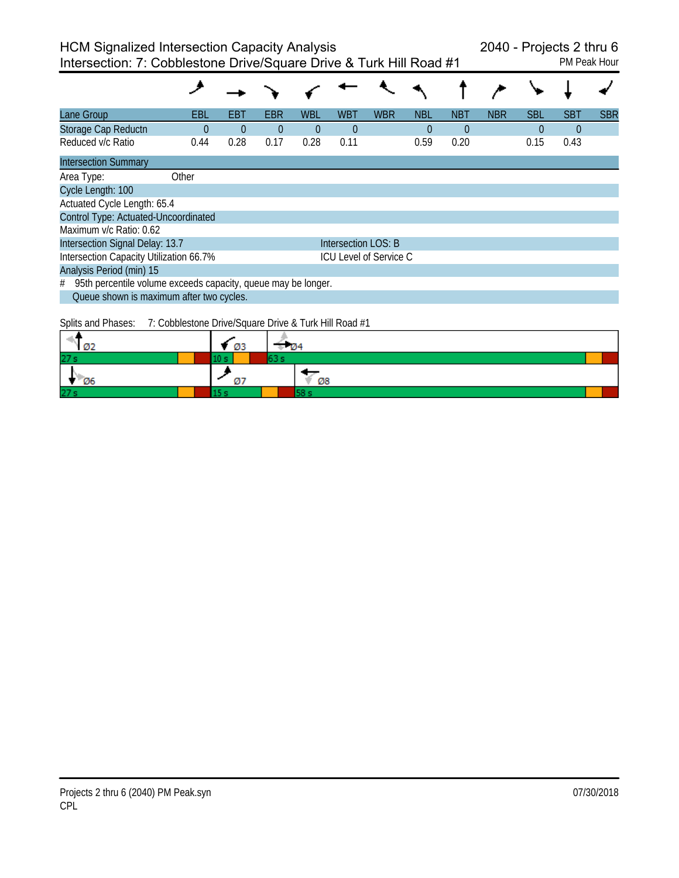| Lane Group                                                         | EBL      | EBT      | EBR      | WBL      | WBT                 | <b>WBR</b>                    | <b>NBL</b> | <b>NBT</b> | <b>NBR</b> | <b>SBL</b> | <b>SBT</b> | <b>SBR</b> |
|--------------------------------------------------------------------|----------|----------|----------|----------|---------------------|-------------------------------|------------|------------|------------|------------|------------|------------|
| Storage Cap Reductn                                                | $\Omega$ | $\Omega$ | $\theta$ | $\Omega$ | $\Omega$            |                               | $\theta$   | $\Omega$   |            | $\Omega$   | $\Omega$   |            |
| Reduced v/c Ratio                                                  | 0.44     | 0.28     | 0.17     | 0.28     | 0.11                |                               | 0.59       | 0.20       |            | 0.15       | 0.43       |            |
| <b>Intersection Summary</b>                                        |          |          |          |          |                     |                               |            |            |            |            |            |            |
| Area Type:                                                         | Other    |          |          |          |                     |                               |            |            |            |            |            |            |
| Cycle Length: 100                                                  |          |          |          |          |                     |                               |            |            |            |            |            |            |
| Actuated Cycle Length: 65.4                                        |          |          |          |          |                     |                               |            |            |            |            |            |            |
| Control Type: Actuated-Uncoordinated                               |          |          |          |          |                     |                               |            |            |            |            |            |            |
| Maximum v/c Ratio: 0.62                                            |          |          |          |          |                     |                               |            |            |            |            |            |            |
| Intersection Signal Delay: 13.7                                    |          |          |          |          | Intersection LOS: B |                               |            |            |            |            |            |            |
| Intersection Capacity Utilization 66.7%                            |          |          |          |          |                     | <b>ICU Level of Service C</b> |            |            |            |            |            |            |
| Analysis Period (min) 15                                           |          |          |          |          |                     |                               |            |            |            |            |            |            |
| 95th percentile volume exceeds capacity, queue may be longer.<br># |          |          |          |          |                     |                               |            |            |            |            |            |            |
| Queue shown is maximum after two cycles.                           |          |          |          |          |                     |                               |            |            |            |            |            |            |
|                                                                    |          |          |          |          |                     |                               |            |            |            |            |            |            |

Splits and Phases: 7: Cobblestone Drive/Square Drive & Turk Hill Road #1

| Ø2              | - 03 | -104 |  |
|-----------------|------|------|--|
| 27s             |      |      |  |
| Ø6              | . .  | Ø8   |  |
| 27 <sub>s</sub> |      |      |  |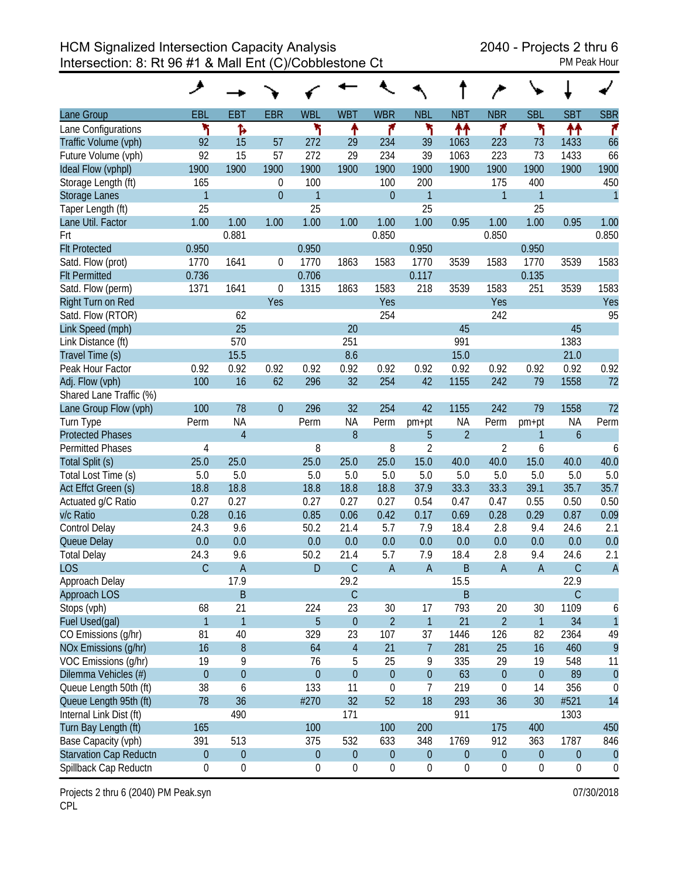| Lane Group                    | EBL              | <b>EBT</b>       | <b>EBR</b>       | <b>WBL</b>       | <b>WBT</b>       | <b>WBR</b>       | <b>NBL</b>       | <b>NBT</b>       | <b>NBR</b>       | <b>SBL</b>       | <b>SBT</b>     | <b>SBR</b>       |
|-------------------------------|------------------|------------------|------------------|------------------|------------------|------------------|------------------|------------------|------------------|------------------|----------------|------------------|
| Lane Configurations           | ۲                | Ъ                |                  | ۲                | ٠                | ۴                | ۲                | ↟↟               | ۴                | ۲                | ↟↟             | ۴                |
| Traffic Volume (vph)          | 92               | 15               | 57               | 272              | 29               | 234              | 39               | 1063             | 223              | 73               | 1433           | 66               |
| Future Volume (vph)           | 92               | 15               | 57               | 272              | 29               | 234              | 39               | 1063             | 223              | 73               | 1433           | 66               |
| Ideal Flow (vphpl)            | 1900             | 1900             | 1900             | 1900             | 1900             | 1900             | 1900             | 1900             | 1900             | 1900             | 1900           | 1900             |
| Storage Length (ft)           | 165              |                  | $\boldsymbol{0}$ | 100              |                  | 100              | 200              |                  | 175              | 400              |                | 450              |
| <b>Storage Lanes</b>          | $\mathbf{1}$     |                  | $\overline{0}$   | $\mathbf{1}$     |                  | $\overline{0}$   | $\mathbf{1}$     |                  | $\mathbf{1}$     | $\mathbf{1}$     |                | $\overline{1}$   |
| Taper Length (ft)             | 25               |                  |                  | 25               |                  |                  | 25               |                  |                  | 25               |                |                  |
| Lane Util. Factor             | 1.00             | 1.00             | 1.00             | 1.00             | 1.00             | 1.00             | 1.00             | 0.95             | 1.00             | 1.00             | 0.95           | 1.00             |
| Frt                           |                  | 0.881            |                  |                  |                  | 0.850            |                  |                  | 0.850            |                  |                | 0.850            |
| <b>Flt Protected</b>          | 0.950            |                  |                  | 0.950            |                  |                  | 0.950            |                  |                  | 0.950            |                |                  |
| Satd. Flow (prot)             | 1770             | 1641             | 0                | 1770             | 1863             | 1583             | 1770             | 3539             | 1583             | 1770             | 3539           | 1583             |
| <b>Flt Permitted</b>          | 0.736            |                  |                  | 0.706            |                  |                  | 0.117            |                  |                  | 0.135            |                |                  |
| Satd. Flow (perm)             | 1371             | 1641             | 0                | 1315             | 1863             | 1583             | 218              | 3539             | 1583             | 251              | 3539           | 1583             |
| Right Turn on Red             |                  |                  | Yes              |                  |                  | Yes              |                  |                  | Yes              |                  |                | Yes              |
| Satd. Flow (RTOR)             |                  | 62               |                  |                  |                  | 254              |                  |                  | 242              |                  |                | 95               |
| Link Speed (mph)              |                  | 25               |                  |                  | 20               |                  |                  | 45               |                  |                  | 45             |                  |
| Link Distance (ft)            |                  | 570              |                  |                  | 251              |                  |                  | 991              |                  |                  | 1383           |                  |
| Travel Time (s)               |                  | 15.5             |                  |                  | 8.6              |                  |                  | 15.0             |                  |                  | 21.0           |                  |
| Peak Hour Factor              | 0.92             | 0.92             | 0.92             | 0.92             | 0.92             | 0.92             | 0.92             | 0.92             | 0.92             | 0.92             | 0.92           | 0.92             |
| Adj. Flow (vph)               | 100              | 16               | 62               | 296              | 32               | 254              | 42               | 1155             | 242              | 79               | 1558           | 72               |
| Shared Lane Traffic (%)       |                  |                  |                  |                  |                  |                  |                  |                  |                  |                  |                |                  |
| Lane Group Flow (vph)         | 100              | 78               | $\overline{0}$   | 296              | 32               | 254              | 42               | 1155             | 242              | 79               | 1558           | 72               |
| Turn Type                     | Perm             | <b>NA</b>        |                  | Perm             | <b>NA</b>        | Perm             | pm+pt            | <b>NA</b>        | Perm             | pm+pt            | <b>NA</b>      | Perm             |
| <b>Protected Phases</b>       |                  | $\overline{4}$   |                  |                  | 8                |                  | 5                | $\overline{2}$   |                  | 1                | $\overline{6}$ |                  |
| <b>Permitted Phases</b>       | 4                |                  |                  | 8                |                  | 8                | $\overline{2}$   |                  | $\overline{2}$   | 6                |                | 6                |
| Total Split (s)               | 25.0             | 25.0             |                  | 25.0             | 25.0             | 25.0             | 15.0             | 40.0             | 40.0             | 15.0             | 40.0           | 40.0             |
| Total Lost Time (s)           | 5.0              | 5.0              |                  | 5.0              | 5.0              | 5.0              | 5.0              | 5.0              | 5.0              | 5.0              | 5.0            | 5.0              |
| Act Effct Green (s)           | 18.8             | 18.8             |                  | 18.8             | 18.8             | 18.8             | 37.9             | 33.3             | 33.3             | 39.1             | 35.7           | 35.7             |
| Actuated g/C Ratio            | 0.27             | 0.27             |                  | 0.27             | 0.27             | 0.27             | 0.54             | 0.47             | 0.47             | 0.55             | 0.50           | 0.50             |
| v/c Ratio                     | 0.28             | 0.16             |                  | 0.85             | 0.06             | 0.42             | 0.17             | 0.69             | 0.28             | 0.29             | 0.87           | 0.09             |
| Control Delay                 | 24.3             | 9.6              |                  | 50.2             | 21.4             | 5.7              | 7.9              | 18.4             | 2.8              | 9.4              | 24.6           | 2.1              |
| Queue Delay                   | 0.0              | 0.0              |                  | 0.0              | 0.0              | 0.0              | 0.0              | 0.0              | 0.0              | 0.0              | 0.0            | 0.0              |
| <b>Total Delay</b>            | 24.3             | 9.6              |                  | 50.2             | 21.4             | 5.7              | 7.9              | 18.4             | 2.8              | 9.4              | 24.6           | 2.1              |
| <b>LOS</b>                    | $\mathsf{C}$     | $\overline{A}$   |                  | D                | $\mathsf C$      | $\overline{A}$   | $\overline{A}$   | $\mathsf B$      | A                | $\sf A$          | $\mathsf C$    | $\overline{A}$   |
| Approach Delay                |                  | 17.9             |                  |                  | 29.2             |                  |                  | 15.5             |                  |                  | 22.9           |                  |
| Approach LOS                  |                  | B                |                  |                  | $\mathsf C$      |                  |                  | $\mathsf B$      |                  |                  | $\mathsf{C}$   |                  |
| Stops (vph)                   | 68               | 21               |                  | 224              | 23               | 30               | 17               | 793              | 20               | 30               | 1109           | 6                |
| Fuel Used(gal)                | $\mathbf{1}$     | $\overline{1}$   |                  | 5                | $\boldsymbol{0}$ | $\overline{2}$   | $\mathbf{1}$     | 21               | $\overline{2}$   | $\mathbf{1}$     | 34             | $\overline{1}$   |
| CO Emissions (g/hr)           | 81               | 40               |                  | 329              | 23               | 107              | 37               | 1446             | 126              | 82               | 2364           | 49               |
| NOx Emissions (g/hr)          | 16               | $\boldsymbol{8}$ |                  | 64               | $\overline{4}$   | 21               | $\overline{7}$   | 281              | 25               | 16               | 460            | 9                |
| VOC Emissions (q/hr)          | 19               | 9                |                  | 76               | 5                | 25               | 9                | 335              | 29               | 19               | 548            | 11               |
| Dilemma Vehicles (#)          | $\boldsymbol{0}$ | $\boldsymbol{0}$ |                  | $\mathbf{0}$     | $\overline{0}$   | $\mathbf{0}$     | $\boldsymbol{0}$ | 63               | $\boldsymbol{0}$ | $\boldsymbol{0}$ | 89             | $\overline{0}$   |
| Queue Length 50th (ft)        | 38               | 6                |                  | 133              | 11               | 0                | 7                | 219              | $\boldsymbol{0}$ | 14               | 356            | 0                |
| Queue Length 95th (ft)        | 78               | 36               |                  | #270             | 32               | 52               | 18               | 293              | 36               | 30               | #521           | 14               |
| Internal Link Dist (ft)       |                  | 490              |                  |                  | 171              |                  |                  | 911              |                  |                  | 1303           |                  |
| Turn Bay Length (ft)          | 165              |                  |                  | 100              |                  | 100              | 200              |                  | 175              | 400              |                | 450              |
| Base Capacity (vph)           | 391              | 513              |                  | 375              | 532              | 633              | 348              | 1769             | 912              | 363              | 1787           | 846              |
| <b>Starvation Cap Reductn</b> | $\boldsymbol{0}$ | $\boldsymbol{0}$ |                  | $\boldsymbol{0}$ | $\boldsymbol{0}$ | $\boldsymbol{0}$ | $\boldsymbol{0}$ | $\theta$         | $\boldsymbol{0}$ | $\boldsymbol{0}$ | $\mathbf 0$    | $\theta$         |
| Spillback Cap Reductn         | 0                | $\boldsymbol{0}$ |                  | $\boldsymbol{0}$ | $\boldsymbol{0}$ | $\boldsymbol{0}$ | $\boldsymbol{0}$ | $\boldsymbol{0}$ | $\boldsymbol{0}$ | $\boldsymbol{0}$ | 0              | $\boldsymbol{0}$ |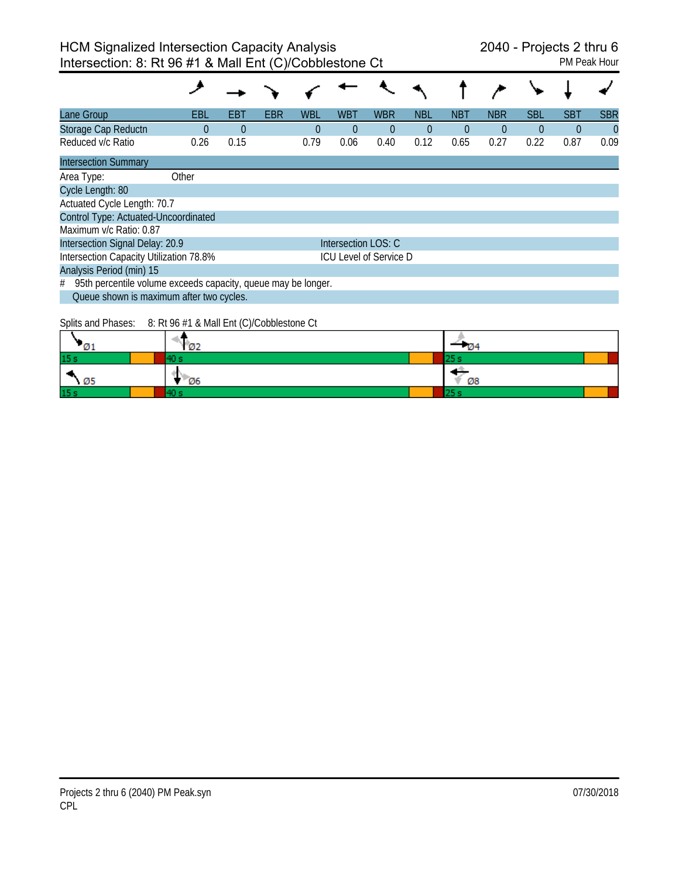| Lane Group                                                         | EBL      | EBT      | <b>EBR</b> | <b>WBL</b> | <b>WBT</b>          | <b>WBR</b>                    | <b>NBL</b> | <b>NBT</b> | <b>NBR</b> | <b>SBL</b> | <b>SBT</b> | <b>SBR</b> |
|--------------------------------------------------------------------|----------|----------|------------|------------|---------------------|-------------------------------|------------|------------|------------|------------|------------|------------|
| Storage Cap Reductn                                                | $\Omega$ | $\Omega$ |            | 0          | $\Omega$            | $\theta$                      | $\theta$   | $\theta$   | $\theta$   | $\theta$   | $\theta$   | $\theta$   |
| Reduced v/c Ratio                                                  | 0.26     | 0.15     |            | 0.79       | 0.06                | 0.40                          | 0.12       | 0.65       | 0.27       | 0.22       | 0.87       | 0.09       |
| <b>Intersection Summary</b>                                        |          |          |            |            |                     |                               |            |            |            |            |            |            |
| Area Type:                                                         | Other    |          |            |            |                     |                               |            |            |            |            |            |            |
| Cycle Length: 80                                                   |          |          |            |            |                     |                               |            |            |            |            |            |            |
| Actuated Cycle Length: 70.7                                        |          |          |            |            |                     |                               |            |            |            |            |            |            |
| Control Type: Actuated-Uncoordinated                               |          |          |            |            |                     |                               |            |            |            |            |            |            |
| Maximum v/c Ratio: 0.87                                            |          |          |            |            |                     |                               |            |            |            |            |            |            |
| Intersection Signal Delay: 20.9                                    |          |          |            |            | Intersection LOS: C |                               |            |            |            |            |            |            |
| Intersection Capacity Utilization 78.8%                            |          |          |            |            |                     | <b>ICU Level of Service D</b> |            |            |            |            |            |            |
| Analysis Period (min) 15                                           |          |          |            |            |                     |                               |            |            |            |            |            |            |
| 95th percentile volume exceeds capacity, queue may be longer.<br># |          |          |            |            |                     |                               |            |            |            |            |            |            |
| Queue shown is maximum after two cycles.                           |          |          |            |            |                     |                               |            |            |            |            |            |            |

Splits and Phases: 8: Rt 96 #1 & Mall Ent (C)/Cobblestone Ct

|                  | Ø2        | - 124 |
|------------------|-----------|-------|
| 15s              |           | 25 S  |
| ٠<br>$\sqrt{25}$ | <b>Ø6</b> | Ø8    |
| 15s              |           |       |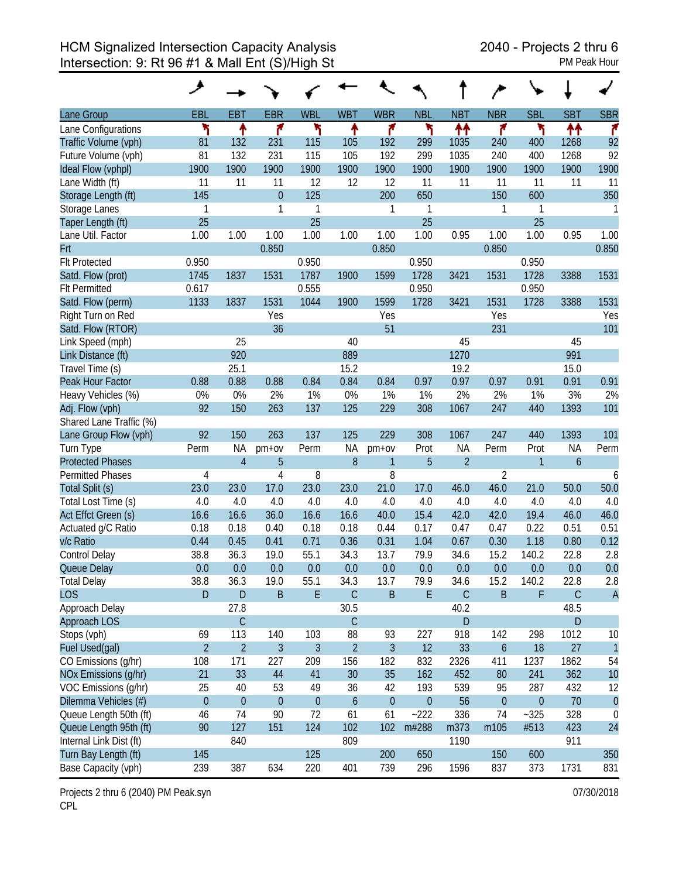|                         | عر             |                  |                  |                |                  |                |                  |                |                  |                  |                  |                |
|-------------------------|----------------|------------------|------------------|----------------|------------------|----------------|------------------|----------------|------------------|------------------|------------------|----------------|
| Lane Group              | EBL            | <b>EBT</b>       | <b>EBR</b>       | <b>WBL</b>     | <b>WBT</b>       | <b>WBR</b>     | <b>NBL</b>       | <b>NBT</b>     | <b>NBR</b>       | <b>SBL</b>       | <b>SBT</b>       | <b>SBR</b>     |
| Lane Configurations     | ۲              | ↟                | ۴                | ۲              | ۸                | ۴              | ۲                | ↟↟             | ۴                | ۲                | ↟↟               | ۴              |
| Traffic Volume (vph)    | 81             | 132              | 231              | 115            | 105              | 192            | 299              | 1035           | 240              | 400              | 1268             | 92             |
| Future Volume (vph)     | 81             | 132              | 231              | 115            | 105              | 192            | 299              | 1035           | 240              | 400              | 1268             | 92             |
| Ideal Flow (vphpl)      | 1900           | 1900             | 1900             | 1900           | 1900             | 1900           | 1900             | 1900           | 1900             | 1900             | 1900             | 1900           |
| Lane Width (ft)         | 11             | 11               | 11               | 12             | 12               | 12             | 11               | 11             | 11               | 11               | 11               | 11             |
| Storage Length (ft)     | 145            |                  | $\overline{0}$   | 125            |                  | 200            | 650              |                | 150              | 600              |                  | 350            |
| Storage Lanes           | 1              |                  | 1                | 1              |                  | 1              | 1                |                | 1                | 1                |                  | 1              |
| Taper Length (ft)       | 25             |                  |                  | 25             |                  |                | 25               |                |                  | 25               |                  |                |
| Lane Util. Factor       | 1.00           | 1.00             | 1.00             | 1.00           | 1.00             | 1.00           | 1.00             | 0.95           | 1.00             | 1.00             | 0.95             | 1.00           |
| Frt                     |                |                  | 0.850            |                |                  | 0.850          |                  |                | 0.850            |                  |                  | 0.850          |
| <b>Flt Protected</b>    | 0.950          |                  |                  | 0.950          |                  |                | 0.950            |                |                  | 0.950            |                  |                |
| Satd. Flow (prot)       | 1745           | 1837             | 1531             | 1787           | 1900             | 1599           | 1728             | 3421           | 1531             | 1728             | 3388             | 1531           |
| <b>Flt Permitted</b>    | 0.617          |                  |                  | 0.555          |                  |                | 0.950            |                |                  | 0.950            |                  |                |
| Satd. Flow (perm)       | 1133           | 1837             | 1531             | 1044           | 1900             | 1599           | 1728             | 3421           | 1531             | 1728             | 3388             | 1531           |
| Right Turn on Red       |                |                  | Yes              |                |                  | Yes            |                  |                | Yes              |                  |                  | Yes            |
| Satd. Flow (RTOR)       |                |                  | 36               |                |                  | 51             |                  |                | 231              |                  |                  | 101            |
| Link Speed (mph)        |                | 25               |                  |                | 40               |                |                  | 45             |                  |                  | 45               |                |
| Link Distance (ft)      |                | 920              |                  |                | 889              |                |                  | 1270           |                  |                  | 991              |                |
| Travel Time (s)         |                | 25.1             |                  |                | 15.2             |                |                  | 19.2           |                  |                  | 15.0             |                |
| Peak Hour Factor        | 0.88           | 0.88             | 0.88             | 0.84           | 0.84             | 0.84           | 0.97             | 0.97           | 0.97             | 0.91             | 0.91             | 0.91           |
| Heavy Vehicles (%)      | 0%             | 0%               | 2%               | 1%             | 0%               | 1%             | 1%               | 2%             | 2%               | 1%               | 3%               | 2%             |
| Adj. Flow (vph)         | 92             | 150              | 263              | 137            | 125              | 229            | 308              | 1067           | 247              | 440              | 1393             | 101            |
| Shared Lane Traffic (%) |                |                  |                  |                |                  |                |                  |                |                  |                  |                  |                |
| Lane Group Flow (vph)   | 92             | 150              | 263              | 137            | 125              | 229            | 308              | 1067           | 247              | 440              | 1393             | 101            |
| Turn Type               | Perm           | <b>NA</b>        | $pm+ov$          | Perm           | <b>NA</b>        | pm+ov          | Prot             | <b>NA</b>      | Perm             | Prot             | <b>NA</b>        | Perm           |
| <b>Protected Phases</b> |                | $\overline{4}$   | 5                |                | 8                | $\mathbf{1}$   | 5                | $\overline{2}$ |                  | 1                | $\boldsymbol{6}$ |                |
| <b>Permitted Phases</b> | $\overline{4}$ |                  | 4                | 8              |                  | 8              |                  |                | $\overline{2}$   |                  |                  | 6              |
| Total Split (s)         | 23.0           | 23.0             | 17.0             | 23.0           | 23.0             | 21.0           | 17.0             | 46.0           | 46.0             | 21.0             | 50.0             | 50.0           |
| Total Lost Time (s)     | 4.0            | 4.0              | 4.0              | 4.0            | 4.0              | 4.0            | 4.0              | 4.0            | 4.0              | 4.0              | 4.0              | 4.0            |
| Act Effct Green (s)     | 16.6           | 16.6             | 36.0             | 16.6           | 16.6             | 40.0           | 15.4             | 42.0           | 42.0             | 19.4             | 46.0             | 46.0           |
| Actuated g/C Ratio      | 0.18           | 0.18             | 0.40             | 0.18           | 0.18             | 0.44           | 0.17             | 0.47           | 0.47             | 0.22             | 0.51             | 0.51           |
| v/c Ratio               | 0.44           | 0.45             | 0.41             | 0.71           | 0.36             | 0.31           | 1.04             | 0.67           | 0.30             | 1.18             | 0.80             | 0.12           |
| Control Delay           | 38.8           | 36.3             | 19.0             | 55.1           | 34.3             | 13.7           | 79.9             | 34.6           | 15.2             | 140.2            | 22.8             | 2.8            |
| Queue Delay             | 0.0            | 0.0              | 0.0              | 0.0            | 0.0              | 0.0            | 0.0              | 0.0            | 0.0              | 0.0              | 0.0              | 0.0            |
| <b>Total Delay</b>      | 38.8           | 36.3             | 19.0             | 55.1           | 34.3             | 13.7           | 79.9             | 34.6           | 15.2             | 140.2            | 22.8             | 2.8            |
| <b>LOS</b>              | D              | $\mathsf D$      | $\sf B$          | E              | $\mathsf C$      | $\sf B$        | $\mathsf E$      | $\mathsf C$    | $\overline{B}$   | F                | $\mathsf C$      | $\overline{A}$ |
| Approach Delay          |                | 27.8             |                  |                | 30.5             |                |                  | 40.2           |                  |                  | 48.5             |                |
| Approach LOS            |                | $\mathsf C$      |                  |                | $\mathsf C$      |                |                  | D              |                  |                  | ${\sf D}$        |                |
| Stops (vph)             | 69             | 113              | 140              | 103            | 88               | 93             | 227              | 918            | 142              | 298              | 1012             | 10             |
| Fuel Used(gal)          | $\overline{2}$ | $\overline{2}$   | $\overline{3}$   | $\mathfrak{Z}$ | $\overline{2}$   | $\mathfrak{Z}$ | 12               | 33             | $\boldsymbol{6}$ | 18               | 27               | $\overline{1}$ |
| CO Emissions (g/hr)     | 108            | 171              | 227              | 209            | 156              | 182            | 832              | 2326           | 411              | 1237             | 1862             | 54             |
| NOx Emissions (g/hr)    | 21             | 33               | 44               | 41             | 30               | 35             | 162              | 452            | 80               | 241              | 362              | 10             |
| VOC Emissions (g/hr)    | 25             | 40               | 53               | 49             | 36               | 42             | 193              | 539            | 95               | 287              | 432              | 12             |
| Dilemma Vehicles (#)    | $\mathbf{0}$   | $\boldsymbol{0}$ | $\boldsymbol{0}$ | $\theta$       | $\boldsymbol{6}$ | $\pmb{0}$      | $\boldsymbol{0}$ | 56             | $\boldsymbol{0}$ | $\boldsymbol{0}$ | 70               | $\theta$       |
| Queue Length 50th (ft)  | 46             | 74               | 90               | 72             | 61               | 61             | $-222$           | 336            | 74               | $-325$           | 328              | 0              |
| Queue Length 95th (ft)  | 90             | 127              | 151              | 124            | 102              | 102            | m#288            | m373           | m105             | #513             | 423              | 24             |
| Internal Link Dist (ft) |                | 840              |                  |                | 809              |                |                  | 1190           |                  |                  | 911              |                |
| Turn Bay Length (ft)    | 145            |                  |                  | 125            |                  | 200            | 650              |                | 150              | 600              |                  | 350            |
| Base Capacity (vph)     | 239            | 387              | 634              | 220            | 401              | 739            | 296              | 1596           | 837              | 373              | 1731             | 831            |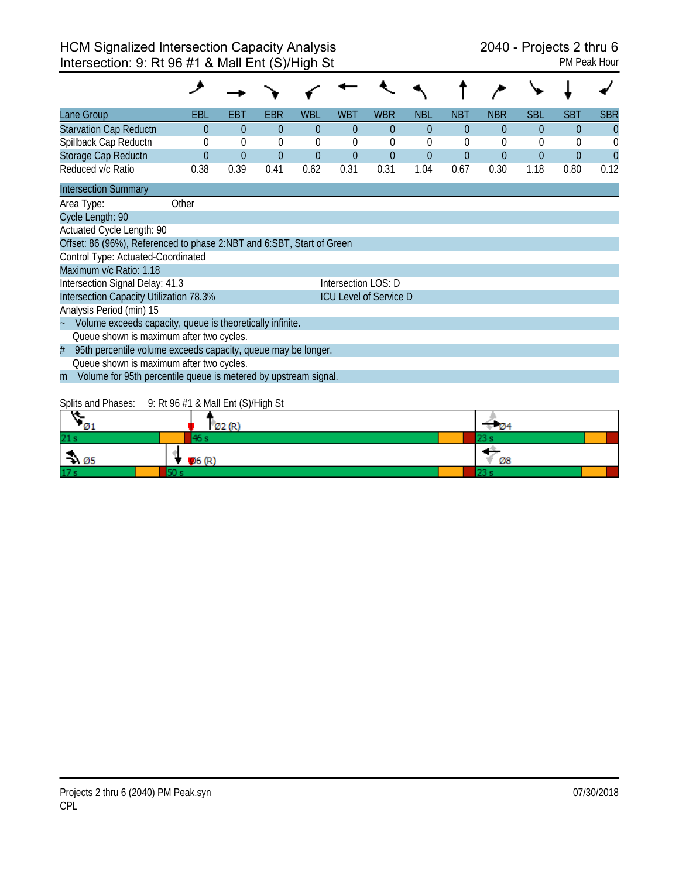| Lane Group                                                            | EBL      | EBT      | EBR      | WBL      | WBT                 | <b>WBR</b>                    | <b>NBL</b> | <b>NBT</b> | <b>NBR</b> | <b>SBL</b> | SBT      | <b>SBR</b> |
|-----------------------------------------------------------------------|----------|----------|----------|----------|---------------------|-------------------------------|------------|------------|------------|------------|----------|------------|
| <b>Starvation Cap Reductn</b>                                         | $\Omega$ | $\theta$ | $\Omega$ | $\theta$ | $\theta$            | $\theta$                      | $\theta$   | $\theta$   | $\theta$   | $\Omega$   | $\theta$ | $\Omega$   |
| Spillback Cap Reductn                                                 |          | $\theta$ | $\theta$ | $\theta$ | 0                   | $\theta$                      | $\Omega$   | $\theta$   | 0          | $\theta$   | 0        |            |
| Storage Cap Reductn                                                   |          | $\theta$ | $\theta$ | $\theta$ | $\Omega$            | $\theta$                      | $\Omega$   | $\Omega$   | $\theta$   | $\Omega$   | $\theta$ | $\Omega$   |
| Reduced v/c Ratio                                                     | 0.38     | 0.39     | 0.41     | 0.62     | 0.31                | 0.31                          | 1.04       | 0.67       | 0.30       | 1.18       | 0.80     | 0.12       |
| <b>Intersection Summary</b>                                           |          |          |          |          |                     |                               |            |            |            |            |          |            |
| Area Type:                                                            | Other    |          |          |          |                     |                               |            |            |            |            |          |            |
| Cycle Length: 90                                                      |          |          |          |          |                     |                               |            |            |            |            |          |            |
| Actuated Cycle Length: 90                                             |          |          |          |          |                     |                               |            |            |            |            |          |            |
| Offset: 86 (96%), Referenced to phase 2:NBT and 6:SBT, Start of Green |          |          |          |          |                     |                               |            |            |            |            |          |            |
| Control Type: Actuated-Coordinated                                    |          |          |          |          |                     |                               |            |            |            |            |          |            |
| Maximum v/c Ratio: 1.18                                               |          |          |          |          |                     |                               |            |            |            |            |          |            |
| Intersection Signal Delay: 41.3                                       |          |          |          |          | Intersection LOS: D |                               |            |            |            |            |          |            |
| Intersection Capacity Utilization 78.3%                               |          |          |          |          |                     | <b>ICU Level of Service D</b> |            |            |            |            |          |            |
| Analysis Period (min) 15                                              |          |          |          |          |                     |                               |            |            |            |            |          |            |
| Volume exceeds capacity, queue is theoretically infinite.             |          |          |          |          |                     |                               |            |            |            |            |          |            |
| Queue shown is maximum after two cycles.                              |          |          |          |          |                     |                               |            |            |            |            |          |            |
| 95th percentile volume exceeds capacity, queue may be longer.<br>#    |          |          |          |          |                     |                               |            |            |            |            |          |            |
| Queue shown is maximum after two cycles.                              |          |          |          |          |                     |                               |            |            |            |            |          |            |
| Volume for 95th percentile queue is metered by upstream signal.<br>m  |          |          |          |          |                     |                               |            |            |            |            |          |            |
|                                                                       |          |          |          |          |                     |                               |            |            |            |            |          |            |

## Splits and Phases: 9: Rt 96 #1 & Mall Ent (S)/High St

| $\sqrt{01}$                 |       | $1$ Ø2 (R) | $\sqrt{2}$ $\sqrt{2}$ |  |
|-----------------------------|-------|------------|-----------------------|--|
| 21 <sub>s</sub>             |       |            | ه سه                  |  |
| $\rightarrow \varnothing$ 5 | 06(R) |            | Ø8                    |  |
| 17 <sub>s</sub>             |       |            | . .                   |  |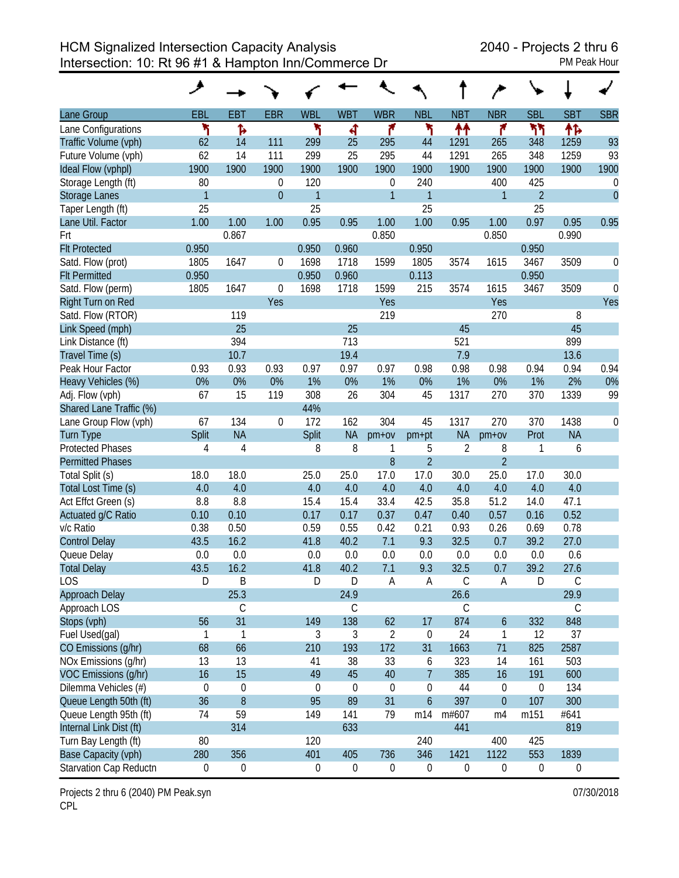HCM Signalized Intersection Capacity Analysis 2040 - Projects 2 thru 6 Intersection: 10: Rt 96 #1 & Hampton Inn/Commerce Dr PM Peak Hour

|                         | ◢                |                  |                  |                  |                  |                  |                  |                  |                  |                |             |            |
|-------------------------|------------------|------------------|------------------|------------------|------------------|------------------|------------------|------------------|------------------|----------------|-------------|------------|
| Lane Group              | EBL              | <b>EBT</b>       | <b>EBR</b>       | <b>WBL</b>       | <b>WBT</b>       | <b>WBR</b>       | <b>NBL</b>       | <b>NBT</b>       | <b>NBR</b>       | <b>SBL</b>     | <b>SBT</b>  | <b>SBR</b> |
| Lane Configurations     | ኻ                | Ъ                |                  | ۲                | 4                | ۴                | ۲                | ↟↟               | ۴                | ካካ             | ተኈ          |            |
| Traffic Volume (vph)    | 62               | 14               | 111              | 299              | 25               | 295              | 44               | 1291             | 265              | 348            | 1259        | 93         |
| Future Volume (vph)     | 62               | 14               | 111              | 299              | 25               | 295              | 44               | 1291             | 265              | 348            | 1259        | 93         |
| Ideal Flow (vphpl)      | 1900             | 1900             | 1900             | 1900             | 1900             | 1900             | 1900             | 1900             | 1900             | 1900           | 1900        | 1900       |
| Storage Length (ft)     | 80               |                  | 0                | 120              |                  | $\boldsymbol{0}$ | 240              |                  | 400              | 425            |             | 0          |
| <b>Storage Lanes</b>    | $\mathbf{1}$     |                  | $\overline{0}$   | $\mathbf{1}$     |                  | $\mathbf{1}$     | 1                |                  | $\mathbf{1}$     | $\overline{2}$ |             | $\theta$   |
| Taper Length (ft)       | 25               |                  |                  | 25               |                  |                  | 25               |                  |                  | 25             |             |            |
| Lane Util. Factor       | 1.00             | 1.00             | 1.00             | 0.95             | 0.95             | 1.00             | 1.00             | 0.95             | 1.00             | 0.97           | 0.95        | 0.95       |
| Frt                     |                  | 0.867            |                  |                  |                  | 0.850            |                  |                  | 0.850            |                | 0.990       |            |
| <b>Flt Protected</b>    | 0.950            |                  |                  | 0.950            | 0.960            |                  | 0.950            |                  |                  | 0.950          |             |            |
| Satd. Flow (prot)       | 1805             | 1647             | $\mathbf 0$      | 1698             | 1718             | 1599             | 1805             | 3574             | 1615             | 3467           | 3509        | 0          |
| <b>Flt Permitted</b>    | 0.950            |                  |                  | 0.950            | 0.960            |                  | 0.113            |                  |                  | 0.950          |             |            |
| Satd. Flow (perm)       | 1805             | 1647             | $\boldsymbol{0}$ | 1698             | 1718             | 1599             | 215              | 3574             | 1615             | 3467           | 3509        | $\theta$   |
| Right Turn on Red       |                  |                  | Yes              |                  |                  | Yes              |                  |                  | Yes              |                |             | Yes        |
| Satd. Flow (RTOR)       |                  | 119              |                  |                  |                  | 219              |                  |                  | 270              |                | 8           |            |
| Link Speed (mph)        |                  | 25               |                  |                  | 25               |                  |                  | 45               |                  |                | 45          |            |
| Link Distance (ft)      |                  | 394              |                  |                  | 713              |                  |                  | 521              |                  |                | 899         |            |
| Travel Time (s)         |                  | 10.7             |                  |                  | 19.4             |                  |                  | 7.9              |                  |                | 13.6        |            |
| Peak Hour Factor        | 0.93             | 0.93             | 0.93             | 0.97             | 0.97             | 0.97             | 0.98             | 0.98             | 0.98             | 0.94           | 0.94        | 0.94       |
| Heavy Vehicles (%)      | 0%               | 0%               | 0%               | 1%               | 0%               | 1%               | 0%               | 1%               | 0%               | 1%             | 2%          | 0%         |
| Adj. Flow (vph)         | 67               | 15               | 119              | 308              | 26               | 304              | 45               | 1317             | 270              | 370            | 1339        | 99         |
| Shared Lane Traffic (%) |                  |                  |                  | 44%              |                  |                  |                  |                  |                  |                |             |            |
| Lane Group Flow (vph)   | 67               | 134              | $\boldsymbol{0}$ | 172              | 162              | 304              | 45               | 1317             | 270              | 370            | 1438        | 0          |
| <b>Turn Type</b>        | Split            | <b>NA</b>        |                  | Split            | <b>NA</b>        | $pm+ov$          | pm+pt            | <b>NA</b>        | $pm+ov$          | Prot           | <b>NA</b>   |            |
| <b>Protected Phases</b> | 4                | $\overline{4}$   |                  | 8                | 8                | 1                | 5                | $\overline{2}$   | 8                | 1              | 6           |            |
| <b>Permitted Phases</b> |                  |                  |                  |                  |                  | 8                | $\overline{2}$   |                  | $\overline{2}$   |                |             |            |
| Total Split (s)         | 18.0             | 18.0             |                  | 25.0             | 25.0             | 17.0             | 17.0             | 30.0             | 25.0             | 17.0           | 30.0        |            |
| Total Lost Time (s)     | 4.0              | 4.0              |                  | 4.0              | 4.0              | 4.0              | 4.0              | 4.0              | 4.0              | 4.0            | 4.0         |            |
| Act Effct Green (s)     | 8.8              | 8.8              |                  | 15.4             | 15.4             | 33.4             | 42.5             | 35.8             | 51.2             | 14.0           | 47.1        |            |
| Actuated g/C Ratio      | 0.10             | 0.10             |                  | 0.17             | 0.17             | 0.37             | 0.47             | 0.40             | 0.57             | 0.16           | 0.52        |            |
| v/c Ratio               | 0.38             | 0.50             |                  | 0.59             | 0.55             | 0.42             | 0.21             | 0.93             | 0.26             | 0.69           | 0.78        |            |
| <b>Control Delay</b>    | 43.5             | 16.2             |                  | 41.8             | 40.2             | 7.1              | 9.3              | 32.5             | 0.7              | 39.2           | 27.0        |            |
| Queue Delay             | 0.0              | 0.0              |                  | 0.0              | 0.0              | 0.0              | 0.0              | 0.0              | 0.0              | 0.0            | 0.6         |            |
| <b>Total Delay</b>      | 43.5             | 16.2             |                  | 41.8             | 40.2             | 7.1              | 9.3              | 32.5             | 0.7              | 39.2           | 27.6        |            |
| <b>LOS</b>              | D                | B                |                  | $\mathsf D$      | D                | $\mathsf A$      | $\mathsf A$      | С                | Α                | $\mathsf D$    | $\mathsf C$ |            |
| Approach Delay          |                  | 25.3             |                  |                  | 24.9             |                  |                  | 26.6             |                  |                | 29.9        |            |
| Approach LOS            |                  | С                |                  |                  | C                |                  |                  | $\mathsf C$      |                  |                | $\mathsf C$ |            |
| Stops (vph)             | 56               | 31               |                  | 149              | 138              | 62               | 17               | 874              | $\boldsymbol{6}$ | 332            | 848         |            |
| Fuel Used(gal)          | 1                | 1                |                  | 3                | 3                | $\overline{2}$   | 0                | 24               | $\mathbf{1}$     | 12             | 37          |            |
| CO Emissions (g/hr)     | 68               | 66               |                  | 210              | 193              | 172              | 31               | 1663             | 71               | 825            | 2587        |            |
| NOx Emissions (g/hr)    | 13               | 13               |                  | 41               | 38               | 33               | 6                | 323              | 14               | 161            | 503         |            |
| VOC Emissions (g/hr)    | 16               | 15               |                  | 49               | 45               | 40               | $\overline{7}$   | 385              | 16               | 191            | 600         |            |
| Dilemma Vehicles (#)    | $\boldsymbol{0}$ | $\mathbf 0$      |                  | $\boldsymbol{0}$ | $\boldsymbol{0}$ | 0                | 0                | 44               | 0                | 0              | 134         |            |
| Queue Length 50th (ft)  | 36               | $\boldsymbol{8}$ |                  | 95               | 89               | 31               | $\boldsymbol{6}$ | 397              | $\boldsymbol{0}$ | 107            | 300         |            |
| Queue Length 95th (ft)  | 74               | 59               |                  | 149              | 141              | 79               | m14              | m#607            | m4               | m151           | #641        |            |
| Internal Link Dist (ft) |                  | 314              |                  |                  | 633              |                  |                  | 441              |                  |                | 819         |            |
| Turn Bay Length (ft)    | 80               |                  |                  | 120              |                  |                  | 240              |                  | 400              | 425            |             |            |
| Base Capacity (vph)     | 280              | 356              |                  | 401              | 405              | 736              | 346              | 1421             | 1122             | 553            | 1839        |            |
| Starvation Cap Reductn  | 0                | $\boldsymbol{0}$ |                  | 0                | $\boldsymbol{0}$ | $\boldsymbol{0}$ | $\boldsymbol{0}$ | $\boldsymbol{0}$ | 0                | 0              | 0           |            |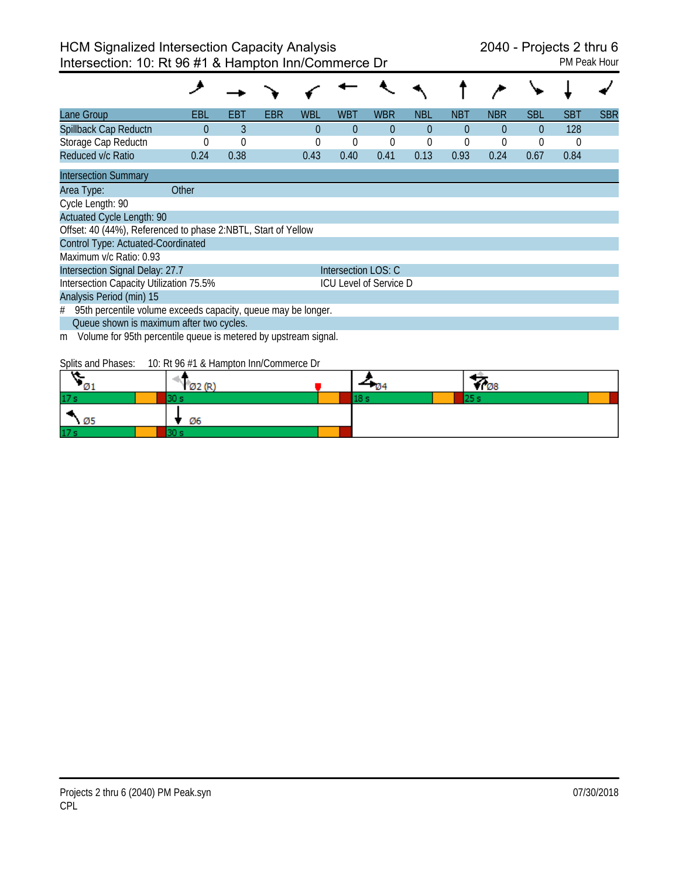| Lane Group                                                           | EBL      | EBT      | EBR | <b>WBL</b> | <b>WBT</b>          | <b>WBR</b>                    | NBL      | <b>NBT</b> | <b>NBR</b> | <b>SBL</b> | <b>SBT</b> | <b>SBR</b> |
|----------------------------------------------------------------------|----------|----------|-----|------------|---------------------|-------------------------------|----------|------------|------------|------------|------------|------------|
| Spillback Cap Reductn                                                | $\Omega$ | 3        |     | $\Omega$   | $\theta$            | $\Omega$                      | $\theta$ | $\theta$   | $\Omega$   | $\theta$   | 128        |            |
| Storage Cap Reductn                                                  |          | $\theta$ |     | 0          | 0                   | 0                             | 0        | 0          |            | 0          | 0          |            |
| Reduced v/c Ratio                                                    | 0.24     | 0.38     |     | 0.43       | 0.40                | 0.41                          | 0.13     | 0.93       | 0.24       | 0.67       | 0.84       |            |
| <b>Intersection Summary</b>                                          |          |          |     |            |                     |                               |          |            |            |            |            |            |
| Area Type:                                                           | Other    |          |     |            |                     |                               |          |            |            |            |            |            |
| Cycle Length: 90                                                     |          |          |     |            |                     |                               |          |            |            |            |            |            |
| <b>Actuated Cycle Length: 90</b>                                     |          |          |     |            |                     |                               |          |            |            |            |            |            |
| Offset: 40 (44%), Referenced to phase 2:NBTL, Start of Yellow        |          |          |     |            |                     |                               |          |            |            |            |            |            |
| Control Type: Actuated-Coordinated                                   |          |          |     |            |                     |                               |          |            |            |            |            |            |
| Maximum v/c Ratio: 0.93                                              |          |          |     |            |                     |                               |          |            |            |            |            |            |
| Intersection Signal Delay: 27.7                                      |          |          |     |            | Intersection LOS: C |                               |          |            |            |            |            |            |
| Intersection Capacity Utilization 75.5%                              |          |          |     |            |                     | <b>ICU Level of Service D</b> |          |            |            |            |            |            |
| Analysis Period (min) 15                                             |          |          |     |            |                     |                               |          |            |            |            |            |            |
| 95th percentile volume exceeds capacity, queue may be longer.<br>#   |          |          |     |            |                     |                               |          |            |            |            |            |            |
| Queue shown is maximum after two cycles.                             |          |          |     |            |                     |                               |          |            |            |            |            |            |
| Volume for 95th percentile queue is metered by upstream signal.<br>m |          |          |     |            |                     |                               |          |            |            |            |            |            |

Splits and Phases: 10: Rt 96 #1 & Hampton Inn/Commerce Dr

|                 | <u>ה הא</u><br>∞∠ | - 104 | VI 08 |  |
|-----------------|-------------------|-------|-------|--|
| 17 <sub>s</sub> |                   |       |       |  |
| - Ø5            | Ø6                |       |       |  |
| 17 <sub>s</sub> |                   |       |       |  |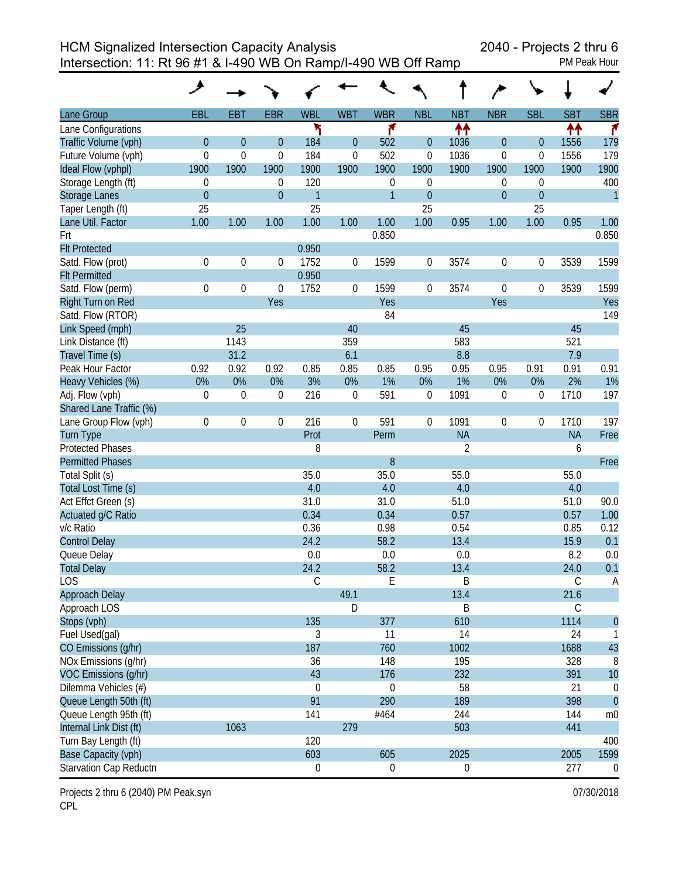HCM Signalized Intersection Capacity Analysis 2040 - Projects 2 thru 6

Intersection: 11: Rt 96 #1 & I-490 WB On Ramp/I-490 WB Off Ramp

|                         | ᢣ                |                  |                  |                        |                  |                  |                  |                |                  |                  |             |                |
|-------------------------|------------------|------------------|------------------|------------------------|------------------|------------------|------------------|----------------|------------------|------------------|-------------|----------------|
| Lane Group              | EBL              | <b>EBT</b>       | <b>EBR</b>       | <b>WBL</b>             | <b>WBT</b>       | <b>WBR</b>       | <b>NBL</b>       | <b>NBT</b>     | <b>NBR</b>       | <b>SBL</b>       | <b>SBT</b>  | <b>SBR</b>     |
| Lane Configurations     |                  |                  |                  | ۲                      |                  | ۴                |                  | 忭              |                  |                  | ↟↟          | ۴              |
| Traffic Volume (vph)    | $\boldsymbol{0}$ | $\boldsymbol{0}$ | $\theta$         | 184                    | $\overline{0}$   | 502              | $\boldsymbol{0}$ | 1036           | $\boldsymbol{0}$ | $\theta$         | 1556        | 179            |
| Future Volume (vph)     | $\mathbf 0$      | $\mathbf 0$      | $\mathbf 0$      | 184                    | $\mathbf 0$      | 502              | $\boldsymbol{0}$ | 1036           | $\boldsymbol{0}$ | $\boldsymbol{0}$ | 1556        | 179            |
| Ideal Flow (vphpl)      | 1900             | 1900             | 1900             | 1900                   | 1900             | 1900             | 1900             | 1900           | 1900             | 1900             | 1900        | 1900           |
| Storage Length (ft)     | $\boldsymbol{0}$ |                  | 0                | 120                    |                  | 0                | 0                |                | 0                | $\boldsymbol{0}$ |             | 400            |
| <b>Storage Lanes</b>    | $\overline{0}$   |                  | $\overline{0}$   | $\mathbf{1}$           |                  | $\overline{1}$   | $\boldsymbol{0}$ |                | $\overline{0}$   | $\mathbf{0}$     |             | $\mathbf{1}$   |
| Taper Length (ft)       | 25               |                  |                  | 25                     |                  |                  | 25               |                |                  | 25               |             |                |
| Lane Util. Factor       | 1.00             | 1.00             | 1.00             | 1.00                   | 1.00             | 1.00             | 1.00             | 0.95           | 1.00             | 1.00             | 0.95        | 1.00           |
| Frt                     |                  |                  |                  |                        |                  | 0.850            |                  |                |                  |                  |             | 0.850          |
| <b>Flt Protected</b>    |                  |                  |                  | 0.950                  |                  |                  |                  |                |                  |                  |             |                |
| Satd. Flow (prot)       | $\boldsymbol{0}$ | $\mathbf 0$      | $\boldsymbol{0}$ | 1752                   | 0                | 1599             | 0                | 3574           | 0                | $\boldsymbol{0}$ | 3539        | 1599           |
| <b>Flt Permitted</b>    |                  |                  |                  | 0.950                  |                  |                  |                  |                |                  |                  |             |                |
| Satd. Flow (perm)       | $\boldsymbol{0}$ | $\mathbf 0$      | $\boldsymbol{0}$ | 1752                   | 0                | 1599             | $\boldsymbol{0}$ | 3574           | $\boldsymbol{0}$ | $\boldsymbol{0}$ | 3539        | 1599           |
| Right Turn on Red       |                  |                  | Yes              |                        |                  | Yes              |                  |                | Yes              |                  |             | Yes            |
| Satd. Flow (RTOR)       |                  |                  |                  |                        |                  | 84               |                  |                |                  |                  |             | 149            |
| Link Speed (mph)        |                  | 25               |                  |                        | 40               |                  |                  | 45             |                  |                  | 45          |                |
| Link Distance (ft)      |                  | 1143             |                  |                        | 359              |                  |                  | 583            |                  |                  | 521         |                |
| Travel Time (s)         |                  | 31.2             |                  |                        | 6.1              |                  |                  | 8.8            |                  |                  | 7.9         |                |
| Peak Hour Factor        | 0.92             | 0.92             | 0.92             | 0.85                   | 0.85             | 0.85             | 0.95             | 0.95           | 0.95             | 0.91             | 0.91        | 0.91           |
| Heavy Vehicles (%)      | 0%               | 0%               | 0%               | 3%                     | 0%               | 1%               | 0%               | 1%             | 0%               | 0%               | 2%          | 1%             |
| Adj. Flow (vph)         | $\boldsymbol{0}$ | $\boldsymbol{0}$ | 0                | 216                    | $\mathbf 0$      | 591              | $\boldsymbol{0}$ | 1091           | $\boldsymbol{0}$ | $\boldsymbol{0}$ | 1710        | 197            |
| Shared Lane Traffic (%) |                  |                  |                  |                        |                  |                  |                  |                |                  |                  |             |                |
| Lane Group Flow (vph)   | $\boldsymbol{0}$ | $\mathbf 0$      | $\boldsymbol{0}$ | 216                    | $\boldsymbol{0}$ | 591              | $\mathbf 0$      | 1091           | 0                | $\boldsymbol{0}$ | 1710        | 197            |
| <b>Turn Type</b>        |                  |                  |                  | Prot                   |                  | Perm             |                  | <b>NA</b>      |                  |                  | <b>NA</b>   | Free           |
| <b>Protected Phases</b> |                  |                  |                  | 8                      |                  |                  |                  | $\overline{2}$ |                  |                  | 6           |                |
| <b>Permitted Phases</b> |                  |                  |                  |                        |                  | 8                |                  |                |                  |                  |             | Free           |
| Total Split (s)         |                  |                  |                  | 35.0                   |                  | 35.0             |                  | 55.0           |                  |                  | 55.0        |                |
| Total Lost Time (s)     |                  |                  |                  | 4.0                    |                  | 4.0              |                  | 4.0            |                  |                  | 4.0         |                |
| Act Effct Green (s)     |                  |                  |                  | 31.0                   |                  | 31.0             |                  | 51.0           |                  |                  | 51.0        | 90.0           |
| Actuated g/C Ratio      |                  |                  |                  | 0.34                   |                  | 0.34             |                  | 0.57           |                  |                  | 0.57        | 1.00           |
| v/c Ratio               |                  |                  |                  | 0.36                   |                  | 0.98             |                  | 0.54           |                  |                  | 0.85        | 0.12           |
| <b>Control Delay</b>    |                  |                  |                  | 24.2                   |                  | 58.2             |                  | 13.4           |                  |                  | 15.9        | 0.1            |
| Queue Delay             |                  |                  |                  | 0.0                    |                  | 0.0              |                  | 0.0            |                  |                  | 8.2         | 0.0            |
| <b>Total Delay</b>      |                  |                  |                  | 24.2                   |                  | 58.2             |                  | 13.4           |                  |                  | 24.0        | 0.1            |
| <b>LOS</b>              |                  |                  |                  | $\mathsf C$            |                  | $\mathsf E$      |                  | B              |                  |                  | $\mathbb C$ | A              |
| Approach Delay          |                  |                  |                  |                        | 49.1             |                  |                  | 13.4           |                  |                  | 21.6        |                |
| Approach LOS            |                  |                  |                  |                        | D                |                  |                  | B              |                  |                  | $\mathsf C$ |                |
| Stops (vph)             |                  |                  |                  | 135                    |                  | 377              |                  | 610            |                  |                  | 1114        | $\theta$       |
| Fuel Used(gal)          |                  |                  |                  | 3                      |                  | 11               |                  | 14             |                  |                  | 24          |                |
| CO Emissions (g/hr)     |                  |                  |                  | 187                    |                  | 760              |                  | 1002           |                  |                  | 1688        | 43             |
| NOx Emissions (g/hr)    |                  |                  |                  | 36                     |                  | 148              |                  | 195            |                  |                  | 328         | 8              |
| VOC Emissions (g/hr)    |                  |                  |                  | 43                     |                  | 176              |                  | 232            |                  |                  | 391         | 10             |
| Dilemma Vehicles (#)    |                  |                  |                  |                        |                  | $\boldsymbol{0}$ |                  | 58             |                  |                  | 21          | $\overline{0}$ |
|                         |                  |                  |                  | $\boldsymbol{0}$<br>91 |                  | 290              |                  | 189            |                  |                  | 398         | $\overline{0}$ |
| Queue Length 50th (ft)  |                  |                  |                  |                        |                  |                  |                  |                |                  |                  |             |                |
| Queue Length 95th (ft)  |                  |                  |                  | 141                    | 279              | #464             |                  | 244            |                  |                  | 144         | m <sub>0</sub> |
| Internal Link Dist (ft) |                  | 1063             |                  |                        |                  |                  |                  | 503            |                  |                  | 441         |                |
| Turn Bay Length (ft)    |                  |                  |                  | 120                    |                  |                  |                  |                |                  |                  |             | 400            |
| Base Capacity (vph)     |                  |                  |                  | 603                    |                  | 605              |                  | 2025           |                  |                  | 2005        | 1599           |
| Starvation Cap Reductn  |                  |                  |                  | $\boldsymbol{0}$       |                  | 0                |                  | 0              |                  |                  | 277         | $\mathbf 0$    |

Projects 2 thru 6 (2040) PM Peak.syn **Department Control** Control of the US of the O7/30/2018 CPL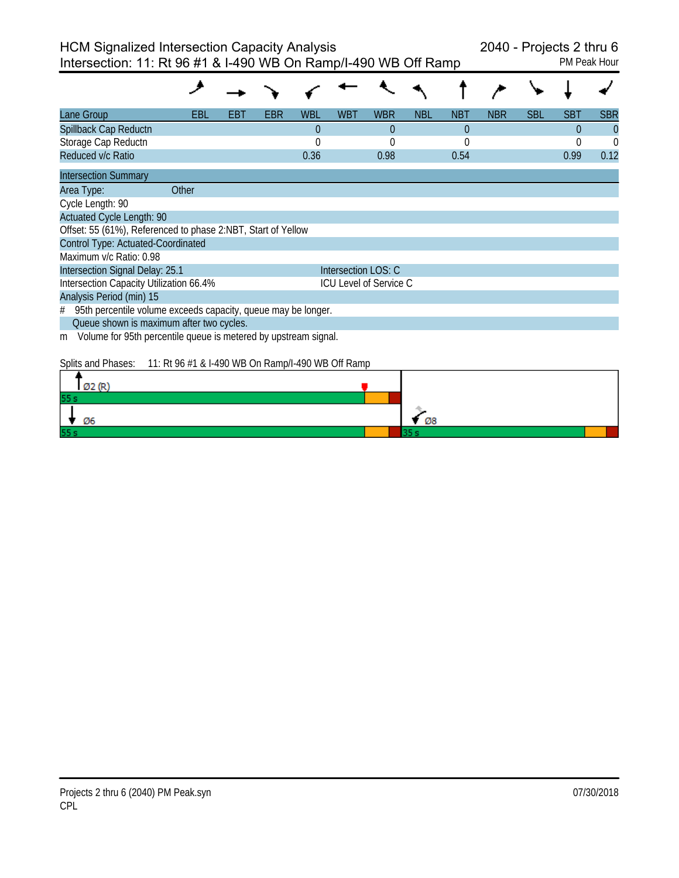| Lane Group                                                           | EBL   | EB I | EBR | WBL            | WBT                 | <b>WBR</b>             | NBL | <b>NBT</b> | <b>NBR</b> | <b>SBL</b> | SBT      | <b>SBR</b>     |
|----------------------------------------------------------------------|-------|------|-----|----------------|---------------------|------------------------|-----|------------|------------|------------|----------|----------------|
| Spillback Cap Reductn                                                |       |      |     | $\overline{0}$ |                     | $\theta$               |     | $\theta$   |            |            | $\Omega$ | $\overline{0}$ |
| Storage Cap Reductn                                                  |       |      |     | $\Omega$       |                     | $\Omega$               |     | $\Omega$   |            |            | $\Omega$ | $\Omega$       |
| Reduced v/c Ratio                                                    |       |      |     | 0.36           |                     | 0.98                   |     | 0.54       |            |            | 0.99     | 0.12           |
| <b>Intersection Summary</b>                                          |       |      |     |                |                     |                        |     |            |            |            |          |                |
| Area Type:                                                           | Other |      |     |                |                     |                        |     |            |            |            |          |                |
| Cycle Length: 90                                                     |       |      |     |                |                     |                        |     |            |            |            |          |                |
| <b>Actuated Cycle Length: 90</b>                                     |       |      |     |                |                     |                        |     |            |            |            |          |                |
| Offset: 55 (61%), Referenced to phase 2:NBT, Start of Yellow         |       |      |     |                |                     |                        |     |            |            |            |          |                |
| Control Type: Actuated-Coordinated                                   |       |      |     |                |                     |                        |     |            |            |            |          |                |
| Maximum y/c Ratio: 0.98                                              |       |      |     |                |                     |                        |     |            |            |            |          |                |
| Intersection Signal Delay: 25.1                                      |       |      |     |                | Intersection LOS: C |                        |     |            |            |            |          |                |
| Intersection Capacity Utilization 66.4%                              |       |      |     |                |                     | ICU Level of Service C |     |            |            |            |          |                |
| Analysis Period (min) 15                                             |       |      |     |                |                     |                        |     |            |            |            |          |                |
| 95th percentile volume exceeds capacity, queue may be longer.<br>#   |       |      |     |                |                     |                        |     |            |            |            |          |                |
| Queue shown is maximum after two cycles.                             |       |      |     |                |                     |                        |     |            |            |            |          |                |
| Volume for 95th percentile queue is metered by upstream signal.<br>m |       |      |     |                |                     |                        |     |            |            |            |          |                |

Splits and Phases: 11: Rt 96 #1 & I-490 WB On Ramp/I-490 WB Off Ramp

| can do? |    |
|---------|----|
| 55s     |    |
| Ø6      | Ø8 |
| 55s     |    |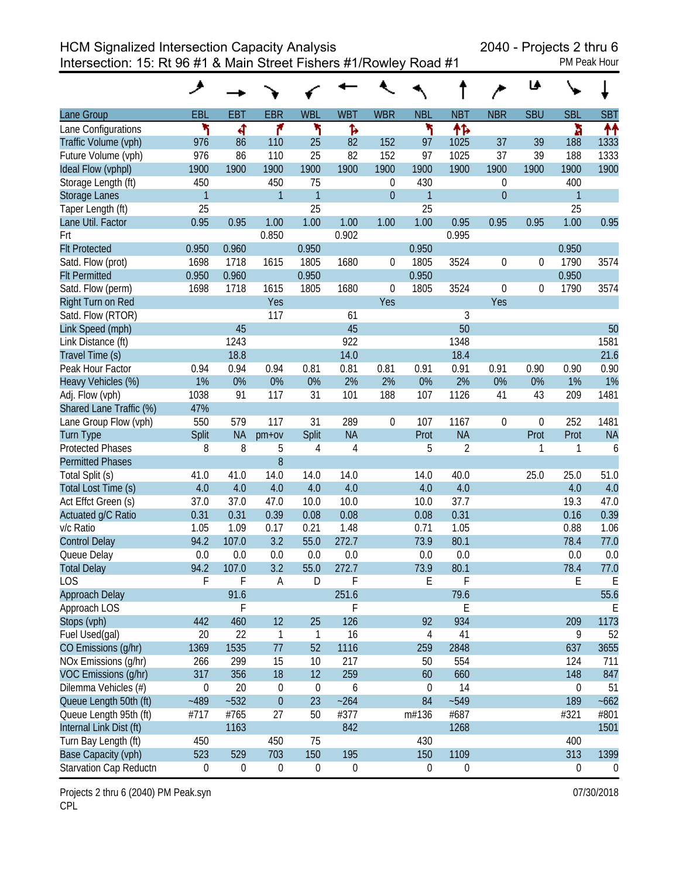Intersection: 15: Rt 96 #1 & Main Street Fishers #1/Rowley Road #1 PM Peak Hour

| <b>PM Peak Hou</b> |  |
|--------------------|--|

|                         | ۶                |                  |                  |                  |                  |                  |                  |                  |                  | ♦ا         |                  |                |
|-------------------------|------------------|------------------|------------------|------------------|------------------|------------------|------------------|------------------|------------------|------------|------------------|----------------|
| Lane Group              | EBL              | <b>EBT</b>       | <b>EBR</b>       | <b>WBL</b>       | <b>WBT</b>       | <b>WBR</b>       | <b>NBL</b>       | <b>NBT</b>       | <b>NBR</b>       | <b>SBU</b> | <b>SBL</b>       | <b>SBT</b>     |
| Lane Configurations     | ۲                | ৰ                | ۴                | ۲                | Ъ                |                  | ۲                | 怍                |                  |            | ħ                | 个个             |
| Traffic Volume (vph)    | 976              | 86               | 110              | 25               | 82               | 152              | 97               | 1025             | 37               | 39         | 188              | 1333           |
| Future Volume (vph)     | 976              | 86               | 110              | 25               | 82               | 152              | 97               | 1025             | 37               | 39         | 188              | 1333           |
| Ideal Flow (vphpl)      | 1900             | 1900             | 1900             | 1900             | 1900             | 1900             | 1900             | 1900             | 1900             | 1900       | 1900             | 1900           |
| Storage Length (ft)     | 450              |                  | 450              | 75               |                  | 0                | 430              |                  | $\boldsymbol{0}$ |            | 400              |                |
| <b>Storage Lanes</b>    | $\mathbf{1}$     |                  | $\overline{1}$   | $\mathbf{1}$     |                  | $\boldsymbol{0}$ | $\mathbf{1}$     |                  | $\overline{0}$   |            | 1                |                |
| Taper Length (ft)       | 25               |                  |                  | 25               |                  |                  | 25               |                  |                  |            | 25               |                |
| Lane Util. Factor       | 0.95             | 0.95             | 1.00             | 1.00             | 1.00             | 1.00             | 1.00             | 0.95             | 0.95             | 0.95       | 1.00             | 0.95           |
| Frt                     |                  |                  | 0.850            |                  | 0.902            |                  |                  | 0.995            |                  |            |                  |                |
| <b>Flt Protected</b>    | 0.950            | 0.960            |                  | 0.950            |                  |                  | 0.950            |                  |                  |            | 0.950            |                |
| Satd. Flow (prot)       | 1698             | 1718             | 1615             | 1805             | 1680             | 0                | 1805             | 3524             | $\boldsymbol{0}$ | 0          | 1790             | 3574           |
| <b>Flt Permitted</b>    | 0.950            | 0.960            |                  | 0.950            |                  |                  | 0.950            |                  |                  |            | 0.950            |                |
| Satd. Flow (perm)       | 1698             | 1718             | 1615             | 1805             | 1680             | $\boldsymbol{0}$ | 1805             | 3524             | $\boldsymbol{0}$ | 0          | 1790             | 3574           |
| Right Turn on Red       |                  |                  | Yes              |                  |                  | Yes              |                  |                  | Yes              |            |                  |                |
| Satd. Flow (RTOR)       |                  |                  | 117              |                  | 61               |                  |                  | 3                |                  |            |                  |                |
| Link Speed (mph)        |                  | 45               |                  |                  | 45               |                  |                  | 50               |                  |            |                  | 50             |
| Link Distance (ft)      |                  | 1243             |                  |                  | 922              |                  |                  | 1348             |                  |            |                  | 1581           |
| Travel Time (s)         |                  | 18.8             |                  |                  | 14.0             |                  |                  | 18.4             |                  |            |                  | 21.6           |
| Peak Hour Factor        | 0.94             | 0.94             | 0.94             | 0.81             | 0.81             | 0.81             | 0.91             | 0.91             | 0.91             | 0.90       | 0.90             | 0.90           |
| Heavy Vehicles (%)      | 1%               | 0%               | 0%               | 0%               | 2%               | 2%               | 0%               | 2%               | 0%               | 0%         | 1%               | 1%             |
| Adj. Flow (vph)         | 1038             | 91               | 117              | 31               | 101              | 188              | 107              | 1126             | 41               | 43         | 209              | 1481           |
| Shared Lane Traffic (%) | 47%              |                  |                  |                  |                  |                  |                  |                  |                  |            |                  |                |
| Lane Group Flow (vph)   | 550              | 579              | 117              | 31               | 289              | $\boldsymbol{0}$ | 107              | 1167             | 0                | 0          | 252              | 1481           |
| <b>Turn Type</b>        | Split            | <b>NA</b>        | $pm+ov$          | Split            | <b>NA</b>        |                  | Prot             | <b>NA</b>        |                  | Prot       | Prot             | <b>NA</b>      |
| <b>Protected Phases</b> | 8                | 8                | 5                | $\overline{4}$   | $\overline{4}$   |                  | 5                | $\overline{2}$   |                  | 1          | 1                | 6              |
| <b>Permitted Phases</b> |                  |                  | 8                |                  |                  |                  |                  |                  |                  |            |                  |                |
| Total Split (s)         | 41.0             | 41.0             | 14.0             | 14.0             | 14.0             |                  | 14.0             | 40.0             |                  | 25.0       | 25.0             | 51.0           |
| Total Lost Time (s)     | 4.0              | 4.0              | 4.0              | 4.0              | 4.0              |                  | 4.0              | 4.0              |                  |            | 4.0              | 4.0            |
| Act Effct Green (s)     | 37.0             | 37.0             | 47.0             | 10.0             | 10.0             |                  | 10.0             | 37.7             |                  |            | 19.3             | 47.0           |
| Actuated g/C Ratio      | 0.31             | 0.31             | 0.39             | 0.08             | 0.08             |                  | 0.08             | 0.31             |                  |            | 0.16             | 0.39           |
| v/c Ratio               | 1.05             | 1.09             | 0.17             | 0.21             | 1.48             |                  | 0.71             | 1.05             |                  |            | 0.88             | 1.06           |
| <b>Control Delay</b>    | 94.2             | 107.0            | 3.2              | 55.0             | 272.7            |                  | 73.9             | 80.1             |                  |            | 78.4             | 77.0           |
| Queue Delay             | 0.0              | 0.0              | 0.0              | 0.0              | 0.0              |                  | 0.0              | 0.0              |                  |            | 0.0              | 0.0            |
| <b>Total Delay</b>      | 94.2             | 107.0            | 3.2              | 55.0             | 272.7            |                  | 73.9             | 80.1             |                  |            | 78.4             | 77.0           |
| <b>LOS</b>              | F                | F                | Α                | D                | F                |                  | E                | F                |                  |            | E                | E              |
| Approach Delay          |                  | 91.6             |                  |                  | 251.6            |                  |                  | 79.6             |                  |            |                  | 55.6           |
| Approach LOS            |                  | F                |                  |                  | F                |                  |                  | E                |                  |            |                  | Ε              |
| Stops (vph)             | 442              | 460              | 12               | 25               | 126              |                  | 92               | 934              |                  |            | 209              | 1173           |
| Fuel Used(gal)          | 20               | 22               | $\mathbf{1}$     | $\mathbf{1}$     | 16               |                  | $\overline{4}$   | 41               |                  |            | 9                | 52             |
| CO Emissions (g/hr)     | 1369             | 1535             | 77               | 52               | 1116             |                  | 259              | 2848             |                  |            | 637              | 3655           |
| NOx Emissions (g/hr)    | 266              | 299              | 15               | 10               | 217              |                  | 50               | 554              |                  |            | 124              | 711            |
| VOC Emissions (g/hr)    | 317              | 356              | 18               | 12               | 259              |                  | 60               | 660              |                  |            | 148              | 847            |
| Dilemma Vehicles (#)    | $\boldsymbol{0}$ | 20               | 0                | $\boldsymbol{0}$ | 6                |                  | $\boldsymbol{0}$ | 14               |                  |            | $\pmb{0}$        | 51             |
| Queue Length 50th (ft)  | $-489$           | $-532$           | $\mathbf 0$      | 23               | $-264$           |                  | 84               | $-549$           |                  |            | 189              | $-662$         |
| Queue Length 95th (ft)  | #717             | #765             | 27               | 50               | #377             |                  | m#136            | #687             |                  |            | #321             | #801           |
| Internal Link Dist (ft) |                  | 1163             |                  |                  | 842              |                  |                  | 1268             |                  |            |                  | 1501           |
| Turn Bay Length (ft)    | 450              |                  | 450              | 75               |                  |                  | 430              |                  |                  |            | 400              |                |
| Base Capacity (vph)     | 523              | 529              | 703              | 150              | 195              |                  | 150              | 1109             |                  |            | 313              | 1399           |
| Starvation Cap Reductn  | $\boldsymbol{0}$ | $\boldsymbol{0}$ | $\boldsymbol{0}$ | $\boldsymbol{0}$ | $\boldsymbol{0}$ |                  | $\boldsymbol{0}$ | $\boldsymbol{0}$ |                  |            | $\boldsymbol{0}$ | $\overline{0}$ |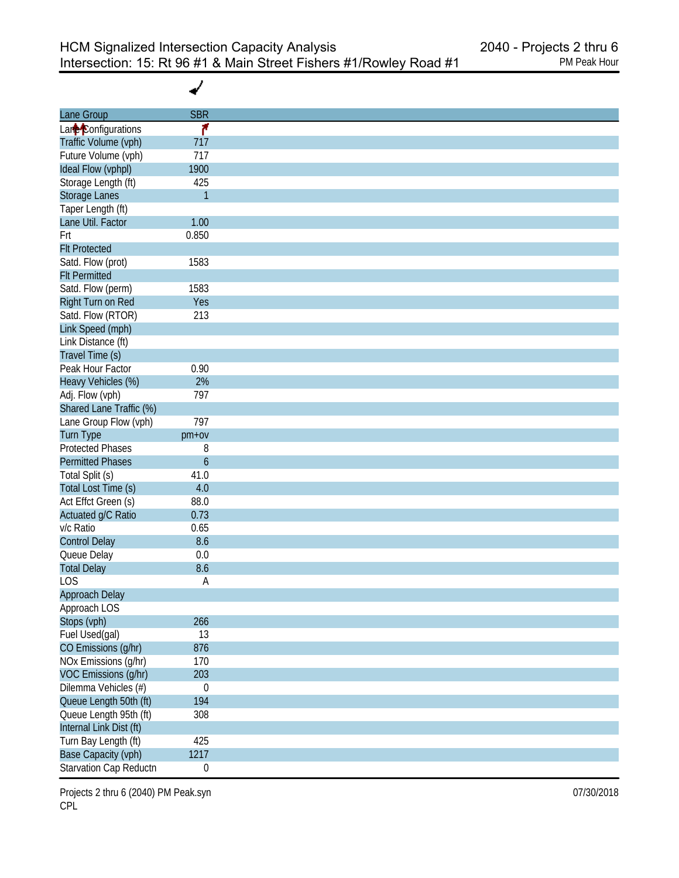✔

| Lane Group              | <b>SBR</b>       |
|-------------------------|------------------|
| Lane Configurations     | ۴                |
| Traffic Volume (vph)    | 717              |
| Future Volume (vph)     | 717              |
| Ideal Flow (vphpl)      | 1900             |
| Storage Length (ft)     | 425              |
| Storage Lanes           | $\mathbf{1}$     |
| Taper Length (ft)       |                  |
| Lane Util. Factor       | 1.00             |
| Frt                     | 0.850            |
| <b>Flt Protected</b>    |                  |
| Satd. Flow (prot)       | 1583             |
| <b>Flt Permitted</b>    |                  |
| Satd. Flow (perm)       | 1583             |
| Right Turn on Red       | Yes              |
| Satd. Flow (RTOR)       | 213              |
| Link Speed (mph)        |                  |
| Link Distance (ft)      |                  |
| Travel Time (s)         |                  |
| Peak Hour Factor        | 0.90             |
| Heavy Vehicles (%)      | 2%               |
|                         | 797              |
| Adj. Flow (vph)         |                  |
| Shared Lane Traffic (%) |                  |
| Lane Group Flow (vph)   | 797              |
| <b>Turn Type</b>        | pm+ov            |
| <b>Protected Phases</b> | 8                |
| <b>Permitted Phases</b> | $\boldsymbol{6}$ |
| Total Split (s)         | 41.0             |
| Total Lost Time (s)     | 4.0              |
| Act Effct Green (s)     | 88.0             |
| Actuated g/C Ratio      | 0.73             |
| v/c Ratio               | 0.65             |
| <b>Control Delay</b>    | 8.6              |
| Queue Delay             | 0.0              |
| <b>Total Delay</b>      | 8.6              |
| <b>LOS</b>              | Α                |
| Approach Delay          |                  |
| Approach LOS            |                  |
| Stops (vph)             | 266              |
| Fuel Used(gal)          | 13               |
| CO Emissions (g/hr)     | 876              |
| NOx Emissions (g/hr)    | 170              |
| VOC Emissions (g/hr)    | 203              |
| Dilemma Vehicles (#)    | $\boldsymbol{0}$ |
| Queue Length 50th (ft)  | 194              |
| Queue Length 95th (ft)  | 308              |
| Internal Link Dist (ft) |                  |
| Turn Bay Length (ft)    | 425              |
| Base Capacity (vph)     | 1217             |
| Starvation Cap Reductn  | $\boldsymbol{0}$ |

Projects 2 thru 6 (2040) PM Peak.syn **Department Control** Control of the US of the O7/30/2018 CPL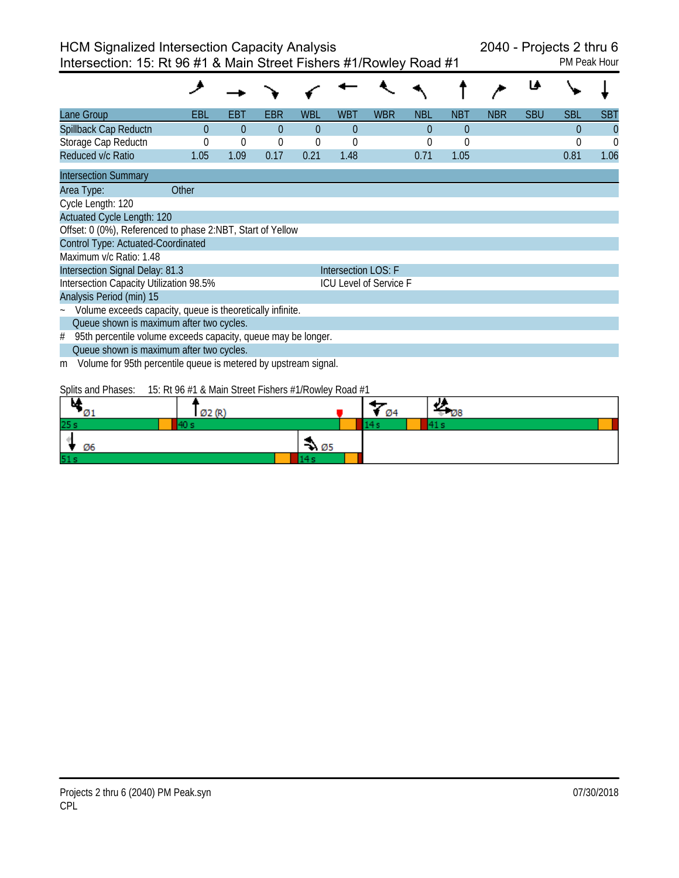Intersection: 15: Rt 96 #1 & Main Street Fishers #1/Rowley Road #1 PM Peak Hour

| Lane Group                                                              | EBL                                                                                                                                                                                                                                                                                                                                                                                                          | EBI  | EBR            | WBL         | <b>WBT</b>             | <b>WBR</b> | <b>NBL</b> | <b>NBT</b>     | <b>NBR</b> | <b>SBU</b> | SBL      | <b>SBT</b> |  |
|-------------------------------------------------------------------------|--------------------------------------------------------------------------------------------------------------------------------------------------------------------------------------------------------------------------------------------------------------------------------------------------------------------------------------------------------------------------------------------------------------|------|----------------|-------------|------------------------|------------|------------|----------------|------------|------------|----------|------------|--|
| Spillback Cap Reductn                                                   | 0                                                                                                                                                                                                                                                                                                                                                                                                            | 0    | $\overline{0}$ | $\Omega$    | $\theta$               |            | 0          | $\overline{0}$ |            |            | $\Omega$ | $\Omega$   |  |
| Storage Cap Reductn                                                     | 0                                                                                                                                                                                                                                                                                                                                                                                                            | 0    | $\theta$       | $\mathbf 0$ | $\Omega$               |            |            | $\Omega$       |            |            | 0        | $\Omega$   |  |
| Reduced v/c Ratio                                                       | 1.05                                                                                                                                                                                                                                                                                                                                                                                                         | 1.09 | 0.17           | 0.21        | 1.48                   |            | 0.71       | 1.05           |            |            | 0.81     | 1.06       |  |
| <b>Intersection Summary</b>                                             |                                                                                                                                                                                                                                                                                                                                                                                                              |      |                |             |                        |            |            |                |            |            |          |            |  |
| Other<br>Area Type:                                                     |                                                                                                                                                                                                                                                                                                                                                                                                              |      |                |             |                        |            |            |                |            |            |          |            |  |
| Cycle Length: 120                                                       |                                                                                                                                                                                                                                                                                                                                                                                                              |      |                |             |                        |            |            |                |            |            |          |            |  |
| <b>Actuated Cycle Length: 120</b>                                       |                                                                                                                                                                                                                                                                                                                                                                                                              |      |                |             |                        |            |            |                |            |            |          |            |  |
| Offset: 0 (0%), Referenced to phase 2:NBT, Start of Yellow              |                                                                                                                                                                                                                                                                                                                                                                                                              |      |                |             |                        |            |            |                |            |            |          |            |  |
| <b>Control Type: Actuated-Coordinated</b>                               |                                                                                                                                                                                                                                                                                                                                                                                                              |      |                |             |                        |            |            |                |            |            |          |            |  |
| Maximum v/c Ratio: 1.48                                                 |                                                                                                                                                                                                                                                                                                                                                                                                              |      |                |             |                        |            |            |                |            |            |          |            |  |
| Intersection Signal Delay: 81.3                                         |                                                                                                                                                                                                                                                                                                                                                                                                              |      |                |             | Intersection LOS: F    |            |            |                |            |            |          |            |  |
| Intersection Capacity Utilization 98.5%                                 |                                                                                                                                                                                                                                                                                                                                                                                                              |      |                |             | ICU Level of Service F |            |            |                |            |            |          |            |  |
| Analysis Period (min) 15                                                |                                                                                                                                                                                                                                                                                                                                                                                                              |      |                |             |                        |            |            |                |            |            |          |            |  |
| Volume exceeds capacity, queue is theoretically infinite.<br>$\tilde{}$ |                                                                                                                                                                                                                                                                                                                                                                                                              |      |                |             |                        |            |            |                |            |            |          |            |  |
| Queue shown is maximum after two cycles.                                |                                                                                                                                                                                                                                                                                                                                                                                                              |      |                |             |                        |            |            |                |            |            |          |            |  |
| 95th percentile volume exceeds capacity, queue may be longer.<br>#      |                                                                                                                                                                                                                                                                                                                                                                                                              |      |                |             |                        |            |            |                |            |            |          |            |  |
| Queue shown is maximum after two cycles.                                |                                                                                                                                                                                                                                                                                                                                                                                                              |      |                |             |                        |            |            |                |            |            |          |            |  |
| Volume for 95th percentile queue is metered by upstream signal.<br>m    |                                                                                                                                                                                                                                                                                                                                                                                                              |      |                |             |                        |            |            |                |            |            |          |            |  |
| $\sim$<br>$\sim$ $\cdots$                                               | $\overline{AB}$ $\overline{DA}$ $\overline{BA}$ $\overline{BA}$ $\overline{BA}$ $\overline{BA}$ $\overline{BA}$ $\overline{BA}$ $\overline{BA}$ $\overline{BA}$ $\overline{BA}$ $\overline{BA}$ $\overline{BA}$ $\overline{BA}$ $\overline{BA}$ $\overline{BA}$ $\overline{BA}$ $\overline{BA}$ $\overline{BA}$ $\overline{BA}$ $\overline{BA}$ $\overline{BA}$ $\overline{BA}$ $\overline{BA}$ $\overline{$ |      |                |             |                        |            |            |                |            |            |          |            |  |

Splits and Phases: 15: Rt 96 #1 & Main Street Fishers #1/Rowley Road #1

|     | can for |      | Ø4 | . .<br>- wo |  |
|-----|---------|------|----|-------------|--|
| 25s |         |      |    |             |  |
| Ø6  |         | ₩ Ø5 |    |             |  |
| 51s |         |      |    |             |  |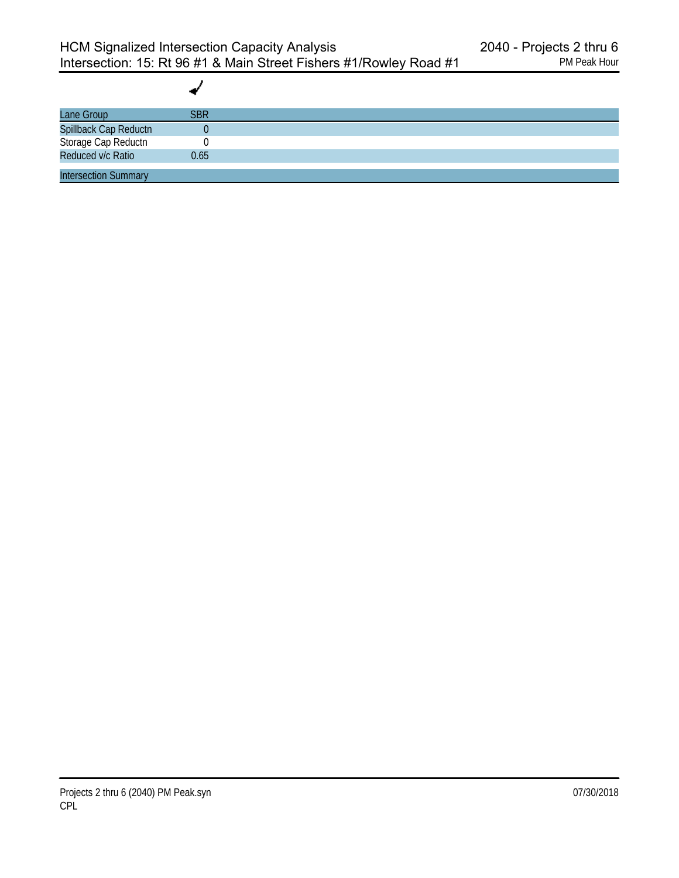| Lane Group                                                        | <b>SBR</b> |  |
|-------------------------------------------------------------------|------------|--|
|                                                                   |            |  |
|                                                                   |            |  |
| Spillback Cap Reductn<br>Storage Cap Reductn<br>Reduced v/c Ratio | 0.65       |  |
| <b>Intersection Summary</b>                                       |            |  |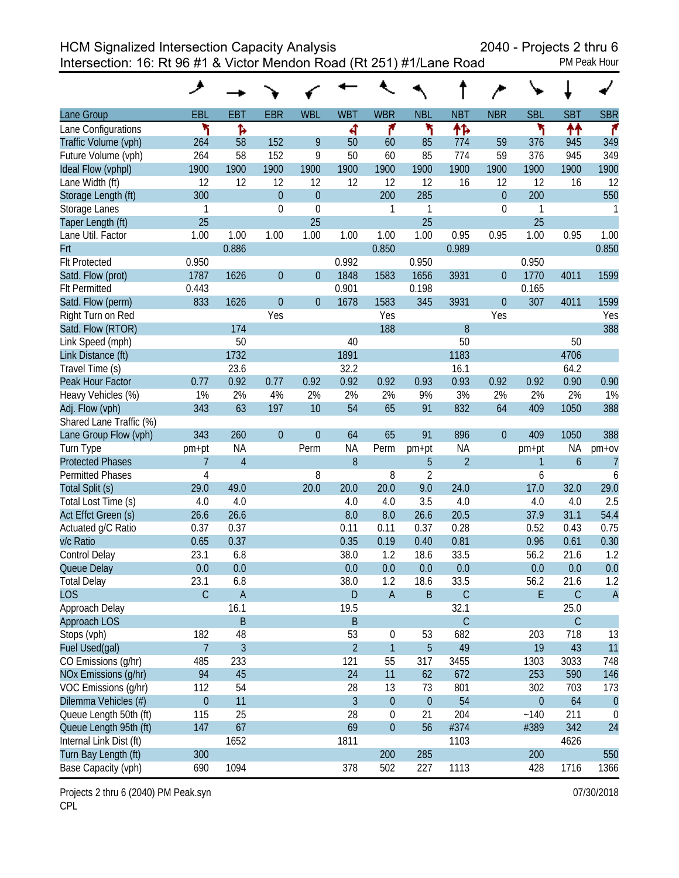HCM Signalized Intersection Capacity Analysis 2040 - Projects 2 thru 6

Intersection: 16: Rt 96 #1 & Victor Mendon Road (Rt 251) #1/Lane Road PM Peak Hour

|                         | ᢣ              |                |                |                  |                  |                  |                |                |                  |              |                  |                |
|-------------------------|----------------|----------------|----------------|------------------|------------------|------------------|----------------|----------------|------------------|--------------|------------------|----------------|
| Lane Group              | EBL            | <b>EBT</b>     | <b>EBR</b>     | <b>WBL</b>       | <b>WBT</b>       | <b>WBR</b>       | <b>NBL</b>     | <b>NBT</b>     | <b>NBR</b>       | <b>SBL</b>   | <b>SBT</b>       | <b>SBR</b>     |
| Lane Configurations     | ۲              | Ъ              |                |                  | 4                | ۴                | ۲              | 怍              |                  | ۲            | ↟↟               | ۴              |
| Traffic Volume (vph)    | 264            | 58             | 152            | 9                | 50               | 60               | 85             | 774            | 59               | 376          | 945              | 349            |
| Future Volume (vph)     | 264            | 58             | 152            | 9                | 50               | 60               | 85             | 774            | 59               | 376          | 945              | 349            |
| Ideal Flow (vphpl)      | 1900           | 1900           | 1900           | 1900             | 1900             | 1900             | 1900           | 1900           | 1900             | 1900         | 1900             | 1900           |
| Lane Width (ft)         | 12             | 12             | 12             | 12               | 12               | 12               | 12             | 16             | 12               | 12           | 16               | 12             |
| Storage Length (ft)     | 300            |                | $\theta$       | $\boldsymbol{0}$ |                  | 200              | 285            |                | $\boldsymbol{0}$ | 200          |                  | 550            |
| Storage Lanes           | 1              |                | $\overline{0}$ | $\mathbf{0}$     |                  | 1                | 1              |                | $\mathbf 0$      | 1            |                  | 1              |
| Taper Length (ft)       | 25             |                |                | 25               |                  |                  | 25             |                |                  | 25           |                  |                |
| Lane Util. Factor       | 1.00           | 1.00           | 1.00           | 1.00             | 1.00             | 1.00             | 1.00           | 0.95           | 0.95             | 1.00         | 0.95             | 1.00           |
| Frt                     |                | 0.886          |                |                  |                  | 0.850            |                | 0.989          |                  |              |                  | 0.850          |
| <b>Flt Protected</b>    | 0.950          |                |                |                  | 0.992            |                  | 0.950          |                |                  | 0.950        |                  |                |
| Satd. Flow (prot)       | 1787           | 1626           | $\theta$       | $\boldsymbol{0}$ | 1848             | 1583             | 1656           | 3931           | $\boldsymbol{0}$ | 1770         | 4011             | 1599           |
| <b>Flt Permitted</b>    | 0.443          |                |                |                  | 0.901            |                  | 0.198          |                |                  | 0.165        |                  |                |
| Satd. Flow (perm)       | 833            | 1626           | $\theta$       | $\boldsymbol{0}$ | 1678             | 1583             | 345            | 3931           | $\boldsymbol{0}$ | 307          | 4011             | 1599           |
| Right Turn on Red       |                |                | Yes            |                  |                  | Yes              |                |                | Yes              |              |                  | Yes            |
| Satd. Flow (RTOR)       |                | 174            |                |                  |                  | 188              |                | 8              |                  |              |                  | 388            |
| Link Speed (mph)        |                | 50             |                |                  | 40               |                  |                | 50             |                  |              | 50               |                |
| Link Distance (ft)      |                | 1732           |                |                  | 1891             |                  |                | 1183           |                  |              | 4706             |                |
| Travel Time (s)         |                | 23.6           |                |                  | 32.2             |                  |                | 16.1           |                  |              | 64.2             |                |
| Peak Hour Factor        | 0.77           | 0.92           | 0.77           | 0.92             | 0.92             | 0.92             | 0.93           | 0.93           | 0.92             | 0.92         | 0.90             | 0.90           |
| Heavy Vehicles (%)      | 1%             | 2%             | 4%             | 2%               | 2%               | 2%               | 9%             | 3%             | 2%               | 2%           | 2%               | 1%             |
| Adj. Flow (vph)         | 343            | 63             | 197            | 10               | 54               | 65               | 91             | 832            | 64               | 409          | 1050             | 388            |
| Shared Lane Traffic (%) |                |                |                |                  |                  |                  |                |                |                  |              |                  |                |
| Lane Group Flow (vph)   | 343            | 260            | $\theta$       | $\overline{0}$   | 64               | 65               | 91             | 896            | $\overline{0}$   | 409          | 1050             | 388            |
| Turn Type               | pm+pt          | <b>NA</b>      |                | Perm             | <b>NA</b>        | Perm             | pm+pt          | <b>NA</b>      |                  | pm+pt        | <b>NA</b>        | pm+ov          |
| <b>Protected Phases</b> | 7              | $\overline{4}$ |                |                  | $\boldsymbol{8}$ |                  | 5              | $\overline{2}$ |                  | $\mathbf{1}$ | $\boldsymbol{6}$ | $\overline{7}$ |
| <b>Permitted Phases</b> | 4              |                |                | 8                |                  | 8                | $\overline{2}$ |                |                  | 6            |                  | 6              |
| Total Split (s)         | 29.0           | 49.0           |                | 20.0             | 20.0             | 20.0             | 9.0            | 24.0           |                  | 17.0         | 32.0             | 29.0           |
| Total Lost Time (s)     | 4.0            | 4.0            |                |                  | 4.0              | 4.0              | 3.5            | 4.0            |                  | 4.0          | 4.0              | 2.5            |
| Act Effct Green (s)     | 26.6           | 26.6           |                |                  | 8.0              | 8.0              | 26.6           | 20.5           |                  | 37.9         | 31.1             | 54.4           |
| Actuated g/C Ratio      | 0.37           | 0.37           |                |                  | 0.11             | 0.11             | 0.37           | 0.28           |                  | 0.52         | 0.43             | 0.75           |
| v/c Ratio               | 0.65           | 0.37           |                |                  | 0.35             | 0.19             | 0.40           | 0.81           |                  | 0.96         | 0.61             | 0.30           |
| Control Delay           | 23.1           | 6.8            |                |                  | 38.0             | 1.2              | 18.6           | 33.5           |                  | 56.2         | 21.6             | 1.2            |
| Queue Delay             | 0.0            | 0.0            |                |                  | 0.0              | 0.0              | 0.0            | 0.0            |                  | 0.0          | 0.0              | 0.0            |
| <b>Total Delay</b>      | 23.1           | 6.8            |                |                  | 38.0             | 1.2              | 18.6           | 33.5           |                  | 56.2         | 21.6             | 1.2            |
| <b>LOS</b>              | $\mathsf C$    | $\mathsf A$    |                |                  | $\mathsf D$      | $\mathsf A$      | $\sf B$        | $\mathsf C$    |                  | E            | $\mathsf C$      | $\overline{A}$ |
| Approach Delay          |                | 16.1           |                |                  | 19.5             |                  |                | 32.1           |                  |              | 25.0             |                |
| Approach LOS            |                | $\sf B$        |                |                  | $\mathsf B$      |                  |                | $\mathsf C$    |                  |              | $\mathsf C$      |                |
| Stops (vph)             | 182            | 48             |                |                  | 53               | $\boldsymbol{0}$ | 53             | 682            |                  | 203          | 718              | 13             |
| Fuel Used(gal)          | $\overline{7}$ | $\mathfrak{Z}$ |                |                  | $\overline{2}$   | $\mathbf{1}$     | 5              | 49             |                  | 19           | 43               | 11             |
| CO Emissions (g/hr)     | 485            | 233            |                |                  | 121              | 55               | 317            | 3455           |                  | 1303         | 3033             | 748            |
| NOx Emissions (g/hr)    | 94             | 45             |                |                  | 24               | 11               | 62             | 672            |                  | 253          | 590              | 146            |
| VOC Emissions (g/hr)    | 112            | 54             |                |                  | 28               | 13               | 73             | 801            |                  | 302          | 703              | 173            |
| Dilemma Vehicles (#)    | $\theta$       | 11             |                |                  | $\overline{3}$   | $\theta$         | $\theta$       | 54             |                  | $\mathbf 0$  | 64               | $\theta$       |
| Queue Length 50th (ft)  | 115            | 25             |                |                  | 28               | $\boldsymbol{0}$ | 21             | 204            |                  | ~140         | 211              | 0              |
| Queue Length 95th (ft)  | 147            | 67             |                |                  | 69               | $\boldsymbol{0}$ | 56             | #374           |                  | #389         | 342              | 24             |
| Internal Link Dist (ft) |                | 1652           |                |                  | 1811             |                  |                | 1103           |                  |              | 4626             |                |
| Turn Bay Length (ft)    | 300            |                |                |                  |                  | 200              | 285            |                |                  | 200          |                  | 550            |
| Base Capacity (vph)     | 690            | 1094           |                |                  | 378              | 502              | 227            | 1113           |                  | 428          | 1716             | 1366           |

Projects 2 thru 6 (2040) PM Peak.syn control of the state of the state of the control of the control of the control of the control of the control of the control of the control of the control of the control of the control o CPL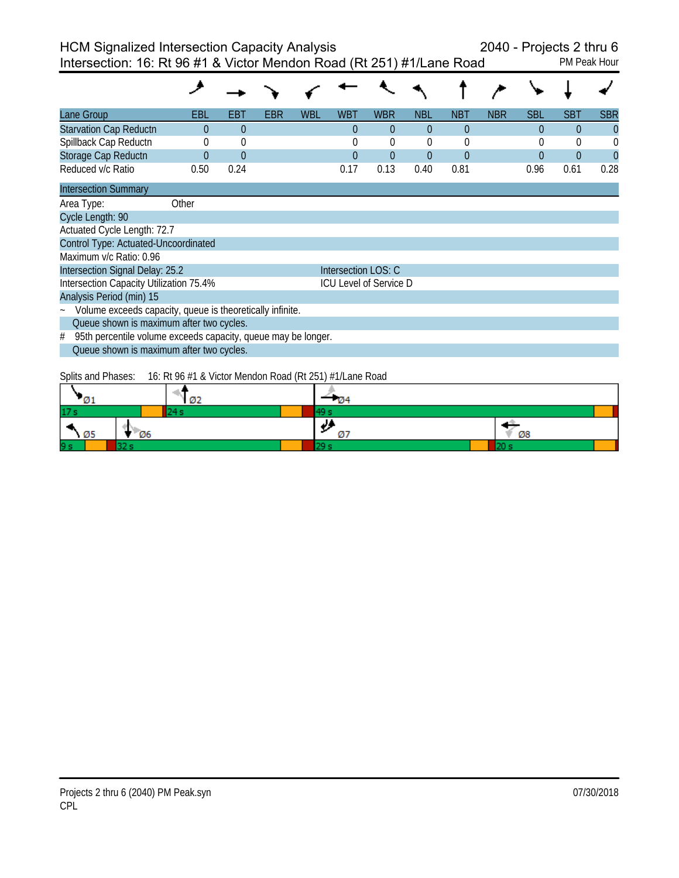Intersection: 16: Rt 96 #1 & Victor Mendon Road (Rt 251) #1/Lane Road PM Peak Hour

| Lane Group                                                         | EBL      | EBT      | EBR | WBL | <b>WBT</b>          | <b>WBR</b>                    | <b>NBL</b> | <b>NBT</b>     | <b>NBR</b> | <b>SBL</b> | SBT      | <b>SBR</b> |
|--------------------------------------------------------------------|----------|----------|-----|-----|---------------------|-------------------------------|------------|----------------|------------|------------|----------|------------|
| <b>Starvation Cap Reductn</b>                                      | $\Omega$ | $\Omega$ |     |     | $\theta$            | $\Omega$                      | $\theta$   | $\theta$       |            | $\Omega$   | 0        | $\theta$   |
| Spillback Cap Reductn                                              | 0        | $\theta$ |     |     | 0                   | $\Omega$                      | $\Omega$   | $\theta$       |            | $\theta$   | 0        |            |
| Storage Cap Reductn                                                | $\Omega$ | $\theta$ |     |     | $\Omega$            | $\theta$                      | $\theta$   | $\overline{0}$ |            | $\theta$   | $\Omega$ |            |
| Reduced v/c Ratio                                                  | 0.50     | 0.24     |     |     | 0.17                | 0.13                          | 0.40       | 0.81           |            | 0.96       | 0.61     | 0.28       |
| <b>Intersection Summary</b>                                        |          |          |     |     |                     |                               |            |                |            |            |          |            |
| Area Type:                                                         | Other    |          |     |     |                     |                               |            |                |            |            |          |            |
| Cycle Length: 90                                                   |          |          |     |     |                     |                               |            |                |            |            |          |            |
| Actuated Cycle Length: 72.7                                        |          |          |     |     |                     |                               |            |                |            |            |          |            |
| Control Type: Actuated-Uncoordinated                               |          |          |     |     |                     |                               |            |                |            |            |          |            |
| Maximum v/c Ratio: 0.96                                            |          |          |     |     |                     |                               |            |                |            |            |          |            |
| Intersection Signal Delay: 25.2                                    |          |          |     |     | Intersection LOS: C |                               |            |                |            |            |          |            |
| Intersection Capacity Utilization 75.4%                            |          |          |     |     |                     | <b>ICU Level of Service D</b> |            |                |            |            |          |            |
| Analysis Period (min) 15                                           |          |          |     |     |                     |                               |            |                |            |            |          |            |
| Volume exceeds capacity, queue is theoretically infinite.          |          |          |     |     |                     |                               |            |                |            |            |          |            |
| Queue shown is maximum after two cycles.                           |          |          |     |     |                     |                               |            |                |            |            |          |            |
| 95th percentile volume exceeds capacity, queue may be longer.<br># |          |          |     |     |                     |                               |            |                |            |            |          |            |
| Queue shown is maximum after two cycles.                           |          |          |     |     |                     |                               |            |                |            |            |          |            |
|                                                                    |          |          |     |     |                     |                               |            |                |            |            |          |            |

Splits and Phases: 16: Rt 96 #1 & Victor Mendon Road (Rt 251) #1/Lane Road

|                 |      |       | Ø2 |            |    |  |
|-----------------|------|-------|----|------------|----|--|
| 17 <sub>s</sub> |      |       |    |            |    |  |
|                 | - Ø5 | $-06$ |    | JJ.<br>737 | Ø8 |  |
| 9s              |      |       |    |            |    |  |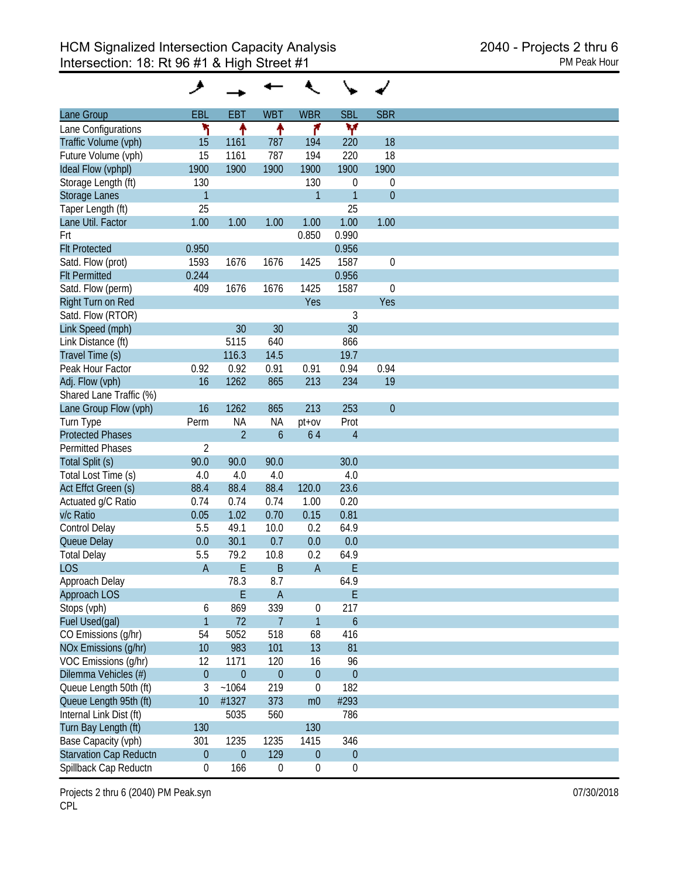| Lane Group                    | EBL              | <b>EBT</b>     | <b>WBT</b>       | <b>WBR</b>       | <b>SBL</b>       | <b>SBR</b>   |
|-------------------------------|------------------|----------------|------------------|------------------|------------------|--------------|
| Lane Configurations           | ۲                | ↟              | ↑                | ۴                | ۷                |              |
| Traffic Volume (vph)          | 15               | 1161           | 787              | 194              | 220              | 18           |
| Future Volume (vph)           | 15               | 1161           | 787              | 194              | 220              | 18           |
| Ideal Flow (vphpl)            | 1900             | 1900           | 1900             | 1900             | 1900             | 1900         |
| Storage Length (ft)           | 130              |                |                  | 130              | 0                | 0            |
| <b>Storage Lanes</b>          | $\mathbf{1}$     |                |                  | 1                | $\overline{1}$   | $\theta$     |
| Taper Length (ft)             | 25               |                |                  |                  | 25               |              |
| Lane Util. Factor             | 1.00             | 1.00           | 1.00             | 1.00             | 1.00             | 1.00         |
| Frt                           |                  |                |                  | 0.850            | 0.990            |              |
| <b>Flt Protected</b>          | 0.950            |                |                  |                  | 0.956            |              |
| Satd. Flow (prot)             | 1593             | 1676           | 1676             | 1425             | 1587             | $\mathbf 0$  |
| <b>Flt Permitted</b>          | 0.244            |                |                  |                  | 0.956            |              |
| Satd. Flow (perm)             | 409              | 1676           | 1676             | 1425             | 1587             | $\mathbf 0$  |
| Right Turn on Red             |                  |                |                  | Yes              |                  | Yes          |
|                               |                  |                |                  |                  | 3                |              |
| Satd. Flow (RTOR)             |                  |                |                  |                  | 30               |              |
| Link Speed (mph)              |                  | 30             | 30               |                  |                  |              |
| Link Distance (ft)            |                  | 5115           | 640              |                  | 866              |              |
| Travel Time (s)               |                  | 116.3          | 14.5             |                  | 19.7             |              |
| Peak Hour Factor              | 0.92             | 0.92           | 0.91             | 0.91             | 0.94             | 0.94         |
| Adj. Flow (vph)               | 16               | 1262           | 865              | 213              | 234              | 19           |
| Shared Lane Traffic (%)       |                  |                |                  |                  |                  |              |
| Lane Group Flow (vph)         | 16               | 1262           | 865              | 213              | 253              | $\mathbf{0}$ |
| Turn Type                     | Perm             | <b>NA</b>      | <b>NA</b>        | pt+ov            | Prot             |              |
| <b>Protected Phases</b>       |                  | $\overline{2}$ | $\overline{6}$   | 64               | $\overline{4}$   |              |
| <b>Permitted Phases</b>       | $\overline{2}$   |                |                  |                  |                  |              |
| Total Split (s)               | 90.0             | 90.0           | 90.0             |                  | 30.0             |              |
| Total Lost Time (s)           | 4.0              | 4.0            | 4.0              |                  | 4.0              |              |
| Act Effct Green (s)           | 88.4             | 88.4           | 88.4             | 120.0            | 23.6             |              |
| Actuated g/C Ratio            | 0.74             | 0.74           | 0.74             | 1.00             | 0.20             |              |
| v/c Ratio                     | 0.05             | 1.02           | 0.70             | 0.15             | 0.81             |              |
| Control Delay                 | 5.5              | 49.1           | 10.0             | 0.2              | 64.9             |              |
| Queue Delay                   | 0.0              | 30.1           | 0.7              | 0.0              | 0.0              |              |
| <b>Total Delay</b>            | 5.5              | 79.2           | 10.8             | 0.2              | 64.9             |              |
| <b>LOS</b>                    | $\overline{A}$   | E              | B                | $\mathsf{A}$     | E                |              |
| Approach Delay                |                  | 78.3           | 8.7              |                  | 64.9             |              |
| Approach LOS                  |                  | E              | $\overline{A}$   |                  | $\mathsf E$      |              |
| Stops (vph)                   | 6                | 869            | 339              | 0                | 217              |              |
| Fuel Used(gal)                | $\mathbf{1}$     | 72             | $\overline{7}$   | $\mathbf{1}$     | $\boldsymbol{6}$ |              |
| CO Emissions (g/hr)           | 54               | 5052           | 518              | 68               | 416              |              |
| NOx Emissions (g/hr)          | 10               | 983            | 101              | 13               | 81               |              |
| VOC Emissions (q/hr)          | 12               | 1171           | 120              | 16               | 96               |              |
| Dilemma Vehicles (#)          | $\boldsymbol{0}$ | $\overline{0}$ | $\theta$         | $\theta$         | $\mathbf{0}$     |              |
| Queue Length 50th (ft)        | 3                | ~1064          | 219              | $\boldsymbol{0}$ | 182              |              |
| Queue Length 95th (ft)        | 10               | #1327          | 373              | m <sub>0</sub>   | #293             |              |
| Internal Link Dist (ft)       |                  | 5035           | 560              |                  | 786              |              |
| Turn Bay Length (ft)          | 130              |                |                  | 130              |                  |              |
|                               |                  |                |                  | 1415             | 346              |              |
| Base Capacity (vph)           | 301              | 1235           | 1235             |                  |                  |              |
| <b>Starvation Cap Reductn</b> | $\boldsymbol{0}$ | $\mathbf{0}$   | 129              | $\theta$         | $\boldsymbol{0}$ |              |
| Spillback Cap Reductn         | 0                | 166            | $\boldsymbol{0}$ | $\boldsymbol{0}$ | $\boldsymbol{0}$ |              |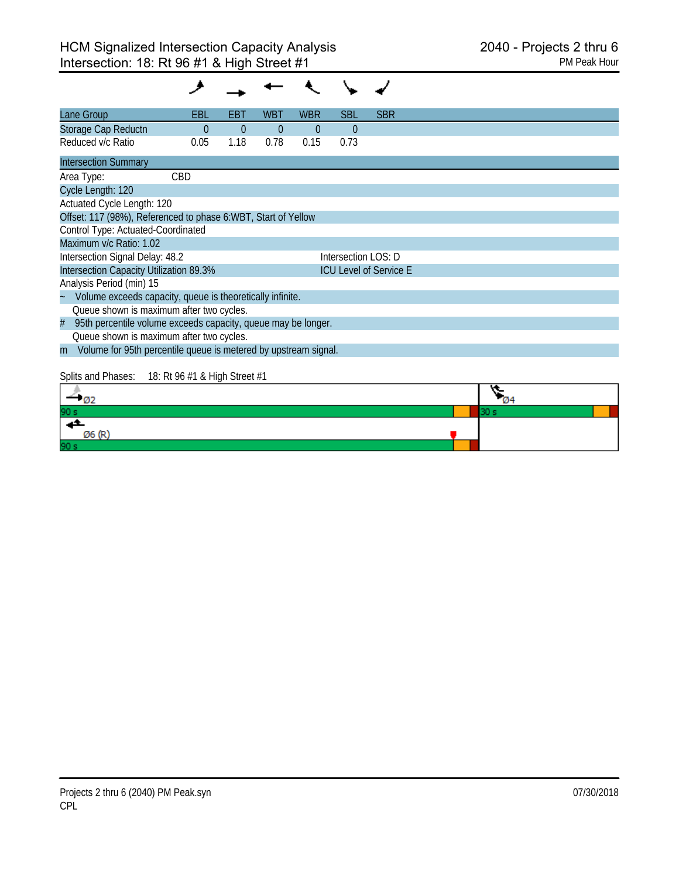| Lane Group                                                           | EBL      | EB1            | WBT            | <b>WBR</b> | <b>SBL</b>          | <b>SBR</b>                    |      |  |
|----------------------------------------------------------------------|----------|----------------|----------------|------------|---------------------|-------------------------------|------|--|
| Storage Cap Reductn                                                  | $\theta$ | $\overline{0}$ | $\overline{0}$ | $\theta$   | $\overline{0}$      |                               |      |  |
| Reduced v/c Ratio                                                    | 0.05     | 1.18           | 0.78           | 0.15       | 0.73                |                               |      |  |
| <b>Intersection Summary</b>                                          |          |                |                |            |                     |                               |      |  |
| Area Type:                                                           | CBD      |                |                |            |                     |                               |      |  |
| Cycle Length: 120                                                    |          |                |                |            |                     |                               |      |  |
| Actuated Cycle Length: 120                                           |          |                |                |            |                     |                               |      |  |
| Offset: 117 (98%), Referenced to phase 6:WBT, Start of Yellow        |          |                |                |            |                     |                               |      |  |
| Control Type: Actuated-Coordinated                                   |          |                |                |            |                     |                               |      |  |
| Maximum v/c Ratio: 1.02                                              |          |                |                |            |                     |                               |      |  |
| Intersection Signal Delay: 48.2                                      |          |                |                |            | Intersection LOS: D |                               |      |  |
| Intersection Capacity Utilization 89.3%                              |          |                |                |            |                     | <b>ICU Level of Service E</b> |      |  |
| Analysis Period (min) 15                                             |          |                |                |            |                     |                               |      |  |
| Volume exceeds capacity, queue is theoretically infinite.            |          |                |                |            |                     |                               |      |  |
| Queue shown is maximum after two cycles.                             |          |                |                |            |                     |                               |      |  |
| 95th percentile volume exceeds capacity, queue may be longer.<br>#   |          |                |                |            |                     |                               |      |  |
| Queue shown is maximum after two cycles.                             |          |                |                |            |                     |                               |      |  |
| Volume for 95th percentile queue is metered by upstream signal.<br>m |          |                |                |            |                     |                               |      |  |
|                                                                      |          |                |                |            |                     |                               |      |  |
| Splits and Phases: 18: Rt 96 #1 & High Street #1                     |          |                |                |            |                     |                               |      |  |
| - 02                                                                 |          |                |                |            |                     |                               |      |  |
| 90 s                                                                 |          |                |                |            |                     |                               | 30 s |  |

| - Oz            | - 144 |
|-----------------|-------|
| 90 s            |       |
|                 |       |
| Ø6 (R)          |       |
| 90 <sub>s</sub> |       |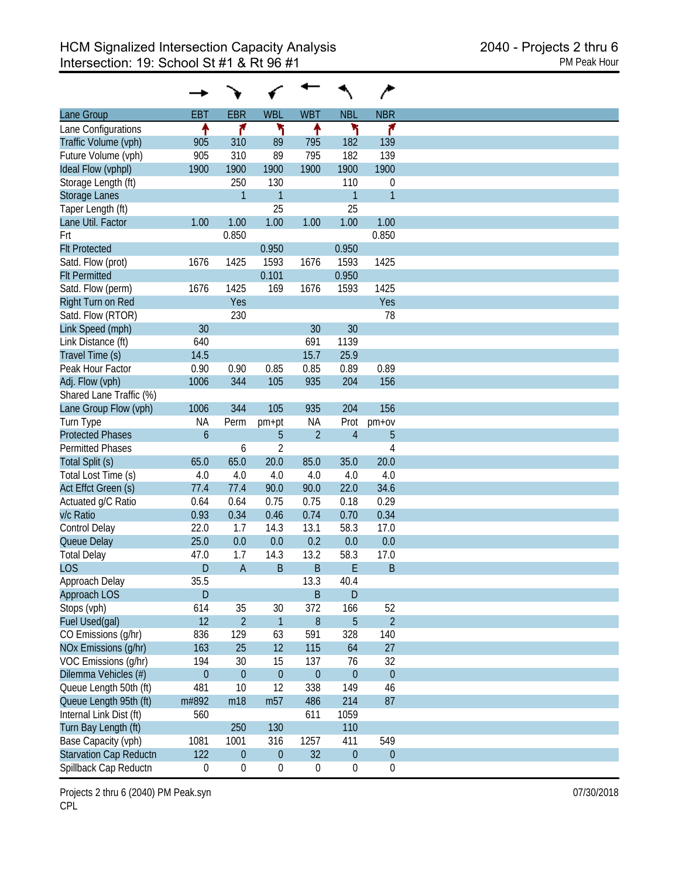|                               |                  |                  |                  |                  |                  | ∕                |
|-------------------------------|------------------|------------------|------------------|------------------|------------------|------------------|
| Lane Group                    | <b>EBT</b>       | <b>EBR</b>       | <b>WBL</b>       | <b>WBT</b>       | <b>NBL</b>       | <b>NBR</b>       |
| Lane Configurations           | ↟                | ۴                | ١                | ↟                | ኻ                | ۴                |
| Traffic Volume (vph)          | 905              | 310              | 89               | 795              | 182              | 139              |
| Future Volume (vph)           | 905              | 310              | 89               | 795              | 182              | 139              |
| Ideal Flow (vphpl)            | 1900             | 1900             | 1900             | 1900             | 1900             | 1900             |
| Storage Length (ft)           |                  | 250              | 130              |                  | 110              | $\boldsymbol{0}$ |
| Storage Lanes                 |                  | $\mathbf{1}$     | $\mathbf{1}$     |                  | $\overline{1}$   | $\mathbf{1}$     |
| Taper Length (ft)             |                  |                  | 25               |                  | 25               |                  |
| Lane Util. Factor             | 1.00             | 1.00             | 1.00             | 1.00             | 1.00             | 1.00             |
|                               |                  | 0.850            |                  |                  |                  | 0.850            |
| Frt                           |                  |                  |                  |                  |                  |                  |
| <b>Flt Protected</b>          |                  |                  | 0.950            |                  | 0.950            |                  |
| Satd. Flow (prot)             | 1676             | 1425             | 1593             | 1676             | 1593             | 1425             |
| <b>Flt Permitted</b>          |                  |                  | 0.101            |                  | 0.950            |                  |
| Satd. Flow (perm)             | 1676             | 1425             | 169              | 1676             | 1593             | 1425             |
| Right Turn on Red             |                  | Yes              |                  |                  |                  | Yes              |
| Satd. Flow (RTOR)             |                  | 230              |                  |                  |                  | 78               |
| Link Speed (mph)              | 30               |                  |                  | 30               | 30               |                  |
| Link Distance (ft)            | 640              |                  |                  | 691              | 1139             |                  |
| Travel Time (s)               | 14.5             |                  |                  | 15.7             | 25.9             |                  |
| Peak Hour Factor              | 0.90             | 0.90             | 0.85             | 0.85             | 0.89             | 0.89             |
| Adj. Flow (vph)               | 1006             | 344              | 105              | 935              | 204              | 156              |
| Shared Lane Traffic (%)       |                  |                  |                  |                  |                  |                  |
| Lane Group Flow (vph)         | 1006             | 344              | 105              | 935              | 204              | 156              |
| Turn Type                     | <b>NA</b>        | Perm             | pm+pt            | <b>NA</b>        | Prot             | $pm+ov$          |
| <b>Protected Phases</b>       | $\overline{6}$   |                  | 5                | $\overline{2}$   | $\overline{4}$   | 5                |
| <b>Permitted Phases</b>       |                  | 6                | $\overline{2}$   |                  |                  | 4                |
| Total Split (s)               | 65.0             | 65.0             | 20.0             | 85.0             | 35.0             | 20.0             |
| Total Lost Time (s)           | 4.0              | 4.0              | 4.0              | 4.0              | 4.0              | 4.0              |
|                               |                  |                  |                  |                  |                  |                  |
| Act Effct Green (s)           | 77.4             | 77.4             | 90.0             | 90.0             | 22.0             | 34.6             |
| Actuated g/C Ratio            | 0.64             | 0.64             | 0.75             | 0.75             | 0.18             | 0.29             |
| v/c Ratio                     | 0.93             | 0.34             | 0.46             | 0.74             | 0.70             | 0.34             |
| Control Delay                 | 22.0             | 1.7              | 14.3             | 13.1             | 58.3             | 17.0             |
| Queue Delay                   | 25.0             | 0.0              | 0.0              | 0.2              | 0.0              | 0.0              |
| <b>Total Delay</b>            | 47.0             | 1.7              | 14.3             | 13.2             | 58.3             | 17.0             |
| <b>LOS</b>                    | D                | $\overline{A}$   | B                | $\sf B$          | E                | B                |
| Approach Delay                | 35.5             |                  |                  | 13.3             | 40.4             |                  |
| <b>Approach LOS</b>           | D                |                  |                  | $\sf B$          | ${\sf D}$        |                  |
| Stops (vph)                   | 614              | 35               | 30               | 372              | 166              | 52               |
| Fuel Used(gal)                | 12               | $\overline{2}$   | $\mathbf{1}$     | 8                | 5                | $\overline{2}$   |
| CO Emissions (g/hr)           | 836              | 129              | 63               | 591              | 328              | 140              |
| NOx Emissions (g/hr)          | 163              | 25               | 12               | 115              | 64               | 27               |
| VOC Emissions (g/hr)          | 194              | 30               | 15               | 137              | 76               | 32               |
|                               |                  |                  |                  |                  |                  |                  |
| Dilemma Vehicles (#)          | $\mathbf{0}$     | $\mathbf{0}$     | $\boldsymbol{0}$ | $\boldsymbol{0}$ | $\mathbf 0$      | $\theta$         |
| Queue Length 50th (ft)        | 481              | 10               | 12               | 338              | 149              | 46               |
| Queue Length 95th (ft)        | m#892            | m18              | m <sub>57</sub>  | 486              | 214              | 87               |
| Internal Link Dist (ft)       | 560              |                  |                  | 611              | 1059             |                  |
| Turn Bay Length (ft)          |                  | 250              | 130              |                  | 110              |                  |
| Base Capacity (vph)           | 1081             | 1001             | 316              | 1257             | 411              | 549              |
| <b>Starvation Cap Reductn</b> | 122              | $\boldsymbol{0}$ | $\boldsymbol{0}$ | 32               | $\boldsymbol{0}$ | $\pmb{0}$        |
| Spillback Cap Reductn         | $\boldsymbol{0}$ | $\boldsymbol{0}$ | $\boldsymbol{0}$ | $\boldsymbol{0}$ | $\boldsymbol{0}$ | $\boldsymbol{0}$ |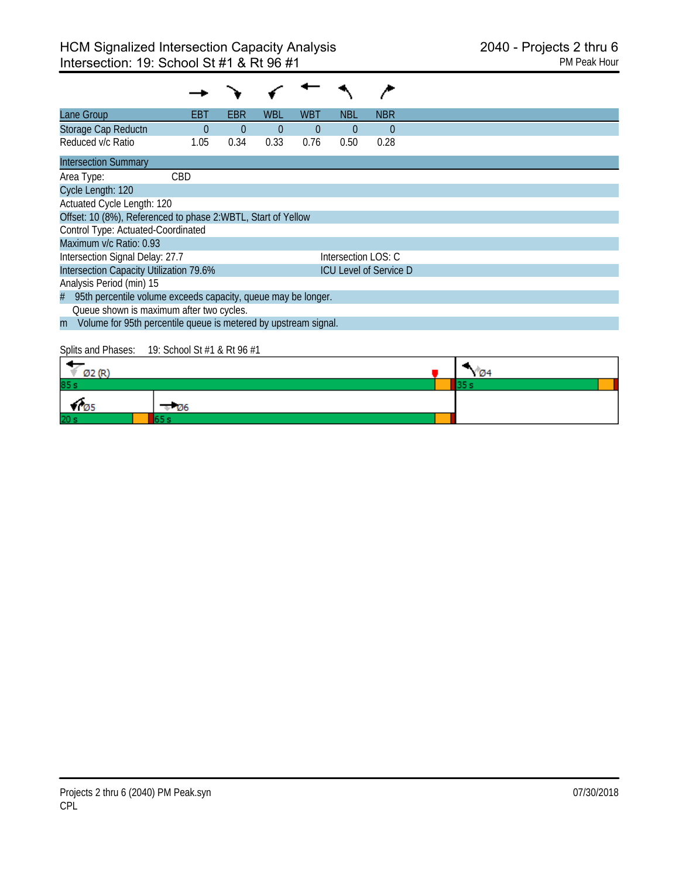| Lane Group                                                           | EBT        | EBR      | <b>WBL</b> | WBT            | NBL                 | <b>NBR</b>                    |  |  |  |  |
|----------------------------------------------------------------------|------------|----------|------------|----------------|---------------------|-------------------------------|--|--|--|--|
| Storage Cap Reductn                                                  | $\Omega$   | $\Omega$ | $\Omega$   | $\overline{0}$ | $\Omega$            | $\theta$                      |  |  |  |  |
| Reduced v/c Ratio                                                    | 1.05       | 0.34     | 0.33       | 0.76           | 0.50                | 0.28                          |  |  |  |  |
| <b>Intersection Summary</b>                                          |            |          |            |                |                     |                               |  |  |  |  |
| Area Type:                                                           | <b>CBD</b> |          |            |                |                     |                               |  |  |  |  |
| Cycle Length: 120                                                    |            |          |            |                |                     |                               |  |  |  |  |
| Actuated Cycle Length: 120                                           |            |          |            |                |                     |                               |  |  |  |  |
| Offset: 10 (8%), Referenced to phase 2:WBTL, Start of Yellow         |            |          |            |                |                     |                               |  |  |  |  |
| Control Type: Actuated-Coordinated                                   |            |          |            |                |                     |                               |  |  |  |  |
| Maximum v/c Ratio: 0.93                                              |            |          |            |                |                     |                               |  |  |  |  |
| Intersection Signal Delay: 27.7                                      |            |          |            |                | Intersection LOS: C |                               |  |  |  |  |
| Intersection Capacity Utilization 79.6%                              |            |          |            |                |                     | <b>ICU Level of Service D</b> |  |  |  |  |
| Analysis Period (min) 15                                             |            |          |            |                |                     |                               |  |  |  |  |
| 95th percentile volume exceeds capacity, queue may be longer.<br>#   |            |          |            |                |                     |                               |  |  |  |  |
| Queue shown is maximum after two cycles.                             |            |          |            |                |                     |                               |  |  |  |  |
| Volume for 95th percentile queue is metered by upstream signal.<br>m |            |          |            |                |                     |                               |  |  |  |  |
|                                                                      |            |          |            |                |                     |                               |  |  |  |  |

Splits and Phases: 19: School St #1 & Rt 96 #1

| cars. And<br>× c |             | <b>73.44</b> |  |
|------------------|-------------|--------------|--|
| 85s              |             |              |  |
| כש ד             | <b>1</b> 26 |              |  |
| 20 <sub>3</sub>  |             |              |  |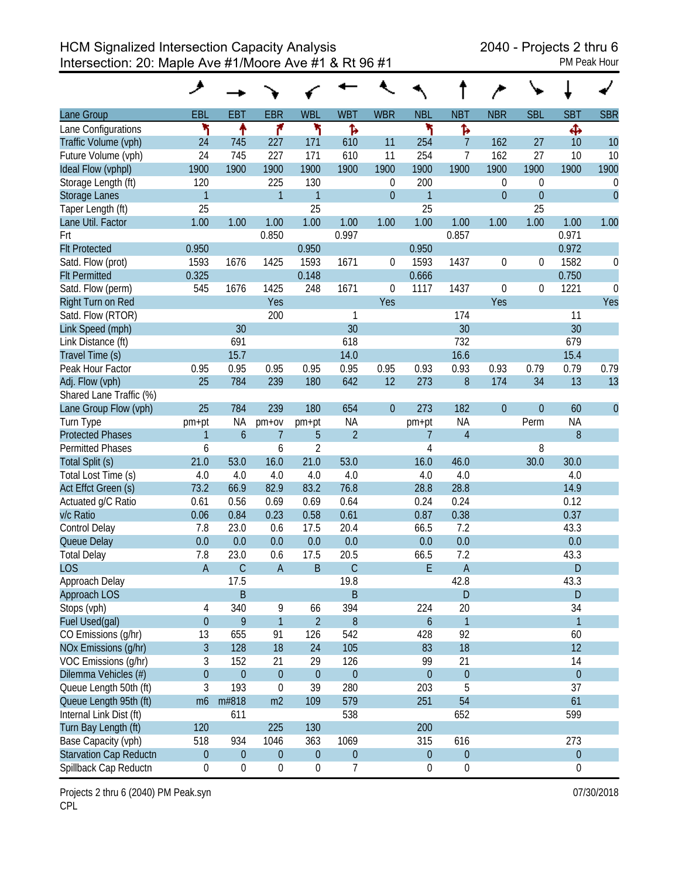|                               | حر               |                  |                  |                  |                  |                  |                  |                  |                |            |                  |                  |
|-------------------------------|------------------|------------------|------------------|------------------|------------------|------------------|------------------|------------------|----------------|------------|------------------|------------------|
| Lane Group                    | EBL              | <b>EBT</b>       | <b>EBR</b>       | <b>WBL</b>       | <b>WBT</b>       | <b>WBR</b>       | <b>NBL</b>       | <b>NBT</b>       | <b>NBR</b>     | <b>SBL</b> | <b>SBT</b>       | <b>SBR</b>       |
| Lane Configurations           | ۲                | ↟                | ۴                | ۲                | Ъ                |                  | ۲                | Ъ                |                |            | Ф                |                  |
| Traffic Volume (vph)          | 24               | 745              | 227              | 171              | 610              | 11               | 254              | $\overline{7}$   | 162            | 27         | 10               | 10               |
| Future Volume (vph)           | 24               | 745              | 227              | 171              | 610              | 11               | 254              | 7                | 162            | 27         | 10               | 10               |
| Ideal Flow (vphpl)            | 1900             | 1900             | 1900             | 1900             | 1900             | 1900             | 1900             | 1900             | 1900           | 1900       | 1900             | 1900             |
| Storage Length (ft)           | 120              |                  | 225              | 130              |                  | 0                | 200              |                  | 0              | 0          |                  | 0                |
| <b>Storage Lanes</b>          | $\mathbf{1}$     |                  | 1                | 1                |                  | $\boldsymbol{0}$ | 1                |                  | $\overline{0}$ | 0          |                  | $\mathbf{0}$     |
| Taper Length (ft)             | 25               |                  |                  | 25               |                  |                  | 25               |                  |                | 25         |                  |                  |
| Lane Util. Factor             | 1.00             | 1.00             | 1.00             | 1.00             | 1.00             | 1.00             | 1.00             | 1.00             | 1.00           | 1.00       | 1.00             | 1.00             |
| Frt                           |                  |                  | 0.850            |                  | 0.997            |                  |                  | 0.857            |                |            | 0.971            |                  |
| <b>Flt Protected</b>          | 0.950            |                  |                  | 0.950            |                  |                  | 0.950            |                  |                |            | 0.972            |                  |
| Satd. Flow (prot)             | 1593             | 1676             | 1425             | 1593             | 1671             | 0                | 1593             | 1437             | $\mathbf 0$    | 0          | 1582             | 0                |
| <b>Flt Permitted</b>          | 0.325            |                  |                  | 0.148            |                  |                  | 0.666            |                  |                |            | 0.750            |                  |
| Satd. Flow (perm)             | 545              | 1676             | 1425             | 248              | 1671             | 0                | 1117             | 1437             | 0              | 0          | 1221             | $\boldsymbol{0}$ |
| Right Turn on Red             |                  |                  | Yes              |                  |                  | Yes              |                  |                  | Yes            |            |                  | Yes              |
| Satd. Flow (RTOR)             |                  |                  | 200              |                  | 1                |                  |                  | 174              |                |            | 11               |                  |
| Link Speed (mph)              |                  | 30               |                  |                  | 30               |                  |                  | 30               |                |            | 30               |                  |
| Link Distance (ft)            |                  | 691              |                  |                  | 618              |                  |                  | 732              |                |            | 679              |                  |
| Travel Time (s)               |                  | 15.7             |                  |                  | 14.0             |                  |                  | 16.6             |                |            | 15.4             |                  |
| Peak Hour Factor              | 0.95             | 0.95             | 0.95             | 0.95             | 0.95             | 0.95             | 0.93             | 0.93             | 0.93           | 0.79       | 0.79             | 0.79             |
| Adj. Flow (vph)               | 25               | 784              | 239              | 180              | 642              | 12               | 273              | $\, 8$           | 174            | 34         | 13               | 13               |
| Shared Lane Traffic (%)       |                  |                  |                  |                  |                  |                  |                  |                  |                |            |                  |                  |
| Lane Group Flow (vph)         | 25               | 784              | 239              | 180              | 654              | $\theta$         | 273              | 182              | $\mathbf{0}$   | 0          | 60               | $\mathbf{0}$     |
| Turn Type                     | pm+pt            | <b>NA</b>        | $pm+ov$          | pm+pt            | <b>NA</b>        |                  | pm+pt            | <b>NA</b>        |                | Perm       | <b>NA</b>        |                  |
| <b>Protected Phases</b>       | 1                | $\boldsymbol{6}$ | 7                | 5                | $\overline{2}$   |                  | 7                | $\overline{4}$   |                |            | 8                |                  |
| <b>Permitted Phases</b>       | 6                |                  | 6                | $\overline{2}$   |                  |                  | 4                |                  |                | 8          |                  |                  |
| Total Split (s)               | 21.0             | 53.0             | 16.0             | 21.0             | 53.0             |                  | 16.0             | 46.0             |                | 30.0       | 30.0             |                  |
| Total Lost Time (s)           | 4.0              | 4.0              | 4.0              | 4.0              | 4.0              |                  | 4.0              | 4.0              |                |            | 4.0              |                  |
| Act Effct Green (s)           | 73.2             | 66.9             | 82.9             | 83.2             | 76.8             |                  | 28.8             | 28.8             |                |            | 14.9             |                  |
| Actuated g/C Ratio            | 0.61             | 0.56             | 0.69             | 0.69             | 0.64             |                  | 0.24             | 0.24             |                |            | 0.12             |                  |
| v/c Ratio                     | 0.06             | 0.84             | 0.23             | 0.58             | 0.61             |                  | 0.87             | 0.38             |                |            | 0.37             |                  |
| Control Delay                 | 7.8              | 23.0             | 0.6              | 17.5             | 20.4             |                  | 66.5             | 7.2              |                |            | 43.3             |                  |
| Queue Delay                   | 0.0              | 0.0              | 0.0              | 0.0              | 0.0              |                  | 0.0              | 0.0              |                |            | 0.0              |                  |
| <b>Total Delay</b>            | 7.8              | 23.0             | 0.6              | 17.5             | 20.5             |                  | 66.5             | 7.2              |                |            | 43.3             |                  |
| <b>LOS</b>                    | $\overline{A}$   | $\mathsf C$      | $\overline{A}$   | B                | $\mathsf C$      |                  | E                | $\mathsf A$      |                |            | D                |                  |
| Approach Delay                |                  | 17.5             |                  |                  | 19.8             |                  |                  | 42.8             |                |            | 43.3             |                  |
| <b>Approach LOS</b>           |                  | B                |                  |                  | B                |                  |                  | D                |                |            | D                |                  |
| Stops (vph)                   | 4                | 340              | 9                | 66               | 394              |                  | 224              | 20               |                |            | 34               |                  |
| Fuel Used(gal)                | $\overline{0}$   | 9                | 1                | $\overline{2}$   | 8                |                  | $\boldsymbol{6}$ | 1                |                |            | 1                |                  |
| CO Emissions (g/hr)           | 13               | 655              | 91               | 126              | 542              |                  | 428              | 92               |                |            | 60               |                  |
| NOx Emissions (g/hr)          | $\mathfrak{Z}$   | 128              | 18               | 24               | 105              |                  | 83               | 18               |                |            | 12               |                  |
| VOC Emissions (g/hr)          | 3                | 152              | 21               | 29               | 126              |                  | 99               | 21               |                |            | 14               |                  |
| Dilemma Vehicles (#)          | $\boldsymbol{0}$ | $\boldsymbol{0}$ | $\theta$         | $\boldsymbol{0}$ | $\boldsymbol{0}$ |                  | $\boldsymbol{0}$ | $\boldsymbol{0}$ |                |            | $\boldsymbol{0}$ |                  |
| Queue Length 50th (ft)        | 3                | 193              | $\boldsymbol{0}$ | 39               | 280              |                  | 203              | 5                |                |            | 37               |                  |
| Queue Length 95th (ft)        | m <sub>6</sub>   | m#818            | m2               | 109              | 579              |                  | 251              | 54               |                |            | 61               |                  |
| Internal Link Dist (ft)       |                  | 611              |                  |                  | 538              |                  |                  | 652              |                |            | 599              |                  |
| Turn Bay Length (ft)          | 120              |                  | 225              | 130              |                  |                  | 200              |                  |                |            |                  |                  |
| Base Capacity (vph)           | 518              | 934              | 1046             | 363              | 1069             |                  | 315              | 616              |                |            | 273              |                  |
| <b>Starvation Cap Reductn</b> | $\boldsymbol{0}$ | $\boldsymbol{0}$ | $\boldsymbol{0}$ | $\boldsymbol{0}$ | $\boldsymbol{0}$ |                  | $\boldsymbol{0}$ | $\boldsymbol{0}$ |                |            | $\boldsymbol{0}$ |                  |
| Spillback Cap Reductn         | 0                | 0                | $\boldsymbol{0}$ | $\boldsymbol{0}$ | 7                |                  | $\mathbf 0$      | $\boldsymbol{0}$ |                |            | $\boldsymbol{0}$ |                  |

Projects 2 thru 6 (2040) PM Peak.syn 07/30/2018 CPL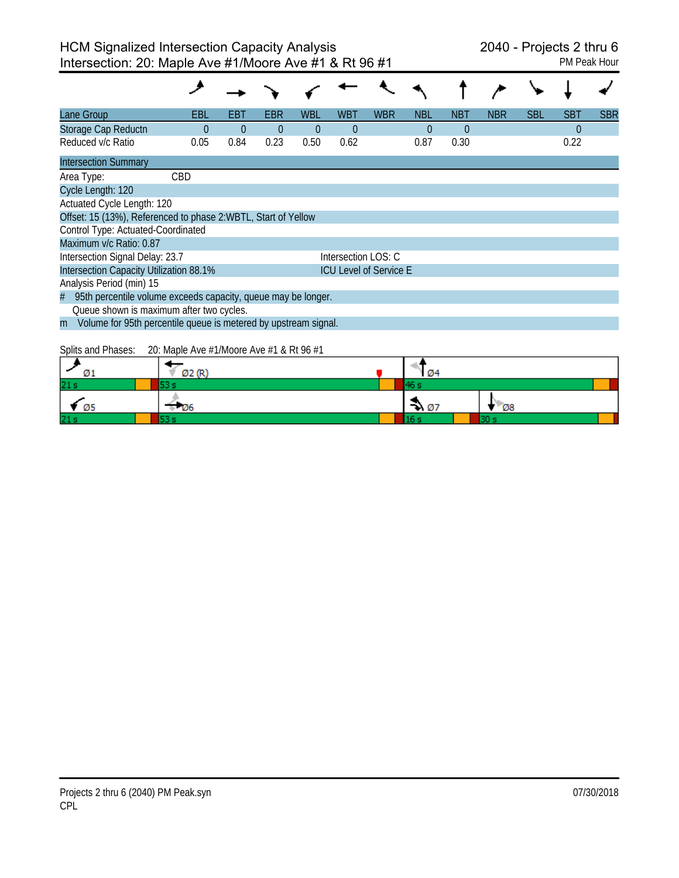| Lane Group                                                           | EBL  | EBT      | EBR      | <b>WBL</b> | <b>WBT</b>          | WBR                           | <b>NBL</b> | <b>NBT</b> | <b>NBR</b> | <b>SBL</b> | <b>SBT</b> | <b>SBR</b> |
|----------------------------------------------------------------------|------|----------|----------|------------|---------------------|-------------------------------|------------|------------|------------|------------|------------|------------|
| Storage Cap Reductn                                                  | 0    | $\theta$ | $\theta$ | $\Omega$   | $\theta$            |                               | $\theta$   | $\theta$   |            |            | $\theta$   |            |
| Reduced v/c Ratio                                                    | 0.05 | 0.84     | 0.23     | 0.50       | 0.62                |                               | 0.87       | 0.30       |            |            | 0.22       |            |
| <b>Intersection Summary</b>                                          |      |          |          |            |                     |                               |            |            |            |            |            |            |
| Area Type:                                                           | CBD  |          |          |            |                     |                               |            |            |            |            |            |            |
| Cycle Length: 120                                                    |      |          |          |            |                     |                               |            |            |            |            |            |            |
| Actuated Cycle Length: 120                                           |      |          |          |            |                     |                               |            |            |            |            |            |            |
| Offset: 15 (13%), Referenced to phase 2:WBTL, Start of Yellow        |      |          |          |            |                     |                               |            |            |            |            |            |            |
| Control Type: Actuated-Coordinated                                   |      |          |          |            |                     |                               |            |            |            |            |            |            |
| Maximum v/c Ratio: 0.87                                              |      |          |          |            |                     |                               |            |            |            |            |            |            |
| Intersection Signal Delay: 23.7                                      |      |          |          |            | Intersection LOS: C |                               |            |            |            |            |            |            |
| Intersection Capacity Utilization 88.1%                              |      |          |          |            |                     | <b>ICU Level of Service E</b> |            |            |            |            |            |            |
| Analysis Period (min) 15                                             |      |          |          |            |                     |                               |            |            |            |            |            |            |
| 95th percentile volume exceeds capacity, queue may be longer.<br>#   |      |          |          |            |                     |                               |            |            |            |            |            |            |
| Queue shown is maximum after two cycles.                             |      |          |          |            |                     |                               |            |            |            |            |            |            |
| Volume for 95th percentile queue is metered by upstream signal.<br>m |      |          |          |            |                     |                               |            |            |            |            |            |            |
|                                                                      |      |          |          |            |                     |                               |            |            |            |            |            |            |

Splits and Phases: 20: Maple Ave #1/Moore Ave #1 & Rt 96 #1

| Ø1              | Ø2 (R) | Ø4               |             |  |
|-----------------|--------|------------------|-------------|--|
| 21s             |        |                  |             |  |
| Ø5              | - 126  | $\rightarrow 07$ | $\sqrt{28}$ |  |
| 21 <sub>s</sub> |        |                  |             |  |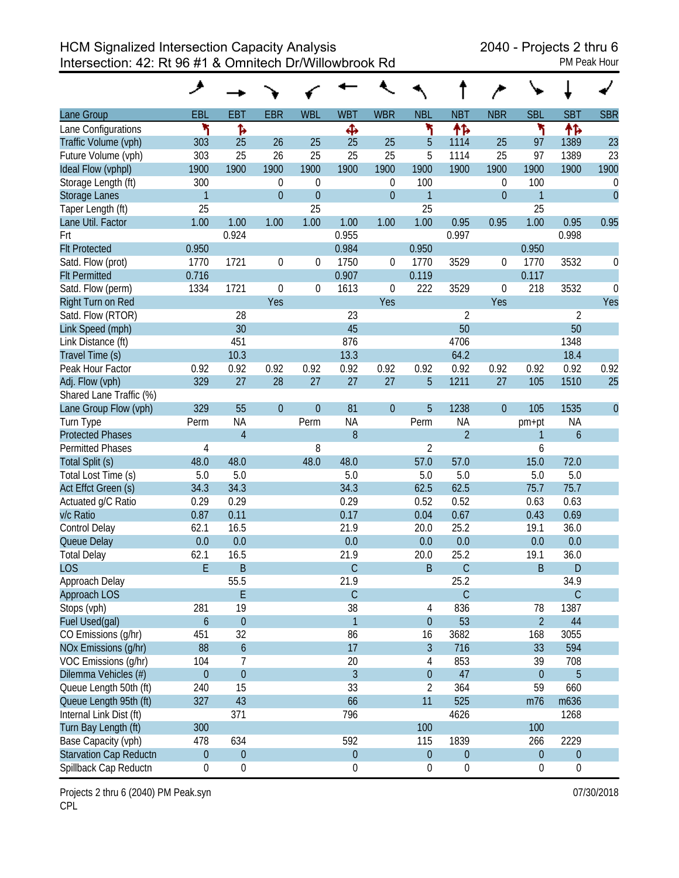HCM Signalized Intersection Capacity Analysis 2040 - Projects 2 thru 6 Intersection: 42: Rt 96 #1 & Omnitech Dr/Willowbrook Rd PM Peak Hour

| Lane Group                    | EBL              | <b>EBT</b>       | <b>EBR</b>       | <b>WBL</b>       | <b>WBT</b>     | <b>WBR</b>       | <b>NBL</b>       | <b>NBT</b>       | <b>NBR</b>     | <b>SBL</b>       | <b>SBT</b>       | <b>SBR</b>     |
|-------------------------------|------------------|------------------|------------------|------------------|----------------|------------------|------------------|------------------|----------------|------------------|------------------|----------------|
| Lane Configurations           | ۲                | ħ                |                  |                  | Ф              |                  | ۲                | 怍                |                | ۳                | 怍                |                |
| Traffic Volume (vph)          | 303              | 25               | 26               | 25               | 25             | 25               | 5                | 1114             | 25             | 97               | 1389             | 23             |
| Future Volume (vph)           | 303              | 25               | 26               | 25               | 25             | 25               | 5                | 1114             | 25             | 97               | 1389             | 23             |
| Ideal Flow (vphpl)            | 1900             | 1900             | 1900             | 1900             | 1900           | 1900             | 1900             | 1900             | 1900           | 1900             | 1900             | 1900           |
| Storage Length (ft)           | 300              |                  | $\mathbf{0}$     | $\mathbf 0$      |                | 0                | 100              |                  | 0              | 100              |                  | 0              |
| <b>Storage Lanes</b>          | $\mathbf{1}$     |                  | $\overline{0}$   | $\overline{0}$   |                | $\boldsymbol{0}$ | $\overline{1}$   |                  | $\overline{0}$ | $\mathbf{1}$     |                  | $\overline{0}$ |
| Taper Length (ft)             | 25               |                  |                  | 25               |                |                  | 25               |                  |                | 25               |                  |                |
| Lane Util. Factor             | 1.00             | 1.00             | 1.00             | 1.00             | 1.00           | 1.00             | 1.00             | 0.95             | 0.95           | 1.00             | 0.95             | 0.95           |
| Frt                           |                  | 0.924            |                  |                  | 0.955          |                  |                  | 0.997            |                |                  | 0.998            |                |
| <b>Flt Protected</b>          | 0.950            |                  |                  |                  | 0.984          |                  | 0.950            |                  |                | 0.950            |                  |                |
| Satd. Flow (prot)             | 1770             | 1721             | $\mathbf 0$      | 0                | 1750           | 0                | 1770             | 3529             | 0              | 1770             | 3532             | 0              |
| <b>Flt Permitted</b>          | 0.716            |                  |                  |                  | 0.907          |                  | 0.119            |                  |                | 0.117            |                  |                |
| Satd. Flow (perm)             | 1334             | 1721             | $\boldsymbol{0}$ | $\boldsymbol{0}$ | 1613           | $\boldsymbol{0}$ | 222              | 3529             | 0              | 218              | 3532             | $\Omega$       |
| Right Turn on Red             |                  |                  | Yes              |                  |                | Yes              |                  |                  | Yes            |                  |                  | Yes            |
| Satd. Flow (RTOR)             |                  | 28               |                  |                  | 23             |                  |                  | $\overline{2}$   |                |                  | $\overline{2}$   |                |
| Link Speed (mph)              |                  | 30               |                  |                  | 45             |                  |                  | 50               |                |                  | 50               |                |
| Link Distance (ft)            |                  | 451              |                  |                  | 876            |                  |                  | 4706             |                |                  | 1348             |                |
| Travel Time (s)               |                  | 10.3             |                  |                  | 13.3           |                  |                  | 64.2             |                |                  | 18.4             |                |
| Peak Hour Factor              | 0.92             | 0.92             | 0.92             | 0.92             | 0.92           | 0.92             | 0.92             | 0.92             | 0.92           | 0.92             | 0.92             | 0.92           |
| Adj. Flow (vph)               | 329              | 27               | 28               | 27               | 27             | 27               | 5                | 1211             | 27             | 105              | 1510             | 25             |
| Shared Lane Traffic (%)       |                  |                  |                  |                  |                |                  |                  |                  |                |                  |                  |                |
| Lane Group Flow (vph)         | 329              | 55               | $\overline{0}$   | $\overline{0}$   | 81             | $\overline{0}$   | 5                | 1238             | $\overline{0}$ | 105              | 1535             | $\theta$       |
| Turn Type                     | Perm             | <b>NA</b>        |                  | Perm             | <b>NA</b>      |                  | Perm             | <b>NA</b>        |                | pm+pt            | <b>NA</b>        |                |
| <b>Protected Phases</b>       |                  | $\overline{4}$   |                  |                  | 8              |                  |                  | $\overline{2}$   |                | 1                | 6                |                |
| <b>Permitted Phases</b>       | 4                |                  |                  | 8                |                |                  | $\overline{2}$   |                  |                | 6                |                  |                |
| Total Split (s)               | 48.0             | 48.0             |                  | 48.0             | 48.0           |                  | 57.0             | 57.0             |                | 15.0             | 72.0             |                |
| Total Lost Time (s)           | 5.0              | 5.0              |                  |                  | 5.0            |                  | 5.0              | 5.0              |                | 5.0              | 5.0              |                |
| Act Effct Green (s)           | 34.3             | 34.3             |                  |                  | 34.3           |                  | 62.5             | 62.5             |                | 75.7             | 75.7             |                |
| Actuated g/C Ratio            | 0.29             | 0.29             |                  |                  | 0.29           |                  | 0.52             | 0.52             |                | 0.63             | 0.63             |                |
| v/c Ratio                     | 0.87             | 0.11             |                  |                  | 0.17           |                  | 0.04             | 0.67             |                | 0.43             | 0.69             |                |
| <b>Control Delay</b>          | 62.1             | 16.5             |                  |                  | 21.9           |                  | 20.0             | 25.2             |                | 19.1             | 36.0             |                |
| Queue Delay                   | 0.0              | 0.0              |                  |                  | 0.0            |                  | 0.0              | 0.0              |                | 0.0              | 0.0              |                |
| <b>Total Delay</b>            | 62.1             | 16.5             |                  |                  | 21.9           |                  | 20.0             | 25.2             |                | 19.1             | 36.0             |                |
| <b>LOS</b>                    | E                | B                |                  |                  | $\mathsf C$    |                  | B                | $\mathsf C$      |                | B                | ${\sf D}$        |                |
| Approach Delay                |                  | 55.5             |                  |                  | 21.9           |                  |                  | 25.2             |                |                  | 34.9             |                |
| Approach LOS                  |                  | E                |                  |                  | $\mathsf{C}$   |                  |                  | $\mathsf{C}$     |                |                  | $\mathsf C$      |                |
| Stops (vph)                   | 281              | 19               |                  |                  | 38             |                  | 4                | 836              |                | 78               | 1387             |                |
| Fuel Used(gal)                | $\boldsymbol{6}$ | $\mathbf 0$      |                  |                  | $\mathbf{1}$   |                  | $\overline{0}$   | 53               |                | $\overline{2}$   | 44               |                |
| CO Emissions (g/hr)           | 451              | 32               |                  |                  | 86             |                  | 16               | 3682             |                | 168              | 3055             |                |
| NOx Emissions (g/hr)          | 88               | $\boldsymbol{6}$ |                  |                  | 17             |                  | 3                | 716              |                | 33               | 594              |                |
| VOC Emissions (g/hr)          | 104              | 7                |                  |                  | 20             |                  | 4                | 853              |                | 39               | 708              |                |
| Dilemma Vehicles (#)          | $\boldsymbol{0}$ | $\mathbf 0$      |                  |                  | $\overline{3}$ |                  | $\overline{0}$   | 47               |                | $\overline{0}$   | 5                |                |
| Queue Length 50th (ft)        | 240              | 15               |                  |                  | 33             |                  | $\overline{2}$   | 364              |                | 59               | 660              |                |
| Queue Length 95th (ft)        | 327              | 43               |                  |                  | 66             |                  | 11               | 525              |                | m76              | m636             |                |
| Internal Link Dist (ft)       |                  | 371              |                  |                  | 796            |                  |                  | 4626             |                |                  | 1268             |                |
| Turn Bay Length (ft)          | 300              |                  |                  |                  |                |                  | 100              |                  |                | 100              |                  |                |
| Base Capacity (vph)           | 478              | 634              |                  |                  | 592            |                  | 115              | 1839             |                | 266              | 2229             |                |
| <b>Starvation Cap Reductn</b> | $\boldsymbol{0}$ | $\boldsymbol{0}$ |                  |                  | $\overline{0}$ |                  | $\boldsymbol{0}$ | $\boldsymbol{0}$ |                | $\boldsymbol{0}$ | 0                |                |
| Spillback Cap Reductn         | $\boldsymbol{0}$ | $\boldsymbol{0}$ |                  |                  | $\mathbf 0$    |                  | $\boldsymbol{0}$ | $\boldsymbol{0}$ |                | $\boldsymbol{0}$ | $\boldsymbol{0}$ |                |

Projects 2 thru 6 (2040) PM Peak.syn 07/30/2018 CPL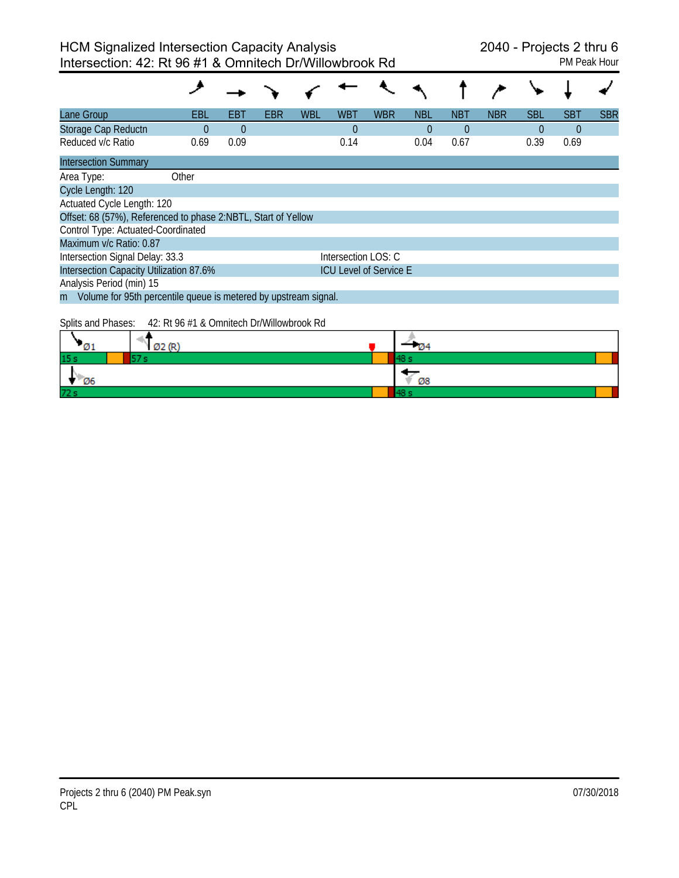| Lane Group                                                        | EBL                                                                      | EB <sub>1</sub> | EBR | <b>WBL</b> | <b>WBT</b>          | <b>WBR</b> | <b>NBL</b> | <b>NBT</b> | <b>NBR</b> | <b>SBL</b> | <b>SBT</b> | <b>SBR</b> |
|-------------------------------------------------------------------|--------------------------------------------------------------------------|-----------------|-----|------------|---------------------|------------|------------|------------|------------|------------|------------|------------|
| Storage Cap Reductn                                               | 0                                                                        | $\theta$        |     |            | $\Omega$            |            | 0          | $\Omega$   |            | $\theta$   | $\theta$   |            |
| Reduced v/c Ratio                                                 | 0.69                                                                     | 0.09            |     |            | 0.14                |            | 0.04       | 0.67       |            | 0.39       | 0.69       |            |
| <b>Intersection Summary</b>                                       |                                                                          |                 |     |            |                     |            |            |            |            |            |            |            |
| Area Type:                                                        | Other                                                                    |                 |     |            |                     |            |            |            |            |            |            |            |
| Cycle Length: 120                                                 |                                                                          |                 |     |            |                     |            |            |            |            |            |            |            |
| Actuated Cycle Length: 120                                        |                                                                          |                 |     |            |                     |            |            |            |            |            |            |            |
| Offset: 68 (57%), Referenced to phase 2:NBTL, Start of Yellow     |                                                                          |                 |     |            |                     |            |            |            |            |            |            |            |
| Control Type: Actuated-Coordinated                                |                                                                          |                 |     |            |                     |            |            |            |            |            |            |            |
| Maximum v/c Ratio: 0.87                                           |                                                                          |                 |     |            |                     |            |            |            |            |            |            |            |
| Intersection Signal Delay: 33.3                                   |                                                                          |                 |     |            | Intersection LOS: C |            |            |            |            |            |            |            |
|                                                                   | Intersection Capacity Utilization 87.6%<br><b>ICU Level of Service E</b> |                 |     |            |                     |            |            |            |            |            |            |            |
| Analysis Period (min) 15                                          |                                                                          |                 |     |            |                     |            |            |            |            |            |            |            |
| m Volume for 95th percentile queue is metered by upstream signal. |                                                                          |                 |     |            |                     |            |            |            |            |            |            |            |

Splits and Phases: 42: Rt 96 #1 & Omnitech Dr/Willowbrook Rd

| -01             | Ø2 (R) | $-04$ |
|-----------------|--------|-------|
| 15 <sub>s</sub> | 57.    | 48:   |
| - 06            |        | Ø8    |
| 72 s            |        |       |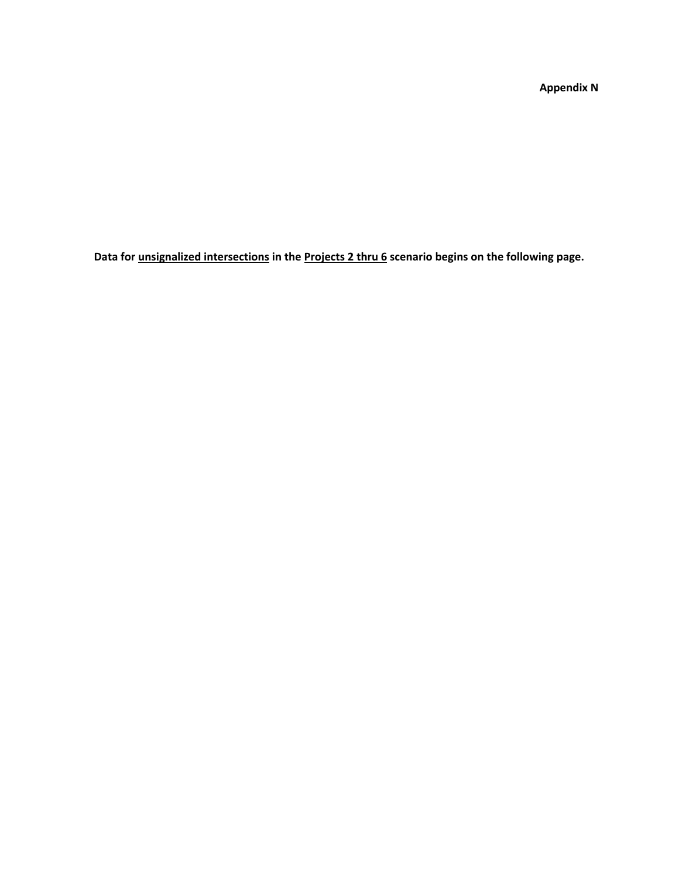**Appendix N**

**Data for unsignalized intersections in the Projects 2 thru 6 scenario begins on the following page.**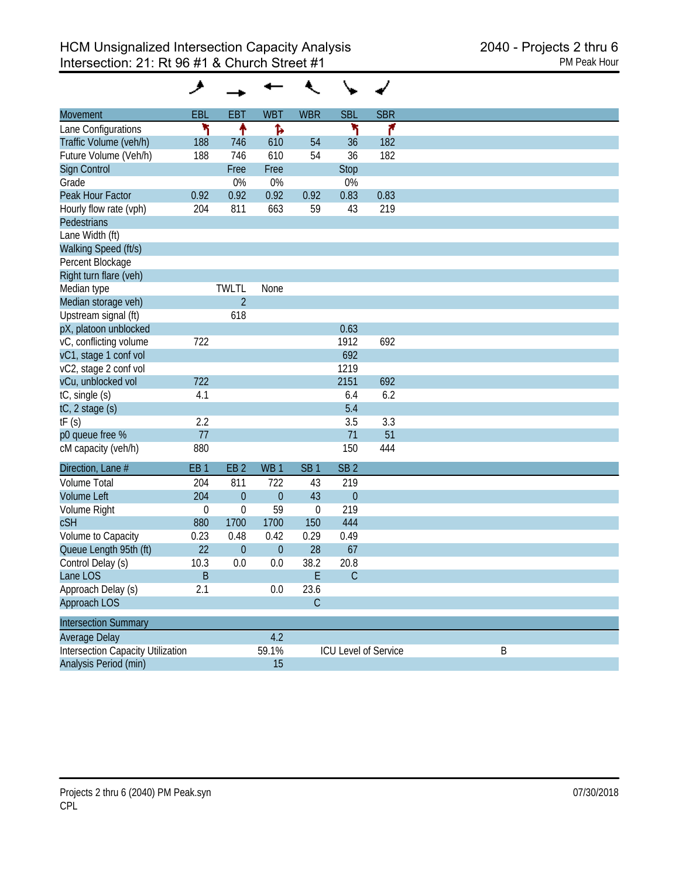| <b>Movement</b>                          | EBL              | <b>EBT</b>             | <b>WBT</b>       | <b>WBR</b>      | <b>SBL</b>           | <b>SBR</b> |
|------------------------------------------|------------------|------------------------|------------------|-----------------|----------------------|------------|
| Lane Configurations                      | ۱                | ↟                      | Ъ                |                 | ۲                    | ۴          |
| Traffic Volume (veh/h)                   | 188              | 746                    | 610              | 54              | 36                   | 182        |
| Future Volume (Veh/h)                    | 188              | 746                    | 610              | 54              | 36                   | 182        |
| <b>Sign Control</b>                      |                  | Free                   | Free             |                 | <b>Stop</b>          |            |
| Grade                                    |                  | 0%                     | 0%               |                 | 0%                   |            |
| Peak Hour Factor                         | 0.92             | 0.92                   | 0.92             | 0.92            | 0.83                 | 0.83       |
| Hourly flow rate (vph)                   | 204              | 811                    | 663              | 59              | 43                   | 219        |
| <b>Pedestrians</b>                       |                  |                        |                  |                 |                      |            |
| Lane Width (ft)                          |                  |                        |                  |                 |                      |            |
| Walking Speed (ft/s)                     |                  |                        |                  |                 |                      |            |
| Percent Blockage                         |                  |                        |                  |                 |                      |            |
| Right turn flare (veh)                   |                  |                        |                  |                 |                      |            |
| Median type                              |                  | <b>TWLTL</b>           | None             |                 |                      |            |
| Median storage veh)                      |                  | $\overline{2}$         |                  |                 |                      |            |
| Upstream signal (ft)                     |                  | 618                    |                  |                 |                      |            |
| pX, platoon unblocked                    |                  |                        |                  |                 | 0.63                 |            |
| vC, conflicting volume                   | 722              |                        |                  |                 | 1912                 | 692        |
| vC1, stage 1 conf vol                    |                  |                        |                  |                 | 692                  |            |
| vC2, stage 2 conf vol                    |                  |                        |                  |                 | 1219                 |            |
| vCu, unblocked vol                       | 722              |                        |                  |                 | 2151                 | 692        |
| tC, single (s)                           | 4.1              |                        |                  |                 | 6.4                  | 6.2        |
| tC, 2 stage (s)                          |                  |                        |                  |                 | 5.4                  |            |
| tF(s)                                    | 2.2              |                        |                  |                 | 3.5                  | 3.3        |
| p0 queue free %                          | 77               |                        |                  |                 | 71                   | 51         |
| cM capacity (veh/h)                      | 880              |                        |                  |                 | 150                  | 444        |
|                                          |                  |                        |                  |                 |                      |            |
| Direction, Lane #<br><b>Volume Total</b> | EB <sub>1</sub>  | EB <sub>2</sub><br>811 | WB <sub>1</sub>  | SB <sub>1</sub> | SB <sub>2</sub>      |            |
| <b>Volume Left</b>                       | 204<br>204       |                        | 722              | 43<br>43        | 219                  |            |
|                                          |                  | $\boldsymbol{0}$       | $\overline{0}$   |                 | $\theta$             |            |
| Volume Right                             | $\boldsymbol{0}$ | 0                      | 59               | $\mathbf 0$     | 219                  |            |
| <b>cSH</b>                               | 880              | 1700                   | 1700             | 150             | 444                  |            |
| Volume to Capacity                       | 0.23             | 0.48                   | 0.42             | 0.29            | 0.49                 |            |
| Queue Length 95th (ft)                   | 22               | $\boldsymbol{0}$       | $\boldsymbol{0}$ | 28              | 67                   |            |
| Control Delay (s)                        | 10.3             | 0.0                    | 0.0              | 38.2            | 20.8                 |            |
| Lane LOS                                 | B                |                        |                  | E               | $\mathsf{C}$         |            |
| Approach Delay (s)                       | 2.1              |                        | 0.0              | 23.6            |                      |            |
| Approach LOS                             |                  |                        |                  | $\mathsf C$     |                      |            |
| <b>Intersection Summary</b>              |                  |                        |                  |                 |                      |            |
| Average Delay                            |                  |                        | 4.2              |                 |                      |            |
| <b>Intersection Capacity Utilization</b> |                  |                        | 59.1%            |                 | ICU Level of Service |            |
| Analysis Period (min)                    |                  |                        | 15               |                 |                      |            |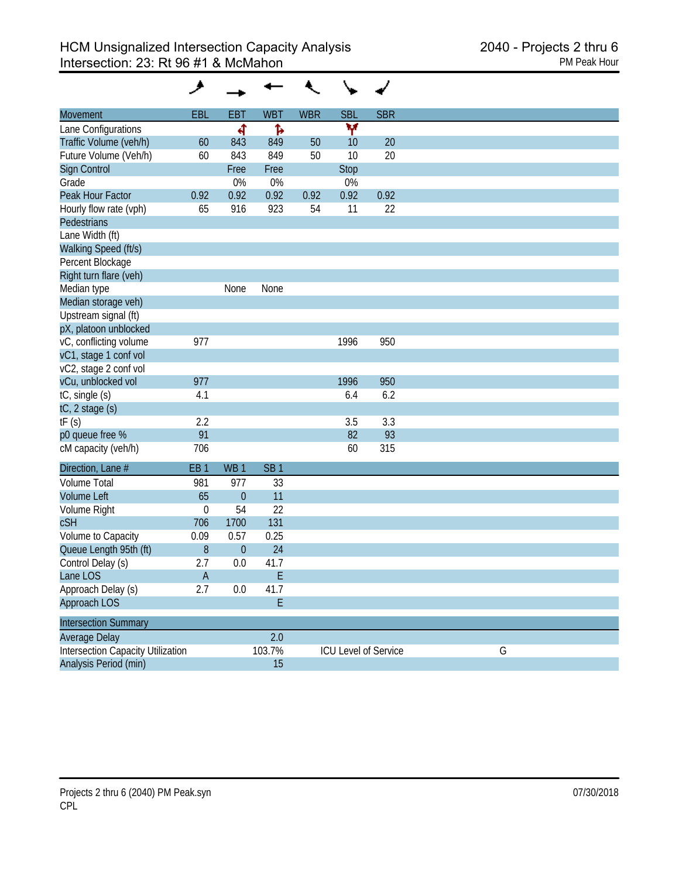| Movement                                 | <b>EBL</b>      | <b>EBT</b>      | <b>WBT</b>                                           | <b>WBR</b> | <b>SBL</b>           | <b>SBR</b> |   |
|------------------------------------------|-----------------|-----------------|------------------------------------------------------|------------|----------------------|------------|---|
| Lane Configurations                      |                 | ची              | Ъ                                                    |            | ۷                    |            |   |
| Traffic Volume (veh/h)                   | 60              | 843             | 849                                                  | 50         | 10                   | 20         |   |
| Future Volume (Veh/h)                    | 60              | 843             | 849                                                  | 50         | 10                   | 20         |   |
| Sign Control                             |                 | Free            | Free                                                 |            | Stop                 |            |   |
| Grade                                    |                 | 0%              | 0%                                                   |            | 0%                   |            |   |
| Peak Hour Factor                         | 0.92            | 0.92            | 0.92                                                 | 0.92       | 0.92                 | 0.92       |   |
| Hourly flow rate (vph)                   | 65              | 916             | 923                                                  | 54         | 11                   | 22         |   |
| Pedestrians                              |                 |                 |                                                      |            |                      |            |   |
| Lane Width (ft)                          |                 |                 |                                                      |            |                      |            |   |
| Walking Speed (ft/s)                     |                 |                 |                                                      |            |                      |            |   |
| Percent Blockage                         |                 |                 |                                                      |            |                      |            |   |
| Right turn flare (veh)                   |                 |                 |                                                      |            |                      |            |   |
| Median type                              |                 | None            | None                                                 |            |                      |            |   |
| Median storage veh)                      |                 |                 |                                                      |            |                      |            |   |
| Upstream signal (ft)                     |                 |                 |                                                      |            |                      |            |   |
| pX, platoon unblocked                    |                 |                 |                                                      |            |                      |            |   |
| vC, conflicting volume                   | 977             |                 |                                                      |            | 1996                 | 950        |   |
| vC1, stage 1 conf vol                    |                 |                 |                                                      |            |                      |            |   |
| vC2, stage 2 conf vol                    |                 |                 |                                                      |            |                      |            |   |
| vCu, unblocked vol                       | 977             |                 |                                                      |            | 1996                 | 950        |   |
| tC, single (s)                           | 4.1             |                 |                                                      |            | 6.4                  | 6.2        |   |
| tC, 2 stage (s)                          |                 |                 |                                                      |            |                      |            |   |
| tF(s)                                    | 2.2             |                 |                                                      |            | 3.5                  | 3.3        |   |
| p0 queue free %                          | 91              |                 |                                                      |            | 82                   | 93         |   |
| cM capacity (veh/h)                      | 706             |                 |                                                      |            | 60                   | 315        |   |
| Direction, Lane #                        | EB <sub>1</sub> | WB <sub>1</sub> | SB <sub>1</sub>                                      |            |                      |            |   |
| <b>Volume Total</b>                      | 981             | 977             | 33                                                   |            |                      |            |   |
| <b>Volume Left</b>                       | 65              | $\overline{0}$  | 11                                                   |            |                      |            |   |
| Volume Right                             | $\mathbf 0$     | 54              | 22                                                   |            |                      |            |   |
| <b>cSH</b>                               | 706             | 1700            | 131                                                  |            |                      |            |   |
| Volume to Capacity                       | 0.09            | 0.57            | 0.25                                                 |            |                      |            |   |
| Queue Length 95th (ft)                   | 8               | $\mathbf{0}$    | 24                                                   |            |                      |            |   |
| Control Delay (s)                        | 2.7             | 0.0             | 41.7                                                 |            |                      |            |   |
| Lane LOS                                 | A               |                 | $\mathsf{E}% _{0}\left( \mathcal{A}_{0}\right) ^{T}$ |            |                      |            |   |
| Approach Delay (s)                       | 2.7             | 0.0             | 41.7                                                 |            |                      |            |   |
| Approach LOS                             |                 |                 | E                                                    |            |                      |            |   |
| <b>Intersection Summary</b>              |                 |                 |                                                      |            |                      |            |   |
| Average Delay                            |                 |                 | 2.0                                                  |            |                      |            |   |
| <b>Intersection Capacity Utilization</b> |                 |                 | 103.7%                                               |            | ICU Level of Service |            | G |
| Analysis Period (min)                    |                 |                 | 15                                                   |            |                      |            |   |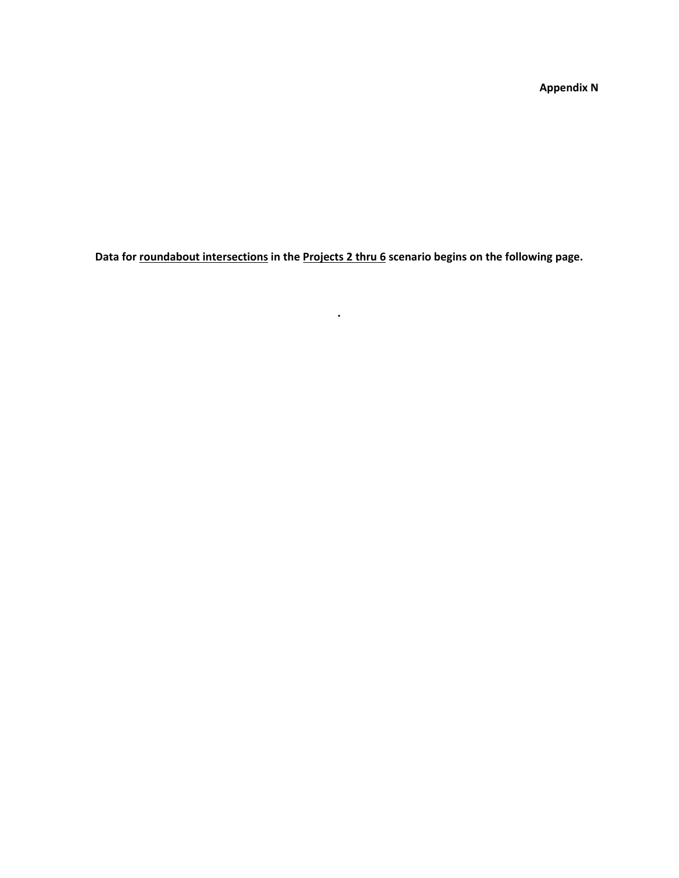**Appendix N**

**Data for roundabout intersections in the Projects 2 thru 6 scenario begins on the following page.**

**.**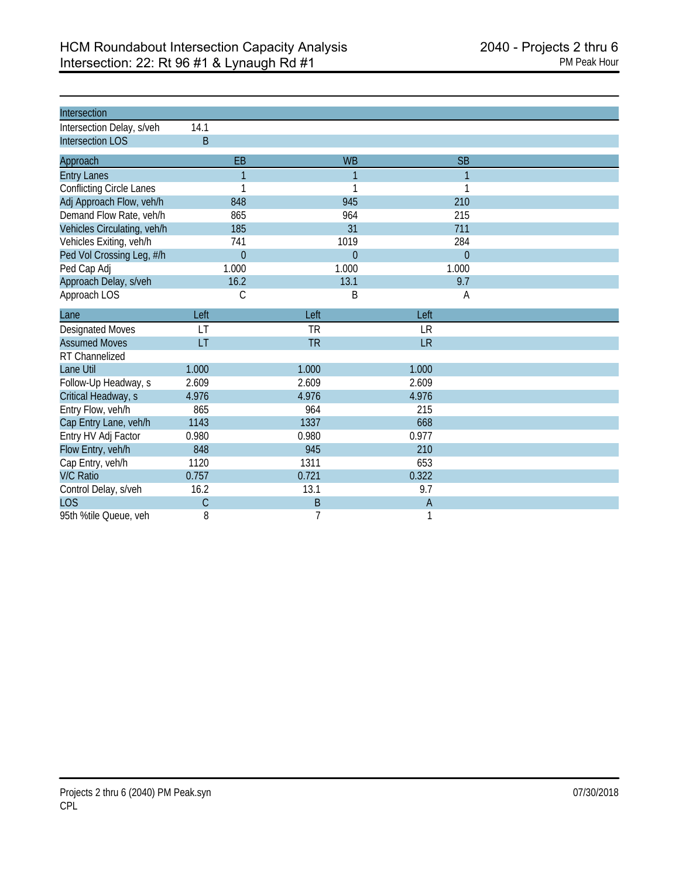| Intersection                    |                |                |                |  |
|---------------------------------|----------------|----------------|----------------|--|
| Intersection Delay, s/veh       | 14.1           |                |                |  |
| <b>Intersection LOS</b>         | B              |                |                |  |
| Approach                        | EB             | <b>WB</b>      | <b>SB</b>      |  |
| <b>Entry Lanes</b>              | $\overline{1}$ | 1              | $\mathbf{1}$   |  |
| <b>Conflicting Circle Lanes</b> | 1              | 1              | 1              |  |
| Adj Approach Flow, veh/h        | 848            | 945            | 210            |  |
| Demand Flow Rate, veh/h         | 865            | 964            | 215            |  |
| Vehicles Circulating, veh/h     | 185            | 31             | 711            |  |
| Vehicles Exiting, veh/h         | 741            | 1019           | 284            |  |
| Ped Vol Crossing Leg, #/h       | $\overline{0}$ | $\overline{0}$ | $\overline{0}$ |  |
| Ped Cap Adj                     | 1.000          | 1.000          | 1.000          |  |
| Approach Delay, s/veh           | 16.2           | 13.1           | 9.7            |  |
| Approach LOS                    | C              | B              | A              |  |
| Lane                            | Left           | Left           | Left           |  |
| <b>Designated Moves</b>         | LT             | <b>TR</b>      | <b>LR</b>      |  |
| <b>Assumed Moves</b>            | LT             | <b>TR</b>      | <b>LR</b>      |  |
| RT Channelized                  |                |                |                |  |
| Lane Util                       | 1.000          | 1.000          | 1.000          |  |
| Follow-Up Headway, s            | 2.609          | 2.609          | 2.609          |  |
| Critical Headway, s             | 4.976          | 4.976          | 4.976          |  |
| Entry Flow, veh/h               | 865            | 964            | 215            |  |
| Cap Entry Lane, veh/h           | 1143           | 1337           | 668            |  |
| Entry HV Adj Factor             | 0.980          | 0.980          | 0.977          |  |
| Flow Entry, veh/h               | 848            | 945            | 210            |  |
| Cap Entry, veh/h                | 1120           | 1311           | 653            |  |
| <b>V/C Ratio</b>                | 0.757          | 0.721          | 0.322          |  |
| Control Delay, s/veh            | 16.2           | 13.1           | 9.7            |  |
| <b>LOS</b>                      | C              | B              | $\mathsf{A}$   |  |
| 95th %tile Queue, veh           | 8              | 7              | 1              |  |